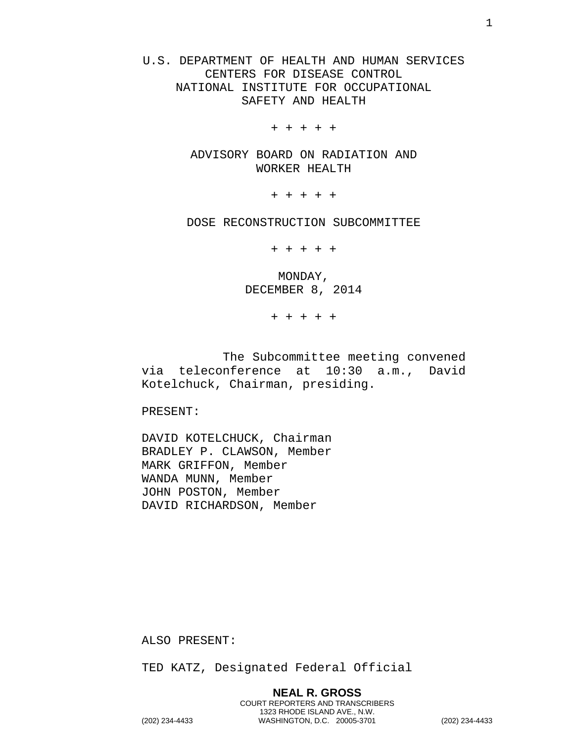U.S. DEPARTMENT OF HEALTH AND HUMAN SERVICES CENTERS FOR DISEASE CONTROL NATIONAL INSTITUTE FOR OCCUPATIONAL SAFETY AND HEALTH

+ + + + +

ADVISORY BOARD ON RADIATION AND WORKER HEALTH

+ + + + +

DOSE RECONSTRUCTION SUBCOMMITTEE

+ + + + +

MONDAY, DECEMBER 8, 2014

+ + + + +

The Subcommittee meeting convened via teleconference at 10:30 a.m., David Kotelchuck, Chairman, presiding.

PRESENT:

DAVID KOTELCHUCK, Chairman BRADLEY P. CLAWSON, Member MARK GRIFFON, Member WANDA MUNN, Member JOHN POSTON, Member DAVID RICHARDSON, Member

ALSO PRESENT:

TED KATZ, Designated Federal Official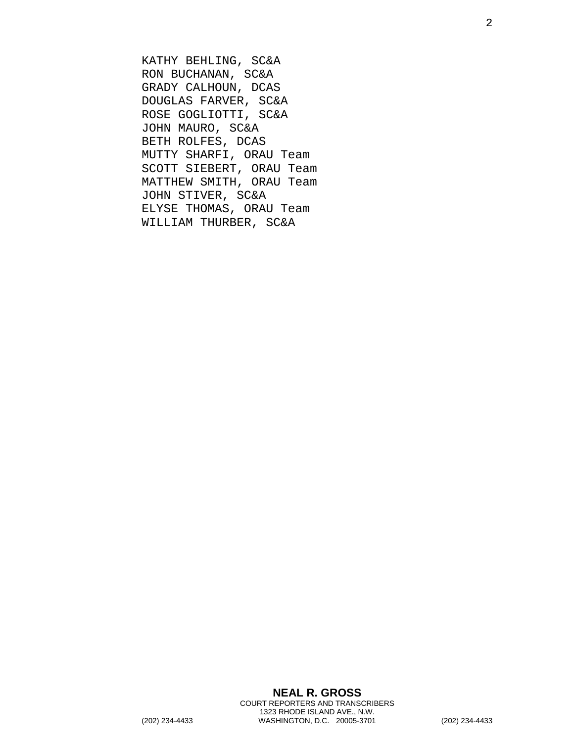KATHY BEHLING, SC&A RON BUCHANAN, SC&A GRADY CALHOUN, DCAS DOUGLAS FARVER, SC&A ROSE GOGLIOTTI, SC&A JOHN MAURO, SC&A BETH ROLFES, DCAS MUTTY SHARFI, ORAU Team SCOTT SIEBERT, ORAU Team MATTHEW SMITH, ORAU Team JOHN STIVER, SC&A ELYSE THOMAS, ORAU Team WILLIAM THURBER, SC&A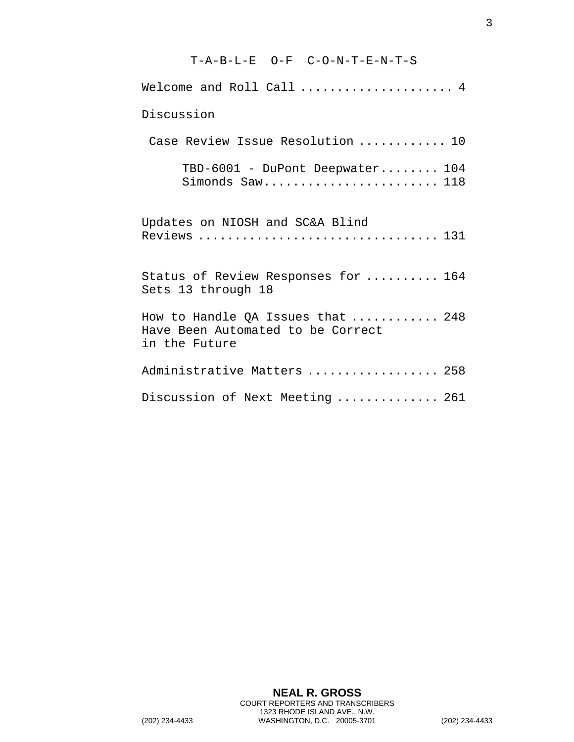## T-A-B-L-E O-F C-O-N-T-E-N-T-S Welcome and Roll Call ...................... 4 Discussion Case Review Issue Resolution ............ 10 TBD-6001 - DuPont Deepwater........ 104 Simonds Saw........................ 118 Updates on NIOSH and SC&A Blind Reviews ................................. 131 Status of Review Responses for .......... 164 Sets 13 through 18 How to Handle QA Issues that ............ 248 Have Been Automated to be Correct in the Future Administrative Matters .................. 258 Discussion of Next Meeting .............. 261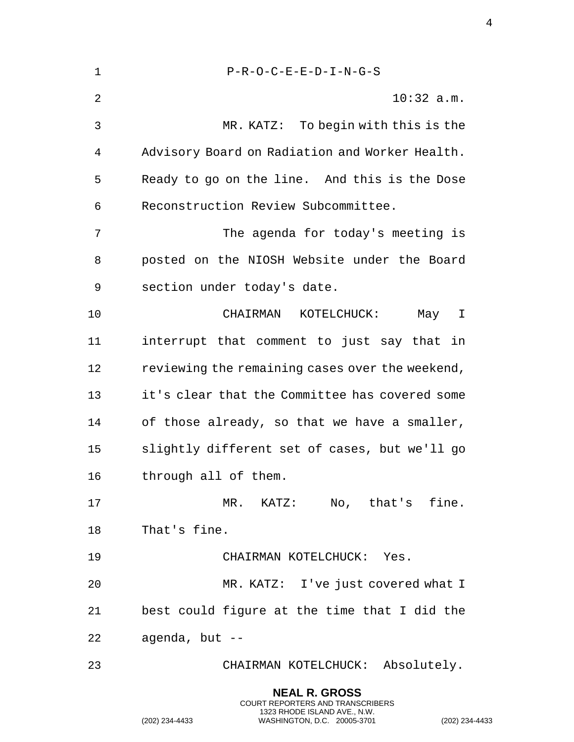| $\mathbf 1$    | $P-R-O-C-E-E-D-I-N-G-S$                         |
|----------------|-------------------------------------------------|
| $\overline{2}$ | $10:32$ a.m.                                    |
| 3              | MR. KATZ: To begin with this is the             |
| 4              | Advisory Board on Radiation and Worker Health.  |
| 5              | Ready to go on the line. And this is the Dose   |
| 6              | Reconstruction Review Subcommittee.             |
| 7              | The agenda for today's meeting is               |
| 8              | posted on the NIOSH Website under the Board     |
| 9              | section under today's date.                     |
| 10             | CHAIRMAN KOTELCHUCK:<br>May I                   |
| 11             | interrupt that comment to just say that in      |
| 12             | reviewing the remaining cases over the weekend, |
| 13             | it's clear that the Committee has covered some  |
| 14             | of those already, so that we have a smaller,    |
| 15             | slightly different set of cases, but we'll go   |
| 16             | through all of them.                            |
| 17             | MR. KATZ: No, that's fine.                      |
| 18             | That's fine.                                    |
| 19             | CHAIRMAN KOTELCHUCK: Yes.                       |
| 20             | MR. KATZ: I've just covered what I              |
| 21             | best could figure at the time that I did the    |
| 22             | agenda, but --                                  |
| 23             | CHAIRMAN KOTELCHUCK: Absolutely.                |
|                |                                                 |

**NEAL R. GROSS** COURT REPORTERS AND TRANSCRIBERS 1323 RHODE ISLAND AVE., N.W.

(202) 234-4433 WASHINGTON, D.C. 20005-3701 (202) 234-4433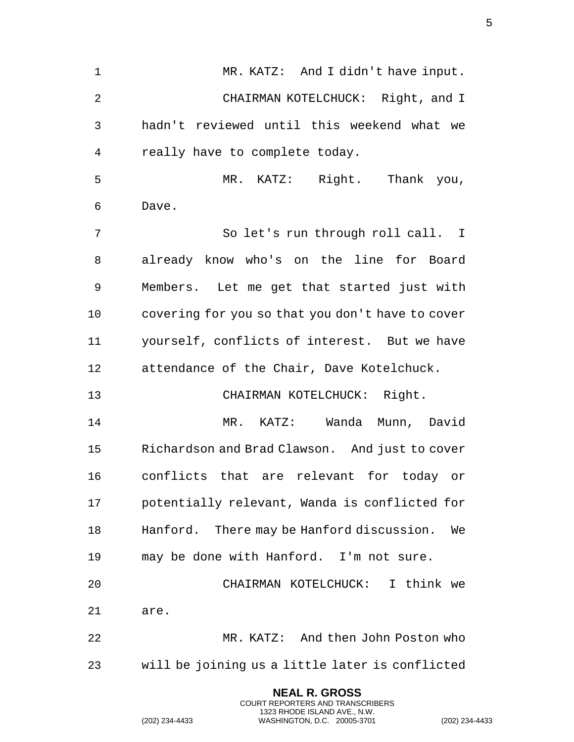1 MR. KATZ: And I didn't have input. CHAIRMAN KOTELCHUCK: Right, and I hadn't reviewed until this weekend what we really have to complete today. MR. KATZ: Right. Thank you, Dave. So let's run through roll call. I already know who's on the line for Board Members. Let me get that started just with covering for you so that you don't have to cover yourself, conflicts of interest. But we have attendance of the Chair, Dave Kotelchuck. CHAIRMAN KOTELCHUCK: Right. MR. KATZ: Wanda Munn, David Richardson and Brad Clawson. And just to cover conflicts that are relevant for today or potentially relevant, Wanda is conflicted for Hanford. There may be Hanford discussion. We may be done with Hanford. I'm not sure. CHAIRMAN KOTELCHUCK: I think we are. MR. KATZ: And then John Poston who will be joining us a little later is conflicted

> **NEAL R. GROSS** COURT REPORTERS AND TRANSCRIBERS 1323 RHODE ISLAND AVE., N.W.

(202) 234-4433 WASHINGTON, D.C. 20005-3701 (202) 234-4433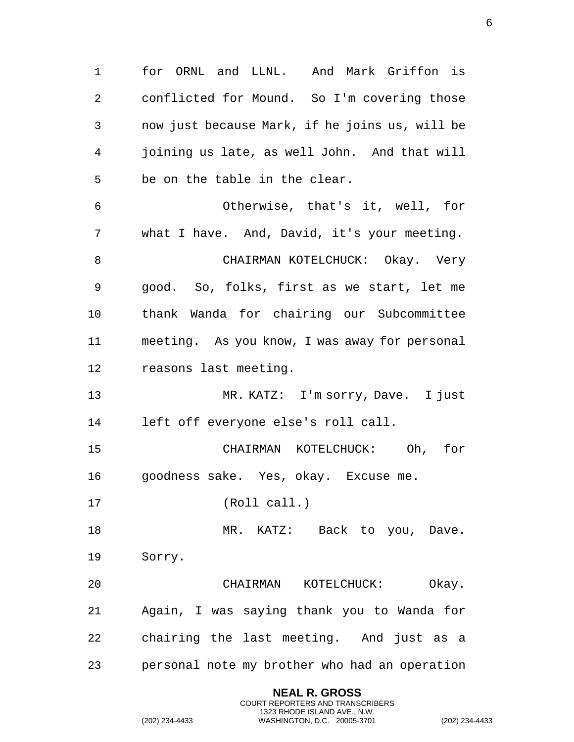for ORNL and LLNL. And Mark Griffon is conflicted for Mound. So I'm covering those now just because Mark, if he joins us, will be joining us late, as well John. And that will be on the table in the clear. Otherwise, that's it, well, for what I have. And, David, it's your meeting. CHAIRMAN KOTELCHUCK: Okay. Very good. So, folks, first as we start, let me thank Wanda for chairing our Subcommittee meeting. As you know, I was away for personal reasons last meeting. 13 MR. KATZ: I'm sorry, Dave. I just left off everyone else's roll call. CHAIRMAN KOTELCHUCK: Oh, for goodness sake. Yes, okay. Excuse me. (Roll call.) 18 MR. KATZ: Back to you, Dave. Sorry. CHAIRMAN KOTELCHUCK: Okay. Again, I was saying thank you to Wanda for chairing the last meeting. And just as a personal note my brother who had an operation

> **NEAL R. GROSS** COURT REPORTERS AND TRANSCRIBERS 1323 RHODE ISLAND AVE., N.W.

(202) 234-4433 WASHINGTON, D.C. 20005-3701 (202) 234-4433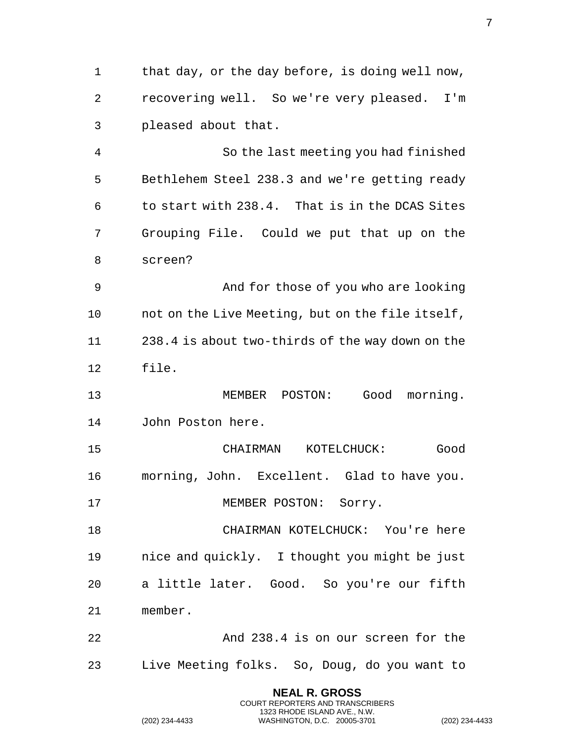1 that day, or the day before, is doing well now, recovering well. So we're very pleased. I'm pleased about that.

 So the last meeting you had finished Bethlehem Steel 238.3 and we're getting ready to start with 238.4. That is in the DCAS Sites Grouping File. Could we put that up on the screen?

 And for those of you who are looking not on the Live Meeting, but on the file itself, 238.4 is about two-thirds of the way down on the file.

 MEMBER POSTON: Good morning. John Poston here.

 CHAIRMAN KOTELCHUCK: Good morning, John. Excellent. Glad to have you. 17 MEMBER POSTON: Sorry.

 CHAIRMAN KOTELCHUCK: You're here nice and quickly. I thought you might be just a little later. Good. So you're our fifth member.

 And 238.4 is on our screen for the Live Meeting folks. So, Doug, do you want to

> **NEAL R. GROSS** COURT REPORTERS AND TRANSCRIBERS 1323 RHODE ISLAND AVE., N.W.

(202) 234-4433 WASHINGTON, D.C. 20005-3701 (202) 234-4433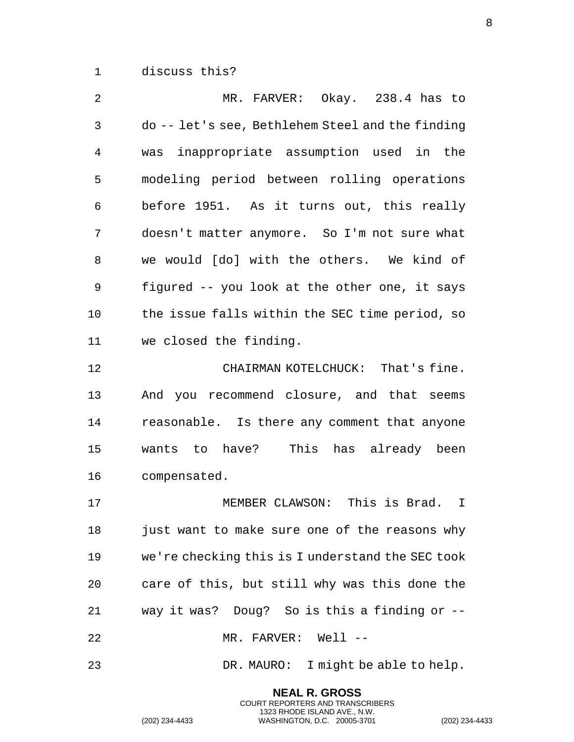discuss this?

 MR. FARVER: Okay. 238.4 has to do -- let's see, Bethlehem Steel and the finding was inappropriate assumption used in the modeling period between rolling operations before 1951. As it turns out, this really doesn't matter anymore. So I'm not sure what we would [do] with the others. We kind of figured -- you look at the other one, it says the issue falls within the SEC time period, so we closed the finding. CHAIRMAN KOTELCHUCK: That's fine. And you recommend closure, and that seems

 reasonable. Is there any comment that anyone wants to have? This has already been compensated.

 MEMBER CLAWSON: This is Brad. I 18 just want to make sure one of the reasons why we're checking this is I understand the SEC took care of this, but still why was this done the way it was? Doug? So is this a finding or -- MR. FARVER: Well --

DR. MAURO: I might be able to help.

**NEAL R. GROSS** COURT REPORTERS AND TRANSCRIBERS 1323 RHODE ISLAND AVE., N.W.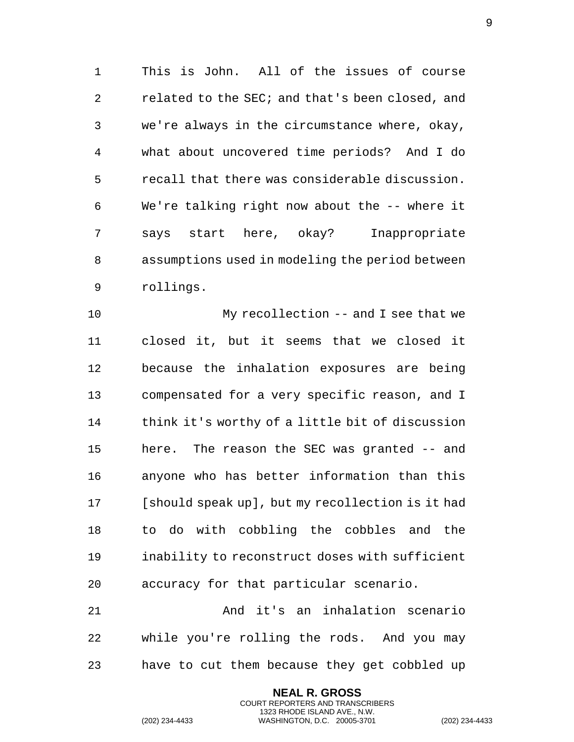This is John. All of the issues of course related to the SEC; and that's been closed, and we're always in the circumstance where, okay, what about uncovered time periods? And I do recall that there was considerable discussion. We're talking right now about the -- where it says start here, okay? Inappropriate assumptions used in modeling the period between rollings.

 My recollection -- and I see that we closed it, but it seems that we closed it because the inhalation exposures are being compensated for a very specific reason, and I think it's worthy of a little bit of discussion here. The reason the SEC was granted -- and anyone who has better information than this [should speak up], but my recollection is it had to do with cobbling the cobbles and the inability to reconstruct doses with sufficient accuracy for that particular scenario.

 And it's an inhalation scenario while you're rolling the rods. And you may have to cut them because they get cobbled up

> **NEAL R. GROSS** COURT REPORTERS AND TRANSCRIBERS 1323 RHODE ISLAND AVE., N.W.

(202) 234-4433 WASHINGTON, D.C. 20005-3701 (202) 234-4433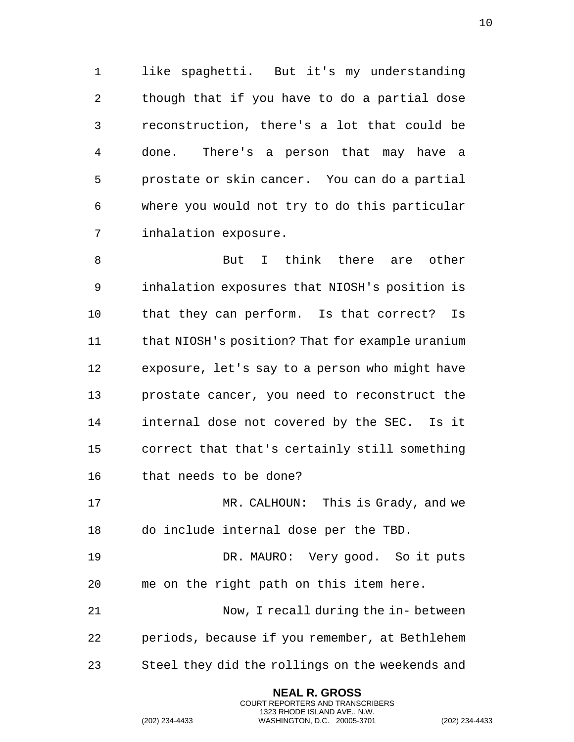like spaghetti. But it's my understanding though that if you have to do a partial dose reconstruction, there's a lot that could be done. There's a person that may have a prostate or skin cancer. You can do a partial where you would not try to do this particular inhalation exposure.

8 But I think there are other inhalation exposures that NIOSH's position is that they can perform. Is that correct? Is that NIOSH's position? That for example uranium exposure, let's say to a person who might have prostate cancer, you need to reconstruct the internal dose not covered by the SEC. Is it correct that that's certainly still something that needs to be done? MR. CALHOUN: This is Grady, and we

do include internal dose per the TBD.

 DR. MAURO: Very good. So it puts me on the right path on this item here. Now, I recall during the in- between periods, because if you remember, at Bethlehem

Steel they did the rollings on the weekends and

**NEAL R. GROSS** COURT REPORTERS AND TRANSCRIBERS 1323 RHODE ISLAND AVE., N.W.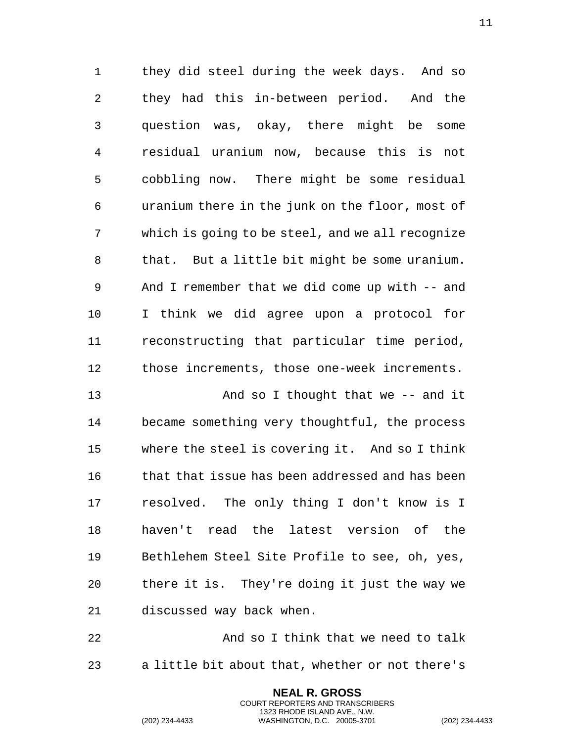they did steel during the week days. And so they had this in-between period. And the question was, okay, there might be some residual uranium now, because this is not cobbling now. There might be some residual uranium there in the junk on the floor, most of which is going to be steel, and we all recognize that. But a little bit might be some uranium. And I remember that we did come up with -- and I think we did agree upon a protocol for reconstructing that particular time period, those increments, those one-week increments.

 And so I thought that we -- and it became something very thoughtful, the process where the steel is covering it. And so I think that that issue has been addressed and has been resolved. The only thing I don't know is I haven't read the latest version of the Bethlehem Steel Site Profile to see, oh, yes, there it is. They're doing it just the way we discussed way back when.

22 And so I think that we need to talk a little bit about that, whether or not there's

> **NEAL R. GROSS** COURT REPORTERS AND TRANSCRIBERS 1323 RHODE ISLAND AVE., N.W.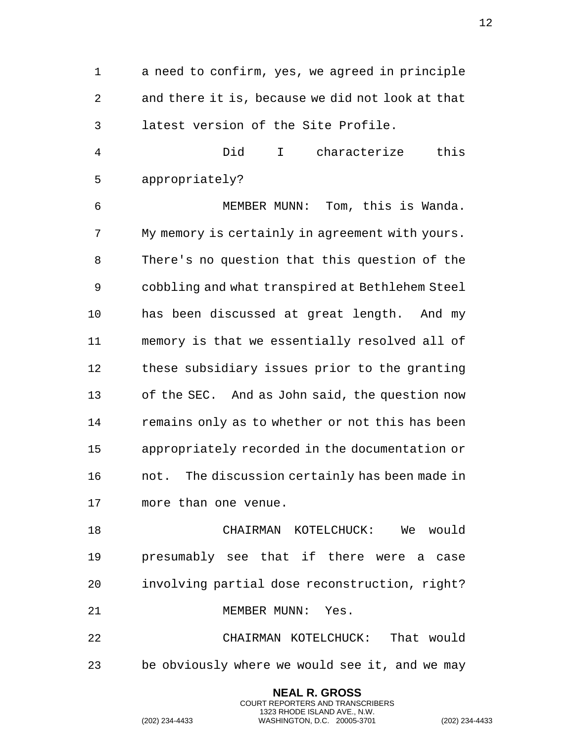a need to confirm, yes, we agreed in principle and there it is, because we did not look at that latest version of the Site Profile.

 Did I characterize this appropriately?

 MEMBER MUNN: Tom, this is Wanda. My memory is certainly in agreement with yours. There's no question that this question of the cobbling and what transpired at Bethlehem Steel has been discussed at great length. And my memory is that we essentially resolved all of these subsidiary issues prior to the granting of the SEC. And as John said, the question now remains only as to whether or not this has been appropriately recorded in the documentation or not. The discussion certainly has been made in more than one venue.

 CHAIRMAN KOTELCHUCK: We would presumably see that if there were a case involving partial dose reconstruction, right? 21 MEMBER MUNN: Yes. CHAIRMAN KOTELCHUCK: That would

be obviously where we would see it, and we may

**NEAL R. GROSS** COURT REPORTERS AND TRANSCRIBERS 1323 RHODE ISLAND AVE., N.W.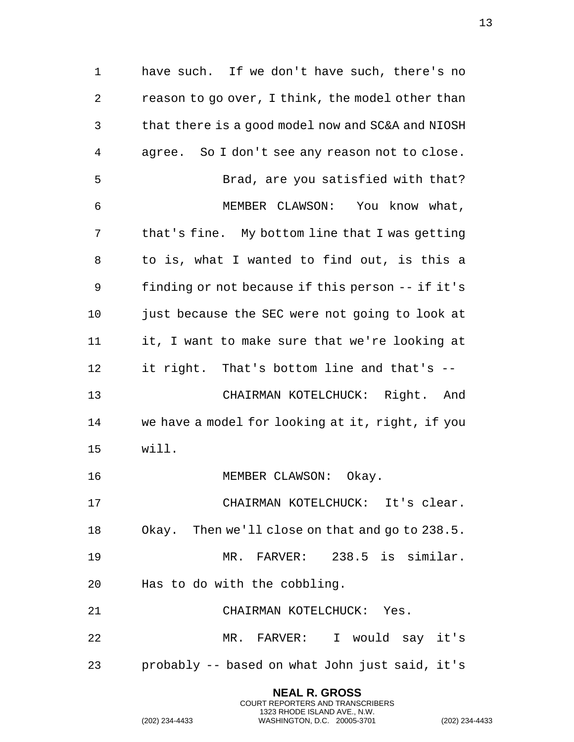have such. If we don't have such, there's no reason to go over, I think, the model other than that there is a good model now and SC&A and NIOSH agree. So I don't see any reason not to close. Brad, are you satisfied with that? MEMBER CLAWSON: You know what, that's fine. My bottom line that I was getting to is, what I wanted to find out, is this a finding or not because if this person -- if it's just because the SEC were not going to look at it, I want to make sure that we're looking at it right. That's bottom line and that's -- CHAIRMAN KOTELCHUCK: Right. And we have a model for looking at it, right, if you will. 16 MEMBER CLAWSON: Okay. CHAIRMAN KOTELCHUCK: It's clear. Okay. Then we'll close on that and go to 238.5. MR. FARVER: 238.5 is similar. Has to do with the cobbling. CHAIRMAN KOTELCHUCK: Yes. MR. FARVER: I would say it's probably -- based on what John just said, it's

> **NEAL R. GROSS** COURT REPORTERS AND TRANSCRIBERS 1323 RHODE ISLAND AVE., N.W.

(202) 234-4433 WASHINGTON, D.C. 20005-3701 (202) 234-4433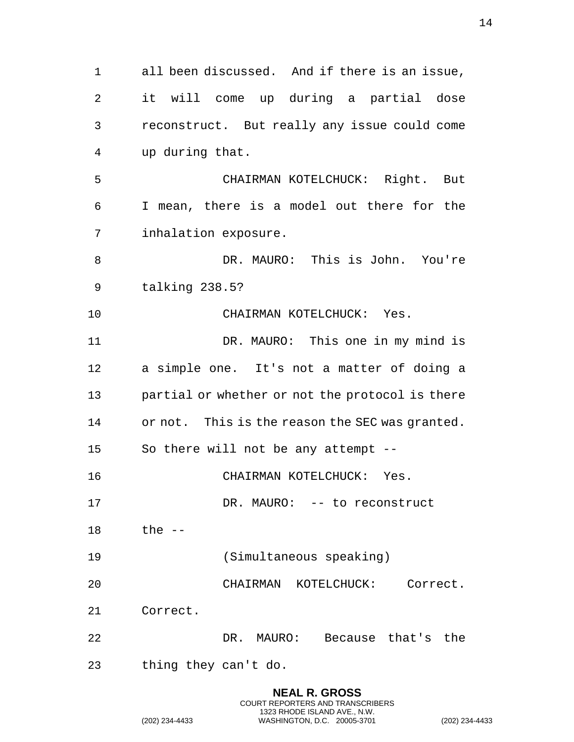all been discussed. And if there is an issue, it will come up during a partial dose reconstruct. But really any issue could come up during that. CHAIRMAN KOTELCHUCK: Right. But I mean, there is a model out there for the inhalation exposure. DR. MAURO: This is John. You're talking 238.5? CHAIRMAN KOTELCHUCK: Yes. DR. MAURO: This one in my mind is a simple one. It's not a matter of doing a partial or whether or not the protocol is there or not. This is the reason the SEC was granted. So there will not be any attempt -- CHAIRMAN KOTELCHUCK: Yes. 17 DR. MAURO: -- to reconstruct the -- (Simultaneous speaking) CHAIRMAN KOTELCHUCK: Correct. Correct. DR. MAURO: Because that's the thing they can't do.

> **NEAL R. GROSS** COURT REPORTERS AND TRANSCRIBERS 1323 RHODE ISLAND AVE., N.W.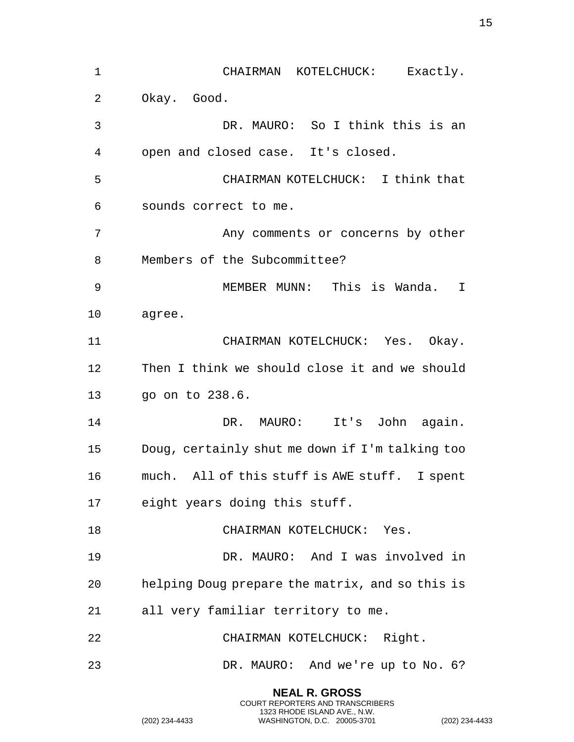| 1  | CHAIRMAN KOTELCHUCK: Exactly.                   |
|----|-------------------------------------------------|
| 2  | Okay. Good.                                     |
| 3  | DR. MAURO: So I think this is an                |
| 4  | open and closed case. It's closed.              |
| 5  | CHAIRMAN KOTELCHUCK: I think that               |
| 6  | sounds correct to me.                           |
| 7  | Any comments or concerns by other               |
| 8  | Members of the Subcommittee?                    |
| 9  | MEMBER MUNN: This is Wanda.<br>I                |
| 10 | agree.                                          |
| 11 | CHAIRMAN KOTELCHUCK: Yes. Okay.                 |
| 12 | Then I think we should close it and we should   |
| 13 | go on to 238.6.                                 |
| 14 | It's John again.<br>DR. MAURO:                  |
| 15 | Doug, certainly shut me down if I'm talking too |
| 16 | much. All of this stuff is AWE stuff. I spent   |
| 17 | eight years doing this stuff.                   |
| 18 | CHAIRMAN KOTELCHUCK: Yes.                       |
| 19 | DR. MAURO: And I was involved in                |
| 20 | helping Doug prepare the matrix, and so this is |
| 21 | all very familiar territory to me.              |
| 22 | CHAIRMAN KOTELCHUCK: Right.                     |
| 23 | DR. MAURO: And we're up to No. 6?               |
|    | <b>NEAL R. GROSS</b>                            |

COURT REPORTERS AND TRANSCRIBERS 1323 RHODE ISLAND AVE., N.W.

(202) 234-4433 WASHINGTON, D.C. 20005-3701 (202) 234-4433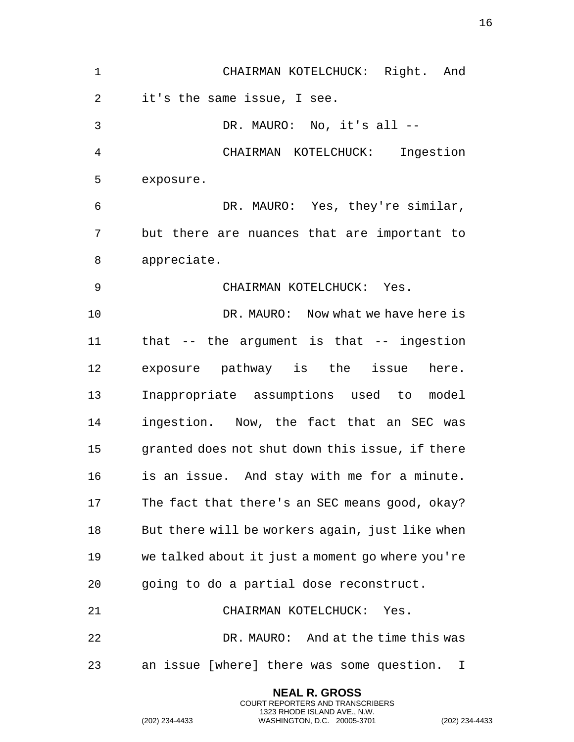| $\mathbf 1$ | CHAIRMAN KOTELCHUCK: Right. And                  |
|-------------|--------------------------------------------------|
| 2           | it's the same issue, I see.                      |
| 3           | DR. MAURO: No, it's all --                       |
| 4           | CHAIRMAN KOTELCHUCK: Ingestion                   |
| 5           | exposure.                                        |
| 6           | DR. MAURO: Yes, they're similar,                 |
| 7           | but there are nuances that are important to      |
| 8           | appreciate.                                      |
| 9           | CHAIRMAN KOTELCHUCK: Yes.                        |
| 10          | DR. MAURO: Now what we have here is              |
| 11          | that $--$ the argument is that $--$ ingestion    |
| 12          | exposure pathway is the issue here.              |
| 13          | Inappropriate assumptions used to model          |
| 14          | ingestion. Now, the fact that an SEC was         |
| 15          | granted does not shut down this issue, if there  |
| 16          | is an issue. And stay with me for a minute.      |
| 17          | The fact that there's an SEC means good, okay?   |
| 18          | But there will be workers again, just like when  |
| 19          | we talked about it just a moment go where you're |
| 20          | going to do a partial dose reconstruct.          |
| 21          | CHAIRMAN KOTELCHUCK: Yes.                        |
| 22          | DR. MAURO: And at the time this was              |
| 23          | an issue [where] there was some question.<br>I   |
|             |                                                  |

**NEAL R. GROSS** COURT REPORTERS AND TRANSCRIBERS 1323 RHODE ISLAND AVE., N.W.

(202) 234-4433 WASHINGTON, D.C. 20005-3701 (202) 234-4433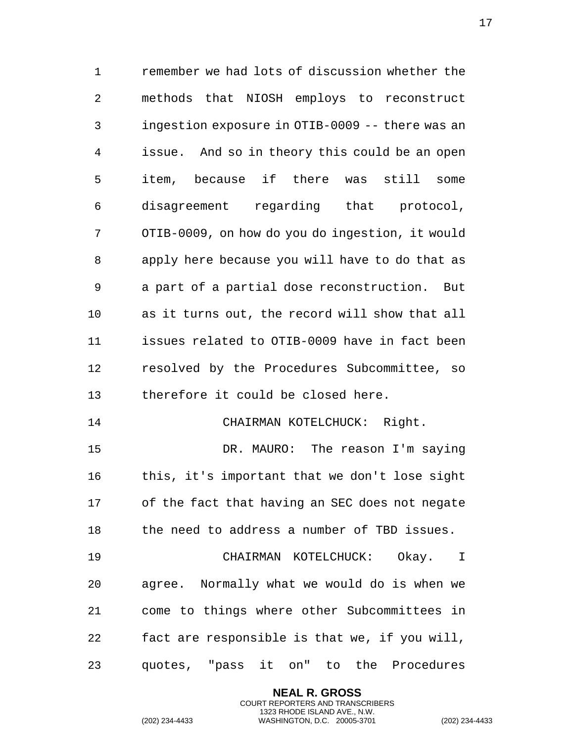remember we had lots of discussion whether the methods that NIOSH employs to reconstruct ingestion exposure in OTIB-0009 -- there was an issue. And so in theory this could be an open item, because if there was still some disagreement regarding that protocol, OTIB-0009, on how do you do ingestion, it would apply here because you will have to do that as a part of a partial dose reconstruction. But as it turns out, the record will show that all issues related to OTIB-0009 have in fact been resolved by the Procedures Subcommittee, so therefore it could be closed here. 14 CHAIRMAN KOTELCHUCK: Right. DR. MAURO: The reason I'm saying this, it's important that we don't lose sight of the fact that having an SEC does not negate the need to address a number of TBD issues. CHAIRMAN KOTELCHUCK: Okay. I agree. Normally what we would do is when we come to things where other Subcommittees in fact are responsible is that we, if you will,

quotes, "pass it on" to the Procedures

**NEAL R. GROSS** COURT REPORTERS AND TRANSCRIBERS 1323 RHODE ISLAND AVE., N.W.

(202) 234-4433 WASHINGTON, D.C. 20005-3701 (202) 234-4433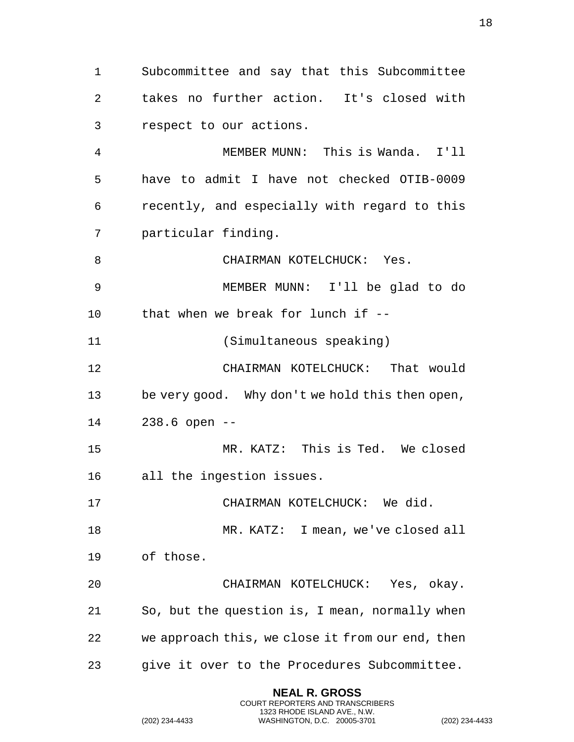Subcommittee and say that this Subcommittee takes no further action. It's closed with respect to our actions.

 MEMBER MUNN: This is Wanda. I'll have to admit I have not checked OTIB-0009 recently, and especially with regard to this particular finding.

8 CHAIRMAN KOTELCHUCK: Yes.

 MEMBER MUNN: I'll be glad to do that when we break for lunch if --

(Simultaneous speaking)

 CHAIRMAN KOTELCHUCK: That would be very good. Why don't we hold this then open, 238.6 open --

 MR. KATZ: This is Ted. We closed all the ingestion issues.

17 CHAIRMAN KOTELCHUCK: We did.

18 MR. KATZ: I mean, we've closed all

of those.

 CHAIRMAN KOTELCHUCK: Yes, okay. So, but the question is, I mean, normally when we approach this, we close it from our end, then give it over to the Procedures Subcommittee.

> **NEAL R. GROSS** COURT REPORTERS AND TRANSCRIBERS 1323 RHODE ISLAND AVE., N.W.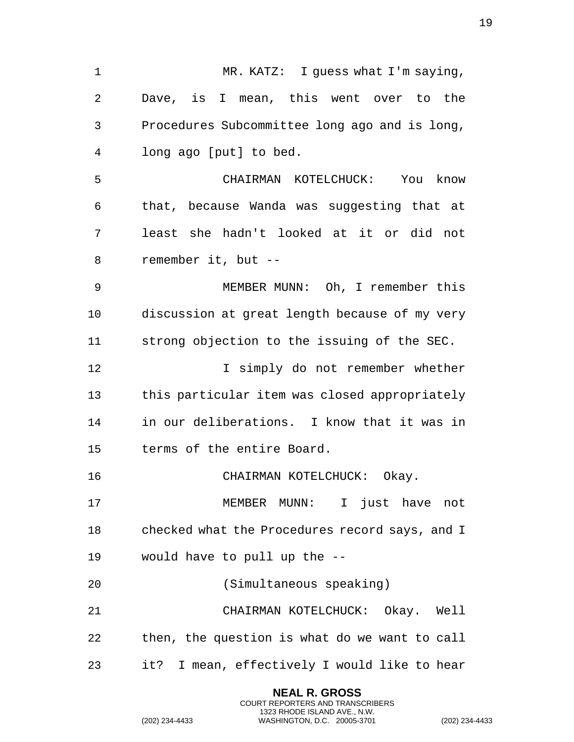MR. KATZ: I guess what I'm saying, Dave, is I mean, this went over to the Procedures Subcommittee long ago and is long, long ago [put] to bed. CHAIRMAN KOTELCHUCK: You know that, because Wanda was suggesting that at least she hadn't looked at it or did not remember it, but -- MEMBER MUNN: Oh, I remember this discussion at great length because of my very strong objection to the issuing of the SEC. 12 I simply do not remember whether this particular item was closed appropriately in our deliberations. I know that it was in terms of the entire Board. CHAIRMAN KOTELCHUCK: Okay. MEMBER MUNN: I just have not checked what the Procedures record says, and I would have to pull up the -- (Simultaneous speaking) CHAIRMAN KOTELCHUCK: Okay. Well then, the question is what do we want to call it? I mean, effectively I would like to hear

> **NEAL R. GROSS** COURT REPORTERS AND TRANSCRIBERS 1323 RHODE ISLAND AVE., N.W.

(202) 234-4433 WASHINGTON, D.C. 20005-3701 (202) 234-4433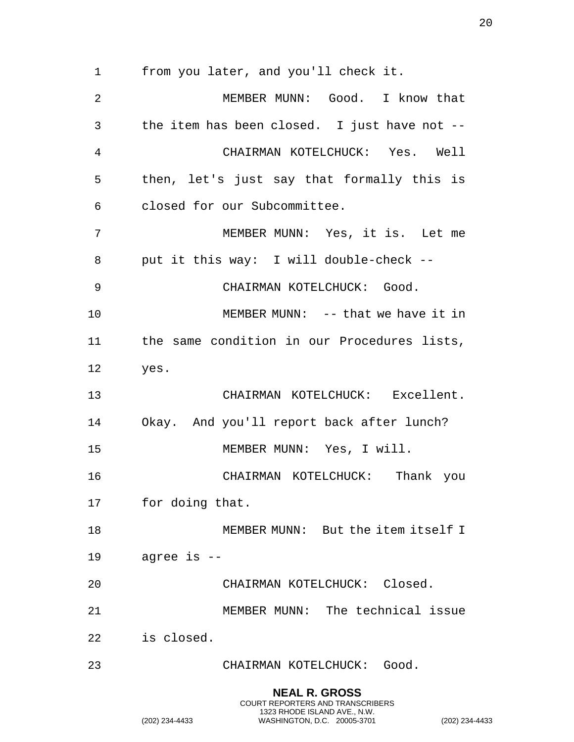from you later, and you'll check it.

2 MEMBER MUNN: Good. I know that the item has been closed. I just have not -- CHAIRMAN KOTELCHUCK: Yes. Well then, let's just say that formally this is closed for our Subcommittee. MEMBER MUNN: Yes, it is. Let me put it this way: I will double-check -- CHAIRMAN KOTELCHUCK: Good. MEMBER MUNN: -- that we have it in the same condition in our Procedures lists, yes. CHAIRMAN KOTELCHUCK: Excellent. Okay. And you'll report back after lunch? MEMBER MUNN: Yes, I will. CHAIRMAN KOTELCHUCK: Thank you for doing that. 18 MEMBER MUNN: But the item itself I agree is -- CHAIRMAN KOTELCHUCK: Closed. MEMBER MUNN: The technical issue is closed. CHAIRMAN KOTELCHUCK: Good. **NEAL R. GROSS**

COURT REPORTERS AND TRANSCRIBERS 1323 RHODE ISLAND AVE., N.W.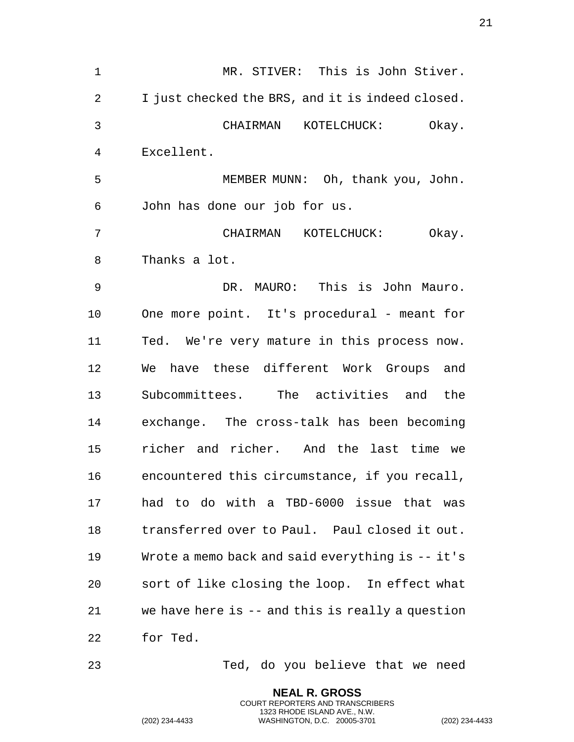MR. STIVER: This is John Stiver. I just checked the BRS, and it is indeed closed. CHAIRMAN KOTELCHUCK: Okay. Excellent. MEMBER MUNN: Oh, thank you, John. John has done our job for us. CHAIRMAN KOTELCHUCK: Okay. Thanks a lot. DR. MAURO: This is John Mauro. One more point. It's procedural - meant for Ted. We're very mature in this process now. We have these different Work Groups and Subcommittees. The activities and the exchange. The cross-talk has been becoming richer and richer. And the last time we encountered this circumstance, if you recall, had to do with a TBD-6000 issue that was transferred over to Paul. Paul closed it out. Wrote a memo back and said everything is -- it's sort of like closing the loop. In effect what we have here is -- and this is really a question for Ted.

Ted, do you believe that we need

**NEAL R. GROSS** COURT REPORTERS AND TRANSCRIBERS 1323 RHODE ISLAND AVE., N.W.

(202) 234-4433 WASHINGTON, D.C. 20005-3701 (202) 234-4433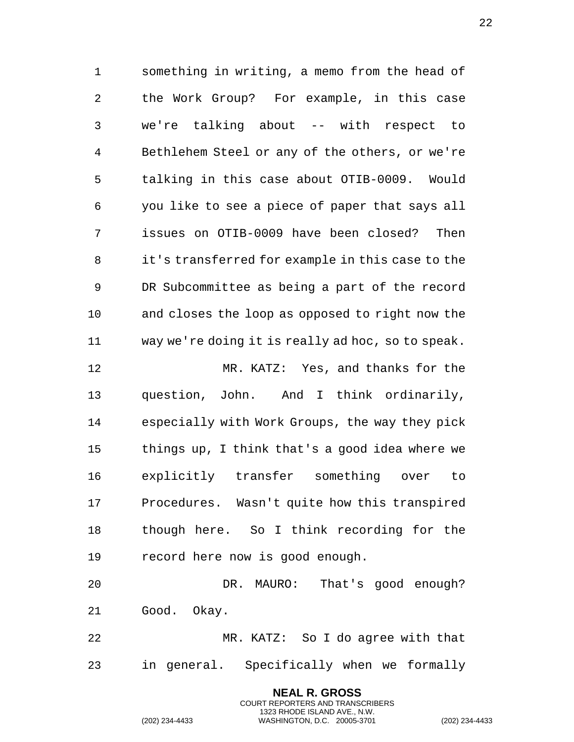something in writing, a memo from the head of the Work Group? For example, in this case we're talking about -- with respect to Bethlehem Steel or any of the others, or we're talking in this case about OTIB-0009. Would you like to see a piece of paper that says all issues on OTIB-0009 have been closed? Then it's transferred for example in this case to the DR Subcommittee as being a part of the record and closes the loop as opposed to right now the way we're doing it is really ad hoc, so to speak. MR. KATZ: Yes, and thanks for the question, John. And I think ordinarily, especially with Work Groups, the way they pick things up, I think that's a good idea where we explicitly transfer something over to Procedures. Wasn't quite how this transpired though here. So I think recording for the

record here now is good enough.

 DR. MAURO: That's good enough? Good. Okay.

 MR. KATZ: So I do agree with that in general. Specifically when we formally

> **NEAL R. GROSS** COURT REPORTERS AND TRANSCRIBERS 1323 RHODE ISLAND AVE., N.W.

(202) 234-4433 WASHINGTON, D.C. 20005-3701 (202) 234-4433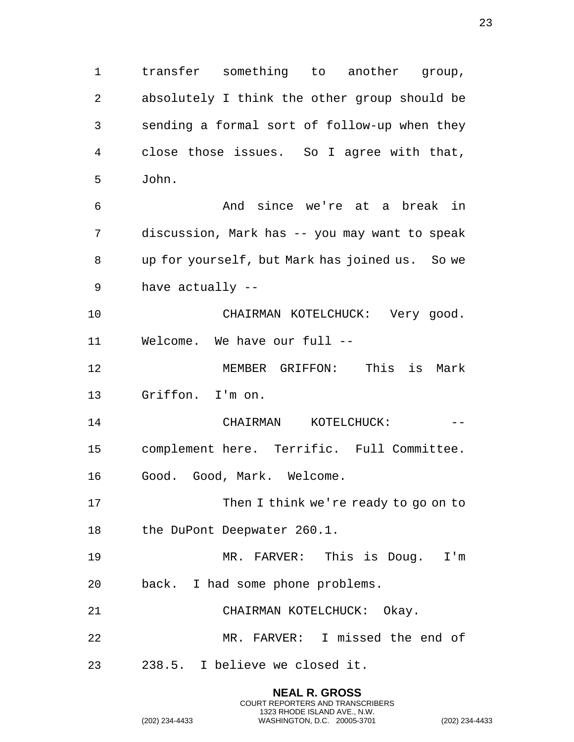transfer something to another group, absolutely I think the other group should be sending a formal sort of follow-up when they close those issues. So I agree with that, John. And since we're at a break in discussion, Mark has -- you may want to speak up for yourself, but Mark has joined us. So we have actually -- CHAIRMAN KOTELCHUCK: Very good. Welcome. We have our full -- MEMBER GRIFFON: This is Mark Griffon. I'm on. 14 CHAIRMAN KOTELCHUCK: -- complement here. Terrific. Full Committee. Good. Good, Mark. Welcome. 17 Then I think we're ready to go on to the DuPont Deepwater 260.1. MR. FARVER: This is Doug. I'm back. I had some phone problems. CHAIRMAN KOTELCHUCK: Okay. MR. FARVER: I missed the end of 238.5. I believe we closed it.

> **NEAL R. GROSS** COURT REPORTERS AND TRANSCRIBERS 1323 RHODE ISLAND AVE., N.W.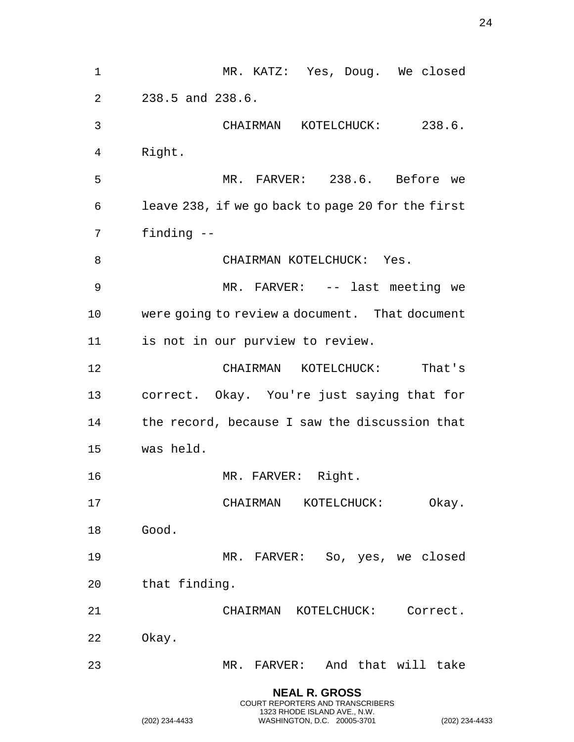MR. KATZ: Yes, Doug. We closed 238.5 and 238.6. CHAIRMAN KOTELCHUCK: 238.6. Right. MR. FARVER: 238.6. Before we leave 238, if we go back to page 20 for the first finding -- 8 CHAIRMAN KOTELCHUCK: Yes. MR. FARVER: -- last meeting we were going to review a document. That document is not in our purview to review. CHAIRMAN KOTELCHUCK: That's correct. Okay. You're just saying that for the record, because I saw the discussion that was held. MR. FARVER: Right. CHAIRMAN KOTELCHUCK: Okay. Good. MR. FARVER: So, yes, we closed that finding. CHAIRMAN KOTELCHUCK: Correct. Okay. MR. FARVER: And that will take **NEAL R. GROSS** COURT REPORTERS AND TRANSCRIBERS

1323 RHODE ISLAND AVE., N.W.

(202) 234-4433 WASHINGTON, D.C. 20005-3701 (202) 234-4433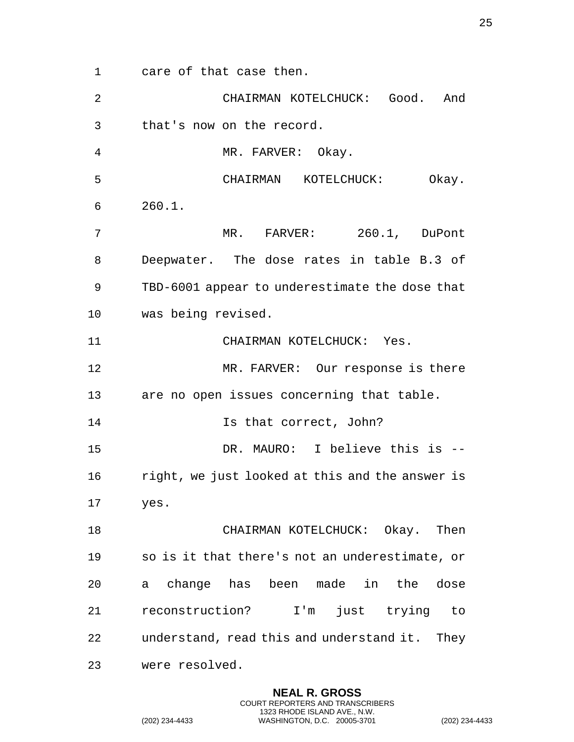care of that case then.

| $\overline{2}$ | CHAIRMAN KOTELCHUCK: Good. And                  |
|----------------|-------------------------------------------------|
| 3              | that's now on the record.                       |
| 4              | MR. FARVER: Okay.                               |
| 5              | CHAIRMAN KOTELCHUCK:<br>Okay.                   |
| 6              | 260.1.                                          |
| 7              | MR. FARVER: 260.1, DuPont                       |
| 8              | Deepwater. The dose rates in table B.3 of       |
| 9              | TBD-6001 appear to underestimate the dose that  |
| 10             | was being revised.                              |
| 11             | CHAIRMAN KOTELCHUCK: Yes.                       |
| 12             | MR. FARVER: Our response is there               |
| 13             | are no open issues concerning that table.       |
| 14             | Is that correct, John?                          |
| 15             | DR. MAURO: I believe this is --                 |
| 16             | right, we just looked at this and the answer is |
| 17             | yes.                                            |
| 18             | CHAIRMAN KOTELCHUCK: Okay. Then                 |
| 19             | so is it that there's not an underestimate, or  |
| 20             | a change has been made in the dose              |
| 21             | reconstruction? I'm just trying to              |
| 22             | understand, read this and understand it. They   |
| 23             | were resolved.                                  |

**NEAL R. GROSS** COURT REPORTERS AND TRANSCRIBERS 1323 RHODE ISLAND AVE., N.W.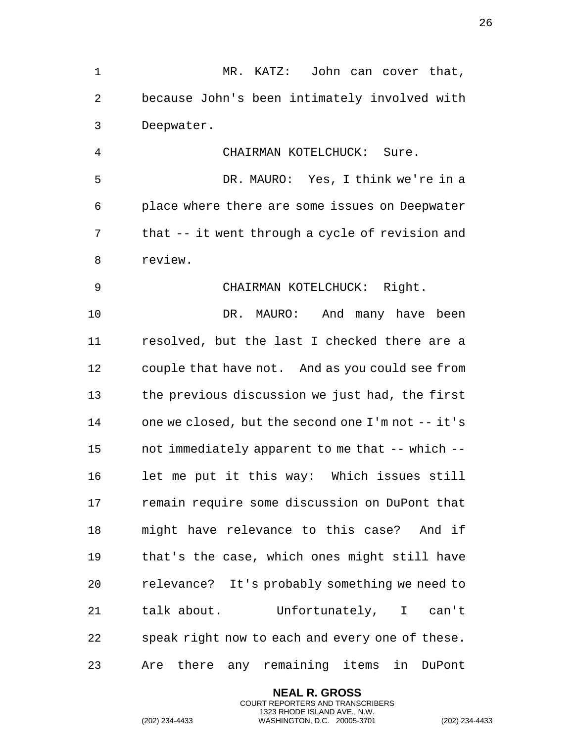because John's been intimately involved with Deepwater. CHAIRMAN KOTELCHUCK: Sure. DR. MAURO: Yes, I think we're in a place where there are some issues on Deepwater that -- it went through a cycle of revision and review. CHAIRMAN KOTELCHUCK: Right. DR. MAURO: And many have been resolved, but the last I checked there are a couple that have not. And as you could see from the previous discussion we just had, the first one we closed, but the second one I'm not -- it's not immediately apparent to me that -- which -- let me put it this way: Which issues still remain require some discussion on DuPont that might have relevance to this case? And if that's the case, which ones might still have relevance? It's probably something we need to talk about. Unfortunately, I can't speak right now to each and every one of these.

MR. KATZ: John can cover that,

Are there any remaining items in DuPont

**NEAL R. GROSS** COURT REPORTERS AND TRANSCRIBERS 1323 RHODE ISLAND AVE., N.W.

(202) 234-4433 WASHINGTON, D.C. 20005-3701 (202) 234-4433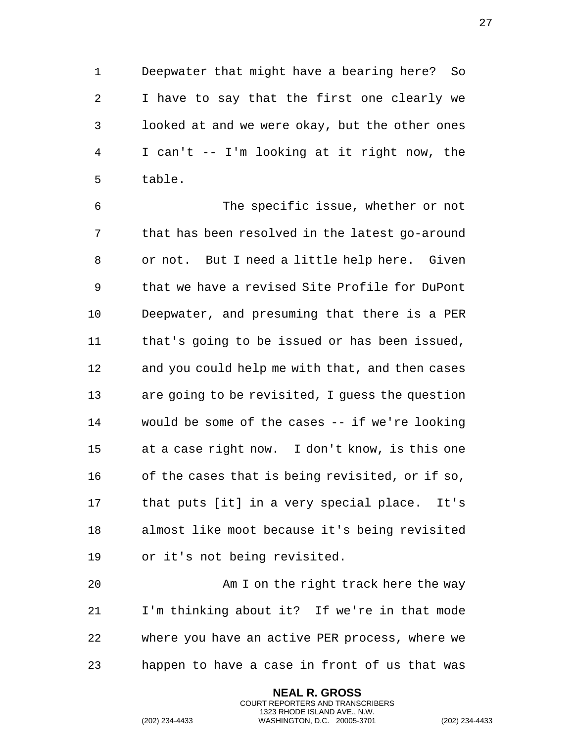Deepwater that might have a bearing here? So I have to say that the first one clearly we looked at and we were okay, but the other ones I can't -- I'm looking at it right now, the table.

 The specific issue, whether or not that has been resolved in the latest go-around or not. But I need a little help here. Given that we have a revised Site Profile for DuPont Deepwater, and presuming that there is a PER that's going to be issued or has been issued, and you could help me with that, and then cases are going to be revisited, I guess the question would be some of the cases -- if we're looking at a case right now. I don't know, is this one of the cases that is being revisited, or if so, that puts [it] in a very special place. It's almost like moot because it's being revisited or it's not being revisited.

 Am I on the right track here the way I'm thinking about it? If we're in that mode where you have an active PER process, where we happen to have a case in front of us that was

> **NEAL R. GROSS** COURT REPORTERS AND TRANSCRIBERS 1323 RHODE ISLAND AVE., N.W.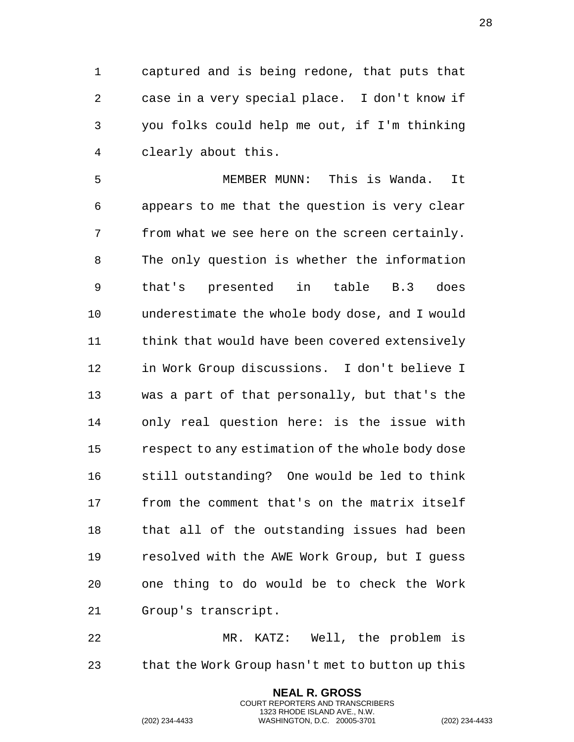captured and is being redone, that puts that case in a very special place. I don't know if you folks could help me out, if I'm thinking clearly about this.

 MEMBER MUNN: This is Wanda. It appears to me that the question is very clear from what we see here on the screen certainly. The only question is whether the information that's presented in table B.3 does underestimate the whole body dose, and I would think that would have been covered extensively in Work Group discussions. I don't believe I was a part of that personally, but that's the only real question here: is the issue with respect to any estimation of the whole body dose still outstanding? One would be led to think from the comment that's on the matrix itself that all of the outstanding issues had been resolved with the AWE Work Group, but I guess one thing to do would be to check the Work Group's transcript.

 MR. KATZ: Well, the problem is that the Work Group hasn't met to button up this

> **NEAL R. GROSS** COURT REPORTERS AND TRANSCRIBERS 1323 RHODE ISLAND AVE., N.W.

(202) 234-4433 WASHINGTON, D.C. 20005-3701 (202) 234-4433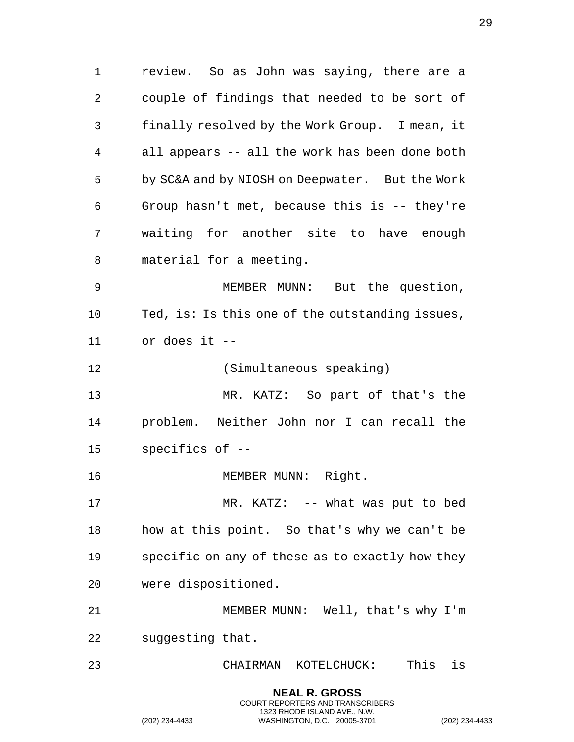review. So as John was saying, there are a couple of findings that needed to be sort of finally resolved by the Work Group. I mean, it all appears -- all the work has been done both by SC&A and by NIOSH on Deepwater. But the Work Group hasn't met, because this is -- they're waiting for another site to have enough material for a meeting. MEMBER MUNN: But the question, Ted, is: Is this one of the outstanding issues, or does it -- (Simultaneous speaking) MR. KATZ: So part of that's the problem. Neither John nor I can recall the specifics of -- 16 MEMBER MUNN: Right. MR. KATZ: -- what was put to bed how at this point. So that's why we can't be specific on any of these as to exactly how they were dispositioned. MEMBER MUNN: Well, that's why I'm suggesting that. CHAIRMAN KOTELCHUCK: This is

> **NEAL R. GROSS** COURT REPORTERS AND TRANSCRIBERS 1323 RHODE ISLAND AVE., N.W.

(202) 234-4433 WASHINGTON, D.C. 20005-3701 (202) 234-4433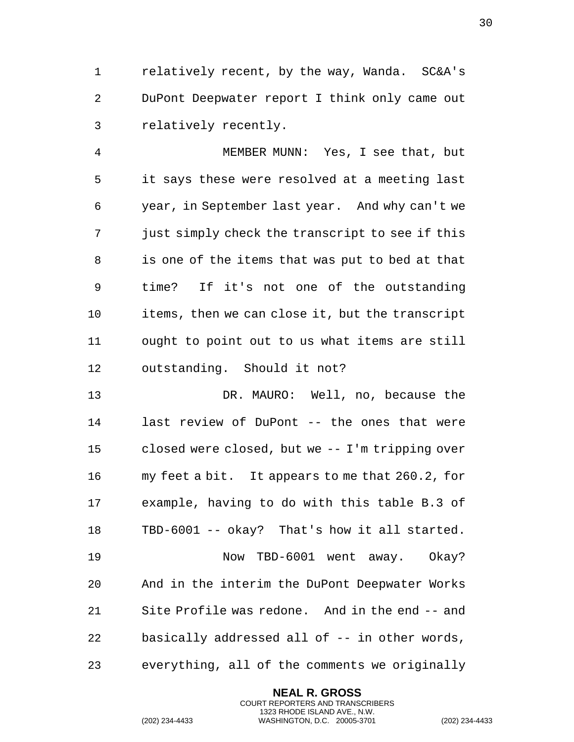relatively recent, by the way, Wanda. SC&A's DuPont Deepwater report I think only came out relatively recently.

 MEMBER MUNN: Yes, I see that, but it says these were resolved at a meeting last year, in September last year. And why can't we just simply check the transcript to see if this is one of the items that was put to bed at that time? If it's not one of the outstanding items, then we can close it, but the transcript ought to point out to us what items are still outstanding. Should it not?

 DR. MAURO: Well, no, because the last review of DuPont -- the ones that were closed were closed, but we -- I'm tripping over my feet a bit. It appears to me that 260.2, for example, having to do with this table B.3 of TBD-6001 -- okay? That's how it all started. Now TBD-6001 went away. Okay? And in the interim the DuPont Deepwater Works Site Profile was redone. And in the end -- and basically addressed all of -- in other words, everything, all of the comments we originally

> **NEAL R. GROSS** COURT REPORTERS AND TRANSCRIBERS 1323 RHODE ISLAND AVE., N.W.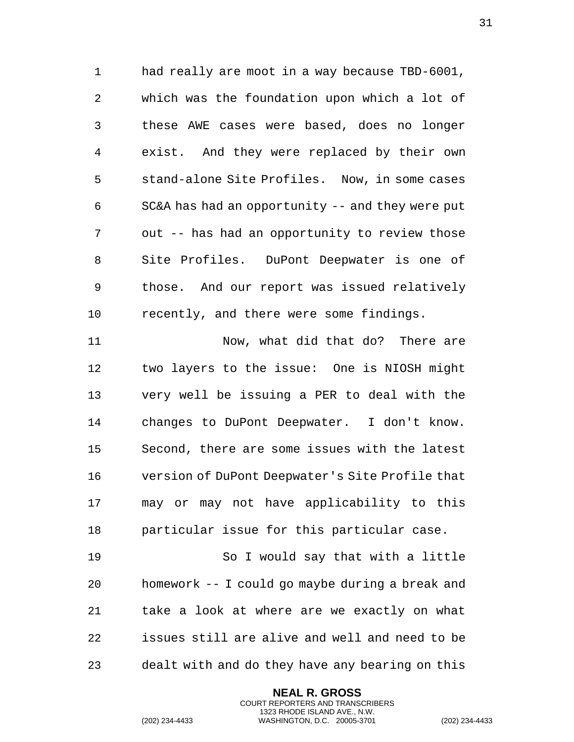had really are moot in a way because TBD-6001, which was the foundation upon which a lot of these AWE cases were based, does no longer exist. And they were replaced by their own stand-alone Site Profiles. Now, in some cases SC&A has had an opportunity -- and they were put out -- has had an opportunity to review those Site Profiles. DuPont Deepwater is one of those. And our report was issued relatively recently, and there were some findings.

 Now, what did that do? There are two layers to the issue: One is NIOSH might very well be issuing a PER to deal with the changes to DuPont Deepwater. I don't know. Second, there are some issues with the latest version of DuPont Deepwater's Site Profile that may or may not have applicability to this particular issue for this particular case.

 So I would say that with a little homework -- I could go maybe during a break and take a look at where are we exactly on what issues still are alive and well and need to be dealt with and do they have any bearing on this

> **NEAL R. GROSS** COURT REPORTERS AND TRANSCRIBERS 1323 RHODE ISLAND AVE., N.W.

(202) 234-4433 WASHINGTON, D.C. 20005-3701 (202) 234-4433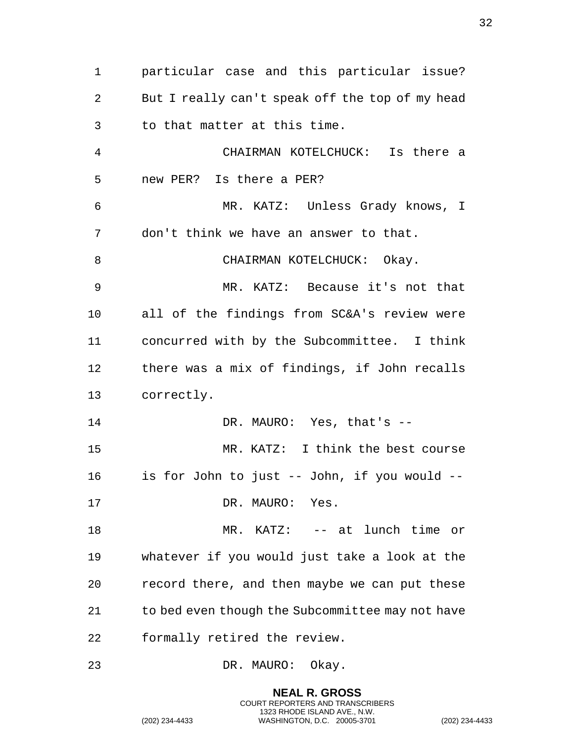particular case and this particular issue? But I really can't speak off the top of my head to that matter at this time. CHAIRMAN KOTELCHUCK: Is there a new PER? Is there a PER? MR. KATZ: Unless Grady knows, I don't think we have an answer to that. 8 CHAIRMAN KOTELCHUCK: Okay. MR. KATZ: Because it's not that all of the findings from SC&A's review were concurred with by the Subcommittee. I think there was a mix of findings, if John recalls correctly. DR. MAURO: Yes, that's -- MR. KATZ: I think the best course is for John to just -- John, if you would -- 17 DR. MAURO: Yes. 18 MR. KATZ: -- at lunch time or whatever if you would just take a look at the record there, and then maybe we can put these to bed even though the Subcommittee may not have formally retired the review. DR. MAURO: Okay.

> **NEAL R. GROSS** COURT REPORTERS AND TRANSCRIBERS 1323 RHODE ISLAND AVE., N.W.

(202) 234-4433 WASHINGTON, D.C. 20005-3701 (202) 234-4433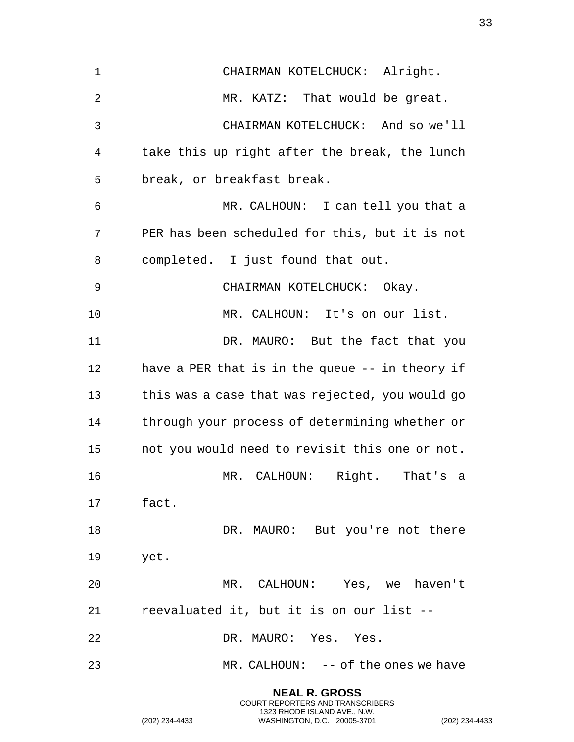CHAIRMAN KOTELCHUCK: Alright. MR. KATZ: That would be great. CHAIRMAN KOTELCHUCK: And so we'll take this up right after the break, the lunch break, or breakfast break. MR. CALHOUN: I can tell you that a PER has been scheduled for this, but it is not completed. I just found that out. CHAIRMAN KOTELCHUCK: Okay. MR. CALHOUN: It's on our list. DR. MAURO: But the fact that you have a PER that is in the queue -- in theory if this was a case that was rejected, you would go through your process of determining whether or not you would need to revisit this one or not. MR. CALHOUN: Right. That's a fact. 18 DR. MAURO: But you're not there yet. MR. CALHOUN: Yes, we haven't reevaluated it, but it is on our list -- DR. MAURO: Yes. Yes. MR. CALHOUN: -- of the ones we have

> **NEAL R. GROSS** COURT REPORTERS AND TRANSCRIBERS 1323 RHODE ISLAND AVE., N.W.

(202) 234-4433 WASHINGTON, D.C. 20005-3701 (202) 234-4433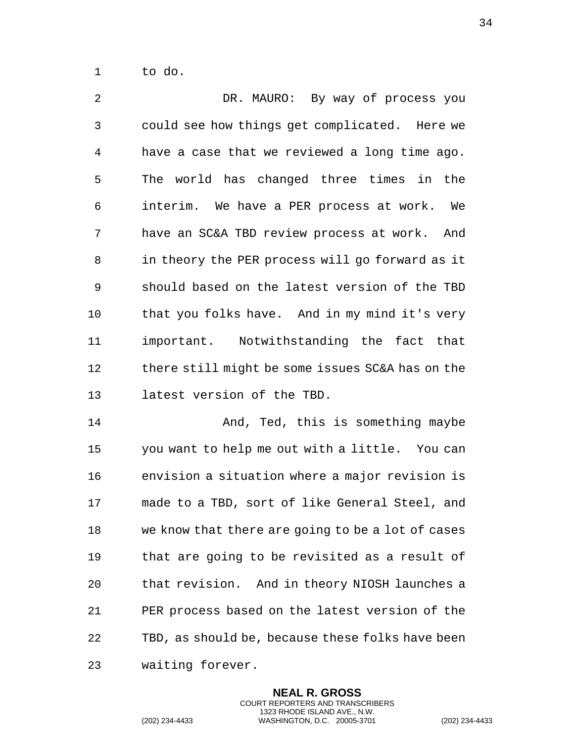to do.

 DR. MAURO: By way of process you could see how things get complicated. Here we have a case that we reviewed a long time ago. The world has changed three times in the interim. We have a PER process at work. We have an SC&A TBD review process at work. And in theory the PER process will go forward as it should based on the latest version of the TBD that you folks have. And in my mind it's very important. Notwithstanding the fact that there still might be some issues SC&A has on the latest version of the TBD.

14 And, Ted, this is something maybe you want to help me out with a little. You can envision a situation where a major revision is made to a TBD, sort of like General Steel, and we know that there are going to be a lot of cases that are going to be revisited as a result of that revision. And in theory NIOSH launches a PER process based on the latest version of the TBD, as should be, because these folks have been waiting forever.

> **NEAL R. GROSS** COURT REPORTERS AND TRANSCRIBERS 1323 RHODE ISLAND AVE., N.W.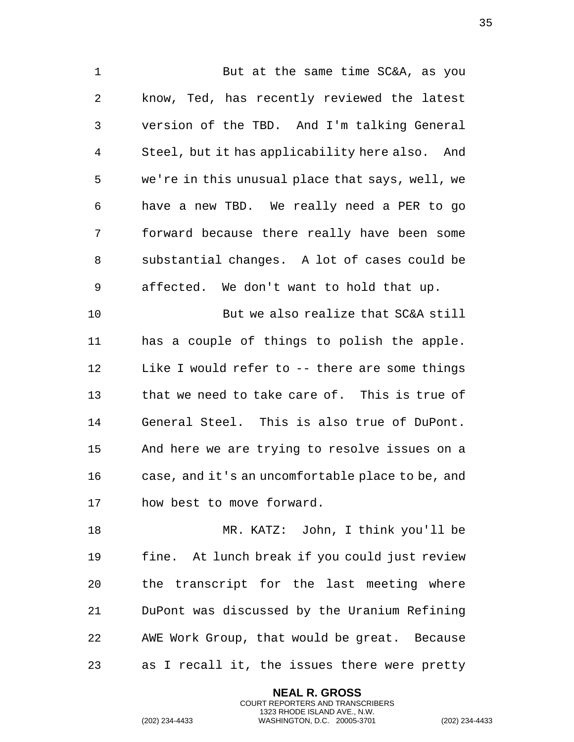1 But at the same time SC&A, as you know, Ted, has recently reviewed the latest version of the TBD. And I'm talking General Steel, but it has applicability here also. And we're in this unusual place that says, well, we have a new TBD. We really need a PER to go forward because there really have been some substantial changes. A lot of cases could be affected. We don't want to hold that up.

 But we also realize that SC&A still has a couple of things to polish the apple. Like I would refer to -- there are some things that we need to take care of. This is true of General Steel. This is also true of DuPont. And here we are trying to resolve issues on a case, and it's an uncomfortable place to be, and how best to move forward.

 MR. KATZ: John, I think you'll be fine. At lunch break if you could just review the transcript for the last meeting where DuPont was discussed by the Uranium Refining AWE Work Group, that would be great. Because as I recall it, the issues there were pretty

> **NEAL R. GROSS** COURT REPORTERS AND TRANSCRIBERS 1323 RHODE ISLAND AVE., N.W.

(202) 234-4433 WASHINGTON, D.C. 20005-3701 (202) 234-4433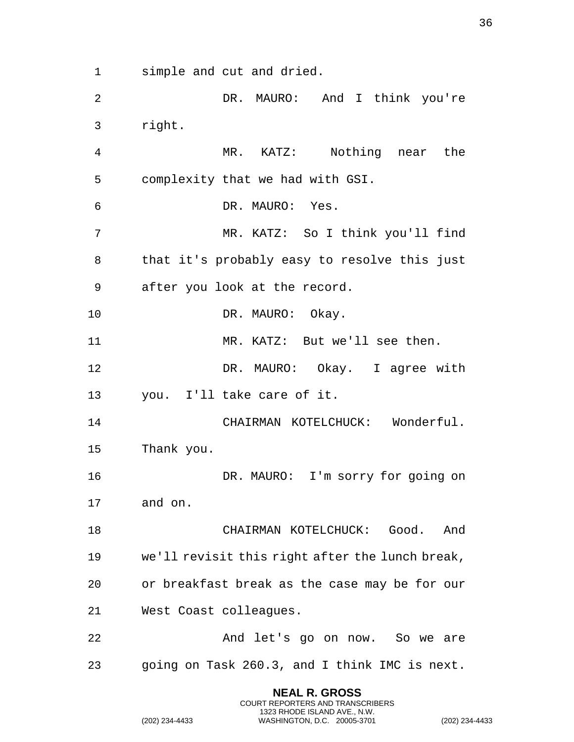simple and cut and dried.

 DR. MAURO: And I think you're right.

 MR. KATZ: Nothing near the complexity that we had with GSI. DR. MAURO: Yes. MR. KATZ: So I think you'll find that it's probably easy to resolve this just after you look at the record. 10 DR. MAURO: Okay. MR. KATZ: But we'll see then. DR. MAURO: Okay. I agree with you. I'll take care of it. CHAIRMAN KOTELCHUCK: Wonderful. Thank you. DR. MAURO: I'm sorry for going on and on. CHAIRMAN KOTELCHUCK: Good. And we'll revisit this right after the lunch break, or breakfast break as the case may be for our West Coast colleagues. And let's go on now. So we are

going on Task 260.3, and I think IMC is next.

**NEAL R. GROSS** COURT REPORTERS AND TRANSCRIBERS 1323 RHODE ISLAND AVE., N.W.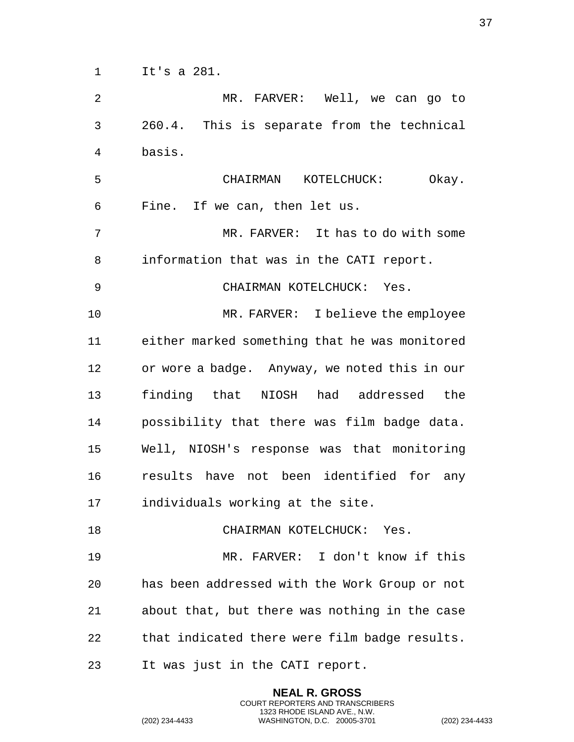It's a 281.

 MR. FARVER: Well, we can go to 260.4. This is separate from the technical basis. CHAIRMAN KOTELCHUCK: Okay. Fine. If we can, then let us. MR. FARVER: It has to do with some information that was in the CATI report. CHAIRMAN KOTELCHUCK: Yes. MR. FARVER: I believe the employee either marked something that he was monitored or wore a badge. Anyway, we noted this in our finding that NIOSH had addressed the possibility that there was film badge data. Well, NIOSH's response was that monitoring results have not been identified for any individuals working at the site. 18 CHAIRMAN KOTELCHUCK: Yes. MR. FARVER: I don't know if this has been addressed with the Work Group or not about that, but there was nothing in the case that indicated there were film badge results. It was just in the CATI report.

> **NEAL R. GROSS** COURT REPORTERS AND TRANSCRIBERS 1323 RHODE ISLAND AVE., N.W.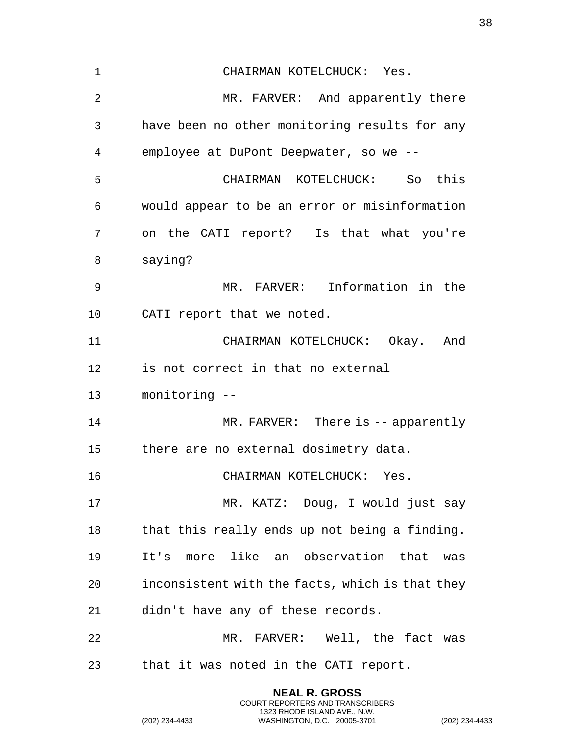| 1  | CHAIRMAN KOTELCHUCK: Yes.                       |
|----|-------------------------------------------------|
| 2  | MR. FARVER: And apparently there                |
| 3  | have been no other monitoring results for any   |
| 4  | employee at DuPont Deepwater, so we --          |
| 5  | CHAIRMAN KOTELCHUCK: So this                    |
| 6  | would appear to be an error or misinformation   |
| 7  | on the CATI report? Is that what you're         |
| 8  | saying?                                         |
| 9  | MR. FARVER: Information in the                  |
| 10 | CATI report that we noted.                      |
| 11 | CHAIRMAN KOTELCHUCK: Okay. And                  |
| 12 | is not correct in that no external              |
| 13 | monitoring --                                   |
| 14 | $MR. FARKER: There is -- apparently$            |
| 15 | there are no external dosimetry data.           |
| 16 | CHAIRMAN KOTELCHUCK: Yes.                       |
| 17 | MR. KATZ: Doug, I would just say                |
| 18 | that this really ends up not being a finding.   |
| 19 | It's more like an observation that<br>was       |
| 20 | inconsistent with the facts, which is that they |
| 21 | didn't have any of these records.               |
| 22 | MR. FARVER: Well, the fact was                  |
| 23 | that it was noted in the CATI report.           |
|    |                                                 |

**NEAL R. GROSS** COURT REPORTERS AND TRANSCRIBERS 1323 RHODE ISLAND AVE., N.W.

(202) 234-4433 WASHINGTON, D.C. 20005-3701 (202) 234-4433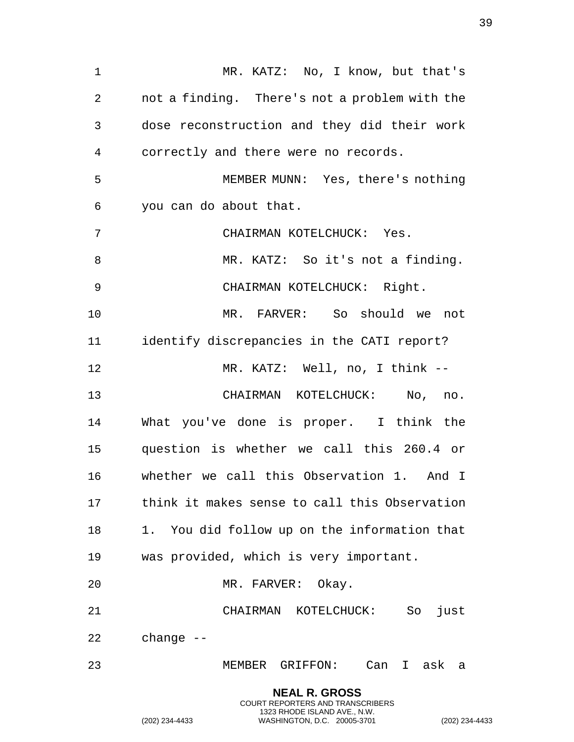1 MR. KATZ: No, I know, but that's not a finding. There's not a problem with the dose reconstruction and they did their work correctly and there were no records. MEMBER MUNN: Yes, there's nothing you can do about that. CHAIRMAN KOTELCHUCK: Yes. 8 MR. KATZ: So it's not a finding. CHAIRMAN KOTELCHUCK: Right. MR. FARVER: So should we not identify discrepancies in the CATI report? MR. KATZ: Well, no, I think -- CHAIRMAN KOTELCHUCK: No, no. What you've done is proper. I think the question is whether we call this 260.4 or whether we call this Observation 1. And I think it makes sense to call this Observation 1. You did follow up on the information that was provided, which is very important. MR. FARVER: Okay. CHAIRMAN KOTELCHUCK: So just change -- MEMBER GRIFFON: Can I ask a **NEAL R. GROSS**

COURT REPORTERS AND TRANSCRIBERS 1323 RHODE ISLAND AVE., N.W.

(202) 234-4433 WASHINGTON, D.C. 20005-3701 (202) 234-4433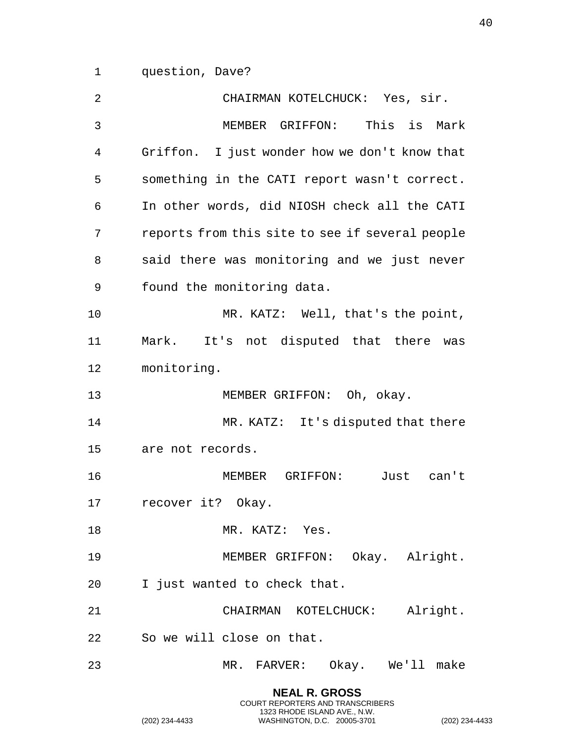question, Dave?

| 2  | CHAIRMAN KOTELCHUCK: Yes, sir.                  |
|----|-------------------------------------------------|
| 3  | MEMBER GRIFFON: This is Mark                    |
| 4  | Griffon. I just wonder how we don't know that   |
| 5  | something in the CATI report wasn't correct.    |
| 6  | In other words, did NIOSH check all the CATI    |
| 7  | reports from this site to see if several people |
| 8  | said there was monitoring and we just never     |
| 9  | found the monitoring data.                      |
| 10 | MR. KATZ: Well, that's the point,               |
| 11 | Mark. It's not disputed that there was          |
| 12 | monitoring.                                     |
| 13 | MEMBER GRIFFON: Oh, okay.                       |
| 14 | MR. KATZ: It's disputed that there              |
| 15 | are not records.                                |
| 16 | MEMBER GRIFFON:<br>Just can't                   |
| 17 | recover it? Okay.                               |
| 18 | MR. KATZ: Yes.                                  |
| 19 | MEMBER GRIFFON: Okay. Alright.                  |
| 20 | I just wanted to check that.                    |
| 21 | CHAIRMAN KOTELCHUCK: Alright.                   |
|    |                                                 |
| 22 | So we will close on that.                       |

**NEAL R. GROSS** COURT REPORTERS AND TRANSCRIBERS 1323 RHODE ISLAND AVE., N.W.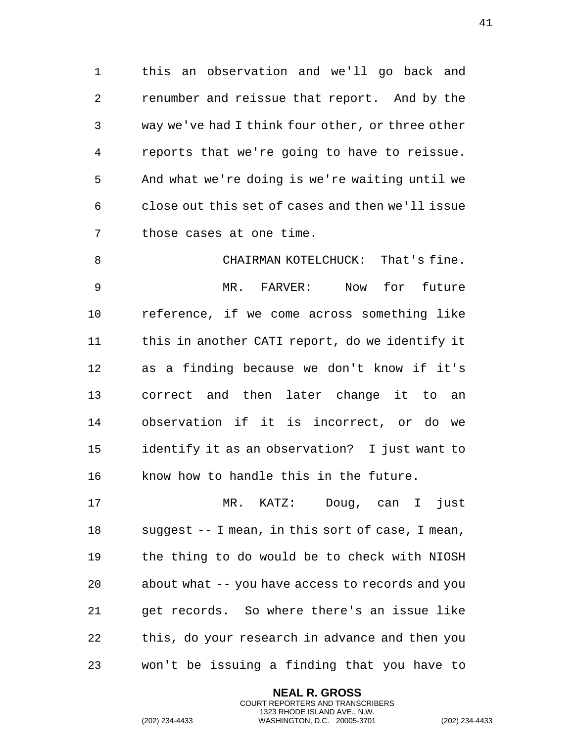this an observation and we'll go back and renumber and reissue that report. And by the way we've had I think four other, or three other reports that we're going to have to reissue. And what we're doing is we're waiting until we close out this set of cases and then we'll issue those cases at one time.

 CHAIRMAN KOTELCHUCK: That's fine. MR. FARVER: Now for future reference, if we come across something like this in another CATI report, do we identify it as a finding because we don't know if it's correct and then later change it to an observation if it is incorrect, or do we identify it as an observation? I just want to know how to handle this in the future.

 MR. KATZ: Doug, can I just suggest -- I mean, in this sort of case, I mean, the thing to do would be to check with NIOSH about what -- you have access to records and you get records. So where there's an issue like this, do your research in advance and then you won't be issuing a finding that you have to

> **NEAL R. GROSS** COURT REPORTERS AND TRANSCRIBERS 1323 RHODE ISLAND AVE., N.W.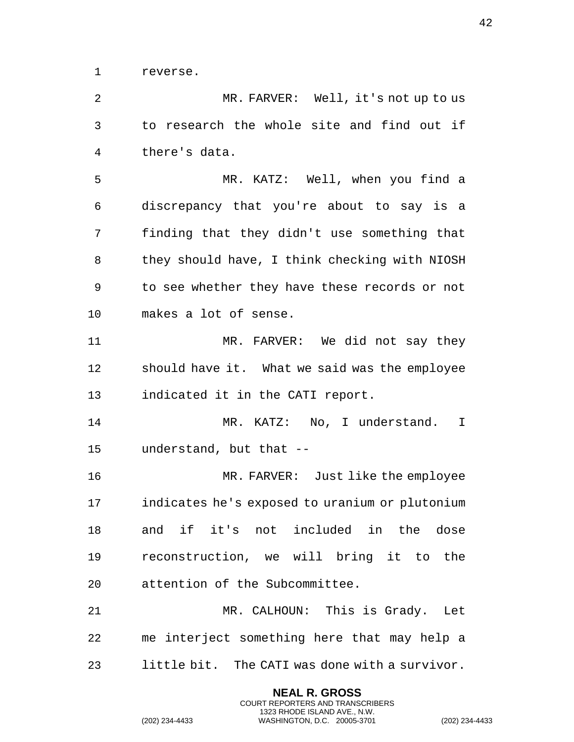reverse.

 MR. FARVER: Well, it's not up to us to research the whole site and find out if there's data.

 MR. KATZ: Well, when you find a discrepancy that you're about to say is a finding that they didn't use something that they should have, I think checking with NIOSH to see whether they have these records or not makes a lot of sense.

 MR. FARVER: We did not say they should have it. What we said was the employee indicated it in the CATI report.

 MR. KATZ: No, I understand. I understand, but that --

 MR. FARVER: Just like the employee indicates he's exposed to uranium or plutonium and if it's not included in the dose reconstruction, we will bring it to the attention of the Subcommittee.

 MR. CALHOUN: This is Grady. Let me interject something here that may help a little bit. The CATI was done with a survivor.

> **NEAL R. GROSS** COURT REPORTERS AND TRANSCRIBERS 1323 RHODE ISLAND AVE., N.W.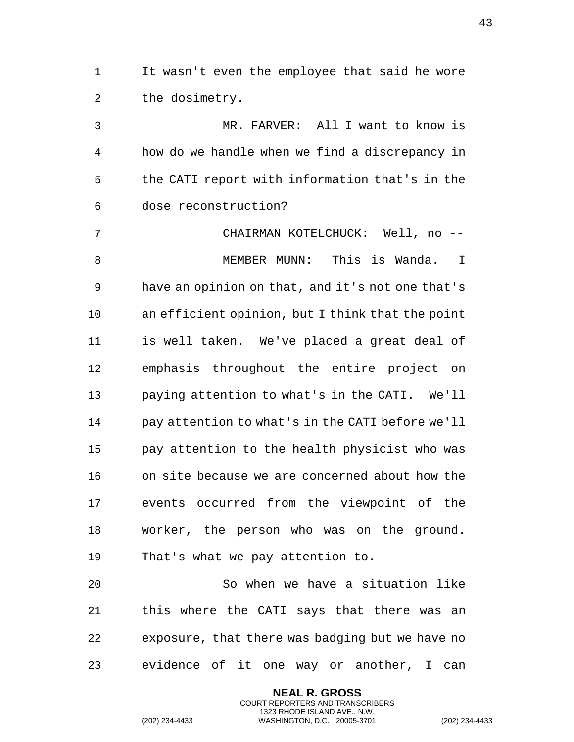It wasn't even the employee that said he wore the dosimetry.

 MR. FARVER: All I want to know is how do we handle when we find a discrepancy in the CATI report with information that's in the dose reconstruction?

 CHAIRMAN KOTELCHUCK: Well, no -- MEMBER MUNN: This is Wanda. I have an opinion on that, and it's not one that's an efficient opinion, but I think that the point is well taken. We've placed a great deal of emphasis throughout the entire project on paying attention to what's in the CATI. We'll pay attention to what's in the CATI before we'll pay attention to the health physicist who was on site because we are concerned about how the events occurred from the viewpoint of the worker, the person who was on the ground. That's what we pay attention to.

 So when we have a situation like this where the CATI says that there was an exposure, that there was badging but we have no evidence of it one way or another, I can

> **NEAL R. GROSS** COURT REPORTERS AND TRANSCRIBERS 1323 RHODE ISLAND AVE., N.W.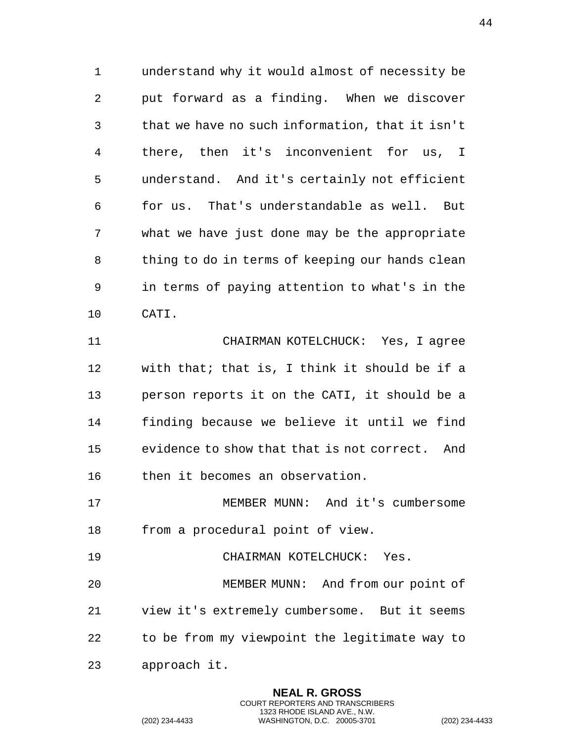understand why it would almost of necessity be put forward as a finding. When we discover that we have no such information, that it isn't there, then it's inconvenient for us, I understand. And it's certainly not efficient for us. That's understandable as well. But what we have just done may be the appropriate thing to do in terms of keeping our hands clean in terms of paying attention to what's in the CATI.

 CHAIRMAN KOTELCHUCK: Yes, I agree with that; that is, I think it should be if a person reports it on the CATI, it should be a finding because we believe it until we find evidence to show that that is not correct. And then it becomes an observation.

 MEMBER MUNN: And it's cumbersome from a procedural point of view.

 CHAIRMAN KOTELCHUCK: Yes. MEMBER MUNN: And from our point of view it's extremely cumbersome. But it seems to be from my viewpoint the legitimate way to approach it.

> **NEAL R. GROSS** COURT REPORTERS AND TRANSCRIBERS 1323 RHODE ISLAND AVE., N.W.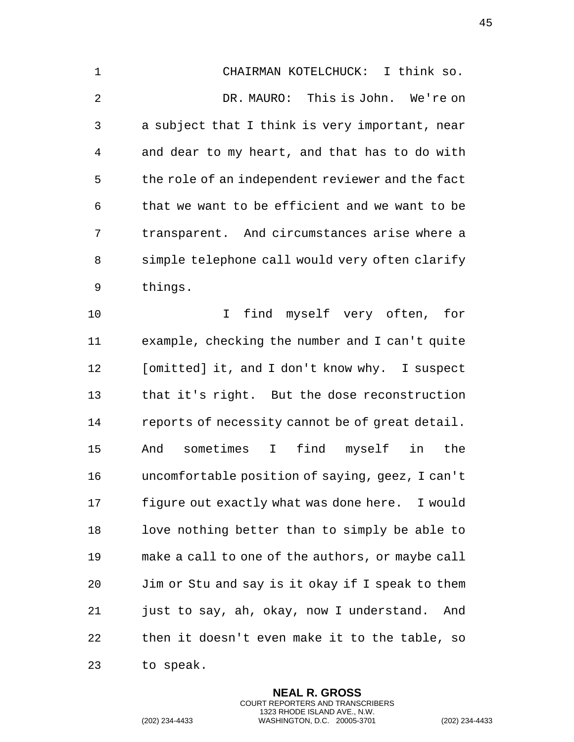CHAIRMAN KOTELCHUCK: I think so. DR. MAURO: This is John. We're on a subject that I think is very important, near and dear to my heart, and that has to do with the role of an independent reviewer and the fact that we want to be efficient and we want to be transparent. And circumstances arise where a simple telephone call would very often clarify things. I find myself very often, for

 example, checking the number and I can't quite [omitted] it, and I don't know why. I suspect that it's right. But the dose reconstruction reports of necessity cannot be of great detail. And sometimes I find myself in the uncomfortable position of saying, geez, I can't figure out exactly what was done here. I would love nothing better than to simply be able to make a call to one of the authors, or maybe call Jim or Stu and say is it okay if I speak to them just to say, ah, okay, now I understand. And then it doesn't even make it to the table, so to speak.

> **NEAL R. GROSS** COURT REPORTERS AND TRANSCRIBERS 1323 RHODE ISLAND AVE., N.W.

(202) 234-4433 WASHINGTON, D.C. 20005-3701 (202) 234-4433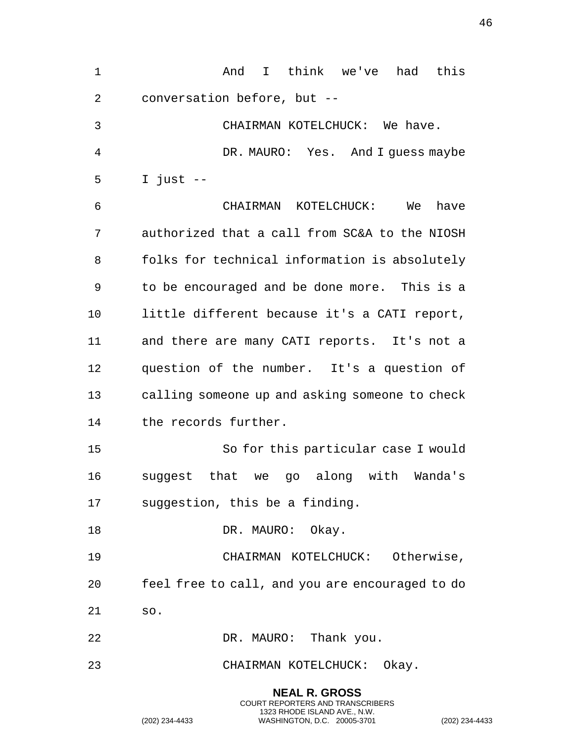| $\mathbf 1$    | I think we've<br>had this<br>And                  |
|----------------|---------------------------------------------------|
| $\overline{2}$ | conversation before, but --                       |
| 3              | CHAIRMAN KOTELCHUCK: We have.                     |
| 4              | DR. MAURO: Yes. And I guess maybe                 |
| 5              | I just $--$                                       |
| 6              | CHAIRMAN KOTELCHUCK:<br>We<br>have                |
| 7              | authorized that a call from SC&A to the NIOSH     |
| 8              | folks for technical information is absolutely     |
| 9              | to be encouraged and be done more. This is a      |
| 10             | little different because it's a CATI report,      |
| 11             | and there are many CATI reports. It's not a       |
| 12             | question of the number. It's a question of        |
| 13             | calling someone up and asking someone to check    |
| 14             | the records further.                              |
| 15             | So for this particular case I would               |
| 16             | that<br>along with Wanda's<br>suggest<br>we<br>go |
| 17             | suggestion, this be a finding.                    |
| 18             | DR. MAURO: Okay.                                  |
| 19             | CHAIRMAN KOTELCHUCK: Otherwise,                   |
| 20             | feel free to call, and you are encouraged to do   |
| 21             | SO.                                               |
| 22             | DR. MAURO: Thank you.                             |
| 23             | CHAIRMAN KOTELCHUCK: Okay.                        |
|                | <b>NEAL R. GROSS</b>                              |

COURT REPORTERS AND TRANSCRIBERS 1323 RHODE ISLAND AVE., N.W.

(202) 234-4433 WASHINGTON, D.C. 20005-3701 (202) 234-4433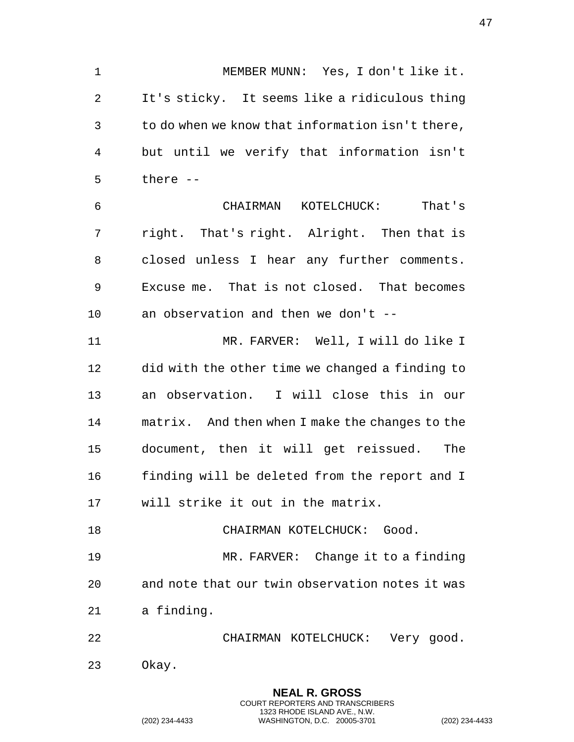MEMBER MUNN: Yes, I don't like it. It's sticky. It seems like a ridiculous thing to do when we know that information isn't there, but until we verify that information isn't there -- CHAIRMAN KOTELCHUCK: That's right. That's right. Alright. Then that is

 closed unless I hear any further comments. Excuse me. That is not closed. That becomes an observation and then we don't --

 MR. FARVER: Well, I will do like I did with the other time we changed a finding to an observation. I will close this in our matrix. And then when I make the changes to the document, then it will get reissued. The finding will be deleted from the report and I will strike it out in the matrix.

18 CHAIRMAN KOTELCHUCK: Good.

 MR. FARVER: Change it to a finding and note that our twin observation notes it was a finding.

 CHAIRMAN KOTELCHUCK: Very good. Okay.

> **NEAL R. GROSS** COURT REPORTERS AND TRANSCRIBERS 1323 RHODE ISLAND AVE., N.W.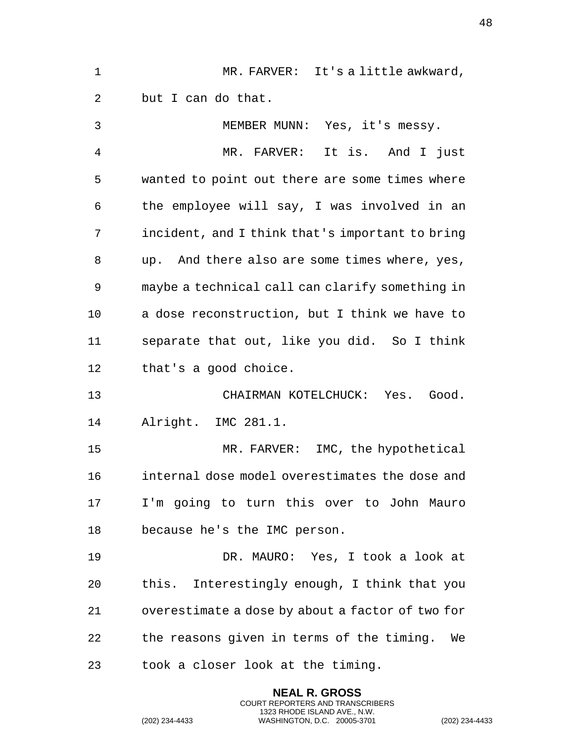| $\mathbf 1$ | MR. FARVER: It's a little awkward,               |
|-------------|--------------------------------------------------|
| 2           | but I can do that.                               |
| 3           | MEMBER MUNN: Yes, it's messy.                    |
| 4           | MR. FARVER: It is. And I just                    |
| 5           | wanted to point out there are some times where   |
| 6           | the employee will say, I was involved in an      |
| 7           | incident, and I think that's important to bring  |
| 8           | up. And there also are some times where, yes,    |
| 9           | maybe a technical call can clarify something in  |
| 10          | a dose reconstruction, but I think we have to    |
| 11          | separate that out, like you did. So I think      |
| 12          | that's a good choice.                            |
| 13          | CHAIRMAN KOTELCHUCK: Yes.<br>Good.               |
| 14          | Alright. IMC 281.1.                              |
| 15          | MR. FARVER: IMC, the hypothetical                |
| 16          | internal dose model overestimates the dose and   |
| 17          | I'm going to turn this over to John Mauro        |
| 18          | because he's the IMC person.                     |
| 19          | DR. MAURO: Yes, I took a look at                 |
| 20          | this. Interestingly enough, I think that you     |
| 21          | overestimate a dose by about a factor of two for |
| 22          | the reasons given in terms of the timing.<br>We  |
| 23          | took a closer look at the timing.                |

**NEAL R. GROSS** COURT REPORTERS AND TRANSCRIBERS 1323 RHODE ISLAND AVE., N.W.

(202) 234-4433 WASHINGTON, D.C. 20005-3701 (202) 234-4433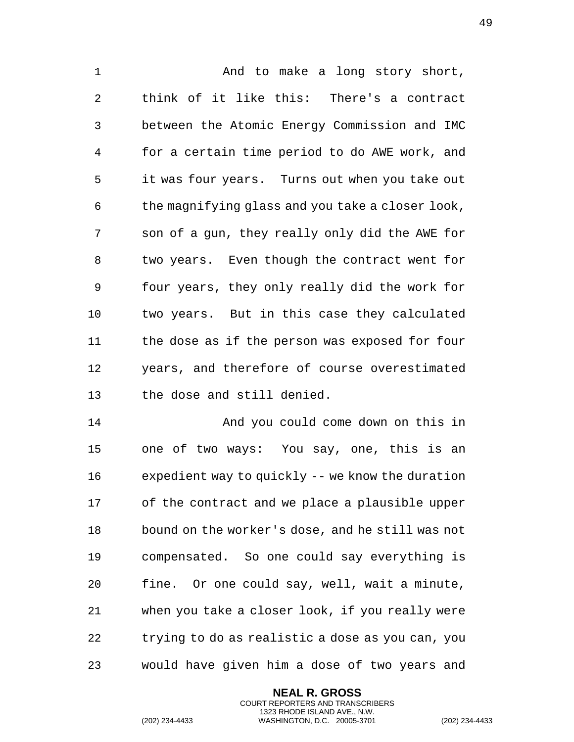1 And to make a long story short, think of it like this: There's a contract between the Atomic Energy Commission and IMC for a certain time period to do AWE work, and it was four years. Turns out when you take out the magnifying glass and you take a closer look, son of a gun, they really only did the AWE for two years. Even though the contract went for four years, they only really did the work for two years. But in this case they calculated the dose as if the person was exposed for four years, and therefore of course overestimated the dose and still denied.

 And you could come down on this in one of two ways: You say, one, this is an expedient way to quickly -- we know the duration of the contract and we place a plausible upper bound on the worker's dose, and he still was not compensated. So one could say everything is fine. Or one could say, well, wait a minute, when you take a closer look, if you really were trying to do as realistic a dose as you can, you would have given him a dose of two years and

> **NEAL R. GROSS** COURT REPORTERS AND TRANSCRIBERS 1323 RHODE ISLAND AVE., N.W.

(202) 234-4433 WASHINGTON, D.C. 20005-3701 (202) 234-4433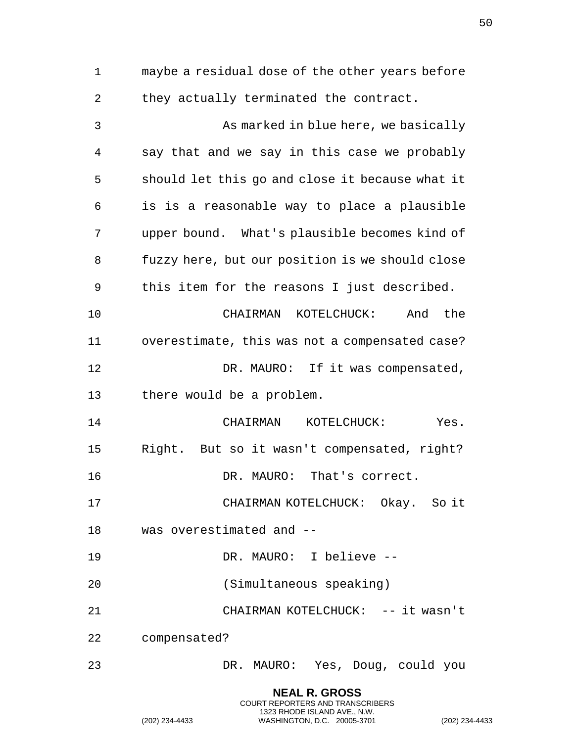maybe a residual dose of the other years before they actually terminated the contract. As marked in blue here, we basically say that and we say in this case we probably should let this go and close it because what it is is a reasonable way to place a plausible upper bound. What's plausible becomes kind of fuzzy here, but our position is we should close this item for the reasons I just described. CHAIRMAN KOTELCHUCK: And the overestimate, this was not a compensated case? 12 DR. MAURO: If it was compensated, there would be a problem. CHAIRMAN KOTELCHUCK: Yes. Right. But so it wasn't compensated, right? DR. MAURO: That's correct. CHAIRMAN KOTELCHUCK: Okay. So it was overestimated and -- DR. MAURO: I believe -- (Simultaneous speaking) 21 CHAIRMAN KOTELCHUCK: -- it wasn't compensated? DR. MAURO: Yes, Doug, could you

> **NEAL R. GROSS** COURT REPORTERS AND TRANSCRIBERS 1323 RHODE ISLAND AVE., N.W.

(202) 234-4433 WASHINGTON, D.C. 20005-3701 (202) 234-4433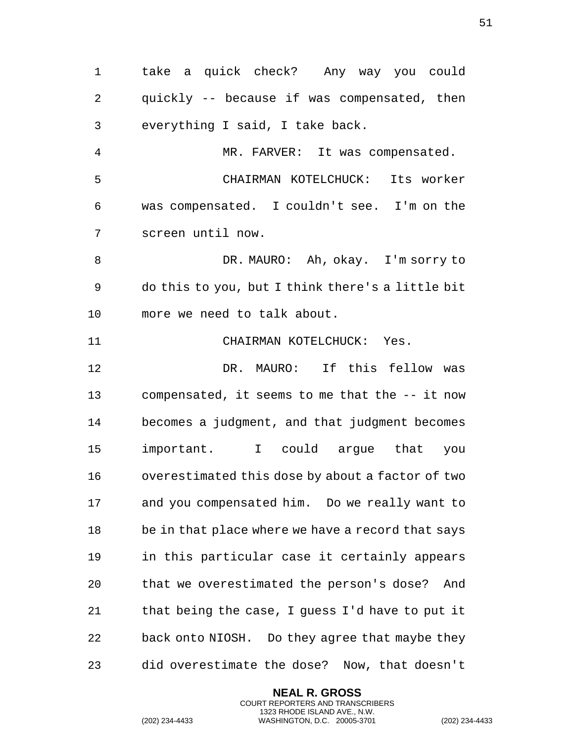quickly -- because if was compensated, then everything I said, I take back. MR. FARVER: It was compensated. CHAIRMAN KOTELCHUCK: Its worker was compensated. I couldn't see. I'm on the screen until now. DR. MAURO: Ah, okay. I'm sorry to do this to you, but I think there's a little bit more we need to talk about. CHAIRMAN KOTELCHUCK: Yes. DR. MAURO: If this fellow was compensated, it seems to me that the -- it now becomes a judgment, and that judgment becomes important. I could argue that you overestimated this dose by about a factor of two and you compensated him. Do we really want to be in that place where we have a record that says in this particular case it certainly appears

take a quick check? Any way you could

 that we overestimated the person's dose? And that being the case, I guess I'd have to put it back onto NIOSH. Do they agree that maybe they did overestimate the dose? Now, that doesn't

> **NEAL R. GROSS** COURT REPORTERS AND TRANSCRIBERS 1323 RHODE ISLAND AVE., N.W.

(202) 234-4433 WASHINGTON, D.C. 20005-3701 (202) 234-4433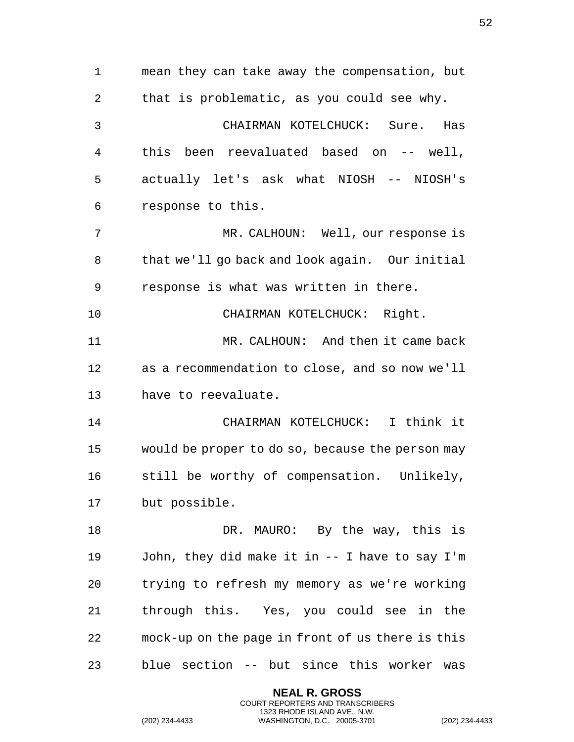mean they can take away the compensation, but that is problematic, as you could see why. CHAIRMAN KOTELCHUCK: Sure. Has this been reevaluated based on -- well, actually let's ask what NIOSH -- NIOSH's response to this. MR. CALHOUN: Well, our response is that we'll go back and look again. Our initial response is what was written in there. CHAIRMAN KOTELCHUCK: Right. MR. CALHOUN: And then it came back as a recommendation to close, and so now we'll have to reevaluate. CHAIRMAN KOTELCHUCK: I think it would be proper to do so, because the person may still be worthy of compensation. Unlikely, but possible. 18 DR. MAURO: By the way, this is John, they did make it in -- I have to say I'm trying to refresh my memory as we're working through this. Yes, you could see in the mock-up on the page in front of us there is this blue section -- but since this worker was

> **NEAL R. GROSS** COURT REPORTERS AND TRANSCRIBERS 1323 RHODE ISLAND AVE., N.W.

(202) 234-4433 WASHINGTON, D.C. 20005-3701 (202) 234-4433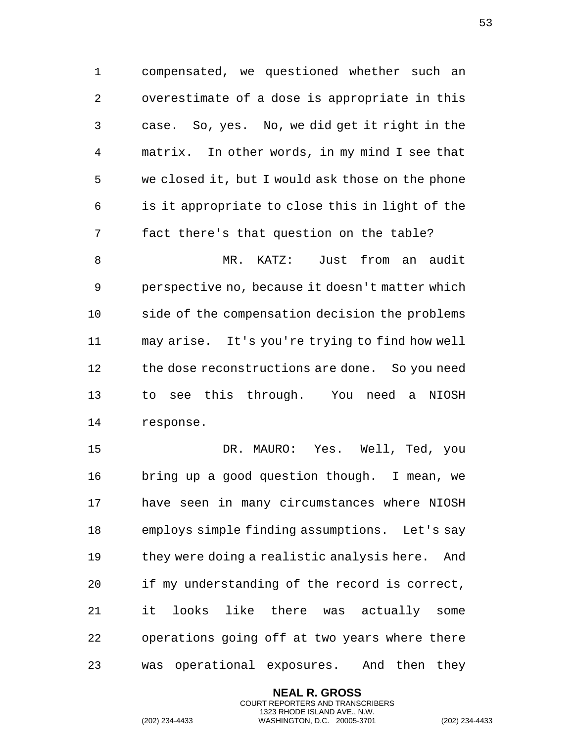compensated, we questioned whether such an overestimate of a dose is appropriate in this case. So, yes. No, we did get it right in the matrix. In other words, in my mind I see that we closed it, but I would ask those on the phone is it appropriate to close this in light of the fact there's that question on the table?

 MR. KATZ: Just from an audit perspective no, because it doesn't matter which side of the compensation decision the problems may arise. It's you're trying to find how well the dose reconstructions are done. So you need to see this through. You need a NIOSH response.

 DR. MAURO: Yes. Well, Ted, you bring up a good question though. I mean, we have seen in many circumstances where NIOSH employs simple finding assumptions. Let's say they were doing a realistic analysis here. And if my understanding of the record is correct, it looks like there was actually some operations going off at two years where there was operational exposures. And then they

> **NEAL R. GROSS** COURT REPORTERS AND TRANSCRIBERS 1323 RHODE ISLAND AVE., N.W.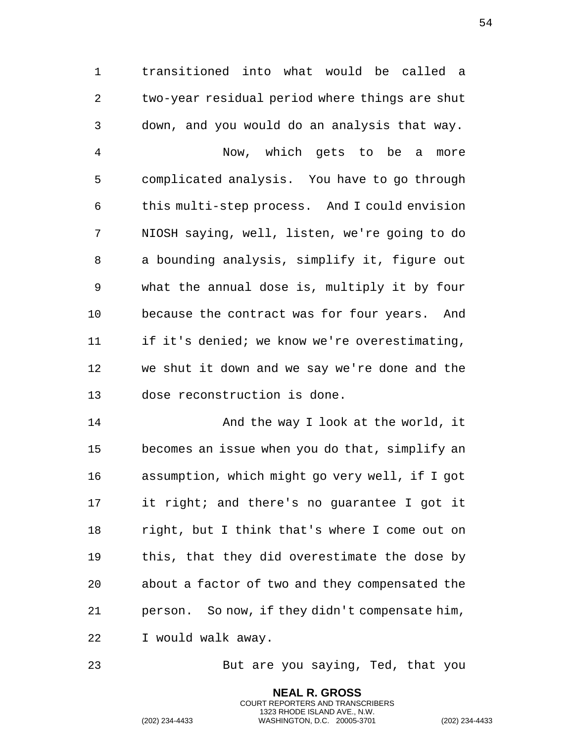transitioned into what would be called a two-year residual period where things are shut down, and you would do an analysis that way. Now, which gets to be a more complicated analysis. You have to go through this multi-step process. And I could envision NIOSH saying, well, listen, we're going to do a bounding analysis, simplify it, figure out what the annual dose is, multiply it by four because the contract was for four years. And if it's denied; we know we're overestimating, we shut it down and we say we're done and the dose reconstruction is done.

 And the way I look at the world, it becomes an issue when you do that, simplify an assumption, which might go very well, if I got it right; and there's no guarantee I got it right, but I think that's where I come out on this, that they did overestimate the dose by about a factor of two and they compensated the person. So now, if they didn't compensate him, I would walk away.

But are you saying, Ted, that you

**NEAL R. GROSS** COURT REPORTERS AND TRANSCRIBERS 1323 RHODE ISLAND AVE., N.W.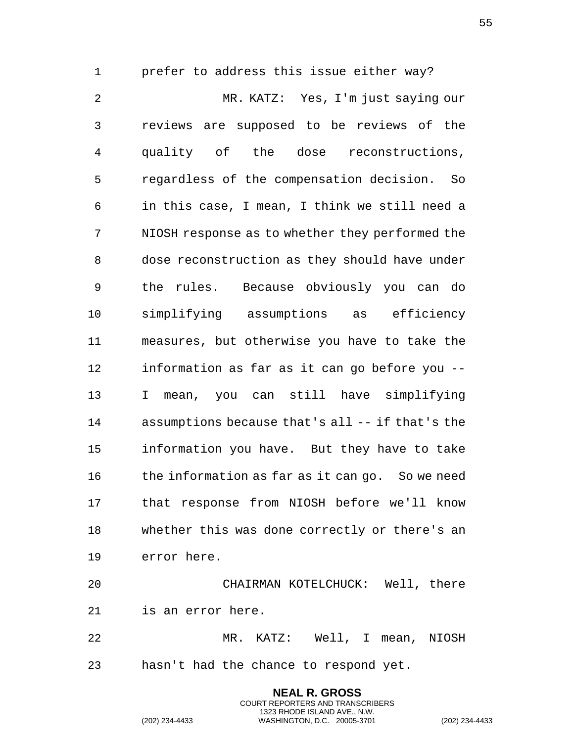prefer to address this issue either way? MR. KATZ: Yes, I'm just saying our reviews are supposed to be reviews of the quality of the dose reconstructions, regardless of the compensation decision. So in this case, I mean, I think we still need a NIOSH response as to whether they performed the dose reconstruction as they should have under the rules. Because obviously you can do simplifying assumptions as efficiency measures, but otherwise you have to take the information as far as it can go before you -- I mean, you can still have simplifying assumptions because that's all -- if that's the information you have. But they have to take the information as far as it can go. So we need that response from NIOSH before we'll know whether this was done correctly or there's an error here.

 CHAIRMAN KOTELCHUCK: Well, there is an error here. MR. KATZ: Well, I mean, NIOSH

> **NEAL R. GROSS** COURT REPORTERS AND TRANSCRIBERS 1323 RHODE ISLAND AVE., N.W.

hasn't had the chance to respond yet.

(202) 234-4433 WASHINGTON, D.C. 20005-3701 (202) 234-4433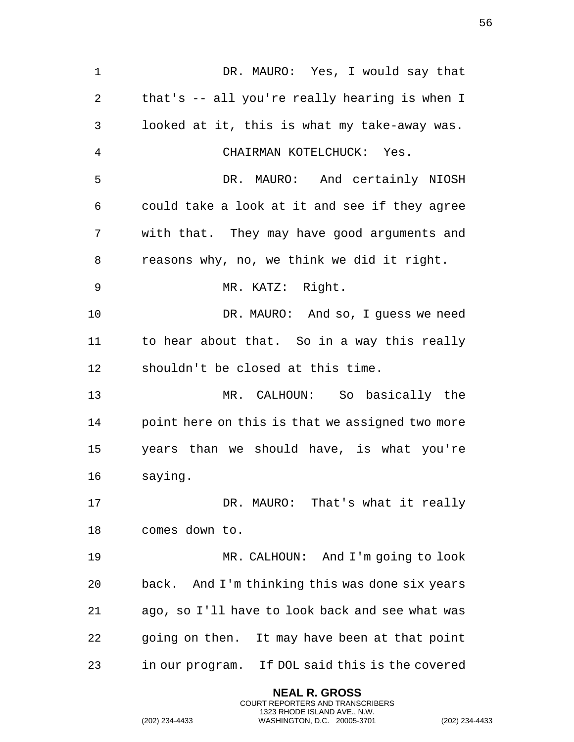DR. MAURO: Yes, I would say that that's -- all you're really hearing is when I looked at it, this is what my take-away was. CHAIRMAN KOTELCHUCK: Yes. DR. MAURO: And certainly NIOSH could take a look at it and see if they agree with that. They may have good arguments and reasons why, no, we think we did it right. MR. KATZ: Right. DR. MAURO: And so, I guess we need to hear about that. So in a way this really shouldn't be closed at this time. MR. CALHOUN: So basically the point here on this is that we assigned two more years than we should have, is what you're saying. 17 DR. MAURO: That's what it really comes down to. MR. CALHOUN: And I'm going to look back. And I'm thinking this was done six years ago, so I'll have to look back and see what was going on then. It may have been at that point in our program. If DOL said this is the covered

> **NEAL R. GROSS** COURT REPORTERS AND TRANSCRIBERS 1323 RHODE ISLAND AVE., N.W.

(202) 234-4433 WASHINGTON, D.C. 20005-3701 (202) 234-4433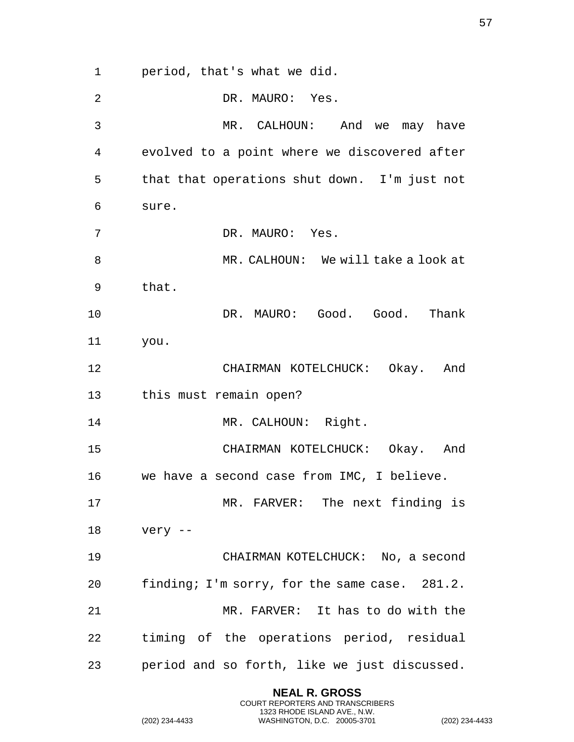period, that's what we did. DR. MAURO: Yes. MR. CALHOUN: And we may have evolved to a point where we discovered after that that operations shut down. I'm just not sure. DR. MAURO: Yes. MR. CALHOUN: We will take a look at that. DR. MAURO: Good. Good. Thank you. CHAIRMAN KOTELCHUCK: Okay. And this must remain open? 14 MR. CALHOUN: Right. CHAIRMAN KOTELCHUCK: Okay. And we have a second case from IMC, I believe. MR. FARVER: The next finding is very -- CHAIRMAN KOTELCHUCK: No, a second finding; I'm sorry, for the same case. 281.2. MR. FARVER: It has to do with the timing of the operations period, residual period and so forth, like we just discussed.

> **NEAL R. GROSS** COURT REPORTERS AND TRANSCRIBERS 1323 RHODE ISLAND AVE., N.W.

(202) 234-4433 WASHINGTON, D.C. 20005-3701 (202) 234-4433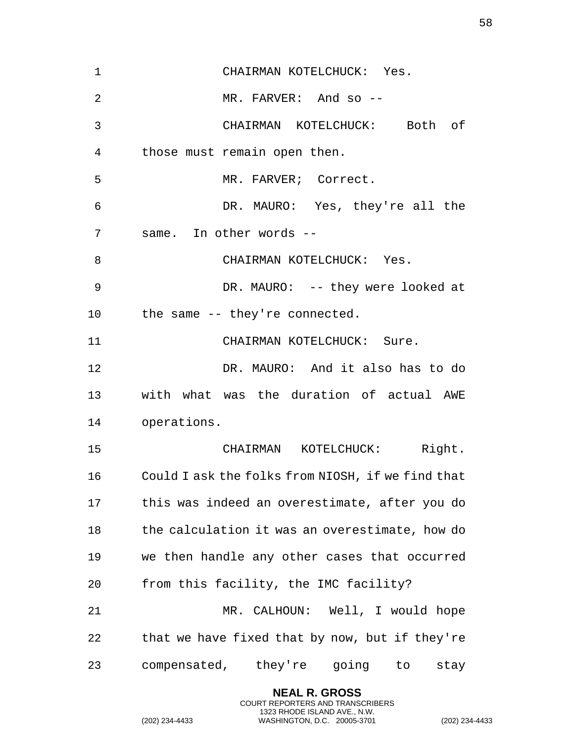CHAIRMAN KOTELCHUCK: Yes. MR. FARVER: And so -- CHAIRMAN KOTELCHUCK: Both of those must remain open then. 5 MR. FARVER; Correct. DR. MAURO: Yes, they're all the same. In other words -- 8 CHAIRMAN KOTELCHUCK: Yes. 9 DR. MAURO: -- they were looked at the same -- they're connected. 11 CHAIRMAN KOTELCHUCK: Sure. DR. MAURO: And it also has to do with what was the duration of actual AWE operations. CHAIRMAN KOTELCHUCK: Right. Could I ask the folks from NIOSH, if we find that this was indeed an overestimate, after you do the calculation it was an overestimate, how do we then handle any other cases that occurred from this facility, the IMC facility? MR. CALHOUN: Well, I would hope that we have fixed that by now, but if they're compensated, they're going to stay

> **NEAL R. GROSS** COURT REPORTERS AND TRANSCRIBERS 1323 RHODE ISLAND AVE., N.W.

(202) 234-4433 WASHINGTON, D.C. 20005-3701 (202) 234-4433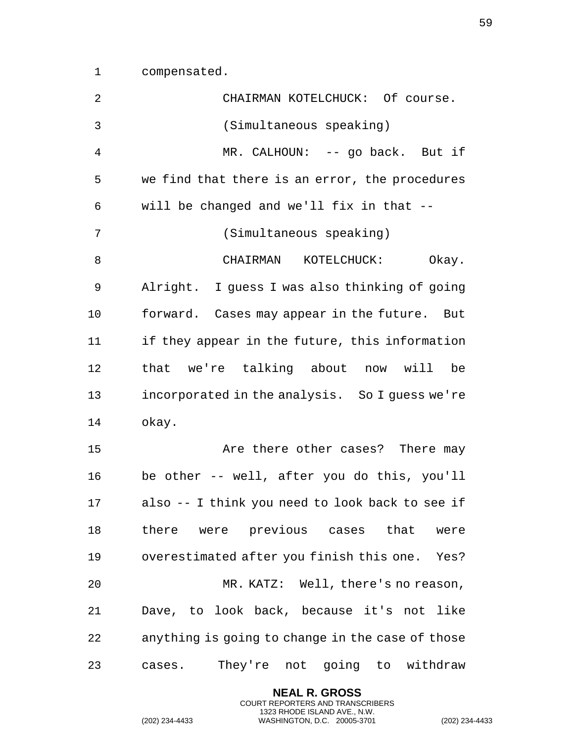compensated.

| 2  | CHAIRMAN KOTELCHUCK: Of course.                  |
|----|--------------------------------------------------|
| 3  | (Simultaneous speaking)                          |
| 4  | MR. CALHOUN: -- go back. But if                  |
| 5  | we find that there is an error, the procedures   |
| 6  | will be changed and we'll fix in that --         |
| 7  | (Simultaneous speaking)                          |
| 8  | CHAIRMAN KOTELCHUCK:<br>Okay.                    |
| 9  | Alright. I guess I was also thinking of going    |
| 10 | forward. Cases may appear in the future. But     |
| 11 | if they appear in the future, this information   |
| 12 | that we're talking about now will be             |
| 13 | incorporated in the analysis. So I guess we're   |
| 14 | okay.                                            |
| 15 | Are there other cases? There may                 |
| 16 | be other -- well, after you do this, you'll      |
| 17 | also -- I think you need to look back to see if  |
| 18 | there were previous cases that were              |
| 19 | overestimated after you finish this one. Yes?    |
| 20 | MR. KATZ: Well, there's no reason,               |
| 21 | Dave, to look back, because it's not like        |
| 22 | anything is going to change in the case of those |
| 23 | They're not going to withdraw<br>cases.          |

**NEAL R. GROSS** COURT REPORTERS AND TRANSCRIBERS 1323 RHODE ISLAND AVE., N.W.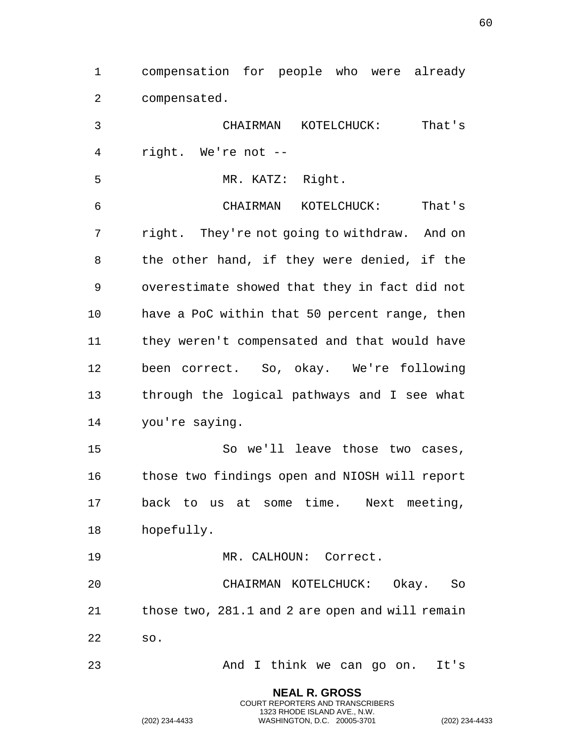compensation for people who were already compensated. CHAIRMAN KOTELCHUCK: That's right. We're not -- MR. KATZ: Right. CHAIRMAN KOTELCHUCK: That's right. They're not going to withdraw. And on the other hand, if they were denied, if the overestimate showed that they in fact did not have a PoC within that 50 percent range, then they weren't compensated and that would have been correct. So, okay. We're following through the logical pathways and I see what you're saying. So we'll leave those two cases, those two findings open and NIOSH will report back to us at some time. Next meeting, hopefully. MR. CALHOUN: Correct. CHAIRMAN KOTELCHUCK: Okay. So those two, 281.1 and 2 are open and will remain so. And I think we can go on. It's

> **NEAL R. GROSS** COURT REPORTERS AND TRANSCRIBERS 1323 RHODE ISLAND AVE., N.W.

(202) 234-4433 WASHINGTON, D.C. 20005-3701 (202) 234-4433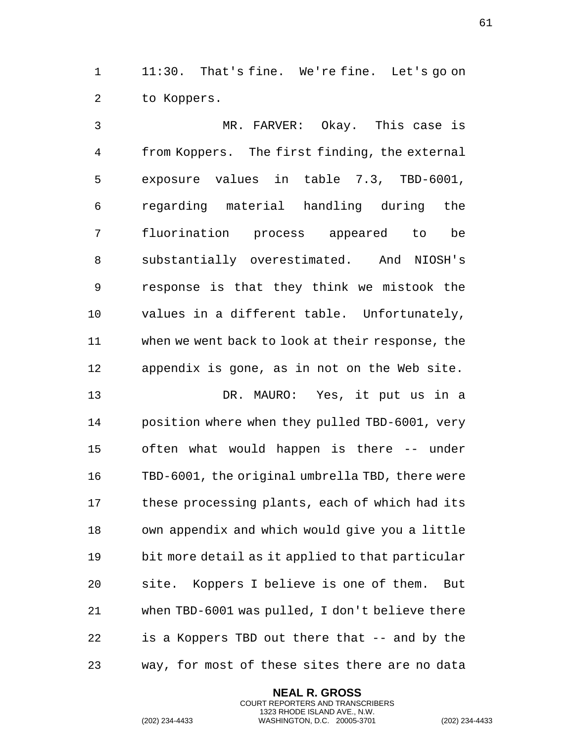1 11:30. That's fine. We're fine. Let's go on to Koppers.

 MR. FARVER: Okay. This case is from Koppers. The first finding, the external exposure values in table 7.3, TBD-6001, regarding material handling during the fluorination process appeared to be substantially overestimated. And NIOSH's response is that they think we mistook the values in a different table. Unfortunately, when we went back to look at their response, the appendix is gone, as in not on the Web site.

 DR. MAURO: Yes, it put us in a position where when they pulled TBD-6001, very often what would happen is there -- under TBD-6001, the original umbrella TBD, there were these processing plants, each of which had its own appendix and which would give you a little bit more detail as it applied to that particular site. Koppers I believe is one of them. But when TBD-6001 was pulled, I don't believe there is a Koppers TBD out there that -- and by the way, for most of these sites there are no data

> **NEAL R. GROSS** COURT REPORTERS AND TRANSCRIBERS 1323 RHODE ISLAND AVE., N.W.

(202) 234-4433 WASHINGTON, D.C. 20005-3701 (202) 234-4433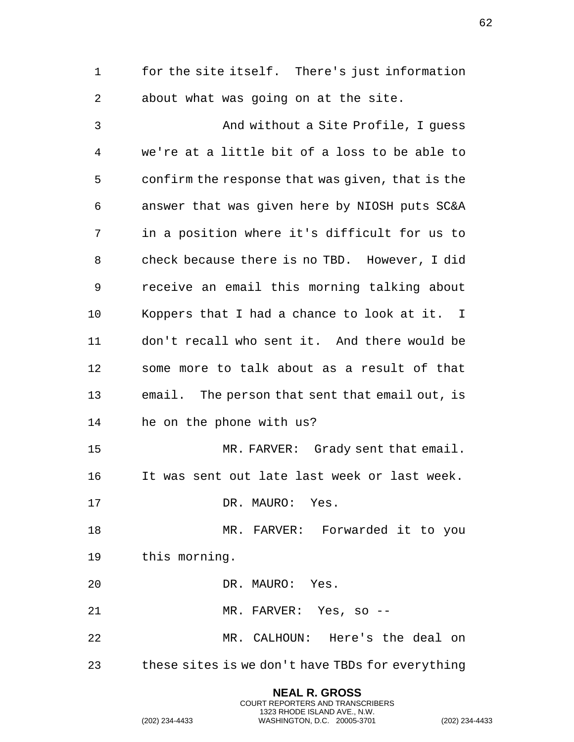for the site itself. There's just information about what was going on at the site.

 And without a Site Profile, I guess we're at a little bit of a loss to be able to confirm the response that was given, that is the answer that was given here by NIOSH puts SC&A in a position where it's difficult for us to check because there is no TBD. However, I did receive an email this morning talking about Koppers that I had a chance to look at it. I don't recall who sent it. And there would be some more to talk about as a result of that email. The person that sent that email out, is he on the phone with us? MR. FARVER: Grady sent that email. It was sent out late last week or last week. 17 DR. MAURO: Yes. MR. FARVER: Forwarded it to you this morning. DR. MAURO: Yes. MR. FARVER: Yes, so -- MR. CALHOUN: Here's the deal on these sites is we don't have TBDs for everything

> **NEAL R. GROSS** COURT REPORTERS AND TRANSCRIBERS 1323 RHODE ISLAND AVE., N.W.

(202) 234-4433 WASHINGTON, D.C. 20005-3701 (202) 234-4433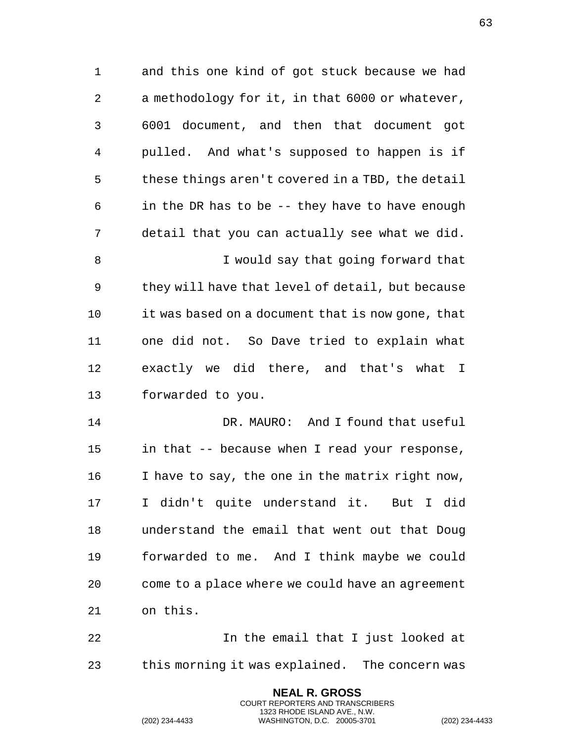and this one kind of got stuck because we had a methodology for it, in that 6000 or whatever, 6001 document, and then that document got pulled. And what's supposed to happen is if these things aren't covered in a TBD, the detail in the DR has to be -- they have to have enough detail that you can actually see what we did. I would say that going forward that they will have that level of detail, but because it was based on a document that is now gone, that one did not. So Dave tried to explain what exactly we did there, and that's what I forwarded to you. DR. MAURO: And I found that useful

 in that -- because when I read your response, I have to say, the one in the matrix right now, I didn't quite understand it. But I did understand the email that went out that Doug forwarded to me. And I think maybe we could come to a place where we could have an agreement on this.

**In the email that I just looked at** this morning it was explained. The concern was

> **NEAL R. GROSS** COURT REPORTERS AND TRANSCRIBERS 1323 RHODE ISLAND AVE., N.W.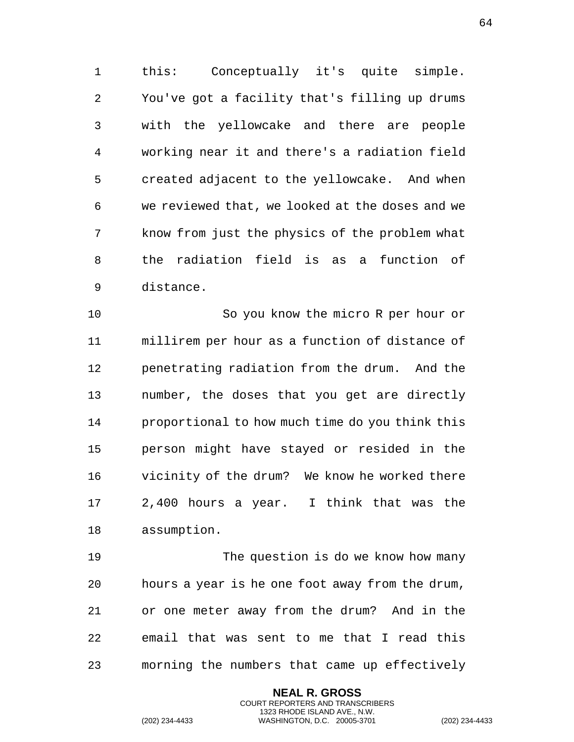this: Conceptually it's quite simple. You've got a facility that's filling up drums with the yellowcake and there are people working near it and there's a radiation field created adjacent to the yellowcake. And when we reviewed that, we looked at the doses and we know from just the physics of the problem what the radiation field is as a function of distance.

 So you know the micro R per hour or millirem per hour as a function of distance of penetrating radiation from the drum. And the number, the doses that you get are directly proportional to how much time do you think this person might have stayed or resided in the vicinity of the drum? We know he worked there 2,400 hours a year. I think that was the assumption.

 The question is do we know how many hours a year is he one foot away from the drum, or one meter away from the drum? And in the email that was sent to me that I read this morning the numbers that came up effectively

> **NEAL R. GROSS** COURT REPORTERS AND TRANSCRIBERS 1323 RHODE ISLAND AVE., N.W.

(202) 234-4433 WASHINGTON, D.C. 20005-3701 (202) 234-4433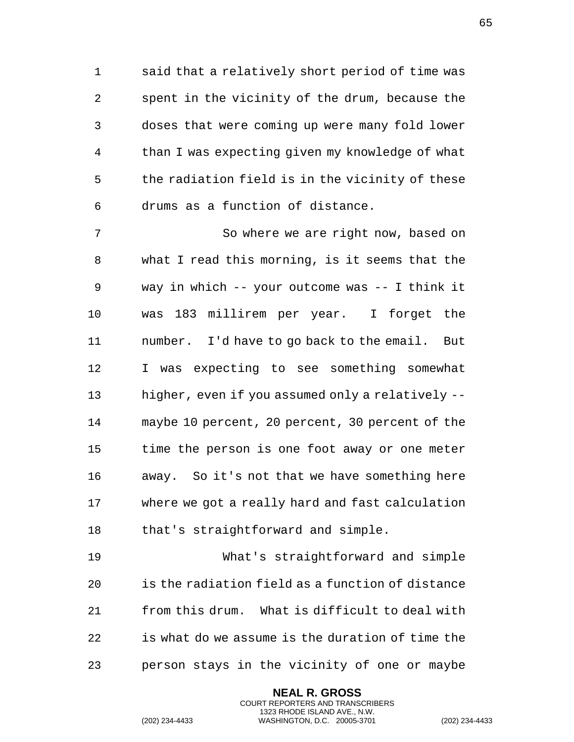said that a relatively short period of time was spent in the vicinity of the drum, because the doses that were coming up were many fold lower than I was expecting given my knowledge of what the radiation field is in the vicinity of these drums as a function of distance.

 So where we are right now, based on what I read this morning, is it seems that the way in which -- your outcome was -- I think it was 183 millirem per year. I forget the number. I'd have to go back to the email. But I was expecting to see something somewhat higher, even if you assumed only a relatively -- maybe 10 percent, 20 percent, 30 percent of the time the person is one foot away or one meter away. So it's not that we have something here where we got a really hard and fast calculation that's straightforward and simple.

 What's straightforward and simple is the radiation field as a function of distance from this drum. What is difficult to deal with is what do we assume is the duration of time the person stays in the vicinity of one or maybe

> **NEAL R. GROSS** COURT REPORTERS AND TRANSCRIBERS 1323 RHODE ISLAND AVE., N.W.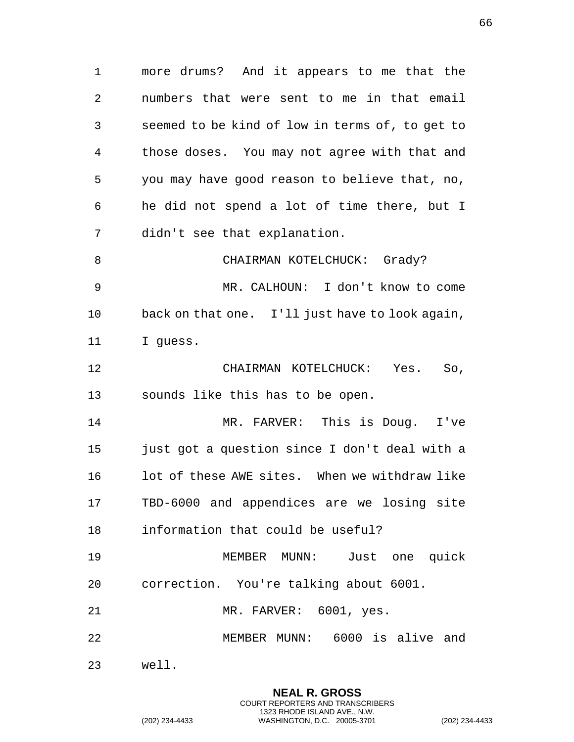more drums? And it appears to me that the numbers that were sent to me in that email seemed to be kind of low in terms of, to get to those doses. You may not agree with that and you may have good reason to believe that, no, he did not spend a lot of time there, but I didn't see that explanation.

8 CHAIRMAN KOTELCHUCK: Grady? MR. CALHOUN: I don't know to come back on that one. I'll just have to look again, I guess.

 CHAIRMAN KOTELCHUCK: Yes. So, sounds like this has to be open.

 MR. FARVER: This is Doug. I've just got a question since I don't deal with a lot of these AWE sites. When we withdraw like TBD-6000 and appendices are we losing site information that could be useful?

 MEMBER MUNN: Just one quick correction. You're talking about 6001.

MR. FARVER: 6001, yes.

MEMBER MUNN: 6000 is alive and

**NEAL R. GROSS** COURT REPORTERS AND TRANSCRIBERS 1323 RHODE ISLAND AVE., N.W.

well.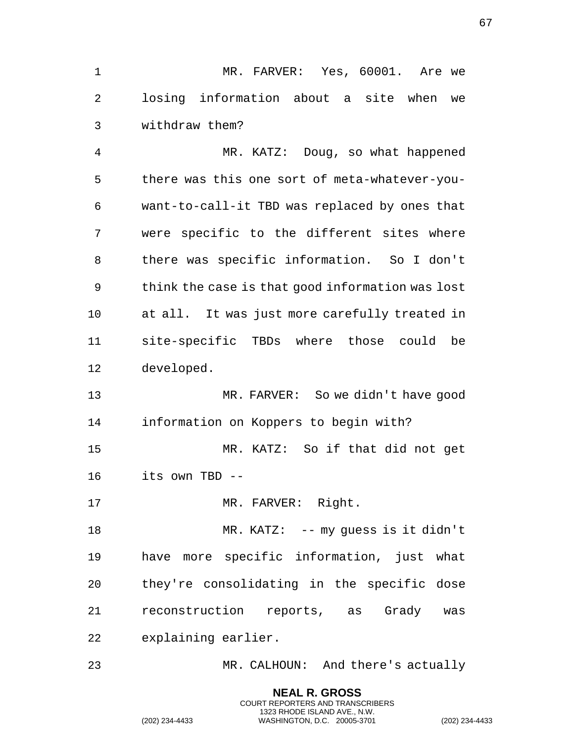MR. FARVER: Yes, 60001. Are we losing information about a site when we withdraw them?

 MR. KATZ: Doug, so what happened there was this one sort of meta-whatever-you- want-to-call-it TBD was replaced by ones that were specific to the different sites where there was specific information. So I don't think the case is that good information was lost at all. It was just more carefully treated in site-specific TBDs where those could be developed.

 MR. FARVER: So we didn't have good information on Koppers to begin with? MR. KATZ: So if that did not get its own TBD --

17 MR. FARVER: Right.

18 MR. KATZ: -- my guess is it didn't have more specific information, just what they're consolidating in the specific dose reconstruction reports, as Grady was explaining earlier.

MR. CALHOUN: And there's actually

**NEAL R. GROSS** COURT REPORTERS AND TRANSCRIBERS 1323 RHODE ISLAND AVE., N.W.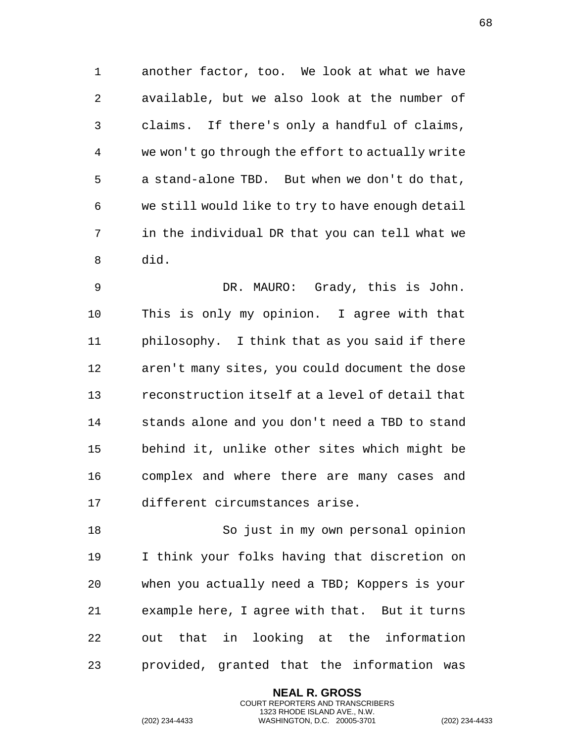another factor, too. We look at what we have available, but we also look at the number of claims. If there's only a handful of claims, we won't go through the effort to actually write a stand-alone TBD. But when we don't do that, we still would like to try to have enough detail in the individual DR that you can tell what we did.

 DR. MAURO: Grady, this is John. This is only my opinion. I agree with that philosophy. I think that as you said if there aren't many sites, you could document the dose reconstruction itself at a level of detail that stands alone and you don't need a TBD to stand behind it, unlike other sites which might be complex and where there are many cases and different circumstances arise.

 So just in my own personal opinion I think your folks having that discretion on when you actually need a TBD; Koppers is your example here, I agree with that. But it turns out that in looking at the information provided, granted that the information was

> **NEAL R. GROSS** COURT REPORTERS AND TRANSCRIBERS 1323 RHODE ISLAND AVE., N.W.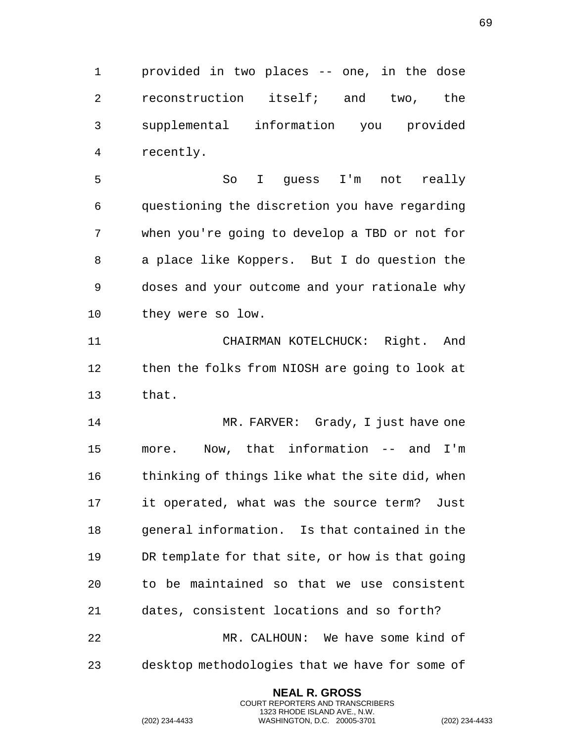provided in two places -- one, in the dose reconstruction itself; and two, the supplemental information you provided recently.

 So I guess I'm not really questioning the discretion you have regarding when you're going to develop a TBD or not for a place like Koppers. But I do question the doses and your outcome and your rationale why they were so low.

 CHAIRMAN KOTELCHUCK: Right. And then the folks from NIOSH are going to look at that.

14 MR. FARVER: Grady, I just have one more. Now, that information -- and I'm 16 thinking of things like what the site did, when it operated, what was the source term? Just general information. Is that contained in the DR template for that site, or how is that going to be maintained so that we use consistent dates, consistent locations and so forth? MR. CALHOUN: We have some kind of

desktop methodologies that we have for some of

**NEAL R. GROSS** COURT REPORTERS AND TRANSCRIBERS 1323 RHODE ISLAND AVE., N.W.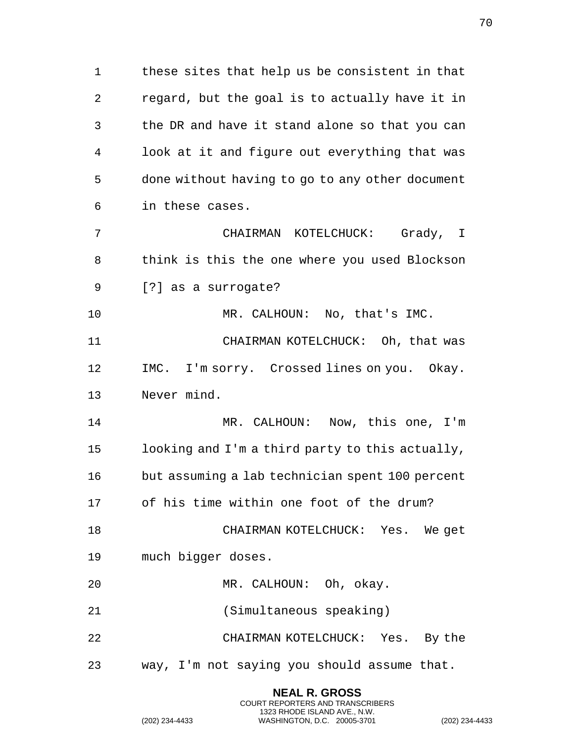these sites that help us be consistent in that regard, but the goal is to actually have it in the DR and have it stand alone so that you can look at it and figure out everything that was done without having to go to any other document in these cases. CHAIRMAN KOTELCHUCK: Grady, I think is this the one where you used Blockson [?] as a surrogate? 10 MR. CALHOUN: No, that's IMC. 11 CHAIRMAN KOTELCHUCK: Oh, that was IMC. I'm sorry. Crossed lines on you. Okay. Never mind. MR. CALHOUN: Now, this one, I'm looking and I'm a third party to this actually, but assuming a lab technician spent 100 percent of his time within one foot of the drum? CHAIRMAN KOTELCHUCK: Yes. We get

- much bigger doses.
- MR. CALHOUN: Oh, okay.
- (Simultaneous speaking)

CHAIRMAN KOTELCHUCK: Yes. By the

way, I'm not saying you should assume that.

**NEAL R. GROSS** COURT REPORTERS AND TRANSCRIBERS 1323 RHODE ISLAND AVE., N.W.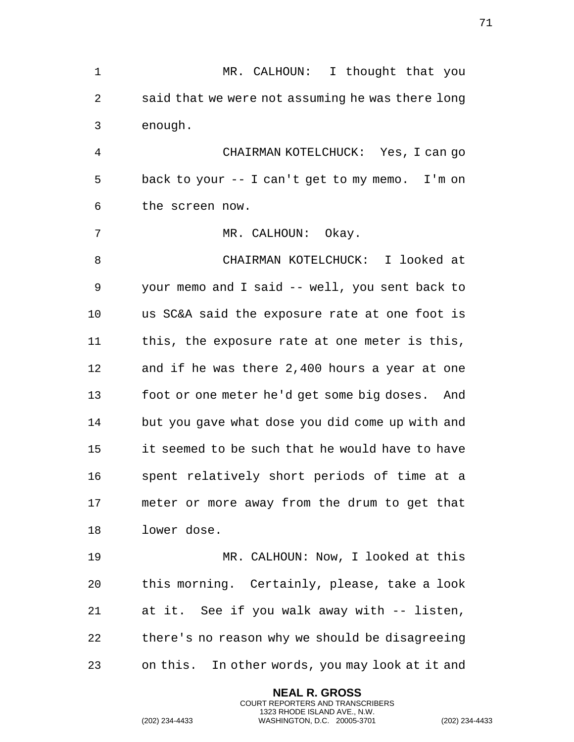1 MR. CALHOUN: I thought that you said that we were not assuming he was there long enough. CHAIRMAN KOTELCHUCK: Yes, I can go back to your -- I can't get to my memo. I'm on the screen now. 7 MR. CALHOUN: Okay. CHAIRMAN KOTELCHUCK: I looked at your memo and I said -- well, you sent back to us SC&A said the exposure rate at one foot is this, the exposure rate at one meter is this, and if he was there 2,400 hours a year at one foot or one meter he'd get some big doses. And but you gave what dose you did come up with and it seemed to be such that he would have to have spent relatively short periods of time at a meter or more away from the drum to get that lower dose. MR. CALHOUN: Now, I looked at this this morning. Certainly, please, take a look at it. See if you walk away with -- listen, there's no reason why we should be disagreeing on this. In other words, you may look at it and

> **NEAL R. GROSS** COURT REPORTERS AND TRANSCRIBERS 1323 RHODE ISLAND AVE., N.W.

(202) 234-4433 WASHINGTON, D.C. 20005-3701 (202) 234-4433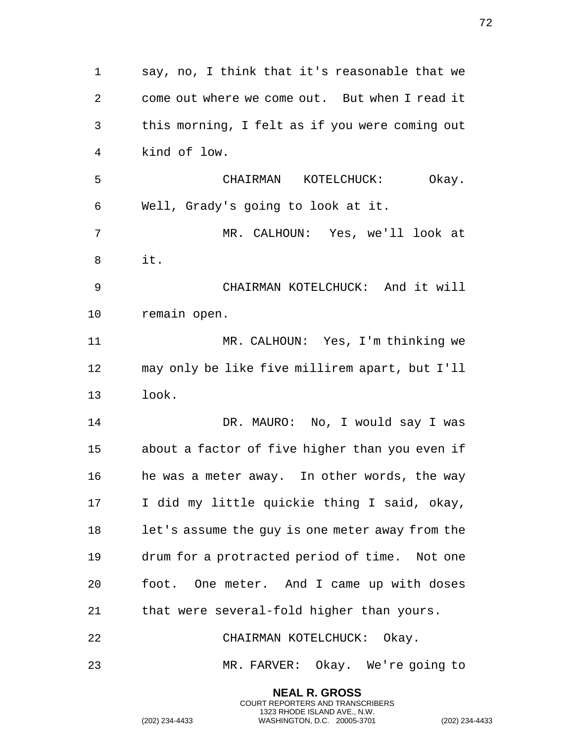say, no, I think that it's reasonable that we come out where we come out. But when I read it this morning, I felt as if you were coming out kind of low. CHAIRMAN KOTELCHUCK: Okay. Well, Grady's going to look at it. MR. CALHOUN: Yes, we'll look at it. CHAIRMAN KOTELCHUCK: And it will remain open. MR. CALHOUN: Yes, I'm thinking we may only be like five millirem apart, but I'll look. DR. MAURO: No, I would say I was about a factor of five higher than you even if he was a meter away. In other words, the way I did my little quickie thing I said, okay, let's assume the guy is one meter away from the drum for a protracted period of time. Not one foot. One meter. And I came up with doses that were several-fold higher than yours. CHAIRMAN KOTELCHUCK: Okay. MR. FARVER: Okay. We're going to

> **NEAL R. GROSS** COURT REPORTERS AND TRANSCRIBERS 1323 RHODE ISLAND AVE., N.W.

(202) 234-4433 WASHINGTON, D.C. 20005-3701 (202) 234-4433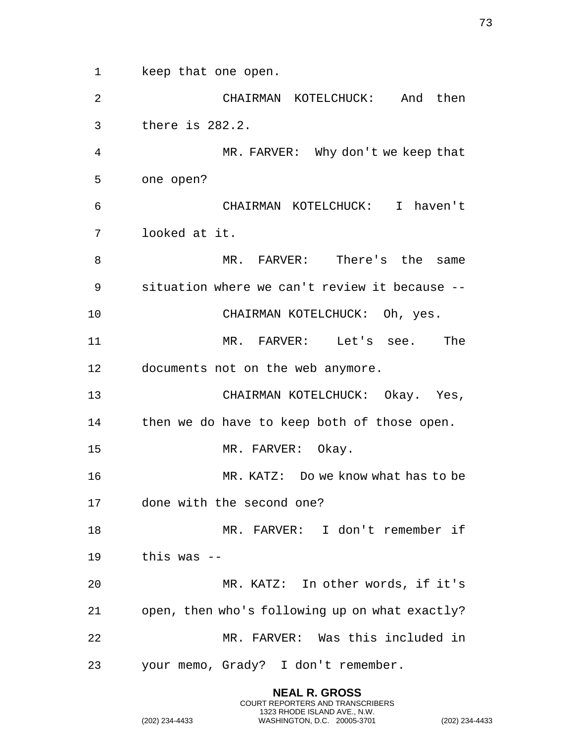keep that one open. CHAIRMAN KOTELCHUCK: And then there is 282.2. MR. FARVER: Why don't we keep that one open? CHAIRMAN KOTELCHUCK: I haven't looked at it. MR. FARVER: There's the same situation where we can't review it because -- CHAIRMAN KOTELCHUCK: Oh, yes. MR. FARVER: Let's see. The documents not on the web anymore. CHAIRMAN KOTELCHUCK: Okay. Yes, then we do have to keep both of those open. 15 MR. FARVER: Okay. MR. KATZ: Do we know what has to be done with the second one? MR. FARVER: I don't remember if this was -- MR. KATZ: In other words, if it's open, then who's following up on what exactly? MR. FARVER: Was this included in your memo, Grady? I don't remember.

> **NEAL R. GROSS** COURT REPORTERS AND TRANSCRIBERS 1323 RHODE ISLAND AVE., N.W.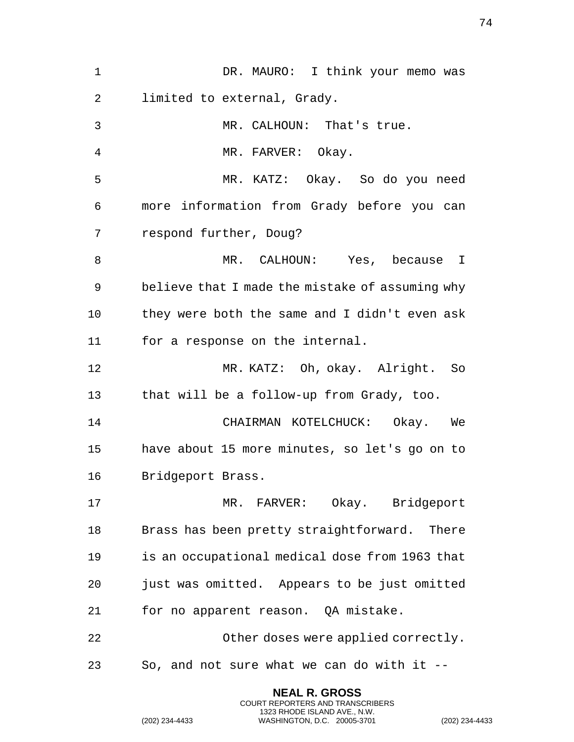| 1  | DR. MAURO: I think your memo was                |
|----|-------------------------------------------------|
| 2  | limited to external, Grady.                     |
| 3  | MR. CALHOUN: That's true.                       |
| 4  | MR. FARVER: Okay.                               |
| 5  | MR. KATZ: Okay. So do you need                  |
| 6  | more information from Grady before you can      |
| 7  | respond further, Doug?                          |
| 8  | MR. CALHOUN: Yes, because I                     |
| 9  | believe that I made the mistake of assuming why |
| 10 | they were both the same and I didn't even ask   |
| 11 | for a response on the internal.                 |
| 12 | MR. KATZ: Oh, okay. Alright. So                 |
| 13 | that will be a follow-up from Grady, too.       |
| 14 | CHAIRMAN KOTELCHUCK: Okay. We                   |
| 15 | have about 15 more minutes, so let's go on to   |
| 16 | Bridgeport Brass.                               |
| 17 | MR. FARVER: Okay. Bridgeport                    |
| 18 | Brass has been pretty straightforward. There    |
| 19 | is an occupational medical dose from 1963 that  |
| 20 | just was omitted. Appears to be just omitted    |
| 21 | for no apparent reason. QA mistake.             |
| 22 | Other doses were applied correctly.             |
| 23 | So, and not sure what we can do with it --      |
|    | <b>NEAL R. GROSS</b>                            |

(202) 234-4433 WASHINGTON, D.C. 20005-3701 (202) 234-4433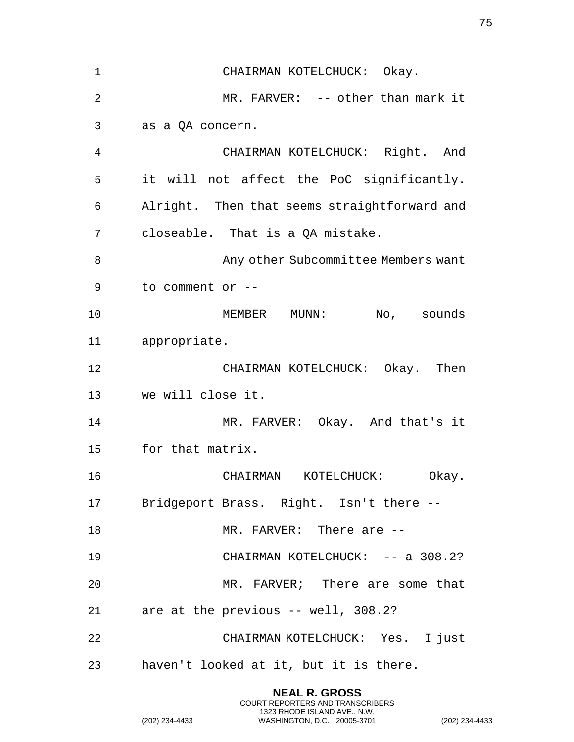| $\mathbf 1$ | CHAIRMAN KOTELCHUCK: Okay.                   |
|-------------|----------------------------------------------|
| 2           | MR. FARVER: -- other than mark it            |
| 3           | as a QA concern.                             |
| 4           | CHAIRMAN KOTELCHUCK: Right. And              |
| 5           | it will not affect the PoC significantly.    |
| 6           | Alright. Then that seems straightforward and |
| 7           | closeable. That is a QA mistake.             |
| 8           | Any other Subcommittee Members want          |
| 9           | to comment or --                             |
| 10          | MEMBER MUNN: No, sounds                      |
| 11          | appropriate.                                 |
| 12          | CHAIRMAN KOTELCHUCK: Okay. Then              |
| 13          | we will close it.                            |
| 14          | MR. FARVER: Okay. And that's it              |
| 15          | for that matrix.                             |
| 16          | CHAIRMAN<br>KOTELCHUCK:<br>Okay.             |
|             | 17 Bridgeport Brass. Right. Isn't there --   |
| 18          | MR. FARVER: There are --                     |
| 19          | CHAIRMAN KOTELCHUCK: -- a 308.2?             |
| 20          | MR. FARVER; There are some that              |
| 21          | are at the previous -- well, 308.2?          |
| 22          | CHAIRMAN KOTELCHUCK: Yes. I just             |
| 23          | haven't looked at it, but it is there.       |

(202) 234-4433 WASHINGTON, D.C. 20005-3701 (202) 234-4433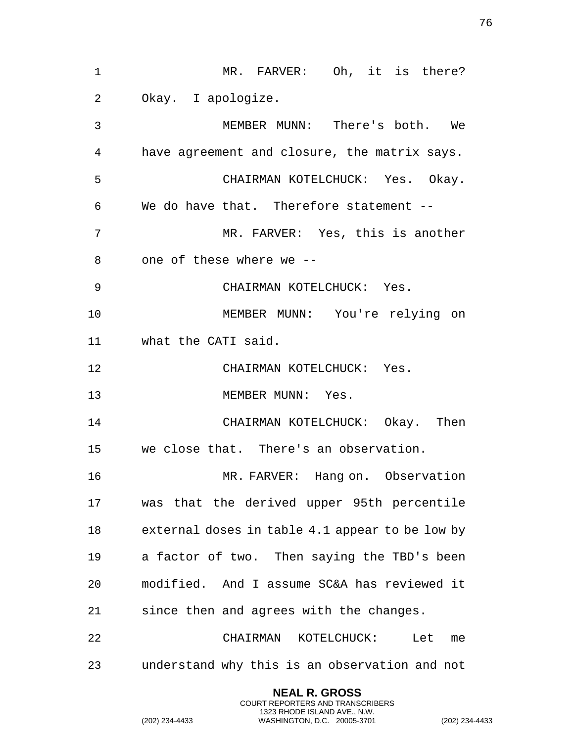| $\mathbf 1$     | MR. FARVER: Oh, it is there?                    |
|-----------------|-------------------------------------------------|
| 2               | Okay. I apologize.                              |
| 3               | MEMBER MUNN: There's both. We                   |
| 4               | have agreement and closure, the matrix says.    |
| 5               | CHAIRMAN KOTELCHUCK: Yes. Okay.                 |
| 6               | We do have that. Therefore statement --         |
| 7               | MR. FARVER: Yes, this is another                |
| 8               | one of these where we --                        |
| 9               | CHAIRMAN KOTELCHUCK: Yes.                       |
| 10              | MEMBER MUNN: You're relying on                  |
| 11 <sup>1</sup> | what the CATI said.                             |
| 12              | CHAIRMAN KOTELCHUCK: Yes.                       |
| 13              | MEMBER MUNN: Yes.                               |
| 14              | CHAIRMAN KOTELCHUCK: Okay. Then                 |
| 15              | we close that. There's an observation.          |
| 16              | MR. FARVER: Hang on. Observation                |
| 17              | was that the derived upper 95th percentile      |
| 18              | external doses in table 4.1 appear to be low by |
| 19              | a factor of two. Then saying the TBD's been     |
| 20              | modified. And I assume SC&A has reviewed it     |
| 21              | since then and agrees with the changes.         |
| 22              | CHAIRMAN KOTELCHUCK:<br>Let me                  |
| 23              | understand why this is an observation and not   |
|                 |                                                 |

(202) 234-4433 WASHINGTON, D.C. 20005-3701 (202) 234-4433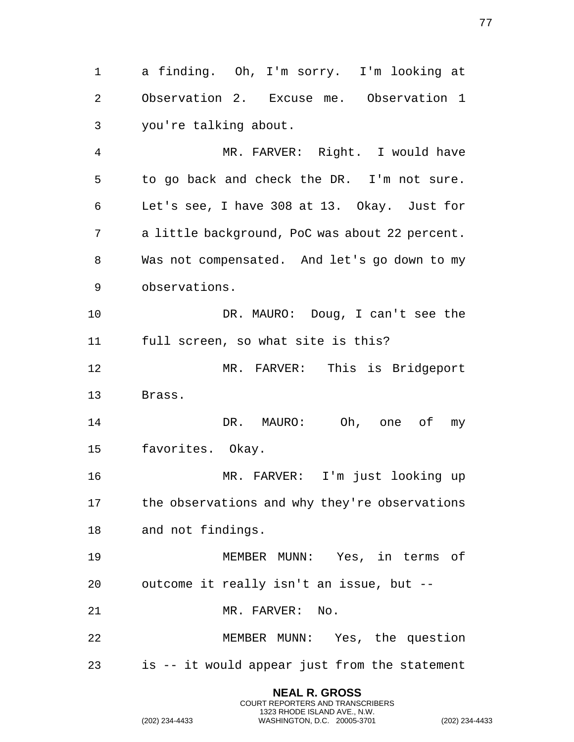a finding. Oh, I'm sorry. I'm looking at Observation 2. Excuse me. Observation 1 you're talking about. MR. FARVER: Right. I would have

 to go back and check the DR. I'm not sure. Let's see, I have 308 at 13. Okay. Just for a little background, PoC was about 22 percent. Was not compensated. And let's go down to my observations.

10 DR. MAURO: Doug, I can't see the full screen, so what site is this?

 MR. FARVER: This is Bridgeport Brass.

 DR. MAURO: Oh, one of my favorites. Okay.

 MR. FARVER: I'm just looking up the observations and why they're observations and not findings.

 MEMBER MUNN: Yes, in terms of outcome it really isn't an issue, but -- 21 MR. FARVER: No.

 MEMBER MUNN: Yes, the question is -- it would appear just from the statement

> **NEAL R. GROSS** COURT REPORTERS AND TRANSCRIBERS 1323 RHODE ISLAND AVE., N.W.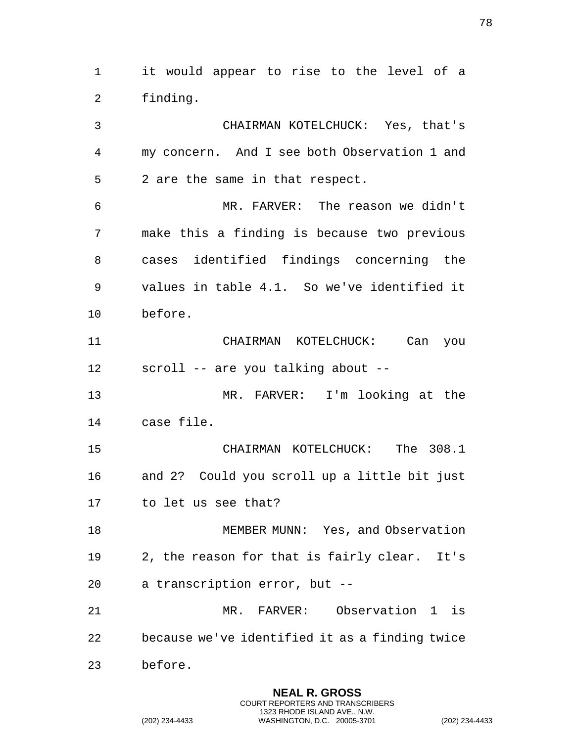it would appear to rise to the level of a finding. CHAIRMAN KOTELCHUCK: Yes, that's my concern. And I see both Observation 1 and 2 are the same in that respect. MR. FARVER: The reason we didn't make this a finding is because two previous cases identified findings concerning the values in table 4.1. So we've identified it before. CHAIRMAN KOTELCHUCK: Can you scroll -- are you talking about -- MR. FARVER: I'm looking at the case file. CHAIRMAN KOTELCHUCK: The 308.1 and 2? Could you scroll up a little bit just to let us see that? MEMBER MUNN: Yes, and Observation 2, the reason for that is fairly clear. It's a transcription error, but -- MR. FARVER: Observation 1 is because we've identified it as a finding twice before.

> **NEAL R. GROSS** COURT REPORTERS AND TRANSCRIBERS 1323 RHODE ISLAND AVE., N.W.

(202) 234-4433 WASHINGTON, D.C. 20005-3701 (202) 234-4433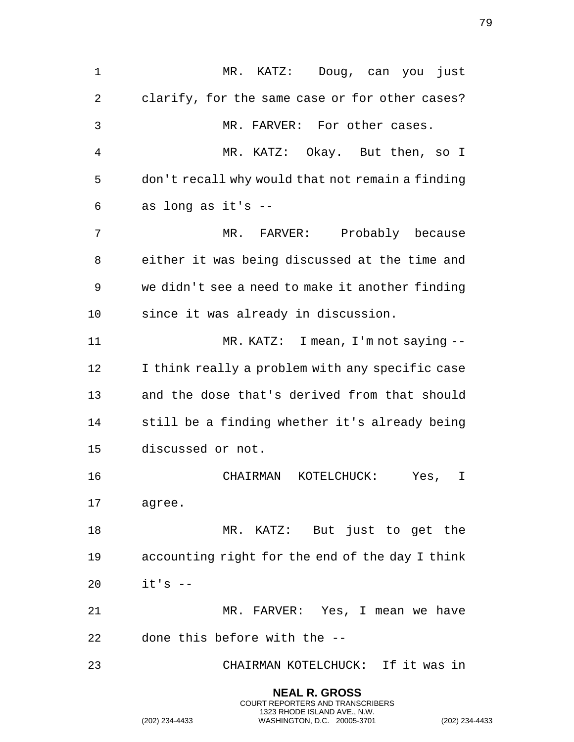| $\mathbf 1$ | MR. KATZ: Doug, can you just                     |
|-------------|--------------------------------------------------|
| 2           | clarify, for the same case or for other cases?   |
| 3           | MR. FARVER: For other cases.                     |
| 4           | MR. KATZ: Okay. But then, so I                   |
| 5           | don't recall why would that not remain a finding |
| 6           | as long as it's --                               |
| 7           | MR. FARVER: Probably because                     |
| 8           | either it was being discussed at the time and    |
| 9           | we didn't see a need to make it another finding  |
| 10          | since it was already in discussion.              |
| 11          | $MR. KATZ: I mean, I'm not saying --$            |
| 12          | I think really a problem with any specific case  |
| 13          | and the dose that's derived from that should     |
| 14          | still be a finding whether it's already being    |
| 15          | discussed or not.                                |
| 16          | CHAIRMAN<br>KOTELCHUCK:<br>Yes,<br>I             |
| 17          | agree.                                           |
| 18          | MR. KATZ: But just to get the                    |
| 19          | accounting right for the end of the day I think  |
| 20          | $it's$ --                                        |
| 21          | MR. FARVER: Yes, I mean we have                  |
| 22          | done this before with the --                     |
| 23          | CHAIRMAN KOTELCHUCK: If it was in                |
|             |                                                  |

(202) 234-4433 WASHINGTON, D.C. 20005-3701 (202) 234-4433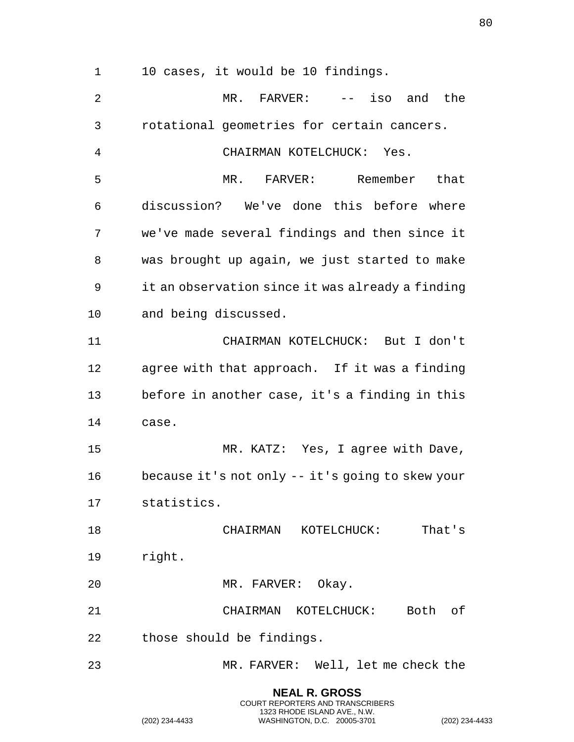10 cases, it would be 10 findings.

| $\overline{2}$ | $MR.$ FARVER: $--$ iso and the                   |
|----------------|--------------------------------------------------|
| 3              | rotational geometries for certain cancers.       |
| 4              | CHAIRMAN KOTELCHUCK: Yes.                        |
| 5              | MR. FARVER: Remember that                        |
| 6              | discussion? We've done this before where         |
| 7              | we've made several findings and then since it    |
| 8              | was brought up again, we just started to make    |
| 9              | it an observation since it was already a finding |
| 10             | and being discussed.                             |
| 11             | CHAIRMAN KOTELCHUCK: But I don't                 |
| 12             | agree with that approach. If it was a finding    |
| 13             | before in another case, it's a finding in this   |
| 14             | case.                                            |
| 15             | MR. KATZ: Yes, I agree with Dave,                |
| 16             | because it's not only -- it's going to skew your |
| 17             | statistics.                                      |
| 18             | CHAIRMAN KOTELCHUCK: That's                      |
| 19             | right.                                           |
| 20             | MR. FARVER: Okay.                                |
| 21             | CHAIRMAN KOTELCHUCK: Both of                     |
| 22             | those should be findings.                        |
| 23             | MR. FARVER: Well, let me check the               |

**NEAL R. GROSS** COURT REPORTERS AND TRANSCRIBERS 1323 RHODE ISLAND AVE., N.W.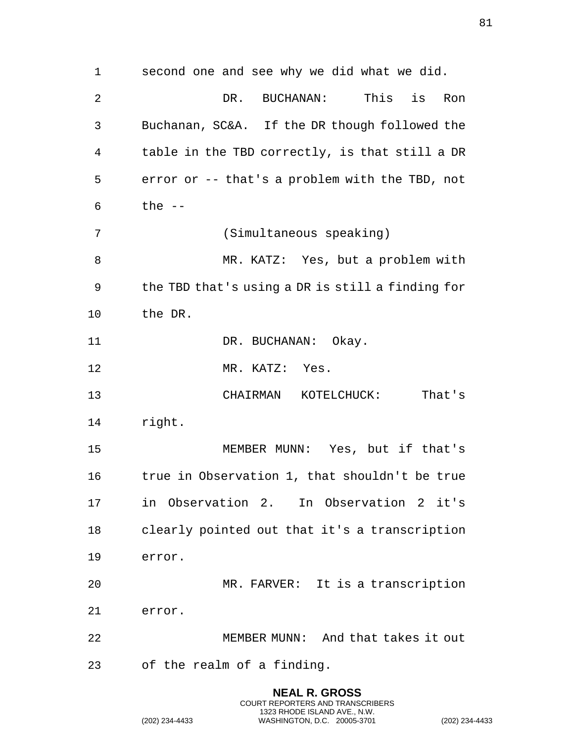second one and see why we did what we did. DR. BUCHANAN: This is Ron Buchanan, SC&A. If the DR though followed the table in the TBD correctly, is that still a DR error or -- that's a problem with the TBD, not the -- (Simultaneous speaking) MR. KATZ: Yes, but a problem with the TBD that's using a DR is still a finding for the DR. 11 DR. BUCHANAN: Okay. MR. KATZ: Yes. CHAIRMAN KOTELCHUCK: That's right. MEMBER MUNN: Yes, but if that's true in Observation 1, that shouldn't be true in Observation 2. In Observation 2 it's clearly pointed out that it's a transcription error. MR. FARVER: It is a transcription error. MEMBER MUNN: And that takes it out of the realm of a finding.

> **NEAL R. GROSS** COURT REPORTERS AND TRANSCRIBERS 1323 RHODE ISLAND AVE., N.W.

(202) 234-4433 WASHINGTON, D.C. 20005-3701 (202) 234-4433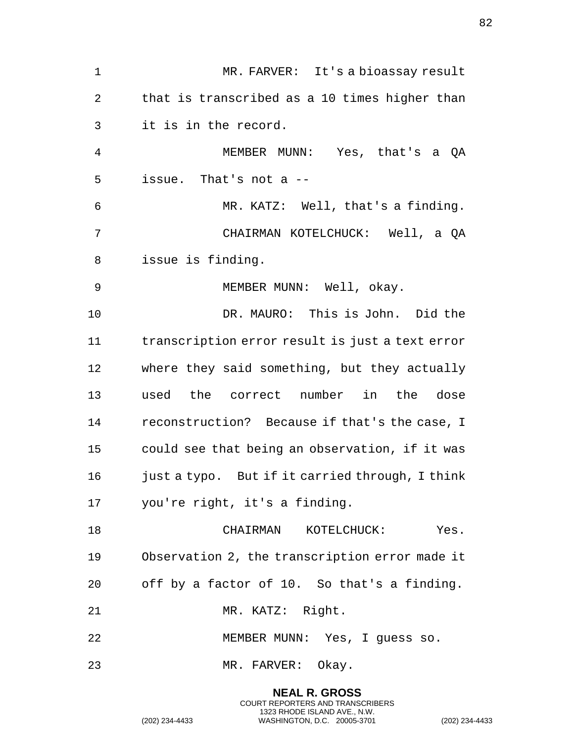| $\mathbf 1$    | MR. FARVER: It's a bioassay result              |
|----------------|-------------------------------------------------|
| 2              | that is transcribed as a 10 times higher than   |
| 3              | it is in the record.                            |
| $\overline{4}$ | MEMBER MUNN: Yes, that's a QA                   |
| 5              | issue. That's not a --                          |
| 6              | MR. KATZ: Well, that's a finding.               |
| 7              | CHAIRMAN KOTELCHUCK: Well, a QA                 |
| 8              | issue is finding.                               |
| 9              | MEMBER MUNN: Well, okay.                        |
| 10             | DR. MAURO: This is John. Did the                |
| 11             | transcription error result is just a text error |
| 12             | where they said something, but they actually    |
| 13             | used the correct number in the dose             |
| 14             | reconstruction? Because if that's the case, I   |
| 15             | could see that being an observation, if it was  |
| 16             | just a typo. But if it carried through, I think |
| 17             | you're right, it's a finding.                   |
| 18             | CHAIRMAN KOTELCHUCK: Yes.                       |
| 19             | Observation 2, the transcription error made it  |
| 20             | off by a factor of 10. So that's a finding.     |
| 21             | MR. KATZ: Right.                                |
| 22             | MEMBER MUNN: Yes, I guess so.                   |
| 23             | MR. FARVER: Okay.                               |
|                |                                                 |

(202) 234-4433 WASHINGTON, D.C. 20005-3701 (202) 234-4433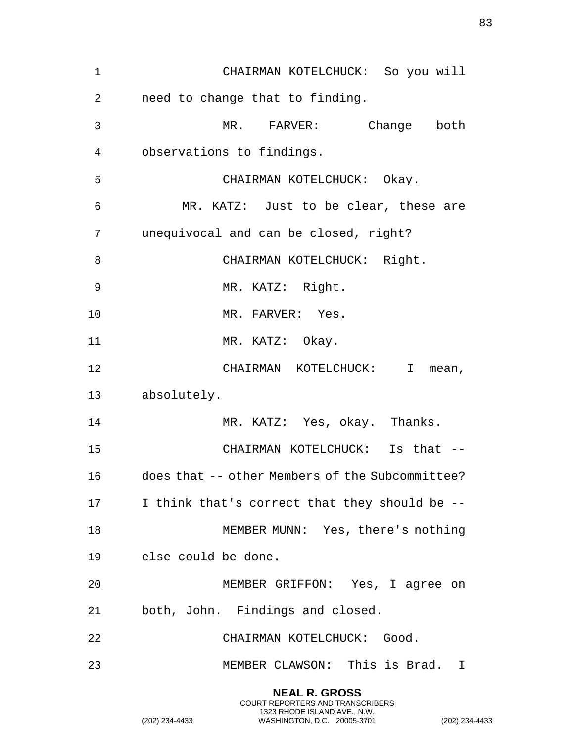| $\mathbf 1$ | CHAIRMAN KOTELCHUCK: So you will                   |
|-------------|----------------------------------------------------|
| 2           | need to change that to finding.                    |
| 3           | MR. FARVER: Change both                            |
| 4           | observations to findings.                          |
| 5           | CHAIRMAN KOTELCHUCK: Okay.                         |
| 6           | MR. KATZ: Just to be clear, these are              |
| 7           | unequivocal and can be closed, right?              |
| 8           | CHAIRMAN KOTELCHUCK: Right.                        |
| 9           | MR. KATZ: Right.                                   |
| 10          | MR. FARVER: Yes.                                   |
| 11          | MR. KATZ: Okay.                                    |
| 12          | CHAIRMAN KOTELCHUCK:<br>$\mathbf{I}$<br>mean,      |
| 13          | absolutely.                                        |
| 14          | MR. KATZ: Yes, okay. Thanks.                       |
| 15          | CHAIRMAN KOTELCHUCK: Is that --                    |
| 16          | does that -- other Members of the Subcommittee?    |
|             | 17 1 I think that's correct that they should be -- |
| 18          | MEMBER MUNN: Yes, there's nothing                  |
| 19          | else could be done.                                |
| 20          | MEMBER GRIFFON: Yes, I agree on                    |
| 21          | both, John. Findings and closed.                   |
| 22          | CHAIRMAN KOTELCHUCK: Good.                         |
| 23          | MEMBER CLAWSON: This is Brad. I                    |
|             | <b>NEAL R. GROSS</b>                               |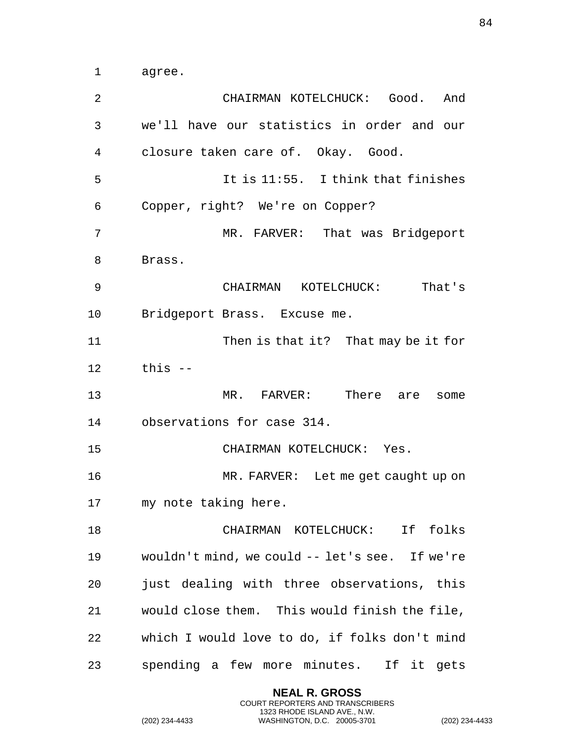agree.

| 2  | CHAIRMAN KOTELCHUCK: Good.<br>And              |
|----|------------------------------------------------|
| 3  | we'll have our statistics in order and our     |
| 4  | closure taken care of. Okay. Good.             |
| 5  | It is 11:55. I think that finishes             |
| 6  | Copper, right? We're on Copper?                |
| 7  | MR. FARVER: That was Bridgeport                |
| 8  | Brass.                                         |
| 9  | CHAIRMAN KOTELCHUCK: That's                    |
| 10 | Bridgeport Brass. Excuse me.                   |
| 11 | Then is that it? That may be it for            |
| 12 | this --                                        |
| 13 | MR. FARVER: There are<br>some                  |
| 14 | observations for case 314.                     |
| 15 | CHAIRMAN KOTELCHUCK: Yes.                      |
| 16 | MR. FARVER: Let me get caught up on            |
| 17 | my note taking here.                           |
| 18 | CHAIRMAN KOTELCHUCK: If folks                  |
| 19 | wouldn't mind, we could -- let's see. If we're |
| 20 | just dealing with three observations, this     |
| 21 | would close them. This would finish the file,  |
| 22 | which I would love to do, if folks don't mind  |
| 23 | spending a few more minutes. If it gets        |

**NEAL R. GROSS** COURT REPORTERS AND TRANSCRIBERS 1323 RHODE ISLAND AVE., N.W.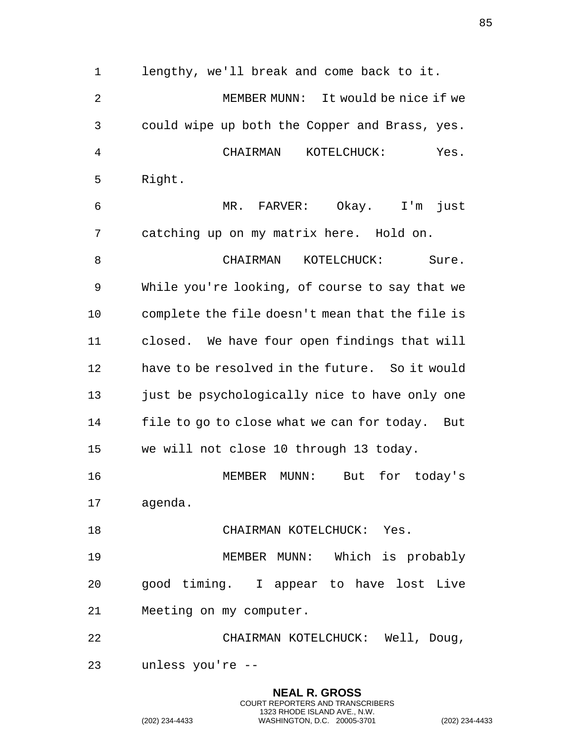lengthy, we'll break and come back to it. MEMBER MUNN: It would be nice if we could wipe up both the Copper and Brass, yes. CHAIRMAN KOTELCHUCK: Yes. Right. MR. FARVER: Okay. I'm just catching up on my matrix here. Hold on. 8 CHAIRMAN KOTELCHUCK: Sure. While you're looking, of course to say that we complete the file doesn't mean that the file is closed. We have four open findings that will have to be resolved in the future. So it would just be psychologically nice to have only one file to go to close what we can for today. But we will not close 10 through 13 today. MEMBER MUNN: But for today's agenda. 18 CHAIRMAN KOTELCHUCK: Yes. MEMBER MUNN: Which is probably good timing. I appear to have lost Live Meeting on my computer. CHAIRMAN KOTELCHUCK: Well, Doug, unless you're --

> **NEAL R. GROSS** COURT REPORTERS AND TRANSCRIBERS 1323 RHODE ISLAND AVE., N.W.

(202) 234-4433 WASHINGTON, D.C. 20005-3701 (202) 234-4433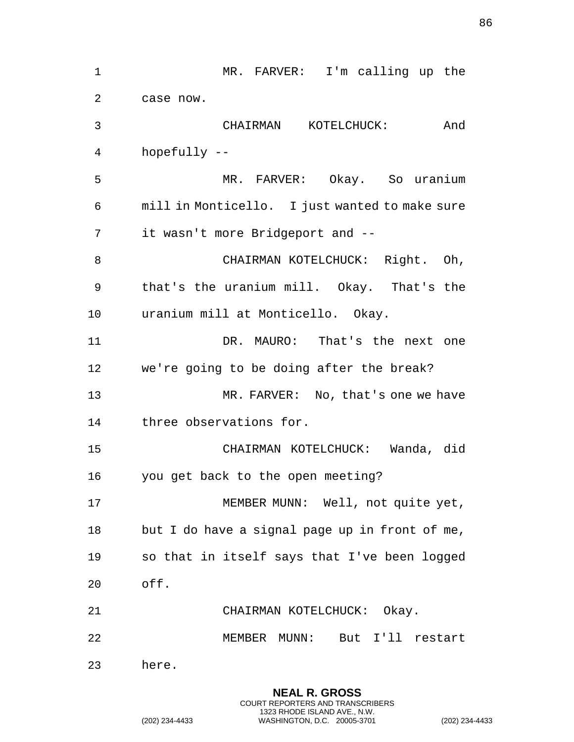| 1  | MR. FARVER: I'm calling up the                 |
|----|------------------------------------------------|
| 2  | case now.                                      |
| 3  | And<br>CHAIRMAN KOTELCHUCK:                    |
| 4  | hopefully --                                   |
| 5  | MR. FARVER: Okay. So uranium                   |
| 6  | mill in Monticello. I just wanted to make sure |
| 7  | it wasn't more Bridgeport and --               |
| 8  | CHAIRMAN KOTELCHUCK: Right. Oh,                |
| 9  | that's the uranium mill. Okay. That's the      |
| 10 | uranium mill at Monticello. Okay.              |
| 11 | DR. MAURO: That's the next one                 |
| 12 | we're going to be doing after the break?       |
| 13 | MR. FARVER: No, that's one we have             |
| 14 | three observations for.                        |
| 15 | CHAIRMAN KOTELCHUCK: Wanda, did                |
| 16 | you get back to the open meeting?              |
| 17 | MEMBER MUNN: Well, not quite yet,              |
| 18 | but I do have a signal page up in front of me, |
| 19 | so that in itself says that I've been logged   |
| 20 | off.                                           |
| 21 | CHAIRMAN KOTELCHUCK: Okay.                     |
| 22 | MEMBER MUNN: But I'll restart                  |
| 23 | here.                                          |
|    |                                                |

(202) 234-4433 WASHINGTON, D.C. 20005-3701 (202) 234-4433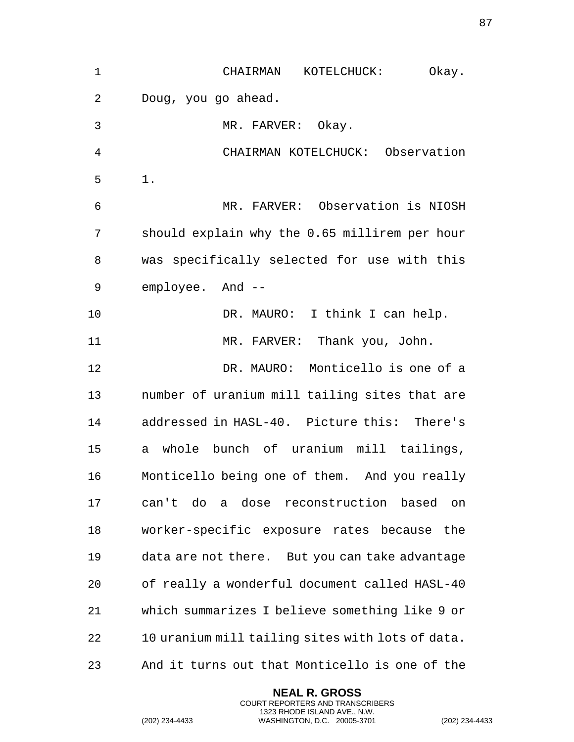| 1  | CHAIRMAN<br>KOTELCHUCK:<br>Okay.                 |
|----|--------------------------------------------------|
| 2  | Doug, you go ahead.                              |
| 3  | MR. FARVER: Okay.                                |
| 4  | CHAIRMAN KOTELCHUCK: Observation                 |
| 5  | $1$ .                                            |
| 6  | MR. FARVER: Observation is NIOSH                 |
| 7  | should explain why the 0.65 millirem per hour    |
| 8  | was specifically selected for use with this      |
| 9  | employee. And --                                 |
| 10 | DR. MAURO: I think I can help.                   |
| 11 | MR. FARVER: Thank you, John.                     |
| 12 | DR. MAURO: Monticello is one of a                |
| 13 | number of uranium mill tailing sites that are    |
| 14 | addressed in HASL-40. Picture this: There's      |
| 15 | a whole bunch of uranium mill tailings,          |
| 16 | Monticello being one of them. And you really     |
| 17 | can't do a dose reconstruction based on          |
| 18 | worker-specific exposure rates because the       |
| 19 | data are not there. But you can take advantage   |
| 20 | of really a wonderful document called HASL-40    |
| 21 | which summarizes I believe something like 9 or   |
| 22 | 10 uranium mill tailing sites with lots of data. |
| 23 | And it turns out that Monticello is one of the   |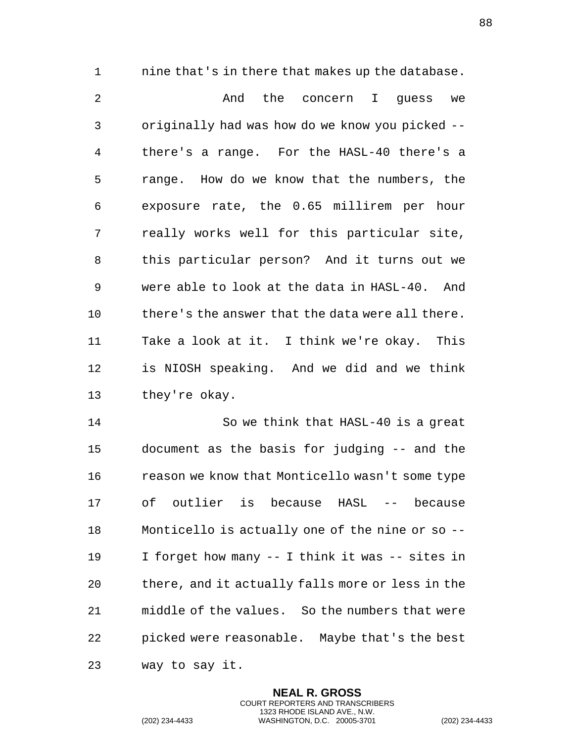nine that's in there that makes up the database.

2 And the concern I guess we originally had was how do we know you picked -- there's a range. For the HASL-40 there's a range. How do we know that the numbers, the exposure rate, the 0.65 millirem per hour really works well for this particular site, this particular person? And it turns out we were able to look at the data in HASL-40. And 10 there's the answer that the data were all there. Take a look at it. I think we're okay. This is NIOSH speaking. And we did and we think they're okay.

 So we think that HASL-40 is a great document as the basis for judging -- and the reason we know that Monticello wasn't some type of outlier is because HASL -- because Monticello is actually one of the nine or so -- I forget how many -- I think it was -- sites in there, and it actually falls more or less in the middle of the values. So the numbers that were picked were reasonable. Maybe that's the best way to say it.

> **NEAL R. GROSS** COURT REPORTERS AND TRANSCRIBERS 1323 RHODE ISLAND AVE., N.W.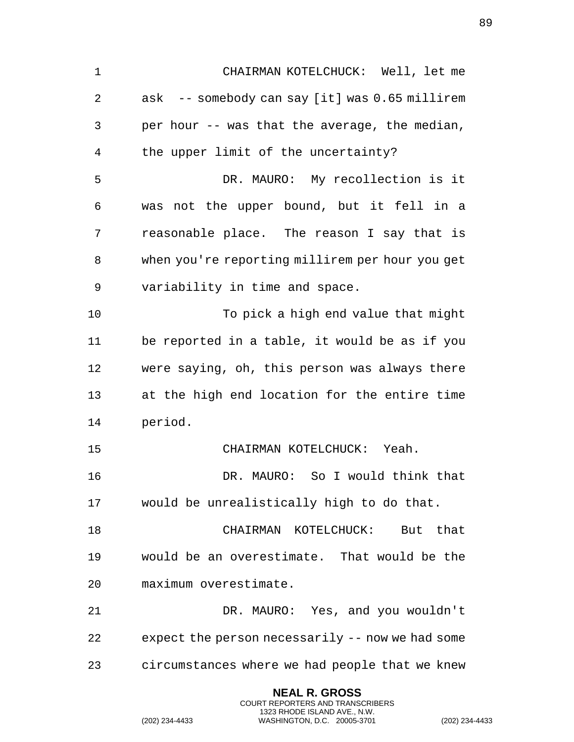| $\mathbf 1$ | CHAIRMAN KOTELCHUCK: Well, let me                |
|-------------|--------------------------------------------------|
| 2           | ask -- somebody can say [it] was 0.65 millirem   |
| 3           | per hour -- was that the average, the median,    |
| 4           | the upper limit of the uncertainty?              |
| 5           | DR. MAURO: My recollection is it                 |
| 6           | not the upper bound, but it fell in a<br>was     |
| 7           | reasonable place. The reason I say that is       |
| 8           | when you're reporting millirem per hour you get  |
| 9           | variability in time and space.                   |
| 10          | To pick a high end value that might              |
| 11          | be reported in a table, it would be as if you    |
| 12          | were saying, oh, this person was always there    |
| 13          | at the high end location for the entire time     |
| 14          | period.                                          |
| 15          | CHAIRMAN KOTELCHUCK: Yeah.                       |
| 16          | DR. MAURO: So I would think that                 |
| 17          | would be unrealistically high to do that.        |
| 18          | KOTELCHUCK:<br>CHAIRMAN<br>But that              |
| 19          | would be an overestimate. That would be the      |
| 20          | maximum overestimate.                            |
| 21          | DR. MAURO: Yes, and you wouldn't                 |
| 22          | expect the person necessarily -- now we had some |
| 23          | circumstances where we had people that we knew   |
|             |                                                  |

(202) 234-4433 WASHINGTON, D.C. 20005-3701 (202) 234-4433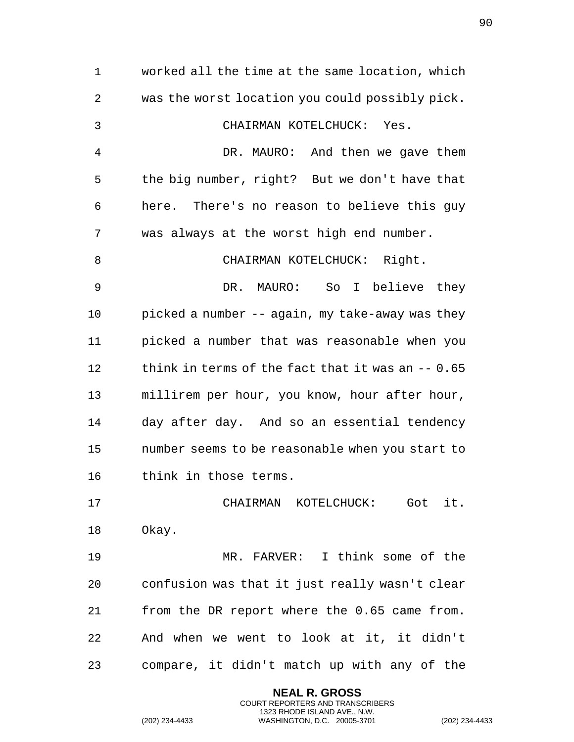worked all the time at the same location, which was the worst location you could possibly pick. CHAIRMAN KOTELCHUCK: Yes. DR. MAURO: And then we gave them the big number, right? But we don't have that here. There's no reason to believe this guy was always at the worst high end number. 8 CHAIRMAN KOTELCHUCK: Right. DR. MAURO: So I believe they picked a number -- again, my take-away was they picked a number that was reasonable when you think in terms of the fact that it was an -- 0.65 millirem per hour, you know, hour after hour, day after day. And so an essential tendency number seems to be reasonable when you start to think in those terms. CHAIRMAN KOTELCHUCK: Got it. Okay. MR. FARVER: I think some of the confusion was that it just really wasn't clear from the DR report where the 0.65 came from. And when we went to look at it, it didn't compare, it didn't match up with any of the

> **NEAL R. GROSS** COURT REPORTERS AND TRANSCRIBERS 1323 RHODE ISLAND AVE., N.W.

(202) 234-4433 WASHINGTON, D.C. 20005-3701 (202) 234-4433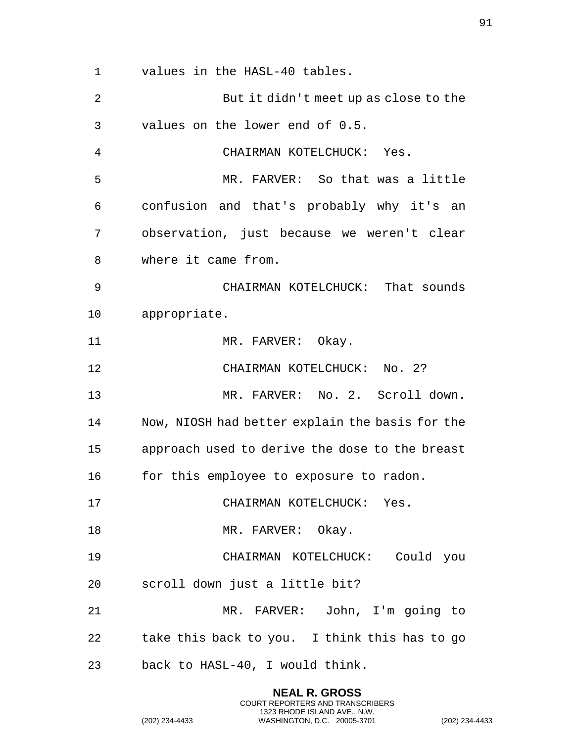values in the HASL-40 tables.

 But it didn't meet up as close to the values on the lower end of 0.5. CHAIRMAN KOTELCHUCK: Yes. MR. FARVER: So that was a little confusion and that's probably why it's an observation, just because we weren't clear where it came from. CHAIRMAN KOTELCHUCK: That sounds appropriate. 11 MR. FARVER: Okay. CHAIRMAN KOTELCHUCK: No. 2? MR. FARVER: No. 2. Scroll down. Now, NIOSH had better explain the basis for the approach used to derive the dose to the breast 16 for this employee to exposure to radon. CHAIRMAN KOTELCHUCK: Yes. 18 MR. FARVER: Okay. CHAIRMAN KOTELCHUCK: Could you scroll down just a little bit? MR. FARVER: John, I'm going to take this back to you. I think this has to go back to HASL-40, I would think.

> **NEAL R. GROSS** COURT REPORTERS AND TRANSCRIBERS 1323 RHODE ISLAND AVE., N.W.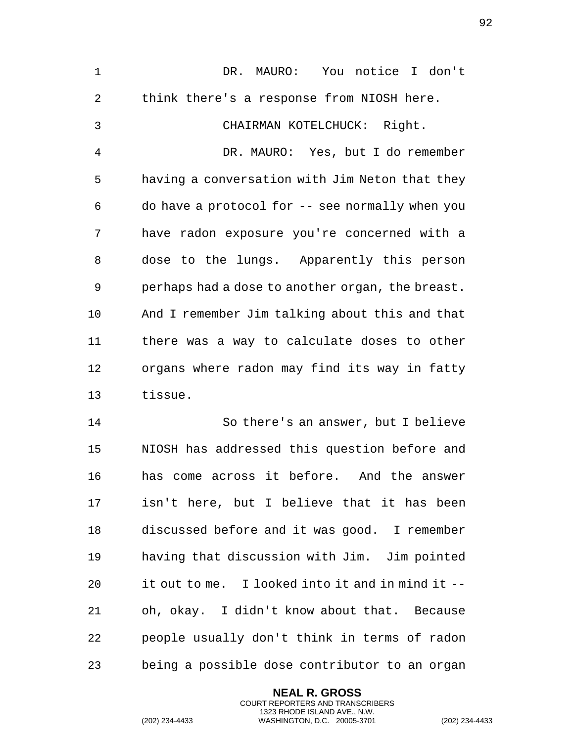DR. MAURO: You notice I don't think there's a response from NIOSH here. CHAIRMAN KOTELCHUCK: Right. DR. MAURO: Yes, but I do remember having a conversation with Jim Neton that they do have a protocol for -- see normally when you have radon exposure you're concerned with a dose to the lungs. Apparently this person perhaps had a dose to another organ, the breast. And I remember Jim talking about this and that there was a way to calculate doses to other organs where radon may find its way in fatty tissue.

 So there's an answer, but I believe NIOSH has addressed this question before and has come across it before. And the answer isn't here, but I believe that it has been discussed before and it was good. I remember having that discussion with Jim. Jim pointed it out to me. I looked into it and in mind it -- oh, okay. I didn't know about that. Because people usually don't think in terms of radon being a possible dose contributor to an organ

> **NEAL R. GROSS** COURT REPORTERS AND TRANSCRIBERS 1323 RHODE ISLAND AVE., N.W.

(202) 234-4433 WASHINGTON, D.C. 20005-3701 (202) 234-4433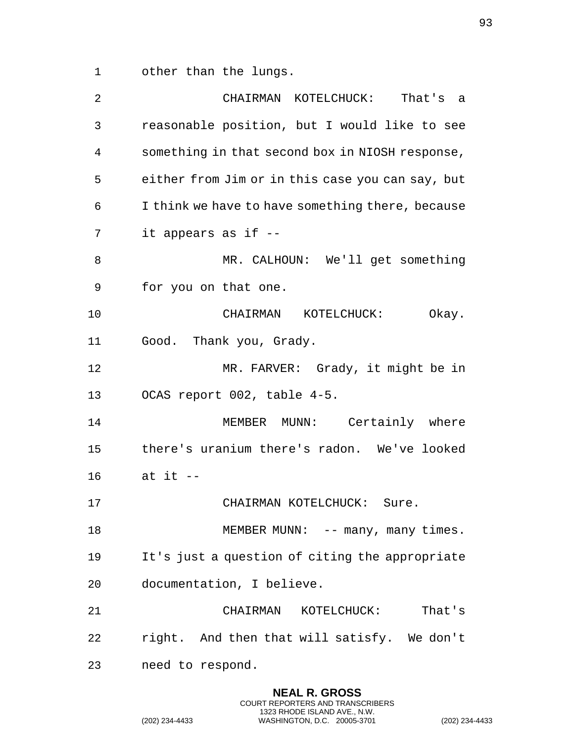other than the lungs.

| 2  | CHAIRMAN KOTELCHUCK:<br>That's a                 |
|----|--------------------------------------------------|
| 3  | reasonable position, but I would like to see     |
| 4  | something in that second box in NIOSH response,  |
| 5  | either from Jim or in this case you can say, but |
| 6  | I think we have to have something there, because |
| 7  | it appears as if --                              |
| 8  | MR. CALHOUN: We'll get something                 |
| 9  | for you on that one.                             |
| 10 | CHAIRMAN KOTELCHUCK:<br>Okay.                    |
| 11 | Good. Thank you, Grady.                          |
| 12 | MR. FARVER: Grady, it might be in                |
| 13 | OCAS report 002, table 4-5.                      |
| 14 | MEMBER MUNN: Certainly where                     |
| 15 | there's uranium there's radon. We've looked      |
| 16 | at it $-$                                        |
| 17 | CHAIRMAN KOTELCHUCK:<br>Sure.                    |
| 18 | MEMBER MUNN: -- many, many times.                |
| 19 | It's just a question of citing the appropriate   |
| 20 | documentation, I believe.                        |
| 21 | CHAIRMAN KOTELCHUCK:<br>That's                   |
| 22 | right. And then that will satisfy. We don't      |
| 23 | need to respond.                                 |

**NEAL R. GROSS** COURT REPORTERS AND TRANSCRIBERS 1323 RHODE ISLAND AVE., N.W.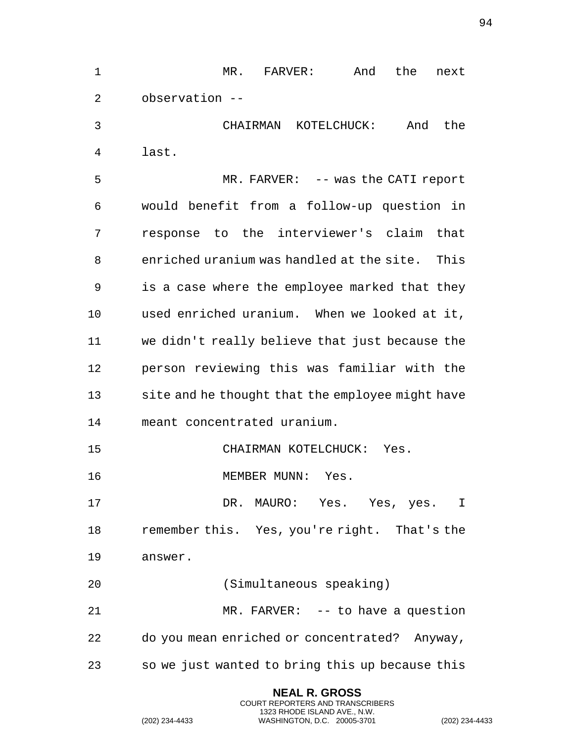MR. FARVER: And the next observation -- CHAIRMAN KOTELCHUCK: And the last. MR. FARVER: -- was the CATI report would benefit from a follow-up question in response to the interviewer's claim that enriched uranium was handled at the site. This is a case where the employee marked that they used enriched uranium. When we looked at it, we didn't really believe that just because the person reviewing this was familiar with the site and he thought that the employee might have meant concentrated uranium. CHAIRMAN KOTELCHUCK: Yes. 16 MEMBER MUNN: Yes. DR. MAURO: Yes. Yes, yes. I remember this. Yes, you're right. That's the answer. (Simultaneous speaking) MR. FARVER: -- to have a question do you mean enriched or concentrated? Anyway, so we just wanted to bring this up because this

> **NEAL R. GROSS** COURT REPORTERS AND TRANSCRIBERS 1323 RHODE ISLAND AVE., N.W.

(202) 234-4433 WASHINGTON, D.C. 20005-3701 (202) 234-4433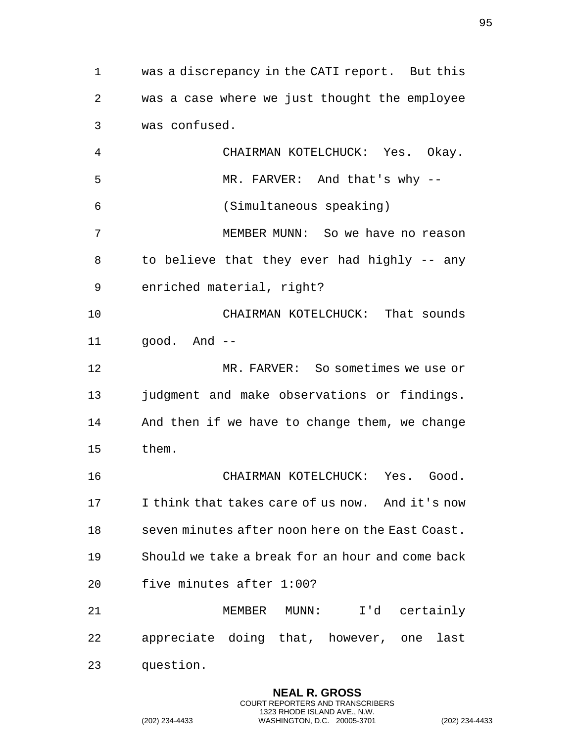was a discrepancy in the CATI report. But this was a case where we just thought the employee was confused. CHAIRMAN KOTELCHUCK: Yes. Okay. MR. FARVER: And that's why -- (Simultaneous speaking) MEMBER MUNN: So we have no reason to believe that they ever had highly -- any enriched material, right? CHAIRMAN KOTELCHUCK: That sounds good. And -- MR. FARVER: So sometimes we use or judgment and make observations or findings. And then if we have to change them, we change them. CHAIRMAN KOTELCHUCK: Yes. Good. I think that takes care of us now. And it's now seven minutes after noon here on the East Coast. Should we take a break for an hour and come back five minutes after 1:00? MEMBER MUNN: I'd certainly appreciate doing that, however, one last question.

> **NEAL R. GROSS** COURT REPORTERS AND TRANSCRIBERS 1323 RHODE ISLAND AVE., N.W.

(202) 234-4433 WASHINGTON, D.C. 20005-3701 (202) 234-4433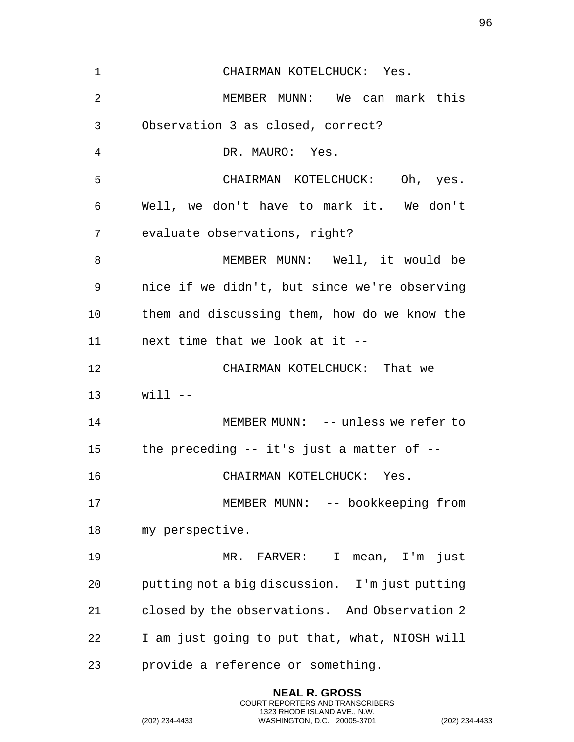| 1              | CHAIRMAN KOTELCHUCK: Yes.                      |
|----------------|------------------------------------------------|
| $\overline{2}$ | MEMBER MUNN: We can mark this                  |
| 3              | Observation 3 as closed, correct?              |
| 4              | DR. MAURO: Yes.                                |
| 5              | CHAIRMAN KOTELCHUCK: Oh, yes.                  |
| 6              | Well, we don't have to mark it. We don't       |
| 7              | evaluate observations, right?                  |
| 8              | MEMBER MUNN: Well, it would be                 |
| 9              | nice if we didn't, but since we're observing   |
| 10             | them and discussing them, how do we know the   |
| 11             | next time that we look at it --                |
| 12             | CHAIRMAN KOTELCHUCK: That we                   |
| 13             | $will -$                                       |
| 14             | MEMBER MUNN: -- unless we refer to             |
| 15             | the preceding -- it's just a matter of --      |
| 16             | CHAIRMAN KOTELCHUCK: Yes.                      |
| 17             | MEMBER MUNN: -- bookkeeping from               |
| 18             | my perspective.                                |
| 19             | MR. FARVER:<br>I mean, I'm just                |
| 20             | putting not a big discussion. I'm just putting |
| 21             | closed by the observations. And Observation 2  |
| 22             | I am just going to put that, what, NIOSH will  |
| 23             | provide a reference or something.              |

(202) 234-4433 WASHINGTON, D.C. 20005-3701 (202) 234-4433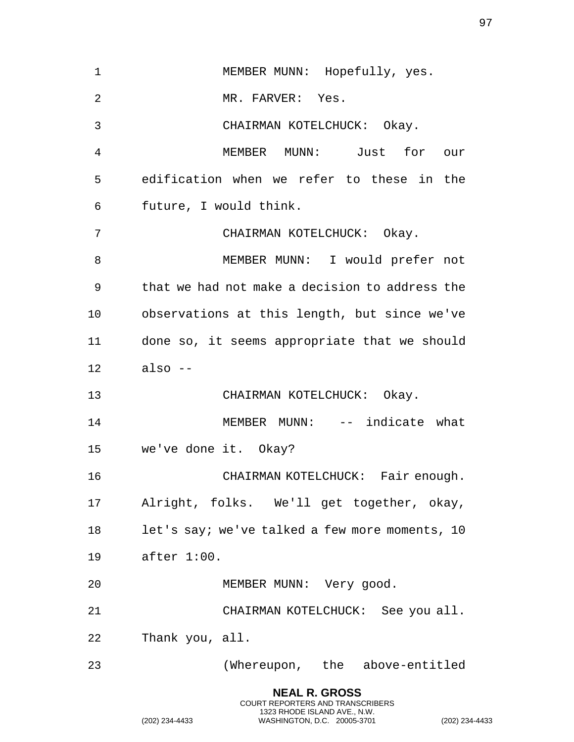| $\mathbf 1$ | MEMBER MUNN: Hopefully, yes.                   |
|-------------|------------------------------------------------|
| 2           | MR. FARVER: Yes.                               |
| 3           | CHAIRMAN KOTELCHUCK: Okay.                     |
| 4           | MEMBER MUNN: Just for our                      |
| 5           | edification when we refer to these in the      |
| 6           | future, I would think.                         |
| 7           | CHAIRMAN KOTELCHUCK: Okay.                     |
| 8           | MEMBER MUNN: I would prefer not                |
| 9           | that we had not make a decision to address the |
| 10          | observations at this length, but since we've   |
| 11          | done so, it seems appropriate that we should   |
| 12          | also --                                        |
| 13          | CHAIRMAN KOTELCHUCK: Okay.                     |
| 14          | MEMBER MUNN: -- indicate what                  |
| 15          | we've done it. Okay?                           |
| 16          | CHAIRMAN KOTELCHUCK: Fair enough.              |
| 17          | Alright, folks. We'll get together, okay,      |
| 18          | let's say; we've talked a few more moments, 10 |
| 19          | after 1:00.                                    |
| 20          | MEMBER MUNN: Very good.                        |
| 21          | CHAIRMAN KOTELCHUCK: See you all.              |
| 22          | Thank you, all.                                |
| 23          | (Whereupon, the above-entitled                 |
|             | <b>NEAL R. GROSS</b>                           |

(202) 234-4433 WASHINGTON, D.C. 20005-3701 (202) 234-4433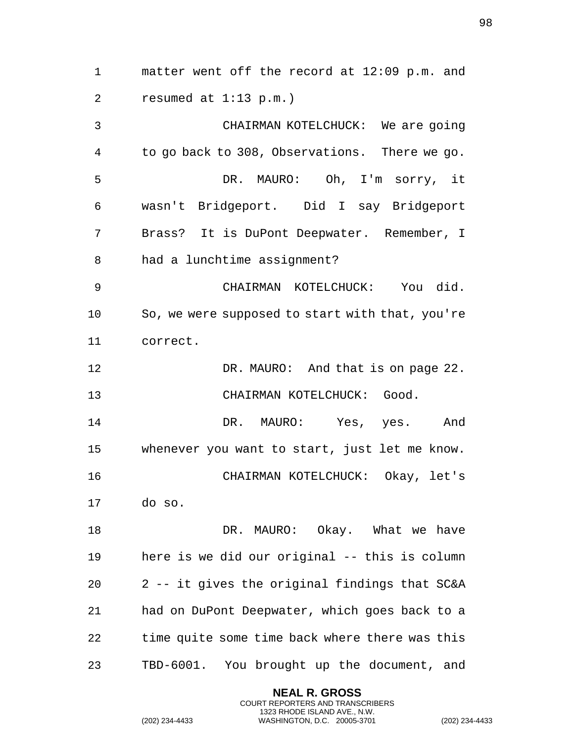matter went off the record at 12:09 p.m. and resumed at 1:13 p.m.) CHAIRMAN KOTELCHUCK: We are going to go back to 308, Observations. There we go. DR. MAURO: Oh, I'm sorry, it wasn't Bridgeport. Did I say Bridgeport Brass? It is DuPont Deepwater. Remember, I had a lunchtime assignment? CHAIRMAN KOTELCHUCK: You did. So, we were supposed to start with that, you're correct. DR. MAURO: And that is on page 22. CHAIRMAN KOTELCHUCK: Good. DR. MAURO: Yes, yes. And whenever you want to start, just let me know. CHAIRMAN KOTELCHUCK: Okay, let's do so. 18 DR. MAURO: Okay. What we have here is we did our original -- this is column 2 -- it gives the original findings that SC&A had on DuPont Deepwater, which goes back to a time quite some time back where there was this TBD-6001. You brought up the document, and

> **NEAL R. GROSS** COURT REPORTERS AND TRANSCRIBERS 1323 RHODE ISLAND AVE., N.W.

(202) 234-4433 WASHINGTON, D.C. 20005-3701 (202) 234-4433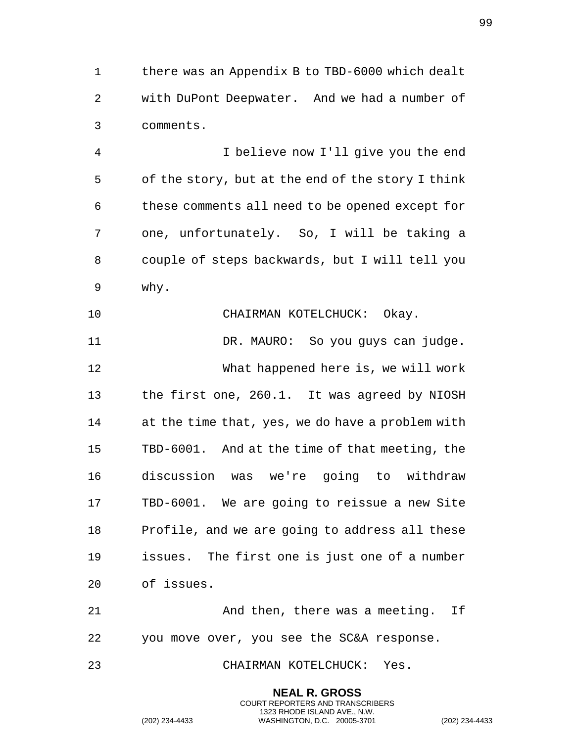there was an Appendix B to TBD-6000 which dealt with DuPont Deepwater. And we had a number of comments.

 I believe now I'll give you the end of the story, but at the end of the story I think these comments all need to be opened except for one, unfortunately. So, I will be taking a couple of steps backwards, but I will tell you why.

 CHAIRMAN KOTELCHUCK: Okay. DR. MAURO: So you guys can judge. What happened here is, we will work the first one, 260.1. It was agreed by NIOSH at the time that, yes, we do have a problem with TBD-6001. And at the time of that meeting, the discussion was we're going to withdraw TBD-6001. We are going to reissue a new Site Profile, and we are going to address all these issues. The first one is just one of a number of issues.

 And then, there was a meeting. If you move over, you see the SC&A response.

> **NEAL R. GROSS** COURT REPORTERS AND TRANSCRIBERS 1323 RHODE ISLAND AVE., N.W.

CHAIRMAN KOTELCHUCK: Yes.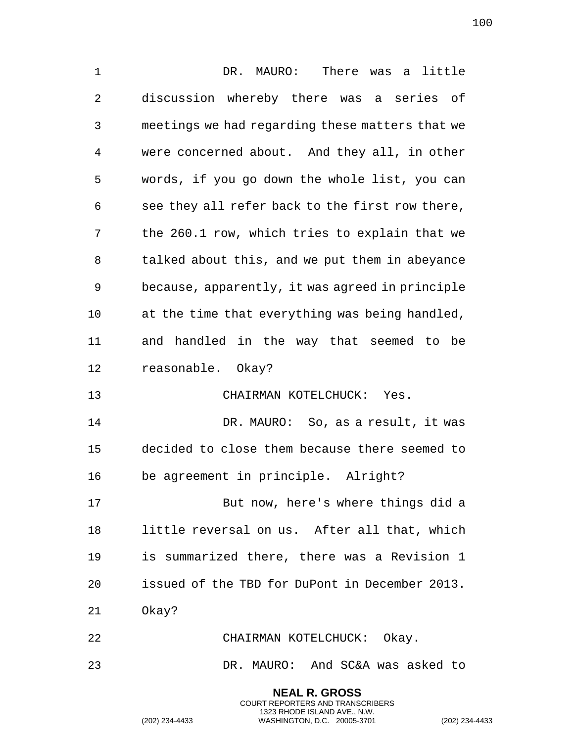DR. MAURO: There was a little discussion whereby there was a series of meetings we had regarding these matters that we were concerned about. And they all, in other words, if you go down the whole list, you can see they all refer back to the first row there, the 260.1 row, which tries to explain that we talked about this, and we put them in abeyance because, apparently, it was agreed in principle at the time that everything was being handled, and handled in the way that seemed to be reasonable. Okay? CHAIRMAN KOTELCHUCK: Yes. DR. MAURO: So, as a result, it was decided to close them because there seemed to be agreement in principle. Alright? But now, here's where things did a little reversal on us. After all that, which is summarized there, there was a Revision 1 issued of the TBD for DuPont in December 2013. Okay? CHAIRMAN KOTELCHUCK: Okay. DR. MAURO: And SC&A was asked to

> **NEAL R. GROSS** COURT REPORTERS AND TRANSCRIBERS 1323 RHODE ISLAND AVE., N.W.

(202) 234-4433 WASHINGTON, D.C. 20005-3701 (202) 234-4433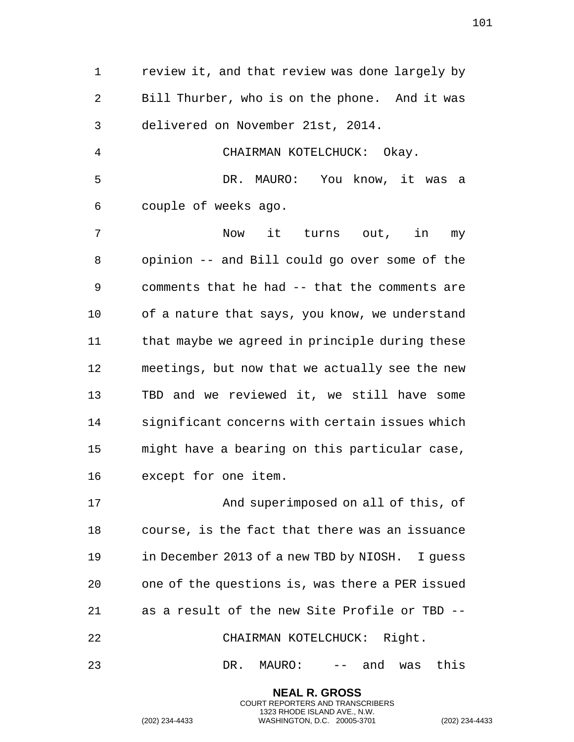review it, and that review was done largely by Bill Thurber, who is on the phone. And it was delivered on November 21st, 2014. CHAIRMAN KOTELCHUCK: Okay. DR. MAURO: You know, it was a couple of weeks ago. Now it turns out, in my opinion -- and Bill could go over some of the comments that he had -- that the comments are of a nature that says, you know, we understand that maybe we agreed in principle during these meetings, but now that we actually see the new TBD and we reviewed it, we still have some significant concerns with certain issues which might have a bearing on this particular case, except for one item. And superimposed on all of this, of course, is the fact that there was an issuance in December 2013 of a new TBD by NIOSH. I guess one of the questions is, was there a PER issued as a result of the new Site Profile or TBD -- CHAIRMAN KOTELCHUCK: Right.

DR. MAURO: -- and was this

**NEAL R. GROSS** COURT REPORTERS AND TRANSCRIBERS 1323 RHODE ISLAND AVE., N.W.

(202) 234-4433 WASHINGTON, D.C. 20005-3701 (202) 234-4433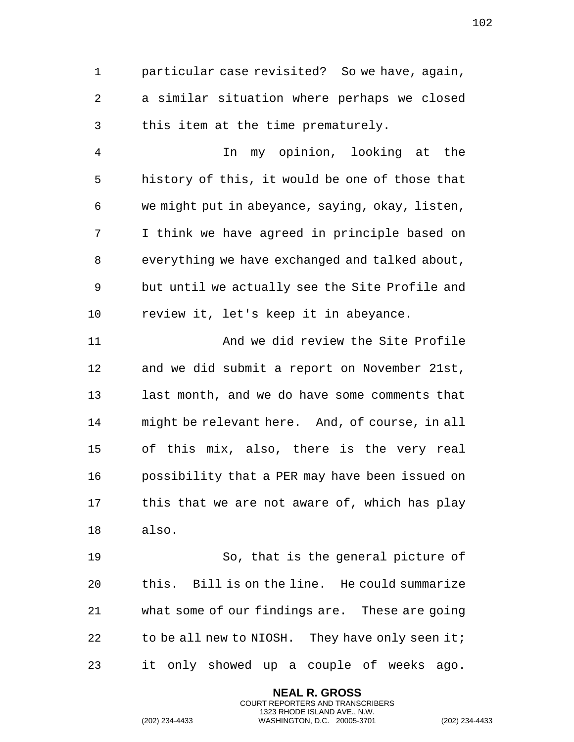particular case revisited? So we have, again, a similar situation where perhaps we closed this item at the time prematurely.

 In my opinion, looking at the history of this, it would be one of those that we might put in abeyance, saying, okay, listen, I think we have agreed in principle based on everything we have exchanged and talked about, but until we actually see the Site Profile and review it, let's keep it in abeyance.

 And we did review the Site Profile and we did submit a report on November 21st, last month, and we do have some comments that might be relevant here. And, of course, in all of this mix, also, there is the very real possibility that a PER may have been issued on this that we are not aware of, which has play also.

 So, that is the general picture of this. Bill is on the line. He could summarize what some of our findings are. These are going 22 to be all new to NIOSH. They have only seen it; it only showed up a couple of weeks ago.

> **NEAL R. GROSS** COURT REPORTERS AND TRANSCRIBERS 1323 RHODE ISLAND AVE., N.W.

(202) 234-4433 WASHINGTON, D.C. 20005-3701 (202) 234-4433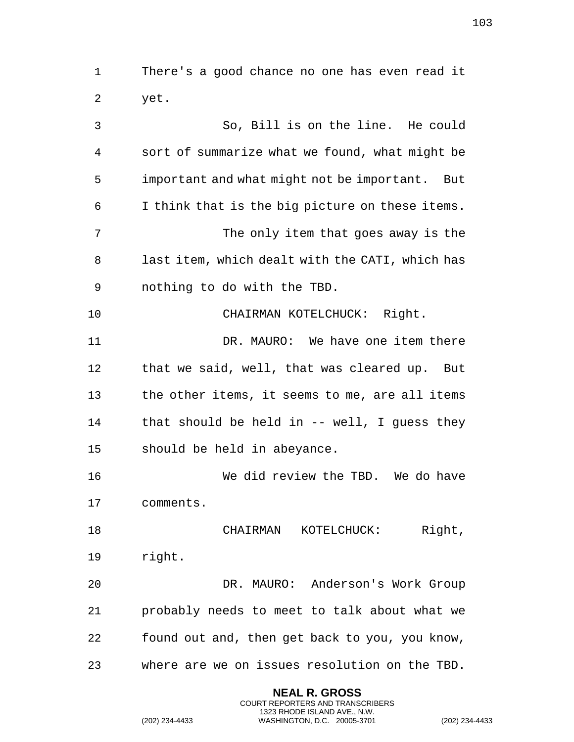There's a good chance no one has even read it yet.

 So, Bill is on the line. He could sort of summarize what we found, what might be important and what might not be important. But I think that is the big picture on these items. 7 The only item that goes away is the last item, which dealt with the CATI, which has nothing to do with the TBD. CHAIRMAN KOTELCHUCK: Right. DR. MAURO: We have one item there that we said, well, that was cleared up. But the other items, it seems to me, are all items that should be held in -- well, I guess they should be held in abeyance. We did review the TBD. We do have comments. 18 CHAIRMAN KOTELCHUCK: Right, right. DR. MAURO: Anderson's Work Group probably needs to meet to talk about what we found out and, then get back to you, you know, where are we on issues resolution on the TBD.

> **NEAL R. GROSS** COURT REPORTERS AND TRANSCRIBERS 1323 RHODE ISLAND AVE., N.W.

(202) 234-4433 WASHINGTON, D.C. 20005-3701 (202) 234-4433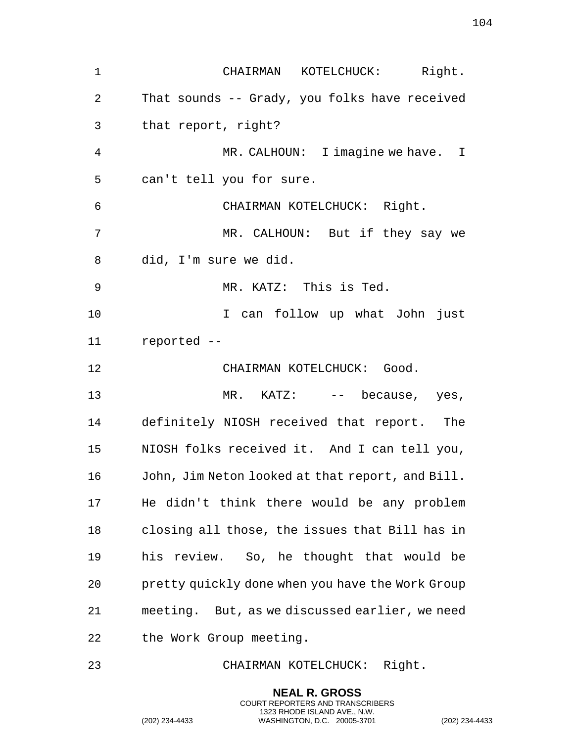CHAIRMAN KOTELCHUCK: Right. That sounds -- Grady, you folks have received that report, right? MR. CALHOUN: I imagine we have. I can't tell you for sure. CHAIRMAN KOTELCHUCK: Right. MR. CALHOUN: But if they say we did, I'm sure we did. MR. KATZ: This is Ted. I can follow up what John just reported -- CHAIRMAN KOTELCHUCK: Good. 13 MR. KATZ:  $-$  because, yes, definitely NIOSH received that report. The NIOSH folks received it. And I can tell you, John, Jim Neton looked at that report, and Bill. He didn't think there would be any problem closing all those, the issues that Bill has in his review. So, he thought that would be pretty quickly done when you have the Work Group meeting. But, as we discussed earlier, we need the Work Group meeting.

CHAIRMAN KOTELCHUCK: Right.

**NEAL R. GROSS** COURT REPORTERS AND TRANSCRIBERS 1323 RHODE ISLAND AVE., N.W.

(202) 234-4433 WASHINGTON, D.C. 20005-3701 (202) 234-4433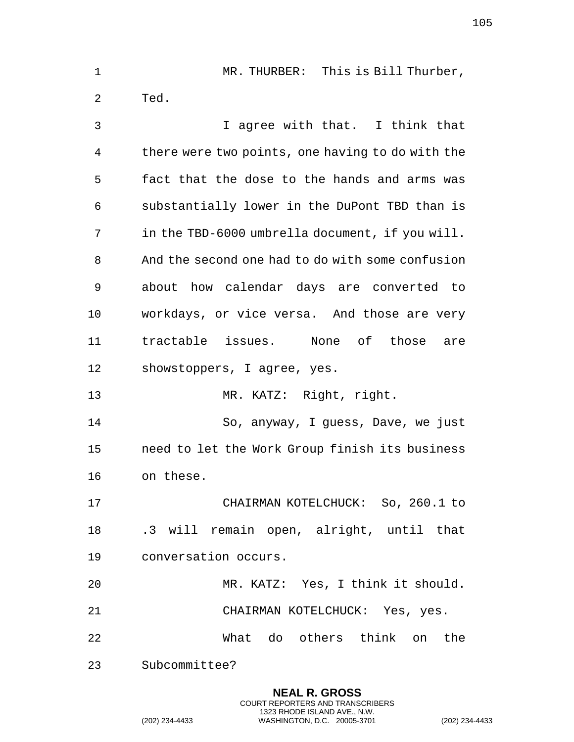MR. THURBER: This is Bill Thurber, Ted. I agree with that. I think that there were two points, one having to do with the fact that the dose to the hands and arms was substantially lower in the DuPont TBD than is in the TBD-6000 umbrella document, if you will. And the second one had to do with some confusion about how calendar days are converted to workdays, or vice versa. And those are very tractable issues. None of those are showstoppers, I agree, yes. MR. KATZ: Right, right. So, anyway, I guess, Dave, we just need to let the Work Group finish its business on these. CHAIRMAN KOTELCHUCK: So, 260.1 to .3 will remain open, alright, until that conversation occurs. MR. KATZ: Yes, I think it should. CHAIRMAN KOTELCHUCK: Yes, yes. What do others think on the Subcommittee?

> **NEAL R. GROSS** COURT REPORTERS AND TRANSCRIBERS 1323 RHODE ISLAND AVE., N.W.

(202) 234-4433 WASHINGTON, D.C. 20005-3701 (202) 234-4433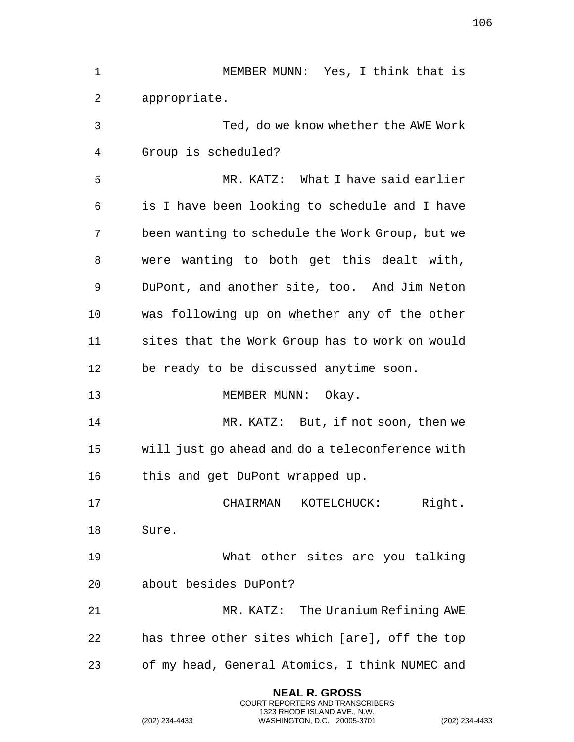| $\mathbf 1$ | MEMBER MUNN: Yes, I think that is               |
|-------------|-------------------------------------------------|
| 2           | appropriate.                                    |
| 3           | Ted, do we know whether the AWE Work            |
| 4           | Group is scheduled?                             |
| 5           | MR. KATZ: What I have said earlier              |
| 6           | is I have been looking to schedule and I have   |
| 7           | been wanting to schedule the Work Group, but we |
| 8           | were wanting to both get this dealt with,       |
| 9           | DuPont, and another site, too. And Jim Neton    |
| 10          | was following up on whether any of the other    |
| 11          | sites that the Work Group has to work on would  |
| 12          | be ready to be discussed anytime soon.          |
| 13          | MEMBER MUNN: Okay.                              |
| 14          | MR. KATZ: But, if not soon, then we             |
| 15          | will just go ahead and do a teleconference with |
| 16          | this and get DuPont wrapped up.                 |
| 17          | CHAIRMAN KOTELCHUCK: Right.                     |
| 18          | Sure.                                           |
| 19          | What other sites are you talking                |
| 20          | about besides DuPont?                           |
| 21          | MR. KATZ: The Uranium Refining AWE              |
| 22          | has three other sites which [are], off the top  |
| 23          | of my head, General Atomics, I think NUMEC and  |
|             |                                                 |

(202) 234-4433 WASHINGTON, D.C. 20005-3701 (202) 234-4433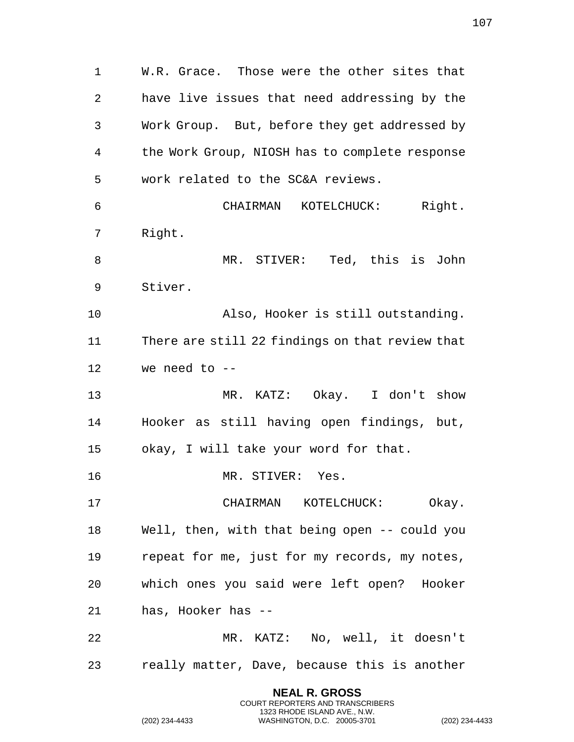W.R. Grace. Those were the other sites that have live issues that need addressing by the Work Group. But, before they get addressed by the Work Group, NIOSH has to complete response work related to the SC&A reviews. CHAIRMAN KOTELCHUCK: Right. Right. MR. STIVER: Ted, this is John Stiver. Also, Hooker is still outstanding. There are still 22 findings on that review that we need to -- MR. KATZ: Okay. I don't show Hooker as still having open findings, but, okay, I will take your word for that. MR. STIVER: Yes. CHAIRMAN KOTELCHUCK: Okay. Well, then, with that being open -- could you repeat for me, just for my records, my notes, which ones you said were left open? Hooker has, Hooker has -- MR. KATZ: No, well, it doesn't really matter, Dave, because this is another

> **NEAL R. GROSS** COURT REPORTERS AND TRANSCRIBERS 1323 RHODE ISLAND AVE., N.W.

(202) 234-4433 WASHINGTON, D.C. 20005-3701 (202) 234-4433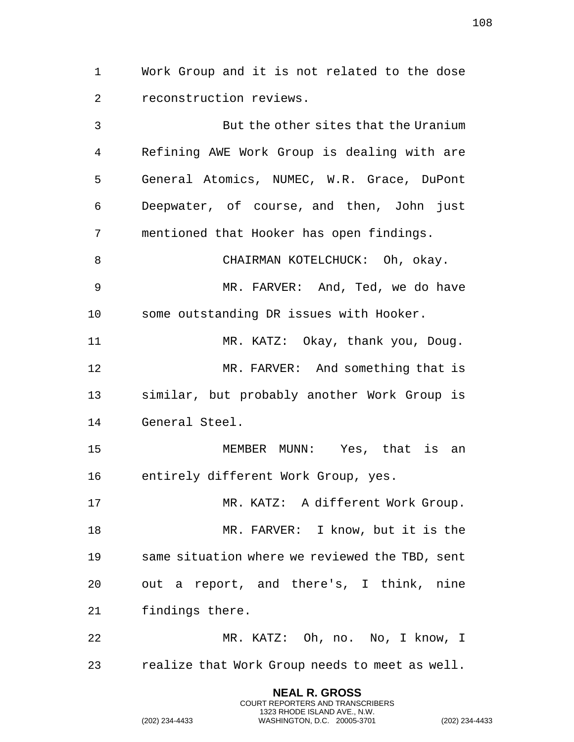Work Group and it is not related to the dose reconstruction reviews.

 But the other sites that the Uranium Refining AWE Work Group is dealing with are General Atomics, NUMEC, W.R. Grace, DuPont Deepwater, of course, and then, John just mentioned that Hooker has open findings. CHAIRMAN KOTELCHUCK: Oh, okay. MR. FARVER: And, Ted, we do have some outstanding DR issues with Hooker. 11 MR. KATZ: Okay, thank you, Doug. MR. FARVER: And something that is similar, but probably another Work Group is General Steel. MEMBER MUNN: Yes, that is an entirely different Work Group, yes. MR. KATZ: A different Work Group. MR. FARVER: I know, but it is the same situation where we reviewed the TBD, sent out a report, and there's, I think, nine findings there.

 MR. KATZ: Oh, no. No, I know, I realize that Work Group needs to meet as well.

> **NEAL R. GROSS** COURT REPORTERS AND TRANSCRIBERS 1323 RHODE ISLAND AVE., N.W.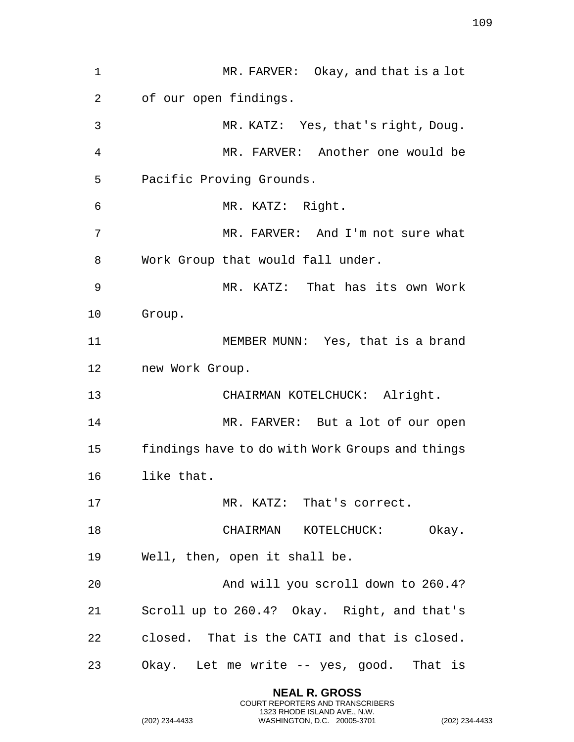1 MR. FARVER: Okay, and that is a lot of our open findings. MR. KATZ: Yes, that's right, Doug. MR. FARVER: Another one would be Pacific Proving Grounds. MR. KATZ: Right. MR. FARVER: And I'm not sure what Work Group that would fall under. MR. KATZ: That has its own Work Group. MEMBER MUNN: Yes, that is a brand new Work Group. CHAIRMAN KOTELCHUCK: Alright. 14 MR. FARVER: But a lot of our open findings have to do with Work Groups and things like that. 17 MR. KATZ: That's correct. 18 CHAIRMAN KOTELCHUCK: Okay. Well, then, open it shall be. And will you scroll down to 260.4? Scroll up to 260.4? Okay. Right, and that's closed. That is the CATI and that is closed. Okay. Let me write -- yes, good. That is

> **NEAL R. GROSS** COURT REPORTERS AND TRANSCRIBERS 1323 RHODE ISLAND AVE., N.W.

(202) 234-4433 WASHINGTON, D.C. 20005-3701 (202) 234-4433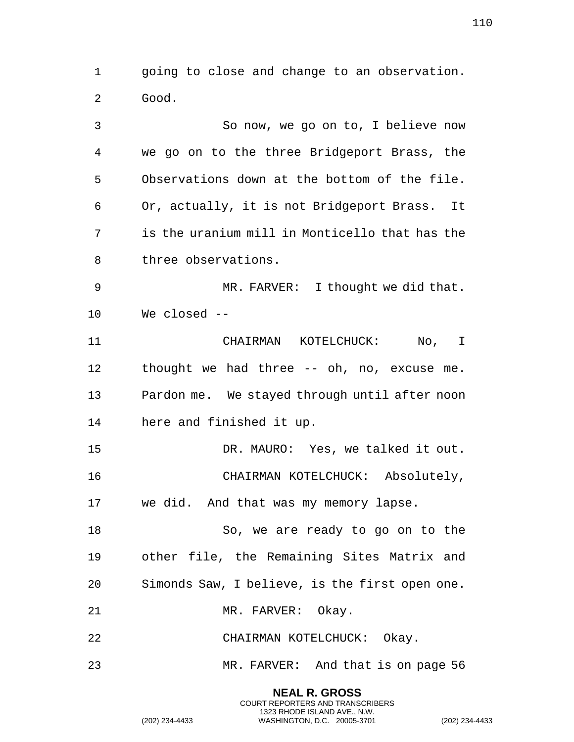going to close and change to an observation. Good.

 So now, we go on to, I believe now we go on to the three Bridgeport Brass, the Observations down at the bottom of the file. Or, actually, it is not Bridgeport Brass. It is the uranium mill in Monticello that has the three observations. MR. FARVER: I thought we did that. We closed -- CHAIRMAN KOTELCHUCK: No, I thought we had three -- oh, no, excuse me. Pardon me. We stayed through until after noon here and finished it up. DR. MAURO: Yes, we talked it out. CHAIRMAN KOTELCHUCK: Absolutely, we did. And that was my memory lapse. So, we are ready to go on to the other file, the Remaining Sites Matrix and Simonds Saw, I believe, is the first open one. 21 MR. FARVER: Okay. CHAIRMAN KOTELCHUCK: Okay. MR. FARVER: And that is on page 56

> **NEAL R. GROSS** COURT REPORTERS AND TRANSCRIBERS 1323 RHODE ISLAND AVE., N.W.

(202) 234-4433 WASHINGTON, D.C. 20005-3701 (202) 234-4433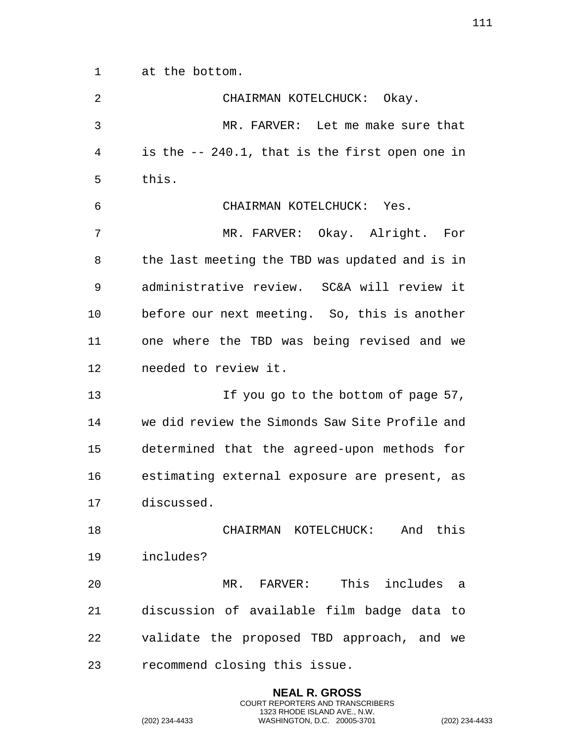at the bottom.

| 2  | CHAIRMAN KOTELCHUCK: Okay.                      |
|----|-------------------------------------------------|
| 3  | MR. FARVER: Let me make sure that               |
| 4  | is the $-240.1$ , that is the first open one in |
| 5  | this.                                           |
| 6  | CHAIRMAN KOTELCHUCK: Yes.                       |
| 7  | MR. FARVER: Okay. Alright. For                  |
| 8  | the last meeting the TBD was updated and is in  |
| 9  | administrative review. SC&A will review it      |
| 10 | before our next meeting. So, this is another    |
| 11 | one where the TBD was being revised and we      |
| 12 | needed to review it.                            |
| 13 | If you go to the bottom of page 57,             |
| 14 | we did review the Simonds Saw Site Profile and  |
| 15 | determined that the agreed-upon methods for     |
| 16 | estimating external exposure are present, as    |
| 17 | discussed.                                      |
| 18 | CHAIRMAN KOTELCHUCK: And this                   |
| 19 | includes?                                       |
| 20 | MR. FARVER: This includes a                     |
| 21 | discussion of available film badge data to      |
| 22 | validate the proposed TBD approach, and we      |
| 23 | recommend closing this issue.                   |

**NEAL R. GROSS** COURT REPORTERS AND TRANSCRIBERS 1323 RHODE ISLAND AVE., N.W.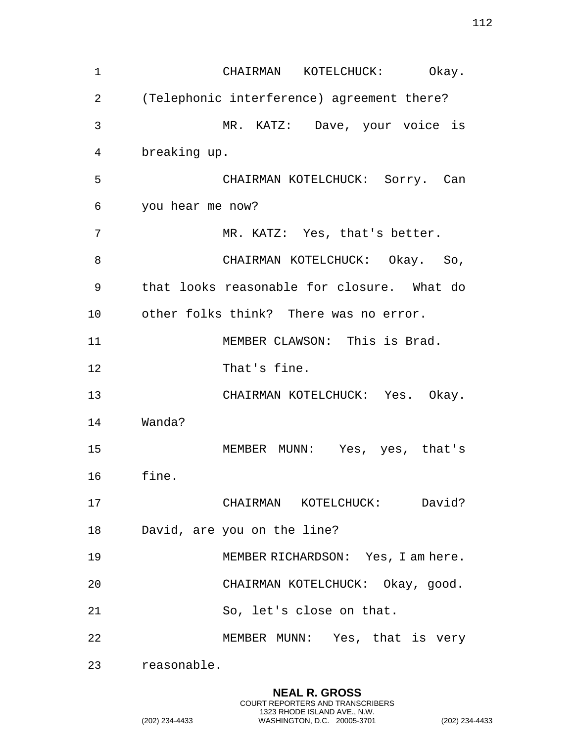CHAIRMAN KOTELCHUCK: Okay. (Telephonic interference) agreement there? MR. KATZ: Dave, your voice is breaking up. CHAIRMAN KOTELCHUCK: Sorry. Can you hear me now? 7 MR. KATZ: Yes, that's better. 8 CHAIRMAN KOTELCHUCK: Okay. So, that looks reasonable for closure. What do other folks think? There was no error. MEMBER CLAWSON: This is Brad. That's fine. CHAIRMAN KOTELCHUCK: Yes. Okay. Wanda? MEMBER MUNN: Yes, yes, that's fine. CHAIRMAN KOTELCHUCK: David? David, are you on the line? MEMBER RICHARDSON: Yes, I am here. CHAIRMAN KOTELCHUCK: Okay, good. So, let's close on that. MEMBER MUNN: Yes, that is very

reasonable.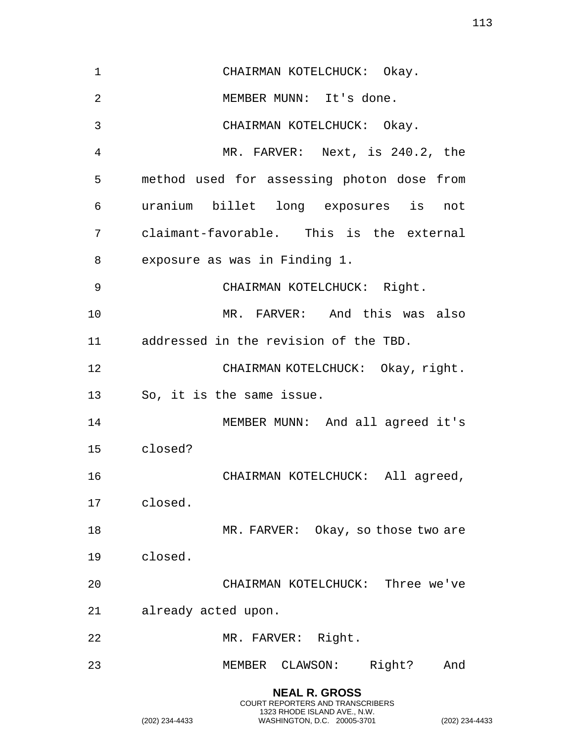| $\mathbf 1$    | CHAIRMAN KOTELCHUCK: Okay.                 |
|----------------|--------------------------------------------|
| $\overline{2}$ | MEMBER MUNN: It's done.                    |
| 3              | CHAIRMAN KOTELCHUCK: Okay.                 |
| 4              | MR. FARVER: Next, is 240.2, the            |
| 5              | method used for assessing photon dose from |
| 6              | uranium billet long exposures is not       |
| 7              | claimant-favorable. This is the external   |
| 8              | exposure as was in Finding 1.              |
| 9              | CHAIRMAN KOTELCHUCK: Right.                |
| 10             | MR. FARVER: And this was also              |
| 11             | addressed in the revision of the TBD.      |
| 12             | CHAIRMAN KOTELCHUCK: Okay, right.          |
| 13             | So, it is the same issue.                  |
| 14             | MEMBER MUNN: And all agreed it's           |
| 15             | closed?                                    |
| 16             | CHAIRMAN KOTELCHUCK: All agreed,           |
| 17             | closed.                                    |
| 18             | MR. FARVER: Okay, so those two are         |
| 19             | closed.                                    |
| 20             | CHAIRMAN KOTELCHUCK: Three we've           |
| 21             | already acted upon.                        |
| 22             | MR. FARVER: Right.                         |
| 23             | MEMBER CLAWSON: Right?<br>And              |

**NEAL R. GROSS** COURT REPORTERS AND TRANSCRIBERS 1323 RHODE ISLAND AVE., N.W.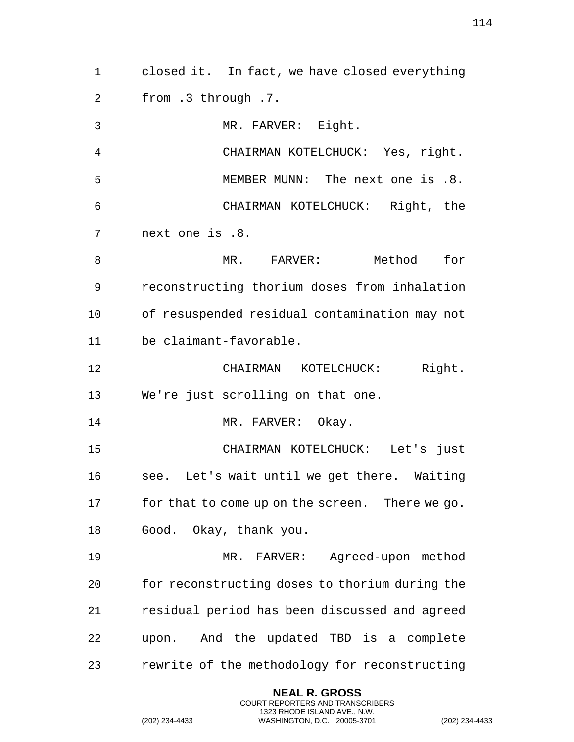from .3 through .7. MR. FARVER: Eight. CHAIRMAN KOTELCHUCK: Yes, right. MEMBER MUNN: The next one is .8. CHAIRMAN KOTELCHUCK: Right, the next one is .8. 8 MR. FARVER: Method for reconstructing thorium doses from inhalation of resuspended residual contamination may not be claimant-favorable. CHAIRMAN KOTELCHUCK: Right. We're just scrolling on that one. 14 MR. FARVER: Okay. CHAIRMAN KOTELCHUCK: Let's just see. Let's wait until we get there. Waiting for that to come up on the screen. There we go. Good. Okay, thank you. MR. FARVER: Agreed-upon method for reconstructing doses to thorium during the residual period has been discussed and agreed upon. And the updated TBD is a complete rewrite of the methodology for reconstructing **NEAL R. GROSS** COURT REPORTERS AND TRANSCRIBERS 1323 RHODE ISLAND AVE., N.W. (202) 234-4433 WASHINGTON, D.C. 20005-3701 (202) 234-4433

closed it. In fact, we have closed everything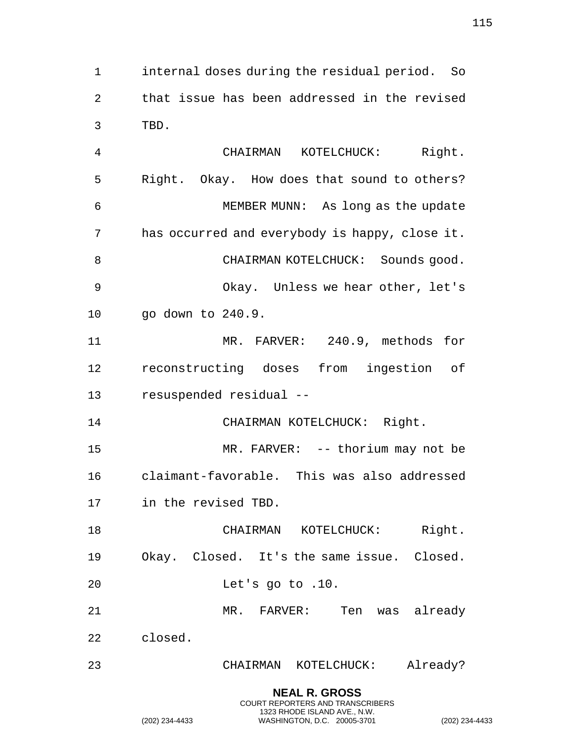internal doses during the residual period. So that issue has been addressed in the revised TBD.

 CHAIRMAN KOTELCHUCK: Right. Right. Okay. How does that sound to others? MEMBER MUNN: As long as the update has occurred and everybody is happy, close it. 8 CHAIRMAN KOTELCHUCK: Sounds good. Okay. Unless we hear other, let's go down to 240.9. MR. FARVER: 240.9, methods for reconstructing doses from ingestion of resuspended residual -- 14 CHAIRMAN KOTELCHUCK: Right. 15 MR. FARVER: -- thorium may not be claimant-favorable. This was also addressed in the revised TBD. 18 CHAIRMAN KOTELCHUCK: Right. Okay. Closed. It's the same issue. Closed. Let's go to .10.

MR. FARVER: Ten was already

closed.

CHAIRMAN KOTELCHUCK: Already?

**NEAL R. GROSS** COURT REPORTERS AND TRANSCRIBERS 1323 RHODE ISLAND AVE., N.W.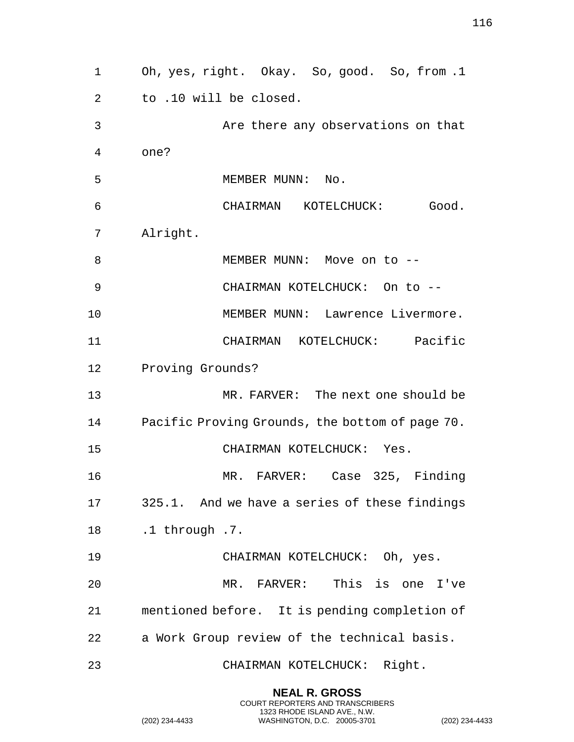Oh, yes, right. Okay. So, good. So, from .1 to .10 will be closed. Are there any observations on that one? 5 MEMBER MUNN: No. CHAIRMAN KOTELCHUCK: Good. Alright. 8 MEMBER MUNN: Move on to -- CHAIRMAN KOTELCHUCK: On to -- MEMBER MUNN: Lawrence Livermore. CHAIRMAN KOTELCHUCK: Pacific Proving Grounds? MR. FARVER: The next one should be Pacific Proving Grounds, the bottom of page 70. CHAIRMAN KOTELCHUCK: Yes. MR. FARVER: Case 325, Finding 325.1. And we have a series of these findings .1 through .7. CHAIRMAN KOTELCHUCK: Oh, yes. MR. FARVER: This is one I've mentioned before. It is pending completion of a Work Group review of the technical basis. CHAIRMAN KOTELCHUCK: Right.

> **NEAL R. GROSS** COURT REPORTERS AND TRANSCRIBERS 1323 RHODE ISLAND AVE., N.W.

(202) 234-4433 WASHINGTON, D.C. 20005-3701 (202) 234-4433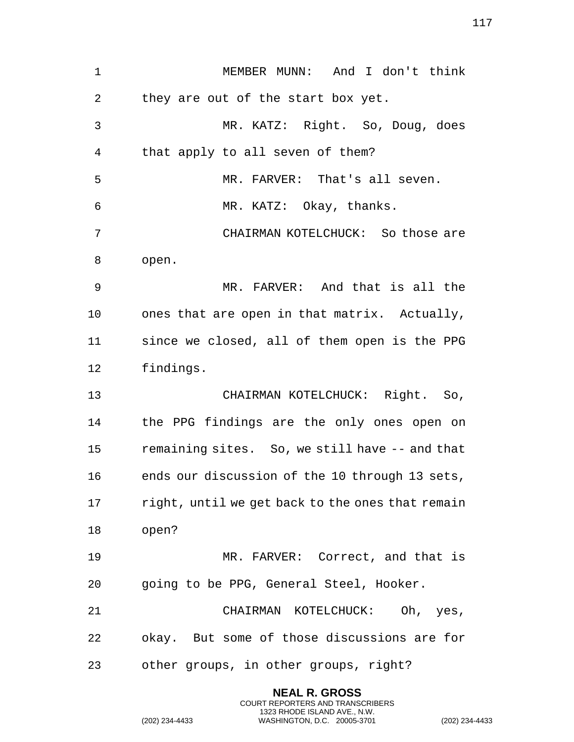MEMBER MUNN: And I don't think they are out of the start box yet. MR. KATZ: Right. So, Doug, does that apply to all seven of them? MR. FARVER: That's all seven. MR. KATZ: Okay, thanks. CHAIRMAN KOTELCHUCK: So those are open. MR. FARVER: And that is all the ones that are open in that matrix. Actually, since we closed, all of them open is the PPG findings. CHAIRMAN KOTELCHUCK: Right. So, the PPG findings are the only ones open on remaining sites. So, we still have -- and that ends our discussion of the 10 through 13 sets, right, until we get back to the ones that remain open? MR. FARVER: Correct, and that is going to be PPG, General Steel, Hooker. CHAIRMAN KOTELCHUCK: Oh, yes, okay. But some of those discussions are for other groups, in other groups, right?

> **NEAL R. GROSS** COURT REPORTERS AND TRANSCRIBERS 1323 RHODE ISLAND AVE., N.W.

(202) 234-4433 WASHINGTON, D.C. 20005-3701 (202) 234-4433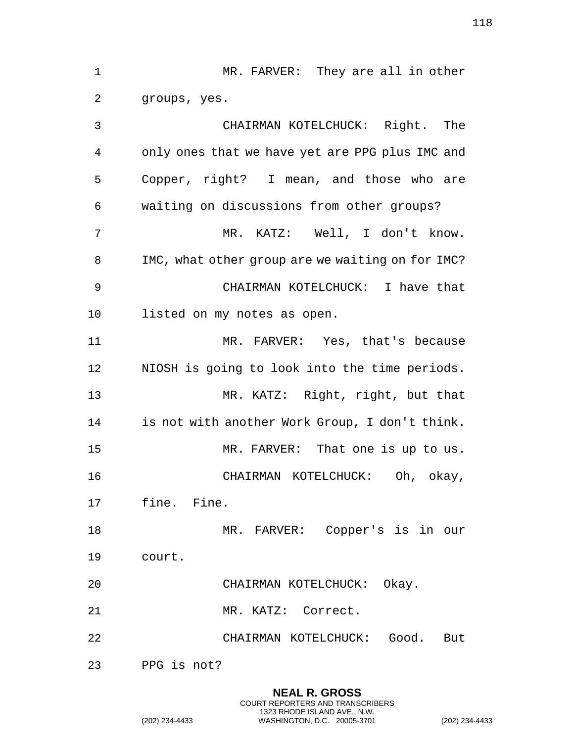1 MR. FARVER: They are all in other groups, yes. CHAIRMAN KOTELCHUCK: Right. The only ones that we have yet are PPG plus IMC and Copper, right? I mean, and those who are waiting on discussions from other groups? MR. KATZ: Well, I don't know. IMC, what other group are we waiting on for IMC? CHAIRMAN KOTELCHUCK: I have that listed on my notes as open. MR. FARVER: Yes, that's because NIOSH is going to look into the time periods. MR. KATZ: Right, right, but that is not with another Work Group, I don't think. MR. FARVER: That one is up to us. CHAIRMAN KOTELCHUCK: Oh, okay, fine. Fine. MR. FARVER: Copper's is in our court. CHAIRMAN KOTELCHUCK: Okay. MR. KATZ: Correct. CHAIRMAN KOTELCHUCK: Good. But PPG is not?

> **NEAL R. GROSS** COURT REPORTERS AND TRANSCRIBERS 1323 RHODE ISLAND AVE., N.W.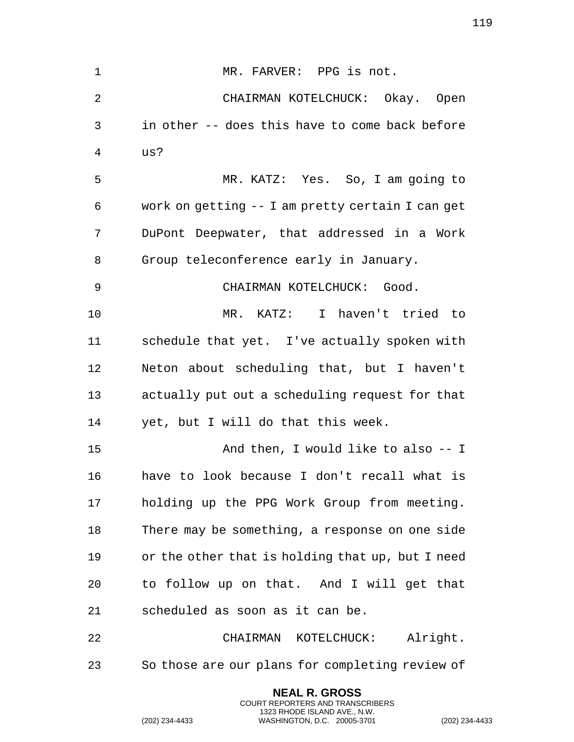1 MR. FARVER: PPG is not. CHAIRMAN KOTELCHUCK: Okay. Open in other -- does this have to come back before us? MR. KATZ: Yes. So, I am going to work on getting -- I am pretty certain I can get DuPont Deepwater, that addressed in a Work Group teleconference early in January. CHAIRMAN KOTELCHUCK: Good. MR. KATZ: I haven't tried to schedule that yet. I've actually spoken with Neton about scheduling that, but I haven't actually put out a scheduling request for that yet, but I will do that this week. And then, I would like to also -- I have to look because I don't recall what is holding up the PPG Work Group from meeting. There may be something, a response on one side or the other that is holding that up, but I need to follow up on that. And I will get that scheduled as soon as it can be. CHAIRMAN KOTELCHUCK: Alright. So those are our plans for completing review of

> **NEAL R. GROSS** COURT REPORTERS AND TRANSCRIBERS 1323 RHODE ISLAND AVE., N.W.

(202) 234-4433 WASHINGTON, D.C. 20005-3701 (202) 234-4433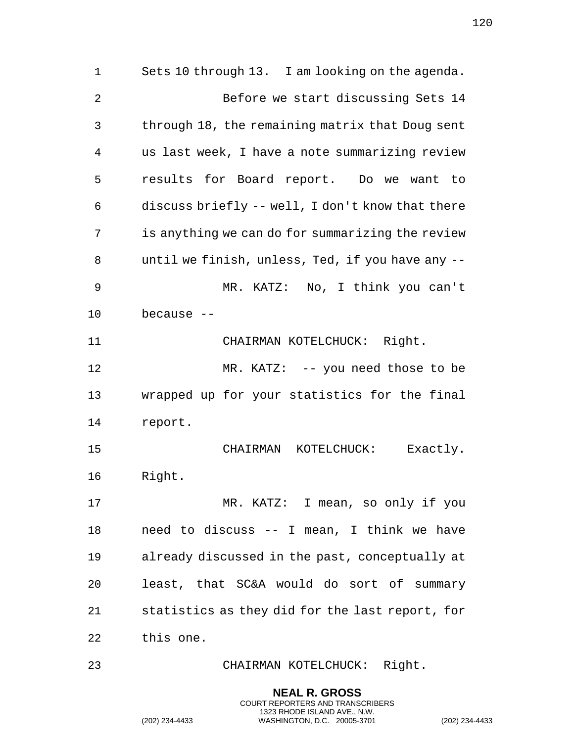Sets 10 through 13. I am looking on the agenda. Before we start discussing Sets 14 through 18, the remaining matrix that Doug sent us last week, I have a note summarizing review results for Board report. Do we want to discuss briefly -- well, I don't know that there is anything we can do for summarizing the review until we finish, unless, Ted, if you have any -- MR. KATZ: No, I think you can't because -- 11 CHAIRMAN KOTELCHUCK: Right. MR. KATZ: -- you need those to be wrapped up for your statistics for the final report. CHAIRMAN KOTELCHUCK: Exactly. Right. 17 MR. KATZ: I mean, so only if you need to discuss -- I mean, I think we have already discussed in the past, conceptually at least, that SC&A would do sort of summary statistics as they did for the last report, for this one. CHAIRMAN KOTELCHUCK: Right.

> **NEAL R. GROSS** COURT REPORTERS AND TRANSCRIBERS 1323 RHODE ISLAND AVE., N.W.

(202) 234-4433 WASHINGTON, D.C. 20005-3701 (202) 234-4433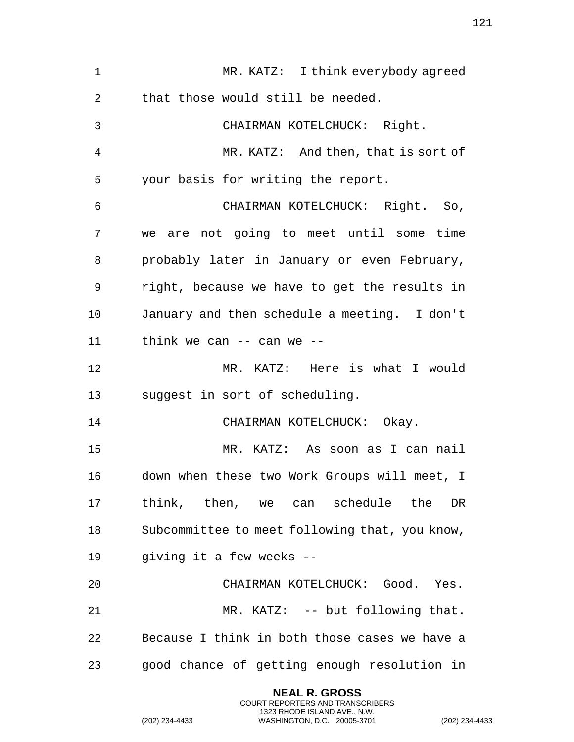| $\mathbf{1}$ | MR. KATZ: I think everybody agreed             |
|--------------|------------------------------------------------|
| 2            | that those would still be needed.              |
| 3            | CHAIRMAN KOTELCHUCK: Right.                    |
| 4            | MR. KATZ: And then, that is sort of            |
| 5            | your basis for writing the report.             |
| 6            | CHAIRMAN KOTELCHUCK: Right. So,                |
| 7            | we are not going to meet until some time       |
| 8            | probably later in January or even February,    |
| 9            | right, because we have to get the results in   |
| 10           | January and then schedule a meeting. I don't   |
| 11           | think we can $--$ can we $--$                  |
| 12           | MR. KATZ: Here is what I would                 |
| 13           | suggest in sort of scheduling.                 |
| 14           | CHAIRMAN KOTELCHUCK: Okay.                     |
| 15           | MR. KATZ: As soon as I can nail                |
| 16           | down when these two Work Groups will meet, I   |
| 17           | think, then, we can schedule the<br>DR         |
| 18           | Subcommittee to meet following that, you know, |
| 19           | giving it a few weeks --                       |
| 20           | CHAIRMAN KOTELCHUCK: Good. Yes.                |
| 21           | MR. KATZ: -- but following that.               |
| 22           | Because I think in both those cases we have a  |
| 23           | good chance of getting enough resolution in    |

**NEAL R. GROSS** COURT REPORTERS AND TRANSCRIBERS 1323 RHODE ISLAND AVE., N.W.

(202) 234-4433 WASHINGTON, D.C. 20005-3701 (202) 234-4433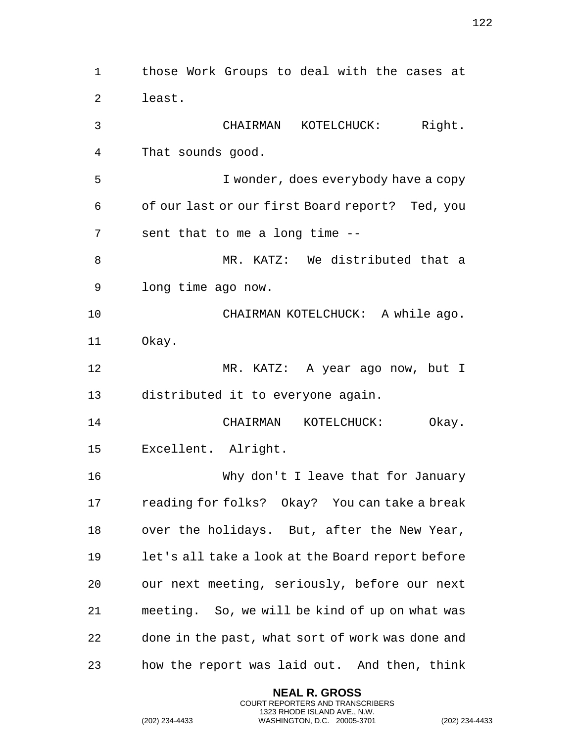those Work Groups to deal with the cases at least. CHAIRMAN KOTELCHUCK: Right. That sounds good. I wonder, does everybody have a copy of our last or our first Board report? Ted, you sent that to me a long time -- MR. KATZ: We distributed that a long time ago now. CHAIRMAN KOTELCHUCK: A while ago. Okay. MR. KATZ: A year ago now, but I distributed it to everyone again. CHAIRMAN KOTELCHUCK: Okay. Excellent. Alright. Why don't I leave that for January reading for folks? Okay? You can take a break over the holidays. But, after the New Year, let's all take a look at the Board report before our next meeting, seriously, before our next meeting. So, we will be kind of up on what was done in the past, what sort of work was done and how the report was laid out. And then, think

> **NEAL R. GROSS** COURT REPORTERS AND TRANSCRIBERS 1323 RHODE ISLAND AVE., N.W.

(202) 234-4433 WASHINGTON, D.C. 20005-3701 (202) 234-4433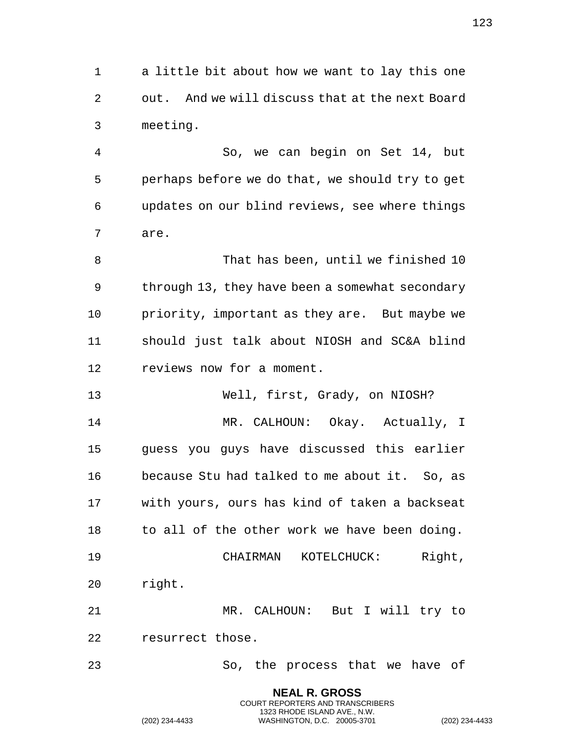a little bit about how we want to lay this one out. And we will discuss that at the next Board meeting.

 So, we can begin on Set 14, but perhaps before we do that, we should try to get updates on our blind reviews, see where things are.

 That has been, until we finished 10 through 13, they have been a somewhat secondary priority, important as they are. But maybe we should just talk about NIOSH and SC&A blind reviews now for a moment.

 Well, first, Grady, on NIOSH? MR. CALHOUN: Okay. Actually, I guess you guys have discussed this earlier because Stu had talked to me about it. So, as with yours, ours has kind of taken a backseat to all of the other work we have been doing. CHAIRMAN KOTELCHUCK: Right, right. MR. CALHOUN: But I will try to resurrect those.

So, the process that we have of

**NEAL R. GROSS** COURT REPORTERS AND TRANSCRIBERS 1323 RHODE ISLAND AVE., N.W. (202) 234-4433 WASHINGTON, D.C. 20005-3701 (202) 234-4433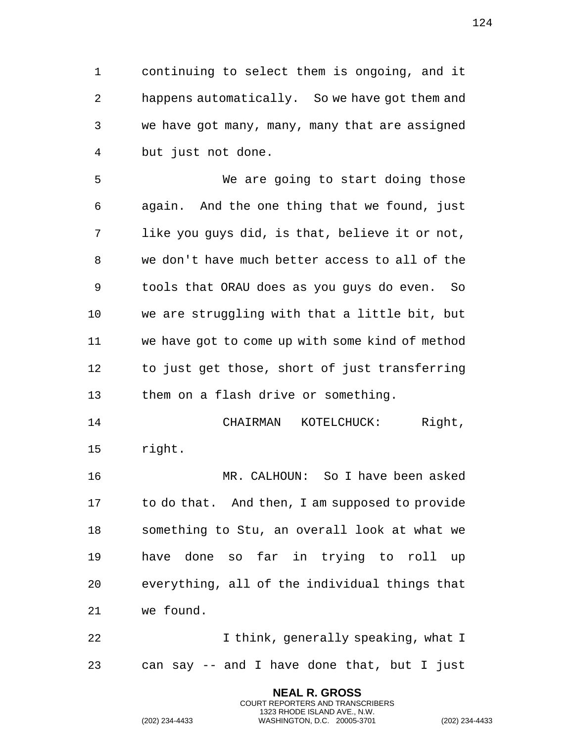continuing to select them is ongoing, and it happens automatically. So we have got them and we have got many, many, many that are assigned but just not done.

 We are going to start doing those again. And the one thing that we found, just like you guys did, is that, believe it or not, we don't have much better access to all of the tools that ORAU does as you guys do even. So we are struggling with that a little bit, but we have got to come up with some kind of method to just get those, short of just transferring them on a flash drive or something.

 CHAIRMAN KOTELCHUCK: Right, right.

 MR. CALHOUN: So I have been asked to do that. And then, I am supposed to provide something to Stu, an overall look at what we have done so far in trying to roll up everything, all of the individual things that we found.

22 I think, generally speaking, what I can say -- and I have done that, but I just

> **NEAL R. GROSS** COURT REPORTERS AND TRANSCRIBERS 1323 RHODE ISLAND AVE., N.W.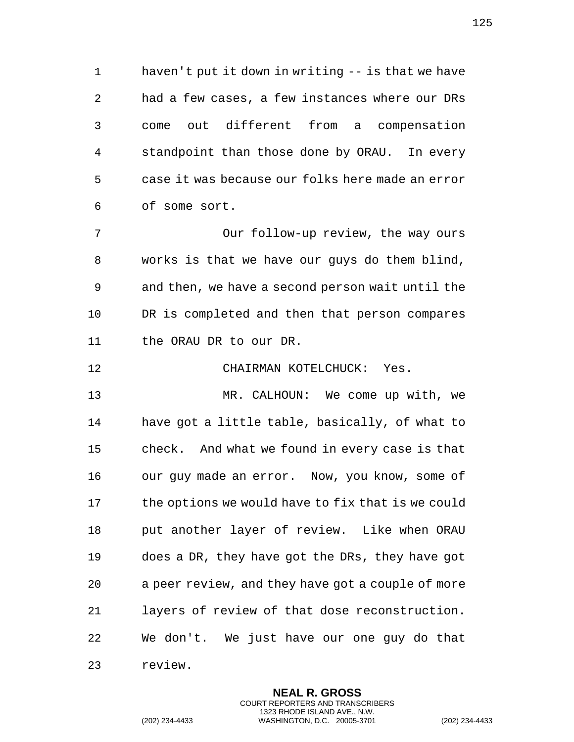haven't put it down in writing -- is that we have had a few cases, a few instances where our DRs come out different from a compensation standpoint than those done by ORAU. In every case it was because our folks here made an error of some sort.

 Our follow-up review, the way ours works is that we have our guys do them blind, and then, we have a second person wait until the DR is completed and then that person compares the ORAU DR to our DR.

CHAIRMAN KOTELCHUCK: Yes.

 MR. CALHOUN: We come up with, we have got a little table, basically, of what to check. And what we found in every case is that our guy made an error. Now, you know, some of the options we would have to fix that is we could put another layer of review. Like when ORAU does a DR, they have got the DRs, they have got a peer review, and they have got a couple of more layers of review of that dose reconstruction. We don't. We just have our one guy do that review.

> **NEAL R. GROSS** COURT REPORTERS AND TRANSCRIBERS 1323 RHODE ISLAND AVE., N.W.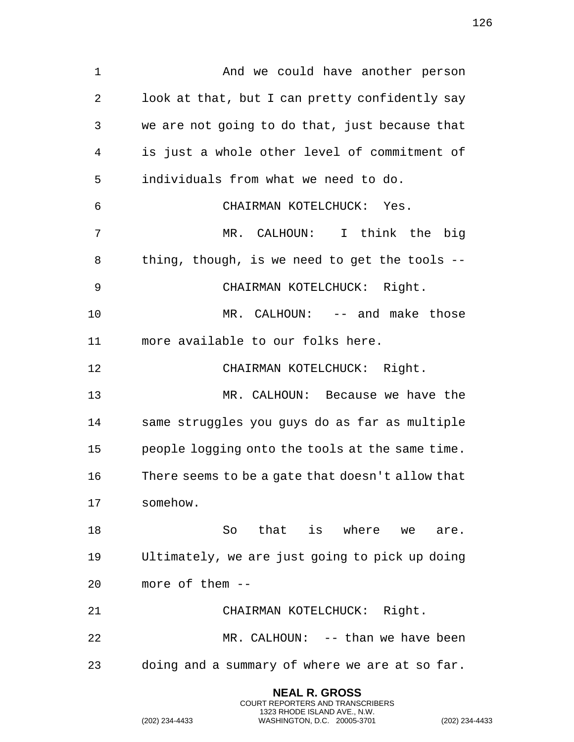1 And we could have another person look at that, but I can pretty confidently say we are not going to do that, just because that is just a whole other level of commitment of individuals from what we need to do. CHAIRMAN KOTELCHUCK: Yes. MR. CALHOUN: I think the big thing, though, is we need to get the tools -- CHAIRMAN KOTELCHUCK: Right. MR. CALHOUN: -- and make those more available to our folks here. CHAIRMAN KOTELCHUCK: Right. MR. CALHOUN: Because we have the same struggles you guys do as far as multiple people logging onto the tools at the same time. There seems to be a gate that doesn't allow that somehow. 18 So that is where we are. Ultimately, we are just going to pick up doing more of them -- CHAIRMAN KOTELCHUCK: Right. MR. CALHOUN: -- than we have been doing and a summary of where we are at so far.

> **NEAL R. GROSS** COURT REPORTERS AND TRANSCRIBERS 1323 RHODE ISLAND AVE., N.W.

(202) 234-4433 WASHINGTON, D.C. 20005-3701 (202) 234-4433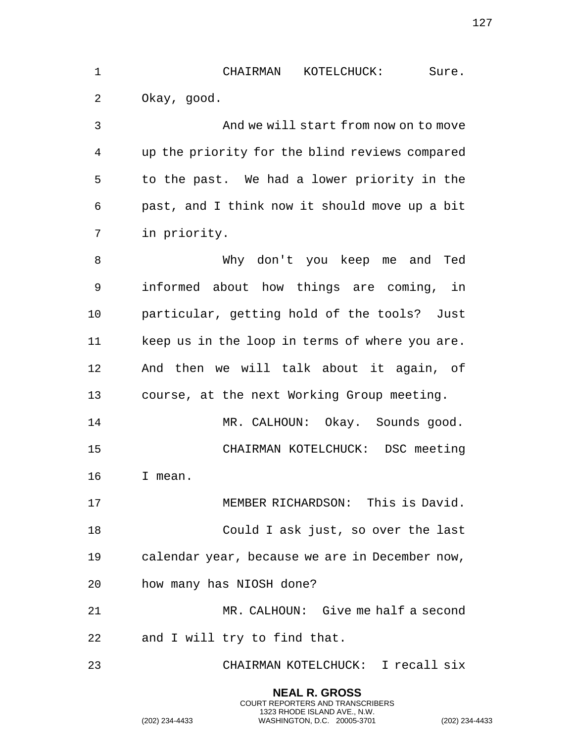| 1  | CHAIRMAN<br>KOTELCHUCK:<br>Sure.               |
|----|------------------------------------------------|
| 2  | Okay, good.                                    |
| 3  | And we will start from now on to move          |
| 4  | up the priority for the blind reviews compared |
| 5  | to the past. We had a lower priority in the    |
| 6  | past, and I think now it should move up a bit  |
| 7  | in priority.                                   |
| 8  | Why don't you keep me and Ted                  |
| 9  | informed about how things are coming, in       |
| 10 | particular, getting hold of the tools? Just    |
| 11 | keep us in the loop in terms of where you are. |
| 12 | And then we will talk about it again, of       |
| 13 | course, at the next Working Group meeting.     |
| 14 | MR. CALHOUN: Okay. Sounds good.                |
| 15 | CHAIRMAN KOTELCHUCK: DSC meeting               |
| 16 | I mean.                                        |
| 17 | MEMBER RICHARDSON: This is David.              |
| 18 | Could I ask just, so over the last             |
| 19 | calendar year, because we are in December now, |
| 20 | how many has NIOSH done?                       |
| 21 | MR. CALHOUN: Give me half a second             |
| 22 | and I will try to find that.                   |
| 23 | CHAIRMAN KOTELCHUCK: I recall six              |

**NEAL R. GROSS** COURT REPORTERS AND TRANSCRIBERS 1323 RHODE ISLAND AVE., N.W.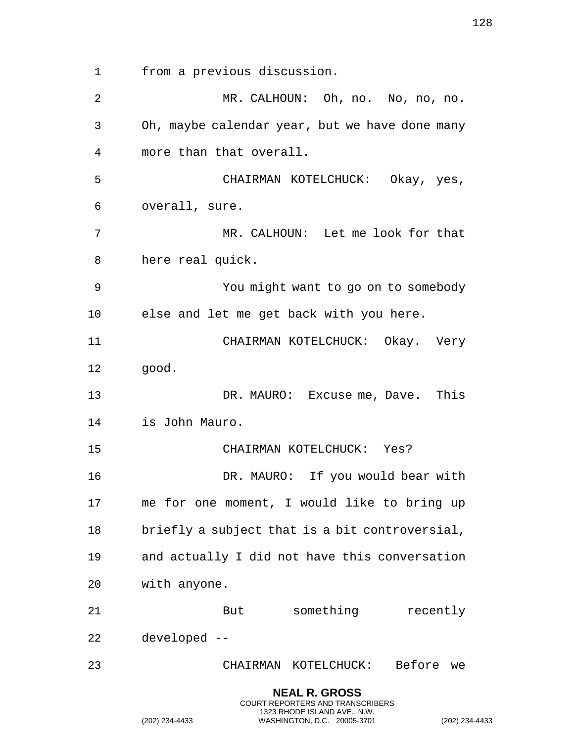from a previous discussion. MR. CALHOUN: Oh, no. No, no, no. Oh, maybe calendar year, but we have done many more than that overall. CHAIRMAN KOTELCHUCK: Okay, yes, overall, sure. MR. CALHOUN: Let me look for that here real quick. You might want to go on to somebody else and let me get back with you here. CHAIRMAN KOTELCHUCK: Okay. Very good. DR. MAURO: Excuse me, Dave. This is John Mauro. CHAIRMAN KOTELCHUCK: Yes? DR. MAURO: If you would bear with me for one moment, I would like to bring up briefly a subject that is a bit controversial, and actually I did not have this conversation with anyone. 21 But something recently developed -- CHAIRMAN KOTELCHUCK: Before we **NEAL R. GROSS**

COURT REPORTERS AND TRANSCRIBERS 1323 RHODE ISLAND AVE., N.W.

(202) 234-4433 WASHINGTON, D.C. 20005-3701 (202) 234-4433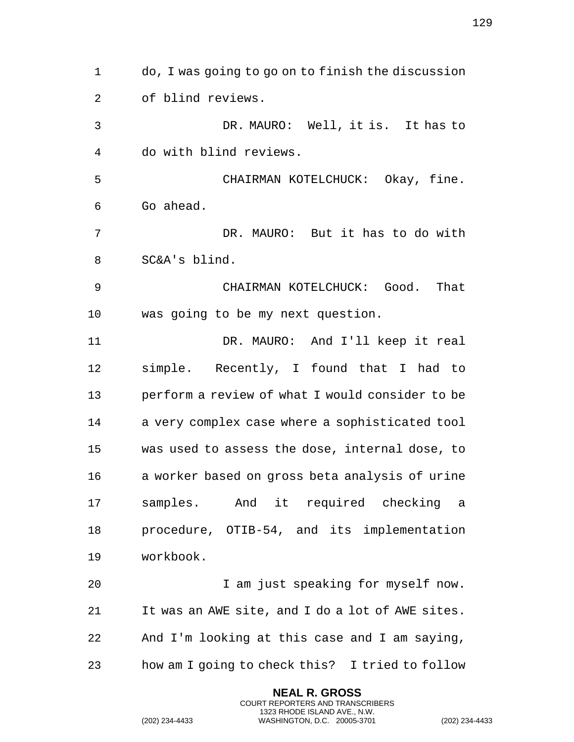do, I was going to go on to finish the discussion of blind reviews. DR. MAURO: Well, it is. It has to do with blind reviews. CHAIRMAN KOTELCHUCK: Okay, fine. Go ahead. DR. MAURO: But it has to do with SC&A's blind. CHAIRMAN KOTELCHUCK: Good. That was going to be my next question. DR. MAURO: And I'll keep it real simple. Recently, I found that I had to perform a review of what I would consider to be a very complex case where a sophisticated tool was used to assess the dose, internal dose, to a worker based on gross beta analysis of urine samples. And it required checking a procedure, OTIB-54, and its implementation workbook. I am just speaking for myself now. It was an AWE site, and I do a lot of AWE sites. And I'm looking at this case and I am saying, how am I going to check this? I tried to follow

> **NEAL R. GROSS** COURT REPORTERS AND TRANSCRIBERS 1323 RHODE ISLAND AVE., N.W.

(202) 234-4433 WASHINGTON, D.C. 20005-3701 (202) 234-4433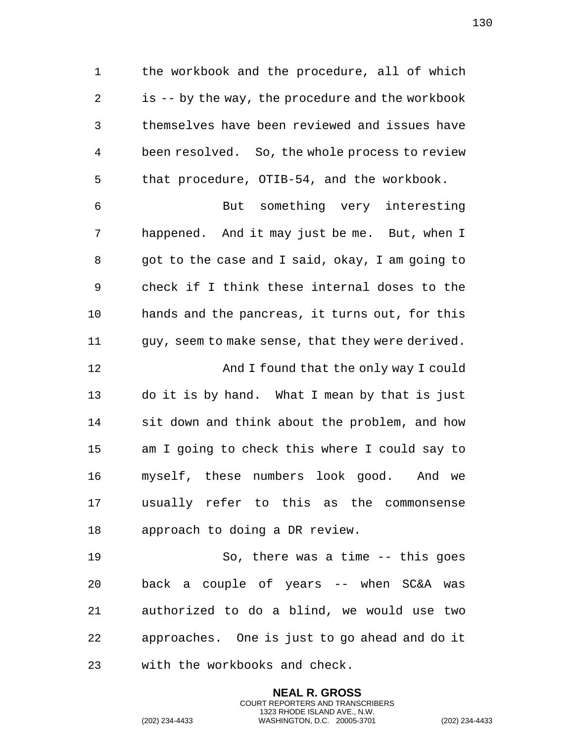the workbook and the procedure, all of which is -- by the way, the procedure and the workbook themselves have been reviewed and issues have been resolved. So, the whole process to review that procedure, OTIB-54, and the workbook.

 But something very interesting happened. And it may just be me. But, when I 8 got to the case and I said, okay, I am going to check if I think these internal doses to the hands and the pancreas, it turns out, for this guy, seem to make sense, that they were derived.

 And I found that the only way I could do it is by hand. What I mean by that is just sit down and think about the problem, and how am I going to check this where I could say to myself, these numbers look good. And we usually refer to this as the commonsense approach to doing a DR review.

 So, there was a time -- this goes back a couple of years -- when SC&A was authorized to do a blind, we would use two approaches. One is just to go ahead and do it with the workbooks and check.

> **NEAL R. GROSS** COURT REPORTERS AND TRANSCRIBERS 1323 RHODE ISLAND AVE., N.W.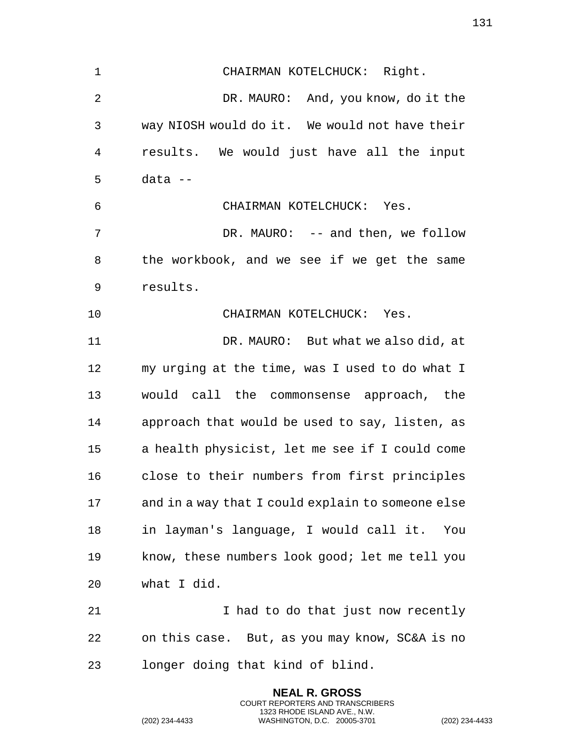CHAIRMAN KOTELCHUCK: Right. DR. MAURO: And, you know, do it the way NIOSH would do it. We would not have their results. We would just have all the input data -- CHAIRMAN KOTELCHUCK: Yes. DR. MAURO: -- and then, we follow the workbook, and we see if we get the same results. CHAIRMAN KOTELCHUCK: Yes. DR. MAURO: But what we also did, at my urging at the time, was I used to do what I would call the commonsense approach, the approach that would be used to say, listen, as a health physicist, let me see if I could come close to their numbers from first principles and in a way that I could explain to someone else in layman's language, I would call it. You know, these numbers look good; let me tell you what I did. I had to do that just now recently on this case. But, as you may know, SC&A is no longer doing that kind of blind.

> **NEAL R. GROSS** COURT REPORTERS AND TRANSCRIBERS 1323 RHODE ISLAND AVE., N.W.

(202) 234-4433 WASHINGTON, D.C. 20005-3701 (202) 234-4433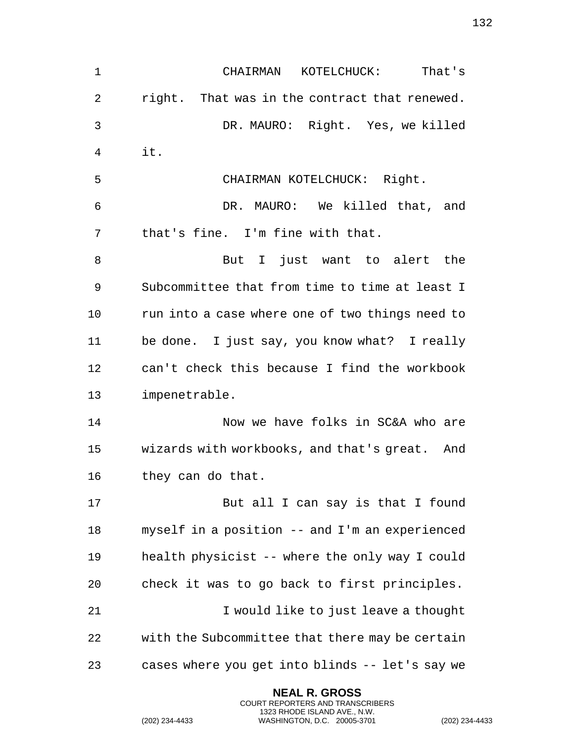CHAIRMAN KOTELCHUCK: That's right. That was in the contract that renewed. DR. MAURO: Right. Yes, we killed it. CHAIRMAN KOTELCHUCK: Right. DR. MAURO: We killed that, and that's fine. I'm fine with that. 8 But I just want to alert the Subcommittee that from time to time at least I 10 run into a case where one of two things need to be done. I just say, you know what? I really can't check this because I find the workbook impenetrable. 14 Now we have folks in SC&A who are wizards with workbooks, and that's great. And they can do that. 17 But all I can say is that I found myself in a position -- and I'm an experienced health physicist -- where the only way I could check it was to go back to first principles. **I** would like to just leave a thought with the Subcommittee that there may be certain cases where you get into blinds -- let's say we

> **NEAL R. GROSS** COURT REPORTERS AND TRANSCRIBERS 1323 RHODE ISLAND AVE., N.W.

(202) 234-4433 WASHINGTON, D.C. 20005-3701 (202) 234-4433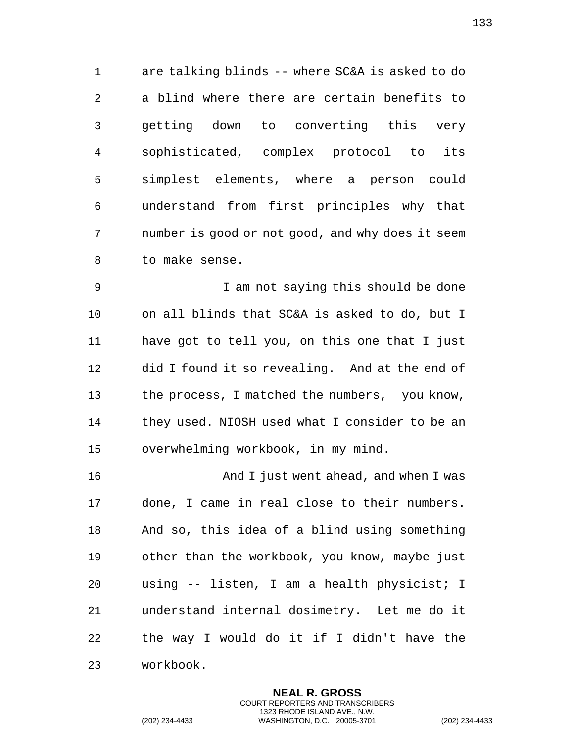are talking blinds -- where SC&A is asked to do a blind where there are certain benefits to getting down to converting this very sophisticated, complex protocol to its simplest elements, where a person could understand from first principles why that number is good or not good, and why does it seem to make sense.

 I am not saying this should be done on all blinds that SC&A is asked to do, but I have got to tell you, on this one that I just did I found it so revealing. And at the end of the process, I matched the numbers, you know, they used. NIOSH used what I consider to be an overwhelming workbook, in my mind.

 And I just went ahead, and when I was done, I came in real close to their numbers. And so, this idea of a blind using something other than the workbook, you know, maybe just using -- listen, I am a health physicist; I understand internal dosimetry. Let me do it the way I would do it if I didn't have the workbook.

> **NEAL R. GROSS** COURT REPORTERS AND TRANSCRIBERS 1323 RHODE ISLAND AVE., N.W.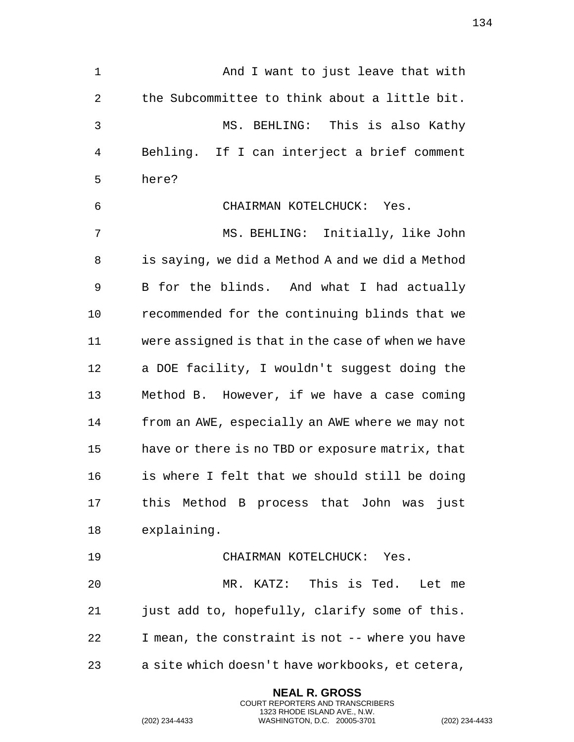1 And I want to just leave that with the Subcommittee to think about a little bit. MS. BEHLING: This is also Kathy Behling. If I can interject a brief comment here? CHAIRMAN KOTELCHUCK: Yes. MS. BEHLING: Initially, like John is saying, we did a Method A and we did a Method B for the blinds. And what I had actually recommended for the continuing blinds that we were assigned is that in the case of when we have a DOE facility, I wouldn't suggest doing the Method B. However, if we have a case coming from an AWE, especially an AWE where we may not have or there is no TBD or exposure matrix, that is where I felt that we should still be doing this Method B process that John was just explaining. CHAIRMAN KOTELCHUCK: Yes. MR. KATZ: This is Ted. Let me just add to, hopefully, clarify some of this. I mean, the constraint is not -- where you have a site which doesn't have workbooks, et cetera,

> **NEAL R. GROSS** COURT REPORTERS AND TRANSCRIBERS 1323 RHODE ISLAND AVE., N.W.

(202) 234-4433 WASHINGTON, D.C. 20005-3701 (202) 234-4433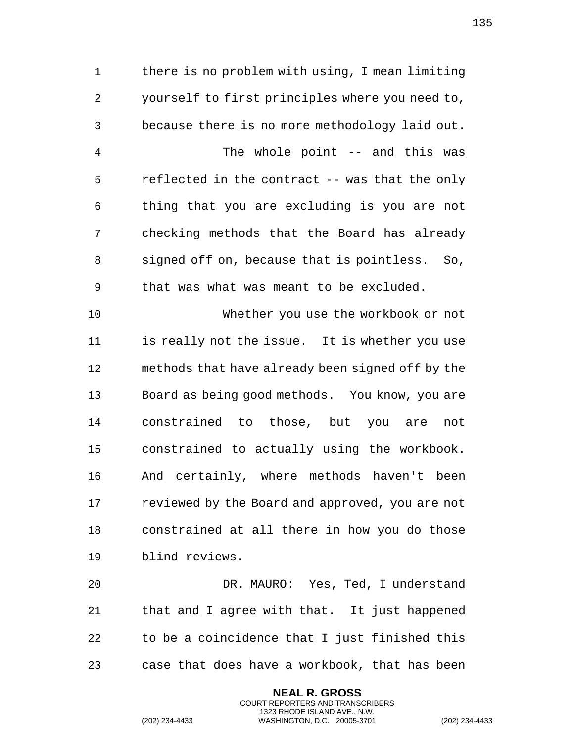there is no problem with using, I mean limiting yourself to first principles where you need to, because there is no more methodology laid out. The whole point -- and this was reflected in the contract -- was that the only thing that you are excluding is you are not checking methods that the Board has already signed off on, because that is pointless. So, that was what was meant to be excluded.

 Whether you use the workbook or not is really not the issue. It is whether you use methods that have already been signed off by the Board as being good methods. You know, you are constrained to those, but you are not constrained to actually using the workbook. And certainly, where methods haven't been reviewed by the Board and approved, you are not constrained at all there in how you do those blind reviews.

 DR. MAURO: Yes, Ted, I understand that and I agree with that. It just happened to be a coincidence that I just finished this case that does have a workbook, that has been

> **NEAL R. GROSS** COURT REPORTERS AND TRANSCRIBERS 1323 RHODE ISLAND AVE., N.W.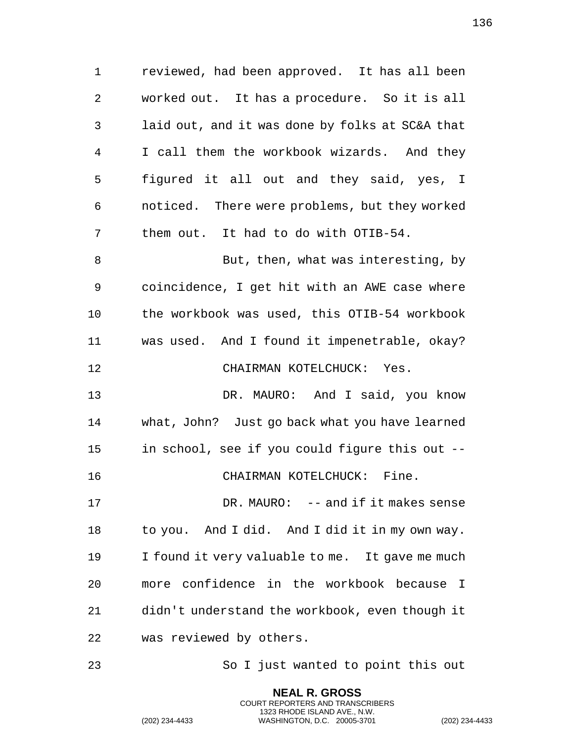reviewed, had been approved. It has all been worked out. It has a procedure. So it is all laid out, and it was done by folks at SC&A that I call them the workbook wizards. And they figured it all out and they said, yes, I noticed. There were problems, but they worked them out. It had to do with OTIB-54. 8 But, then, what was interesting, by coincidence, I get hit with an AWE case where the workbook was used, this OTIB-54 workbook was used. And I found it impenetrable, okay? CHAIRMAN KOTELCHUCK: Yes. DR. MAURO: And I said, you know what, John? Just go back what you have learned in school, see if you could figure this out -- CHAIRMAN KOTELCHUCK: Fine. 17 DR. MAURO: -- and if it makes sense to you. And I did. And I did it in my own way. I found it very valuable to me. It gave me much more confidence in the workbook because I didn't understand the workbook, even though it was reviewed by others.

So I just wanted to point this out

**NEAL R. GROSS** COURT REPORTERS AND TRANSCRIBERS 1323 RHODE ISLAND AVE., N.W.

(202) 234-4433 WASHINGTON, D.C. 20005-3701 (202) 234-4433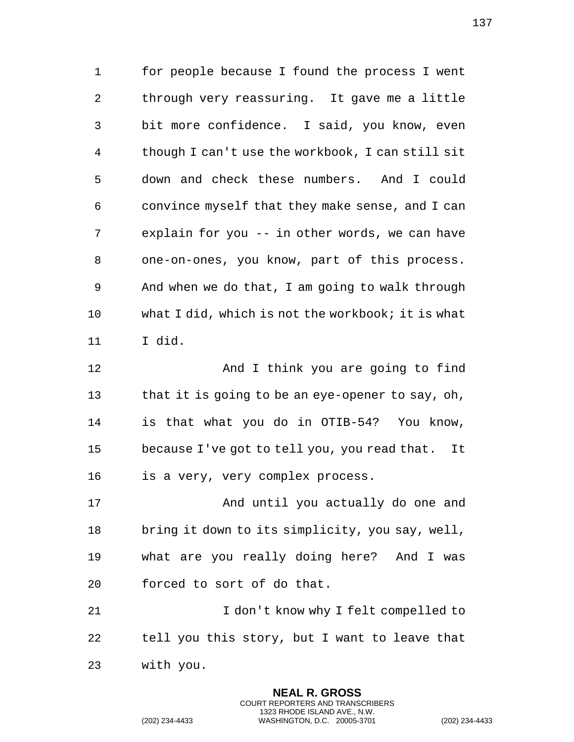for people because I found the process I went through very reassuring. It gave me a little bit more confidence. I said, you know, even though I can't use the workbook, I can still sit down and check these numbers. And I could convince myself that they make sense, and I can explain for you -- in other words, we can have one-on-ones, you know, part of this process. And when we do that, I am going to walk through what I did, which is not the workbook; it is what I did.

 And I think you are going to find 13 that it is going to be an eye-opener to say, oh, is that what you do in OTIB-54? You know, because I've got to tell you, you read that. It is a very, very complex process.

17 And until you actually do one and bring it down to its simplicity, you say, well, what are you really doing here? And I was forced to sort of do that.

21 I don't know why I felt compelled to tell you this story, but I want to leave that with you.

> **NEAL R. GROSS** COURT REPORTERS AND TRANSCRIBERS 1323 RHODE ISLAND AVE., N.W.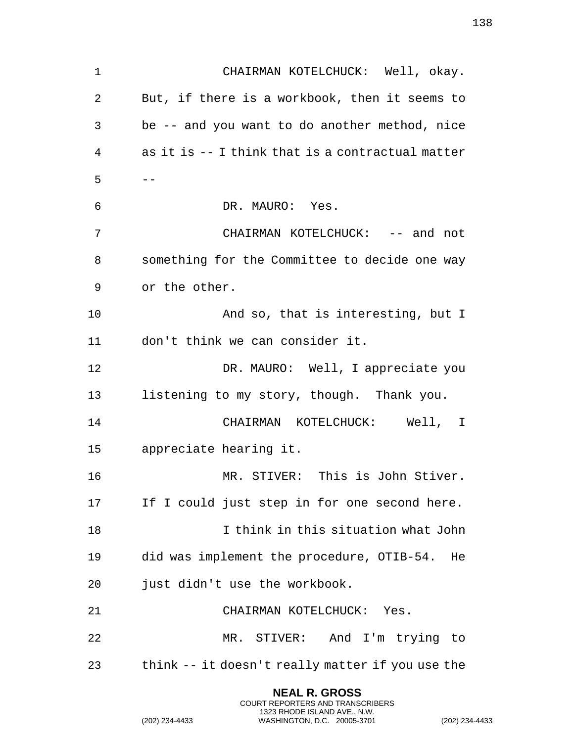CHAIRMAN KOTELCHUCK: Well, okay. But, if there is a workbook, then it seems to be -- and you want to do another method, nice as it is -- I think that is a contractual matter  $5 - -$  DR. MAURO: Yes. 7 CHAIRMAN KOTELCHUCK: -- and not something for the Committee to decide one way or the other. And so, that is interesting, but I don't think we can consider it. 12 DR. MAURO: Well, I appreciate you listening to my story, though. Thank you. CHAIRMAN KOTELCHUCK: Well, I appreciate hearing it. MR. STIVER: This is John Stiver. 17 If I could just step in for one second here. I think in this situation what John did was implement the procedure, OTIB-54. He just didn't use the workbook. CHAIRMAN KOTELCHUCK: Yes. MR. STIVER: And I'm trying to think -- it doesn't really matter if you use the

> **NEAL R. GROSS** COURT REPORTERS AND TRANSCRIBERS 1323 RHODE ISLAND AVE., N.W.

(202) 234-4433 WASHINGTON, D.C. 20005-3701 (202) 234-4433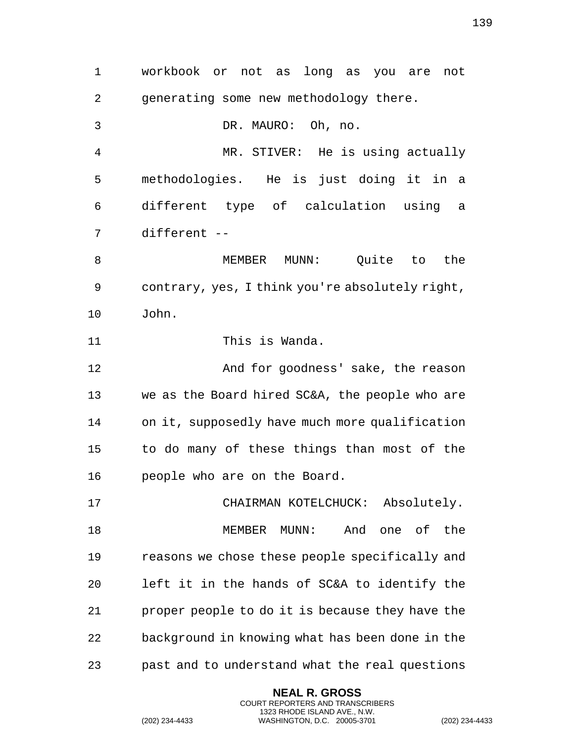workbook or not as long as you are not generating some new methodology there. DR. MAURO: Oh, no. MR. STIVER: He is using actually methodologies. He is just doing it in a different type of calculation using a different -- MEMBER MUNN: Quite to the contrary, yes, I think you're absolutely right, John. This is Wanda. And for goodness' sake, the reason we as the Board hired SC&A, the people who are on it, supposedly have much more qualification to do many of these things than most of the people who are on the Board. CHAIRMAN KOTELCHUCK: Absolutely. MEMBER MUNN: And one of the reasons we chose these people specifically and left it in the hands of SC&A to identify the proper people to do it is because they have the background in knowing what has been done in the past and to understand what the real questions

> **NEAL R. GROSS** COURT REPORTERS AND TRANSCRIBERS 1323 RHODE ISLAND AVE., N.W.

(202) 234-4433 WASHINGTON, D.C. 20005-3701 (202) 234-4433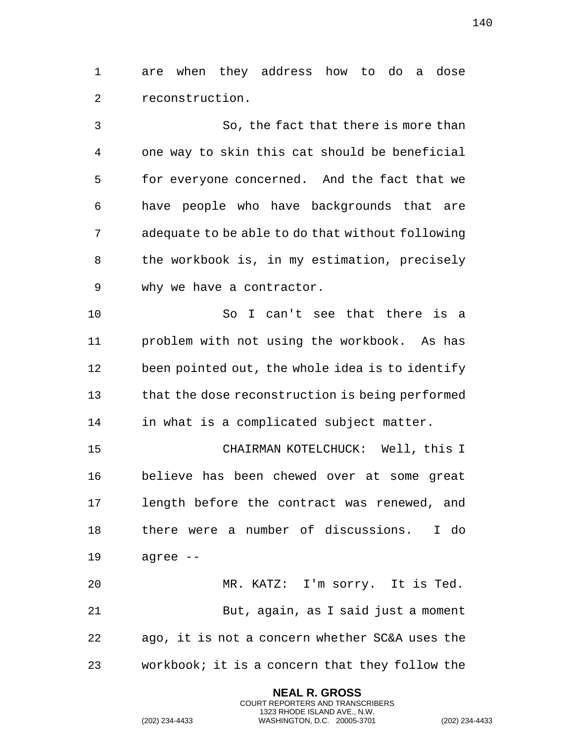are when they address how to do a dose reconstruction.

 So, the fact that there is more than one way to skin this cat should be beneficial for everyone concerned. And the fact that we have people who have backgrounds that are adequate to be able to do that without following the workbook is, in my estimation, precisely why we have a contractor.

 So I can't see that there is a problem with not using the workbook. As has been pointed out, the whole idea is to identify that the dose reconstruction is being performed in what is a complicated subject matter.

 CHAIRMAN KOTELCHUCK: Well, this I believe has been chewed over at some great length before the contract was renewed, and there were a number of discussions. I do agree --

 MR. KATZ: I'm sorry. It is Ted. But, again, as I said just a moment ago, it is not a concern whether SC&A uses the workbook; it is a concern that they follow the

> **NEAL R. GROSS** COURT REPORTERS AND TRANSCRIBERS 1323 RHODE ISLAND AVE., N.W.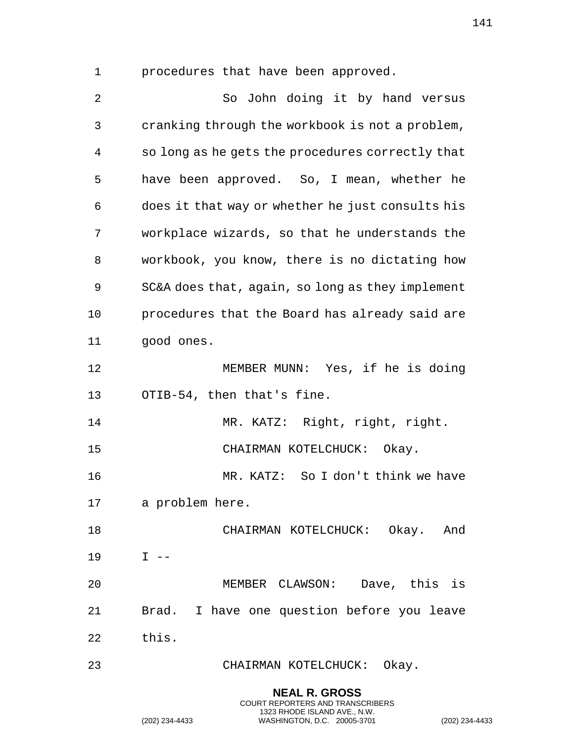procedures that have been approved.

 So John doing it by hand versus cranking through the workbook is not a problem, so long as he gets the procedures correctly that have been approved. So, I mean, whether he does it that way or whether he just consults his workplace wizards, so that he understands the workbook, you know, there is no dictating how SC&A does that, again, so long as they implement procedures that the Board has already said are good ones. MEMBER MUNN: Yes, if he is doing OTIB-54, then that's fine. MR. KATZ: Right, right, right. CHAIRMAN KOTELCHUCK: Okay. MR. KATZ: So I don't think we have a problem here. CHAIRMAN KOTELCHUCK: Okay. And I -- MEMBER CLAWSON: Dave, this is Brad. I have one question before you leave this. CHAIRMAN KOTELCHUCK: Okay.

> **NEAL R. GROSS** COURT REPORTERS AND TRANSCRIBERS 1323 RHODE ISLAND AVE., N.W.

(202) 234-4433 WASHINGTON, D.C. 20005-3701 (202) 234-4433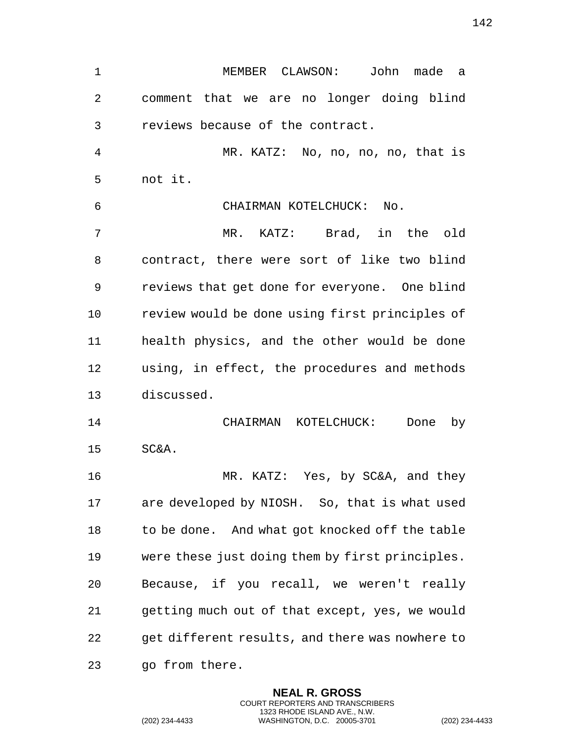MEMBER CLAWSON: John made a comment that we are no longer doing blind reviews because of the contract. MR. KATZ: No, no, no, no, that is not it. CHAIRMAN KOTELCHUCK: No. MR. KATZ: Brad, in the old contract, there were sort of like two blind reviews that get done for everyone. One blind review would be done using first principles of health physics, and the other would be done using, in effect, the procedures and methods discussed. CHAIRMAN KOTELCHUCK: Done by SC&A. MR. KATZ: Yes, by SC&A, and they are developed by NIOSH. So, that is what used to be done. And what got knocked off the table were these just doing them by first principles. Because, if you recall, we weren't really getting much out of that except, yes, we would get different results, and there was nowhere to go from there.

> **NEAL R. GROSS** COURT REPORTERS AND TRANSCRIBERS 1323 RHODE ISLAND AVE., N.W.

(202) 234-4433 WASHINGTON, D.C. 20005-3701 (202) 234-4433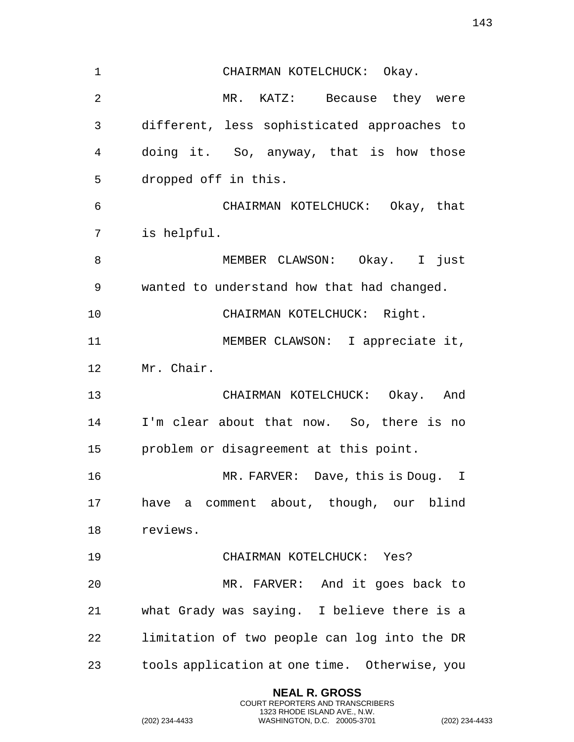| $\mathbf{1}$ | CHAIRMAN KOTELCHUCK: Okay.                    |
|--------------|-----------------------------------------------|
| 2            | MR. KATZ: Because they were                   |
| 3            | different, less sophisticated approaches to   |
| 4            | doing it. So, anyway, that is how those       |
| 5            | dropped off in this.                          |
| 6            | CHAIRMAN KOTELCHUCK: Okay, that               |
| 7            | is helpful.                                   |
| 8            | MEMBER CLAWSON: Okay. I just                  |
| 9            | wanted to understand how that had changed.    |
| 10           | CHAIRMAN KOTELCHUCK: Right.                   |
| 11           | MEMBER CLAWSON: I appreciate it,              |
| 12           | Mr. Chair.                                    |
| 13           | CHAIRMAN KOTELCHUCK: Okay. And                |
| 14           | I'm clear about that now. So, there is no     |
| 15           | problem or disagreement at this point.        |
| 16           | MR. FARVER: Dave, this is Doug. I             |
| 17           | have a comment about, though, our blind       |
| 18           | reviews.                                      |
| 19           | CHAIRMAN KOTELCHUCK: Yes?                     |
| 20           | MR. FARVER: And it goes back to               |
| 21           | what Grady was saying. I believe there is a   |
| 22           | limitation of two people can log into the DR  |
| 23           | tools application at one time. Otherwise, you |

**NEAL R. GROSS** COURT REPORTERS AND TRANSCRIBERS 1323 RHODE ISLAND AVE., N.W.

(202) 234-4433 WASHINGTON, D.C. 20005-3701 (202) 234-4433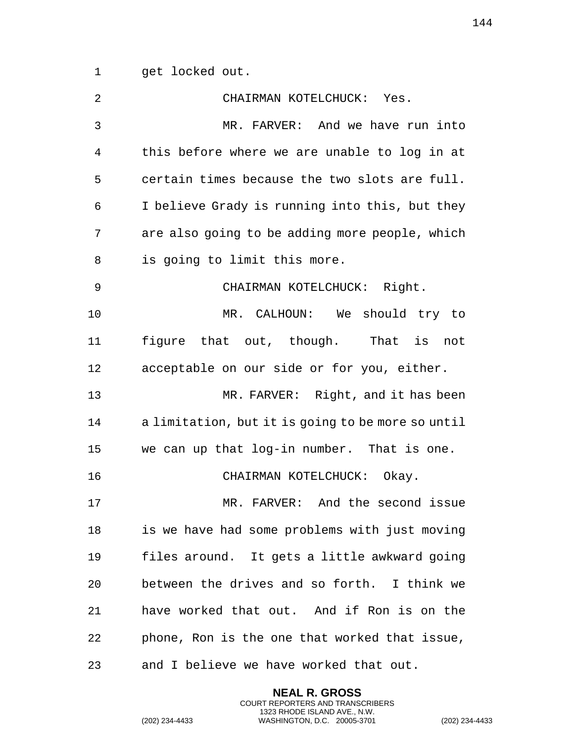get locked out.

| 2  | CHAIRMAN KOTELCHUCK: Yes.                         |
|----|---------------------------------------------------|
| 3  | MR. FARVER: And we have run into                  |
| 4  | this before where we are unable to log in at      |
| 5  | certain times because the two slots are full.     |
| 6  | I believe Grady is running into this, but they    |
| 7  | are also going to be adding more people, which    |
| 8  | is going to limit this more.                      |
| 9  | CHAIRMAN KOTELCHUCK: Right.                       |
| 10 | MR. CALHOUN: We should try to                     |
| 11 | figure that out, though. That is<br>not           |
| 12 | acceptable on our side or for you, either.        |
| 13 | MR. FARVER: Right, and it has been                |
| 14 | a limitation, but it is going to be more so until |
| 15 | we can up that log-in number. That is one.        |
| 16 | CHAIRMAN KOTELCHUCK: Okay.                        |
| 17 | MR. FARVER: And the second issue                  |
| 18 | is we have had some problems with just moving     |
| 19 | files around. It gets a little awkward going      |
| 20 | between the drives and so forth. I think we       |
| 21 | have worked that out. And if Ron is on the        |
| 22 | phone, Ron is the one that worked that issue,     |
| 23 | and I believe we have worked that out.            |

**NEAL R. GROSS** COURT REPORTERS AND TRANSCRIBERS 1323 RHODE ISLAND AVE., N.W.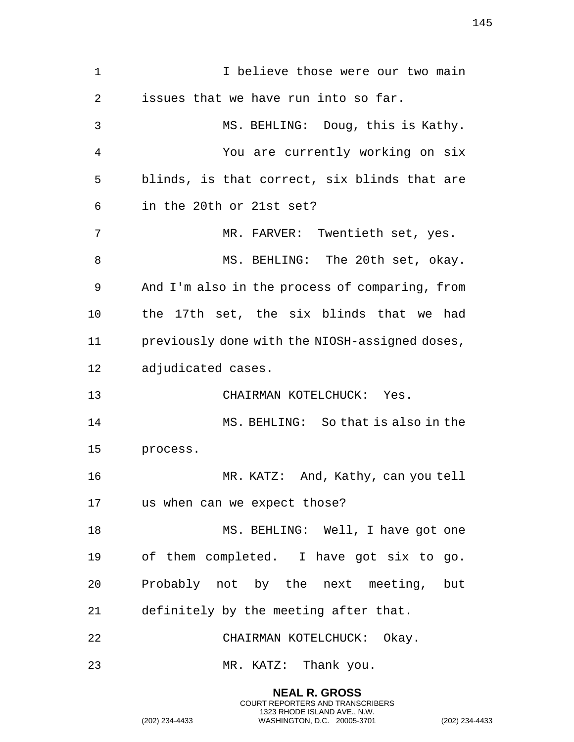1 1 I believe those were our two main issues that we have run into so far. MS. BEHLING: Doug, this is Kathy. You are currently working on six blinds, is that correct, six blinds that are in the 20th or 21st set? MR. FARVER: Twentieth set, yes. 8 MS. BEHLING: The 20th set, okay. And I'm also in the process of comparing, from the 17th set, the six blinds that we had previously done with the NIOSH-assigned doses, adjudicated cases. CHAIRMAN KOTELCHUCK: Yes. MS. BEHLING: So that is also in the process. 16 MR. KATZ: And, Kathy, can you tell us when can we expect those? 18 MS. BEHLING: Well, I have got one of them completed. I have got six to go. Probably not by the next meeting, but definitely by the meeting after that. CHAIRMAN KOTELCHUCK: Okay. MR. KATZ: Thank you.

> **NEAL R. GROSS** COURT REPORTERS AND TRANSCRIBERS 1323 RHODE ISLAND AVE., N.W.

(202) 234-4433 WASHINGTON, D.C. 20005-3701 (202) 234-4433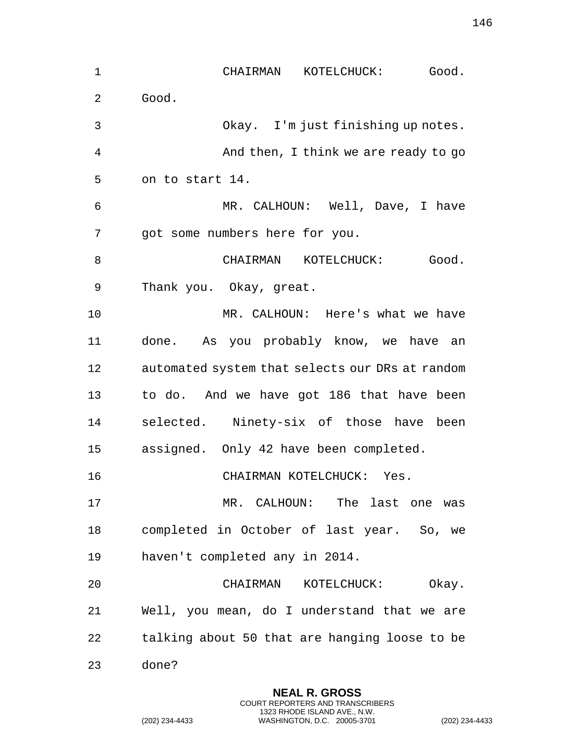CHAIRMAN KOTELCHUCK: Good. Good. Okay. I'm just finishing up notes. And then, I think we are ready to go on to start 14. MR. CALHOUN: Well, Dave, I have got some numbers here for you. 8 CHAIRMAN KOTELCHUCK: Good. Thank you. Okay, great. MR. CALHOUN: Here's what we have done. As you probably know, we have an automated system that selects our DRs at random to do. And we have got 186 that have been selected. Ninety-six of those have been assigned. Only 42 have been completed. CHAIRMAN KOTELCHUCK: Yes. MR. CALHOUN: The last one was completed in October of last year. So, we haven't completed any in 2014. CHAIRMAN KOTELCHUCK: Okay. Well, you mean, do I understand that we are talking about 50 that are hanging loose to be done?

> **NEAL R. GROSS** COURT REPORTERS AND TRANSCRIBERS 1323 RHODE ISLAND AVE., N.W.

(202) 234-4433 WASHINGTON, D.C. 20005-3701 (202) 234-4433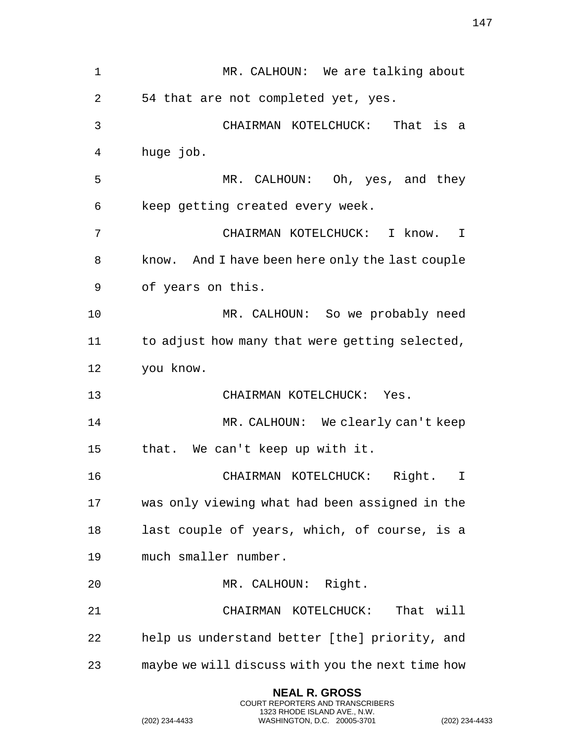| 1  | MR. CALHOUN: We are talking about               |  |  |
|----|-------------------------------------------------|--|--|
| 2  | 54 that are not completed yet, yes.             |  |  |
| 3  | CHAIRMAN KOTELCHUCK: That is a                  |  |  |
| 4  | huge job.                                       |  |  |
| 5  | MR. CALHOUN: Oh, yes, and they                  |  |  |
| 6  | keep getting created every week.                |  |  |
| 7  | CHAIRMAN KOTELCHUCK:<br>I know.<br>I            |  |  |
| 8  | know. And I have been here only the last couple |  |  |
| 9  | of years on this.                               |  |  |
| 10 | MR. CALHOUN: So we probably need                |  |  |
| 11 | to adjust how many that were getting selected,  |  |  |
|    | you know.                                       |  |  |
| 12 |                                                 |  |  |
| 13 | CHAIRMAN KOTELCHUCK: Yes.                       |  |  |
| 14 | MR. CALHOUN: We clearly can't keep              |  |  |
| 15 | that. We can't keep up with it.                 |  |  |
| 16 | CHAIRMAN KOTELCHUCK:<br>Right.<br>I             |  |  |
| 17 | was only viewing what had been assigned in the  |  |  |
| 18 | last couple of years, which, of course, is a    |  |  |
| 19 | much smaller number.                            |  |  |
| 20 | MR. CALHOUN: Right.                             |  |  |
| 21 | That will<br>CHAIRMAN KOTELCHUCK:               |  |  |
| 22 | help us understand better [the] priority, and   |  |  |

**NEAL R. GROSS** COURT REPORTERS AND TRANSCRIBERS 1323 RHODE ISLAND AVE., N.W.

(202) 234-4433 WASHINGTON, D.C. 20005-3701 (202) 234-4433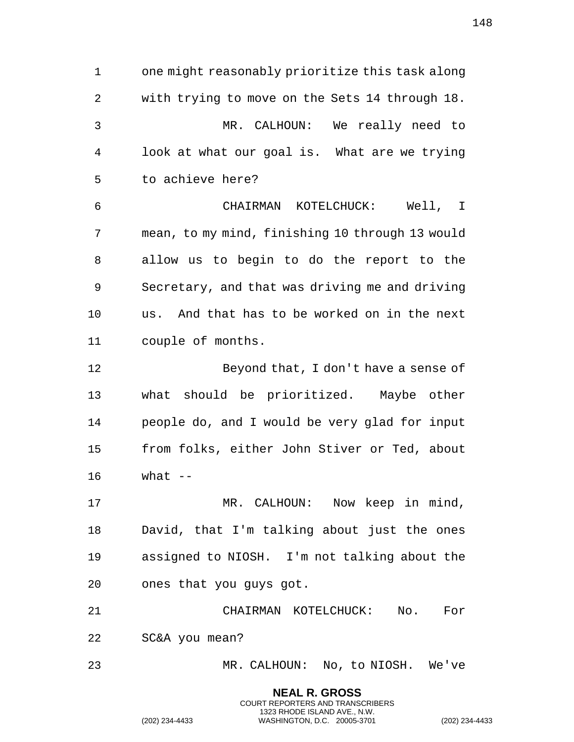one might reasonably prioritize this task along with trying to move on the Sets 14 through 18. MR. CALHOUN: We really need to look at what our goal is. What are we trying to achieve here? CHAIRMAN KOTELCHUCK: Well, I mean, to my mind, finishing 10 through 13 would allow us to begin to do the report to the Secretary, and that was driving me and driving us. And that has to be worked on in the next couple of months. Beyond that, I don't have a sense of what should be prioritized. Maybe other people do, and I would be very glad for input from folks, either John Stiver or Ted, about what -- MR. CALHOUN: Now keep in mind, David, that I'm talking about just the ones assigned to NIOSH. I'm not talking about the ones that you guys got. CHAIRMAN KOTELCHUCK: No. For SC&A you mean? MR. CALHOUN: No, to NIOSH. We've

> **NEAL R. GROSS** COURT REPORTERS AND TRANSCRIBERS 1323 RHODE ISLAND AVE., N.W.

(202) 234-4433 WASHINGTON, D.C. 20005-3701 (202) 234-4433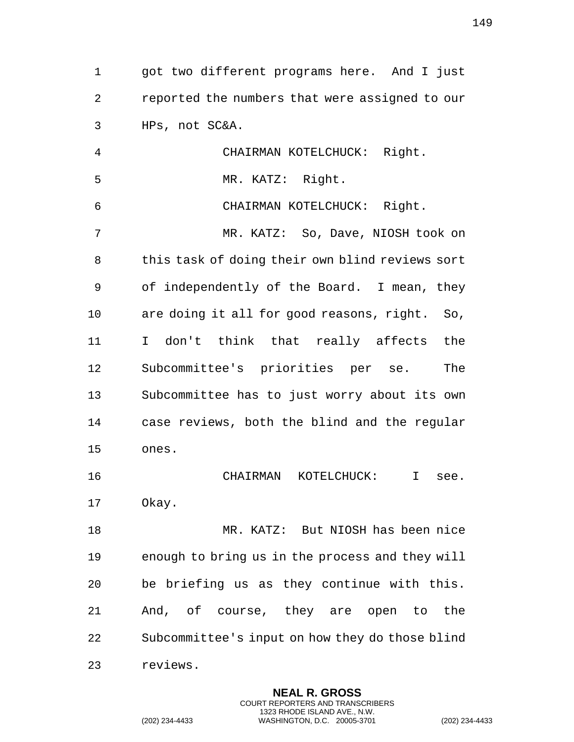got two different programs here. And I just reported the numbers that were assigned to our HPs, not SC&A. CHAIRMAN KOTELCHUCK: Right.

MR. KATZ: Right.

CHAIRMAN KOTELCHUCK: Right.

 MR. KATZ: So, Dave, NIOSH took on this task of doing their own blind reviews sort of independently of the Board. I mean, they are doing it all for good reasons, right. So, I don't think that really affects the Subcommittee's priorities per se. The Subcommittee has to just worry about its own case reviews, both the blind and the regular ones.

 CHAIRMAN KOTELCHUCK: I see. Okay.

 MR. KATZ: But NIOSH has been nice enough to bring us in the process and they will be briefing us as they continue with this. And, of course, they are open to the Subcommittee's input on how they do those blind reviews.

> **NEAL R. GROSS** COURT REPORTERS AND TRANSCRIBERS 1323 RHODE ISLAND AVE., N.W.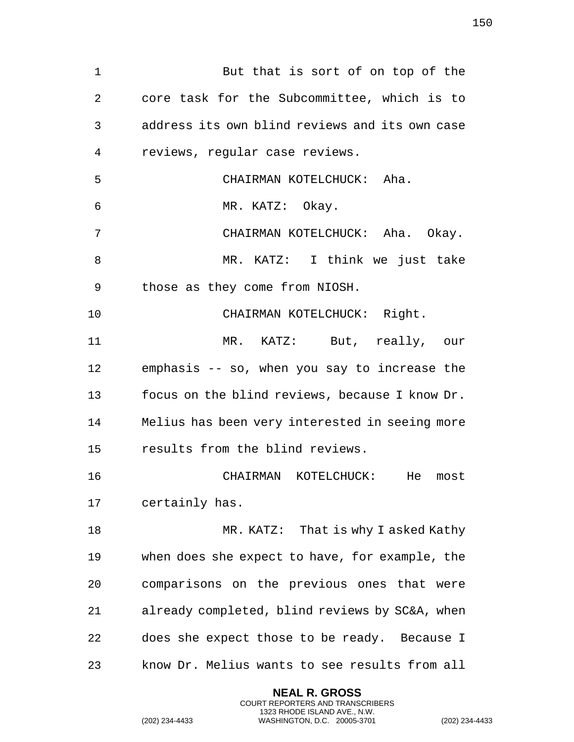1 But that is sort of on top of the core task for the Subcommittee, which is to address its own blind reviews and its own case reviews, regular case reviews. CHAIRMAN KOTELCHUCK: Aha. MR. KATZ: Okay. CHAIRMAN KOTELCHUCK: Aha. Okay. MR. KATZ: I think we just take those as they come from NIOSH. 10 CHAIRMAN KOTELCHUCK: Right. MR. KATZ: But, really, our emphasis -- so, when you say to increase the focus on the blind reviews, because I know Dr. Melius has been very interested in seeing more results from the blind reviews. CHAIRMAN KOTELCHUCK: He most certainly has. 18 MR. KATZ: That is why I asked Kathy when does she expect to have, for example, the comparisons on the previous ones that were already completed, blind reviews by SC&A, when does she expect those to be ready. Because I know Dr. Melius wants to see results from all

> **NEAL R. GROSS** COURT REPORTERS AND TRANSCRIBERS 1323 RHODE ISLAND AVE., N.W.

(202) 234-4433 WASHINGTON, D.C. 20005-3701 (202) 234-4433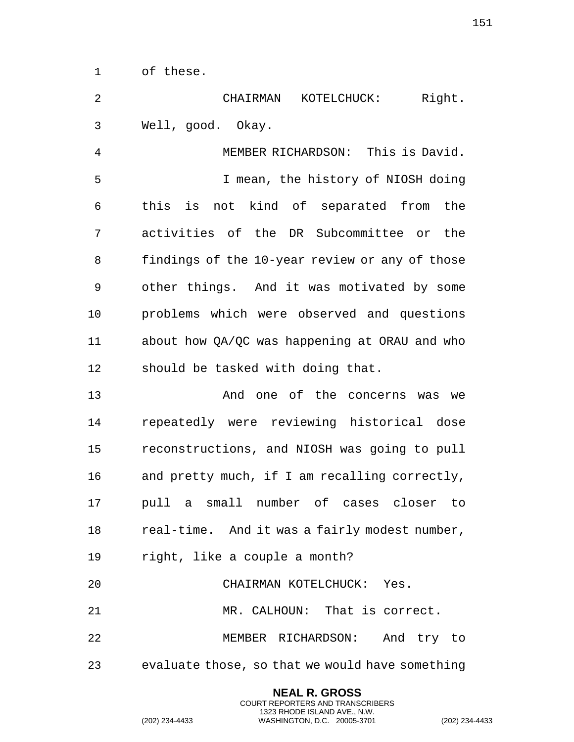of these.

 CHAIRMAN KOTELCHUCK: Right. Well, good. Okay.

 MEMBER RICHARDSON: This is David. I mean, the history of NIOSH doing this is not kind of separated from the activities of the DR Subcommittee or the findings of the 10-year review or any of those other things. And it was motivated by some problems which were observed and questions about how QA/QC was happening at ORAU and who should be tasked with doing that.

 And one of the concerns was we repeatedly were reviewing historical dose reconstructions, and NIOSH was going to pull and pretty much, if I am recalling correctly, pull a small number of cases closer to 18 real-time. And it was a fairly modest number, right, like a couple a month? CHAIRMAN KOTELCHUCK: Yes.

MR. CALHOUN: That is correct.

MEMBER RICHARDSON: And try to

evaluate those, so that we would have something

**NEAL R. GROSS** COURT REPORTERS AND TRANSCRIBERS 1323 RHODE ISLAND AVE., N.W.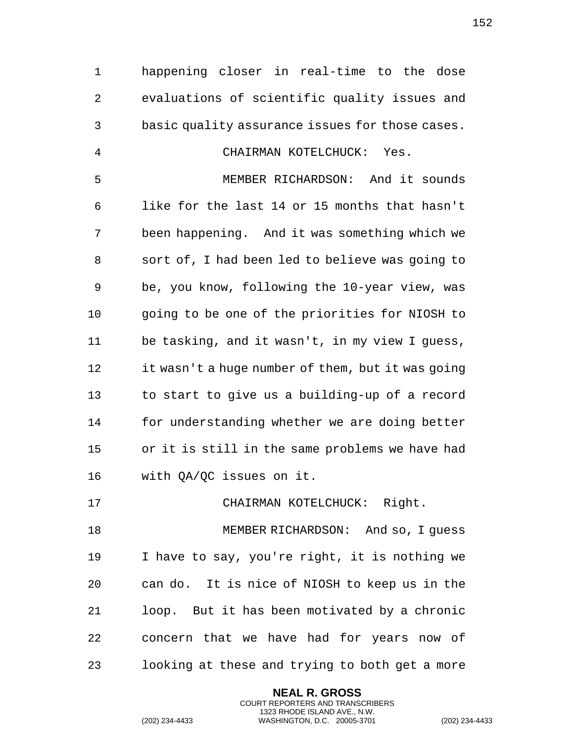happening closer in real-time to the dose evaluations of scientific quality issues and basic quality assurance issues for those cases. CHAIRMAN KOTELCHUCK: Yes. MEMBER RICHARDSON: And it sounds like for the last 14 or 15 months that hasn't been happening. And it was something which we sort of, I had been led to believe was going to be, you know, following the 10-year view, was going to be one of the priorities for NIOSH to be tasking, and it wasn't, in my view I guess, it wasn't a huge number of them, but it was going to start to give us a building-up of a record for understanding whether we are doing better or it is still in the same problems we have had with QA/QC issues on it. CHAIRMAN KOTELCHUCK: Right. MEMBER RICHARDSON: And so, I guess I have to say, you're right, it is nothing we can do. It is nice of NIOSH to keep us in the loop. But it has been motivated by a chronic concern that we have had for years now of

looking at these and trying to both get a more

**NEAL R. GROSS** COURT REPORTERS AND TRANSCRIBERS 1323 RHODE ISLAND AVE., N.W.

(202) 234-4433 WASHINGTON, D.C. 20005-3701 (202) 234-4433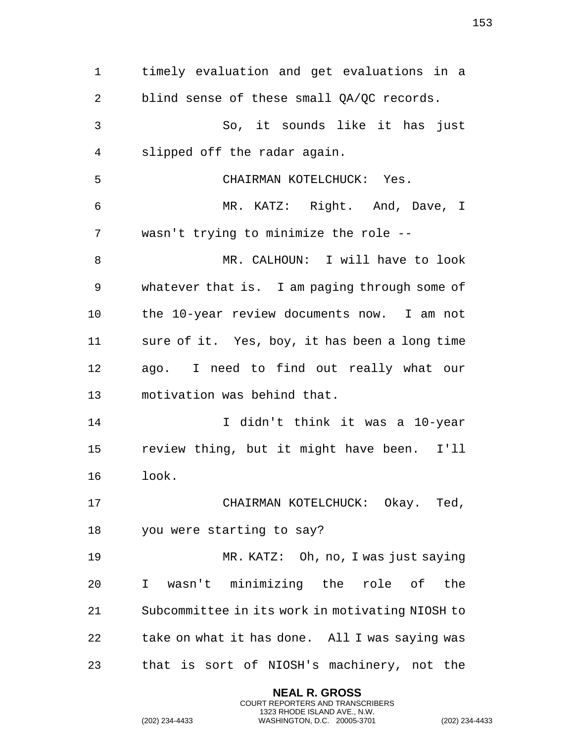timely evaluation and get evaluations in a 2 blind sense of these small OA/OC records. So, it sounds like it has just slipped off the radar again. CHAIRMAN KOTELCHUCK: Yes. MR. KATZ: Right. And, Dave, I wasn't trying to minimize the role -- MR. CALHOUN: I will have to look whatever that is. I am paging through some of the 10-year review documents now. I am not sure of it. Yes, boy, it has been a long time ago. I need to find out really what our motivation was behind that. I didn't think it was a 10-year review thing, but it might have been. I'll look. 17 CHAIRMAN KOTELCHUCK: Okay. Ted, you were starting to say? MR. KATZ: Oh, no, I was just saying I wasn't minimizing the role of the Subcommittee in its work in motivating NIOSH to take on what it has done. All I was saying was that is sort of NIOSH's machinery, not the

> **NEAL R. GROSS** COURT REPORTERS AND TRANSCRIBERS 1323 RHODE ISLAND AVE., N.W.

(202) 234-4433 WASHINGTON, D.C. 20005-3701 (202) 234-4433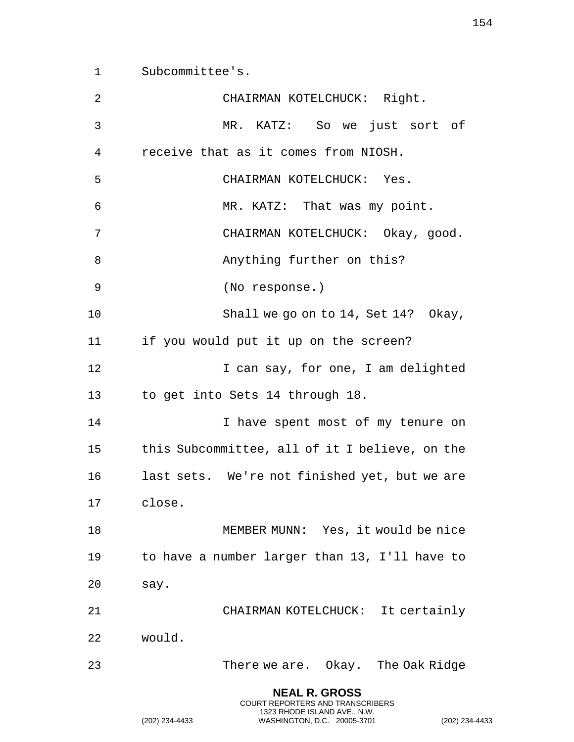Subcommittee's.

| 2  | CHAIRMAN KOTELCHUCK: Right.                              |
|----|----------------------------------------------------------|
| 3  | MR. KATZ: So we just sort of                             |
| 4  | receive that as it comes from NIOSH.                     |
| 5  | CHAIRMAN KOTELCHUCK: Yes.                                |
| 6  | MR. KATZ: That was my point.                             |
| 7  | CHAIRMAN KOTELCHUCK: Okay, good.                         |
| 8  | Anything further on this?                                |
| 9  | (No response.)                                           |
| 10 | Shall we go on to 14, Set 14? Okay,                      |
| 11 | if you would put it up on the screen?                    |
| 12 | I can say, for one, I am delighted                       |
| 13 | to get into Sets 14 through 18.                          |
| 14 | I have spent most of my tenure on                        |
| 15 | this Subcommittee, all of it I believe, on the           |
| 16 | last sets. We're not finished yet, but we are            |
| 17 | close.                                                   |
| 18 | MEMBER MUNN: Yes, it would be nice                       |
| 19 | to have a number larger than 13, I'll have to            |
| 20 | say.                                                     |
| 21 | CHAIRMAN KOTELCHUCK: It certainly                        |
| 22 | would.                                                   |
| 23 | There we are. Okay. The Oak Ridge                        |
|    | <b>NEAL R. GROSS</b><br>COURT REPORTERS AND TRANSCRIBERS |

1323 RHODE ISLAND AVE., N.W.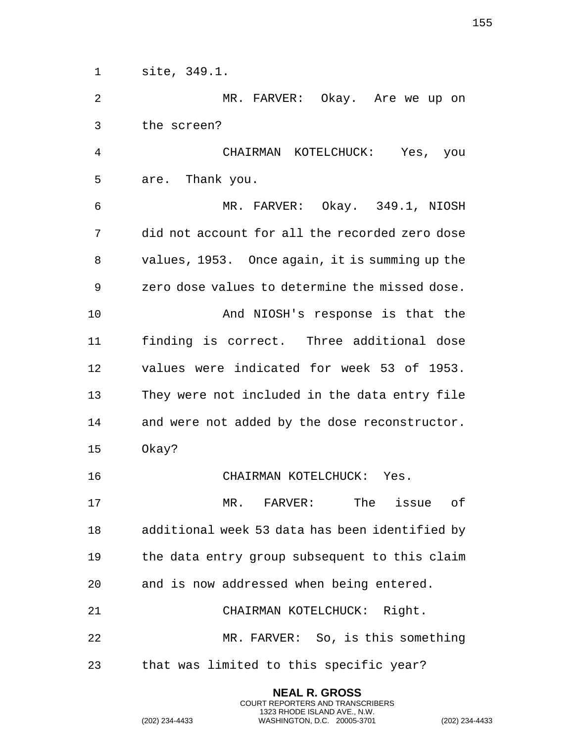site, 349.1. MR. FARVER: Okay. Are we up on the screen? CHAIRMAN KOTELCHUCK: Yes, you are. Thank you. MR. FARVER: Okay. 349.1, NIOSH did not account for all the recorded zero dose values, 1953. Once again, it is summing up the zero dose values to determine the missed dose. And NIOSH's response is that the finding is correct. Three additional dose values were indicated for week 53 of 1953. They were not included in the data entry file and were not added by the dose reconstructor. Okay? CHAIRMAN KOTELCHUCK: Yes. MR. FARVER: The issue of additional week 53 data has been identified by the data entry group subsequent to this claim and is now addressed when being entered. CHAIRMAN KOTELCHUCK: Right. MR. FARVER: So, is this something that was limited to this specific year?

> **NEAL R. GROSS** COURT REPORTERS AND TRANSCRIBERS 1323 RHODE ISLAND AVE., N.W.

(202) 234-4433 WASHINGTON, D.C. 20005-3701 (202) 234-4433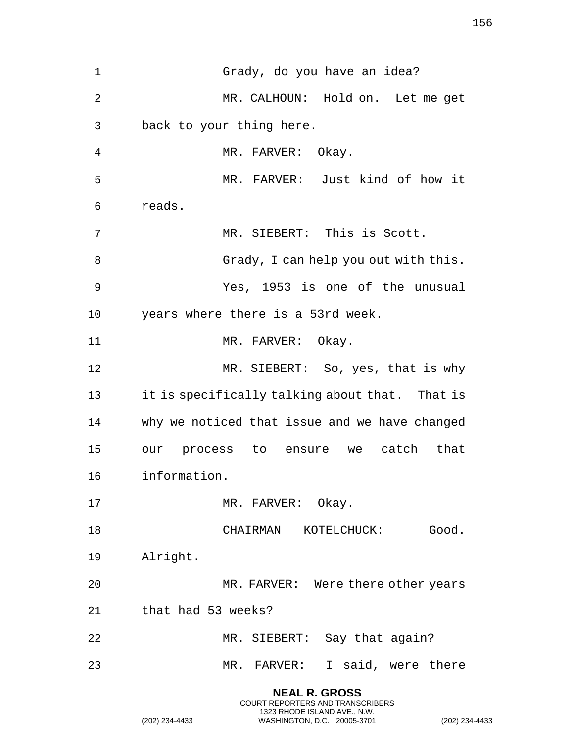Grady, do you have an idea? MR. CALHOUN: Hold on. Let me get back to your thing here. MR. FARVER: Okay. MR. FARVER: Just kind of how it reads. MR. SIEBERT: This is Scott. Grady, I can help you out with this. Yes, 1953 is one of the unusual years where there is a 53rd week. 11 MR. FARVER: Okay. MR. SIEBERT: So, yes, that is why it is specifically talking about that. That is why we noticed that issue and we have changed our process to ensure we catch that information. 17 MR. FARVER: Okay. 18 CHAIRMAN KOTELCHUCK: Good. Alright. 20 MR. FARVER: Were there other years that had 53 weeks? MR. SIEBERT: Say that again? MR. FARVER: I said, were there **NEAL R. GROSS**

COURT REPORTERS AND TRANSCRIBERS 1323 RHODE ISLAND AVE., N.W.

(202) 234-4433 WASHINGTON, D.C. 20005-3701 (202) 234-4433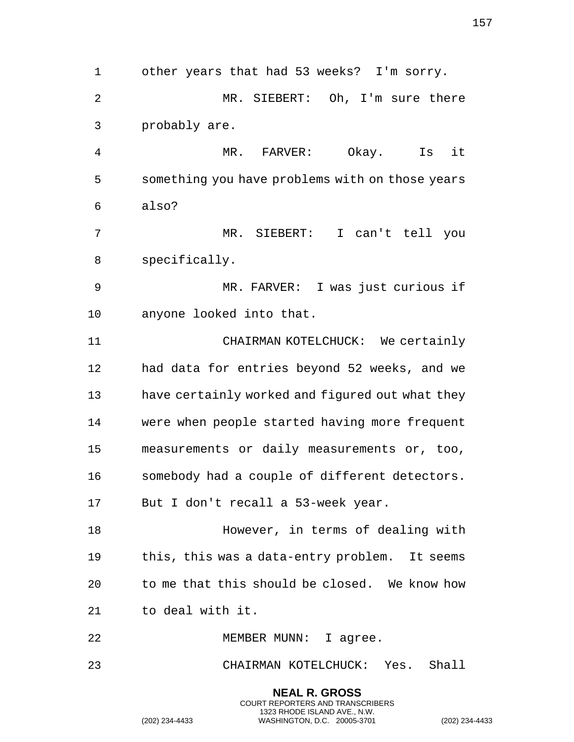other years that had 53 weeks? I'm sorry. MR. SIEBERT: Oh, I'm sure there probably are. MR. FARVER: Okay. Is it something you have problems with on those years also? MR. SIEBERT: I can't tell you specifically. MR. FARVER: I was just curious if anyone looked into that. CHAIRMAN KOTELCHUCK: We certainly had data for entries beyond 52 weeks, and we have certainly worked and figured out what they were when people started having more frequent measurements or daily measurements or, too, somebody had a couple of different detectors. But I don't recall a 53-week year. However, in terms of dealing with this, this was a data-entry problem. It seems to me that this should be closed. We know how to deal with it. 22 MEMBER MUNN: I agree. CHAIRMAN KOTELCHUCK: Yes. Shall **NEAL R. GROSS** COURT REPORTERS AND TRANSCRIBERS

1323 RHODE ISLAND AVE., N.W.

(202) 234-4433 WASHINGTON, D.C. 20005-3701 (202) 234-4433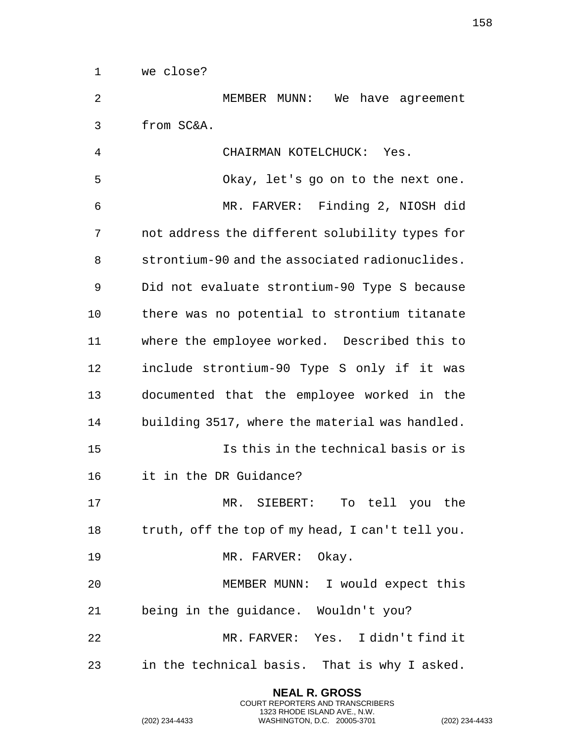we close?

 MEMBER MUNN: We have agreement from SC&A.

 CHAIRMAN KOTELCHUCK: Yes. Okay, let's go on to the next one. MR. FARVER: Finding 2, NIOSH did not address the different solubility types for strontium-90 and the associated radionuclides. Did not evaluate strontium-90 Type S because there was no potential to strontium titanate where the employee worked. Described this to include strontium-90 Type S only if it was documented that the employee worked in the building 3517, where the material was handled. Is this in the technical basis or is it in the DR Guidance? MR. SIEBERT: To tell you the truth, off the top of my head, I can't tell you. 19 MR. FARVER: Okay. MEMBER MUNN: I would expect this being in the guidance. Wouldn't you? MR. FARVER: Yes. I didn't find it in the technical basis. That is why I asked.

> **NEAL R. GROSS** COURT REPORTERS AND TRANSCRIBERS 1323 RHODE ISLAND AVE., N.W.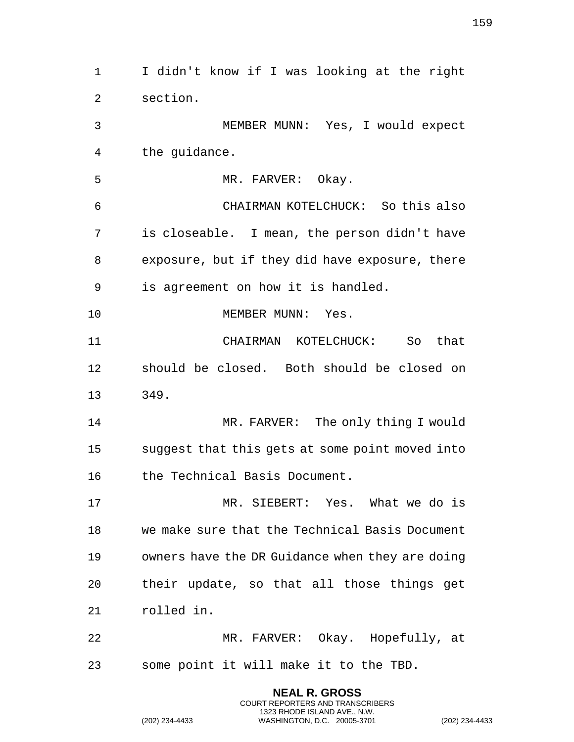I didn't know if I was looking at the right section. MEMBER MUNN: Yes, I would expect the guidance. 5 MR. FARVER: Okay. CHAIRMAN KOTELCHUCK: So this also is closeable. I mean, the person didn't have exposure, but if they did have exposure, there is agreement on how it is handled. 10 MEMBER MUNN: Yes. CHAIRMAN KOTELCHUCK: So that should be closed. Both should be closed on 349. 14 MR. FARVER: The only thing I would suggest that this gets at some point moved into the Technical Basis Document. MR. SIEBERT: Yes. What we do is we make sure that the Technical Basis Document owners have the DR Guidance when they are doing their update, so that all those things get rolled in. MR. FARVER: Okay. Hopefully, at some point it will make it to the TBD.

> **NEAL R. GROSS** COURT REPORTERS AND TRANSCRIBERS 1323 RHODE ISLAND AVE., N.W.

(202) 234-4433 WASHINGTON, D.C. 20005-3701 (202) 234-4433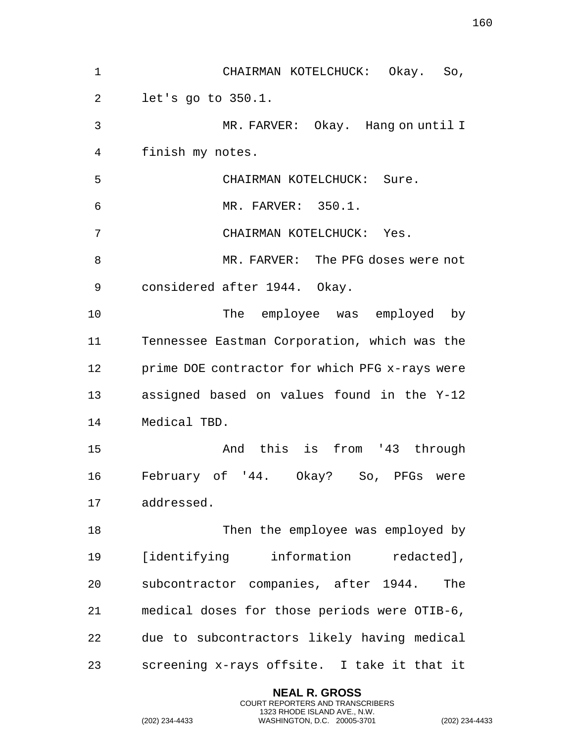| $\mathbf 1$ | CHAIRMAN KOTELCHUCK: Okay. So,                 |
|-------------|------------------------------------------------|
| 2           | let's go to 350.1.                             |
| 3           | MR. FARVER: Okay. Hang on until I              |
| 4           | finish my notes.                               |
| 5           | CHAIRMAN KOTELCHUCK: Sure.                     |
| 6           | MR. FARVER: 350.1.                             |
| 7           | CHAIRMAN KOTELCHUCK: Yes.                      |
| 8           | MR. FARVER: The PFG doses were not             |
| 9           | considered after 1944. Okay.                   |
| 10          | The employee was employed by                   |
| 11          | Tennessee Eastman Corporation, which was the   |
| 12          | prime DOE contractor for which PFG x-rays were |
| 13          | assigned based on values found in the Y-12     |
| 14          | Medical TBD.                                   |
| 15          | And this is from '43 through                   |
| 16          | February of '44. Okay? So, PFGs<br>were        |
| 17          | addressed.                                     |
| 18          | Then the employee was employed by              |
| 19          | [identifying information redacted],            |
| 20          | subcontractor companies, after 1944.<br>The    |
| 21          | medical doses for those periods were OTIB-6,   |
| 22          | due to subcontractors likely having medical    |
| 23          | screening x-rays offsite. I take it that it    |

**NEAL R. GROSS** COURT REPORTERS AND TRANSCRIBERS 1323 RHODE ISLAND AVE., N.W.

(202) 234-4433 WASHINGTON, D.C. 20005-3701 (202) 234-4433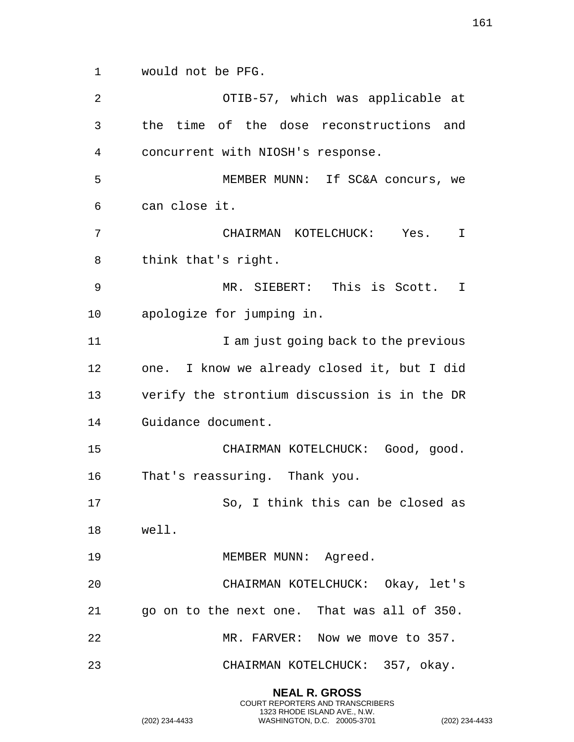would not be PFG.

| 2  | OTIB-57, which was applicable at             |  |
|----|----------------------------------------------|--|
| 3  | the time of the dose reconstructions and     |  |
| 4  | concurrent with NIOSH's response.            |  |
| 5  | MEMBER MUNN: If SC&A concurs, we             |  |
| 6  | can close it.                                |  |
| 7  | CHAIRMAN KOTELCHUCK: Yes.<br>$\mathbf I$     |  |
| 8  | think that's right.                          |  |
| 9  | MR. SIEBERT: This is Scott. I                |  |
| 10 | apologize for jumping in.                    |  |
| 11 | I am just going back to the previous         |  |
| 12 | one. I know we already closed it, but I did  |  |
| 13 | verify the strontium discussion is in the DR |  |
| 14 | Guidance document.                           |  |
| 15 | CHAIRMAN KOTELCHUCK: Good, good.             |  |
| 16 | That's reassuring. Thank you.                |  |
| 17 | So, I think this can be closed as            |  |
|    | 18 well.                                     |  |
| 19 | MEMBER MUNN: Agreed.                         |  |
| 20 | CHAIRMAN KOTELCHUCK: Okay, let's             |  |
| 21 | go on to the next one. That was all of 350.  |  |
| 22 | MR. FARVER: Now we move to 357.              |  |
| 23 | CHAIRMAN KOTELCHUCK: 357, okay.              |  |
|    |                                              |  |

**NEAL R. GROSS** COURT REPORTERS AND TRANSCRIBERS 1323 RHODE ISLAND AVE., N.W.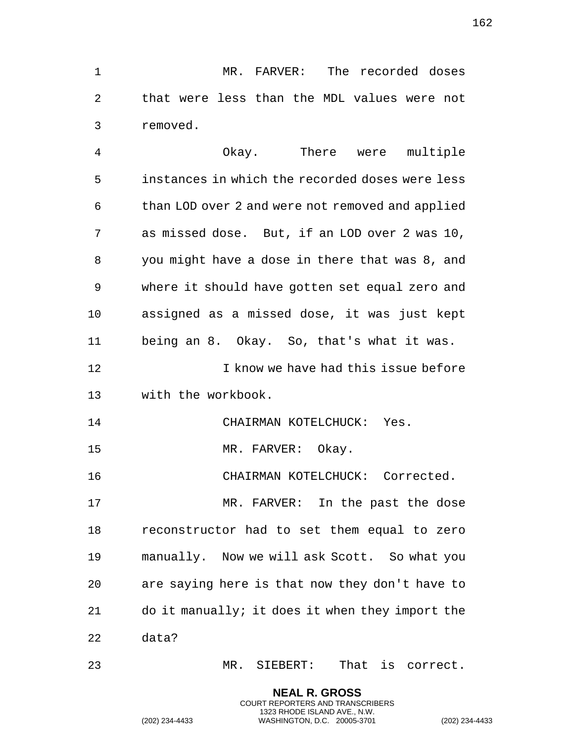MR. FARVER: The recorded doses that were less than the MDL values were not removed.

 Okay. There were multiple instances in which the recorded doses were less than LOD over 2 and were not removed and applied as missed dose. But, if an LOD over 2 was 10, you might have a dose in there that was 8, and where it should have gotten set equal zero and assigned as a missed dose, it was just kept being an 8. Okay. So, that's what it was. 12 12 I know we have had this issue before with the workbook. 14 CHAIRMAN KOTELCHUCK: Yes. 15 MR. FARVER: Okay. CHAIRMAN KOTELCHUCK: Corrected. MR. FARVER: In the past the dose reconstructor had to set them equal to zero

 manually. Now we will ask Scott. So what you are saying here is that now they don't have to do it manually; it does it when they import the data?

MR. SIEBERT: That is correct.

**NEAL R. GROSS** COURT REPORTERS AND TRANSCRIBERS 1323 RHODE ISLAND AVE., N.W.

(202) 234-4433 WASHINGTON, D.C. 20005-3701 (202) 234-4433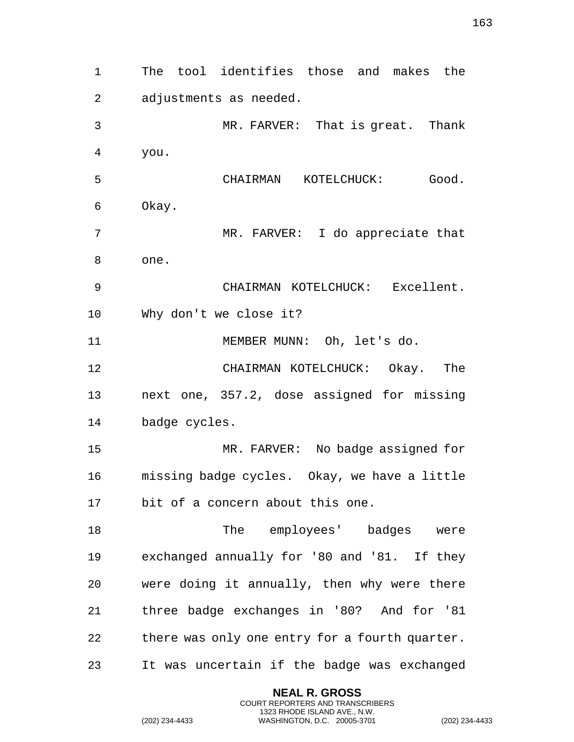The tool identifies those and makes the adjustments as needed. MR. FARVER: That is great. Thank you. CHAIRMAN KOTELCHUCK: Good. Okay. MR. FARVER: I do appreciate that one. CHAIRMAN KOTELCHUCK: Excellent. Why don't we close it? MEMBER MUNN: Oh, let's do. CHAIRMAN KOTELCHUCK: Okay. The next one, 357.2, dose assigned for missing badge cycles. MR. FARVER: No badge assigned for missing badge cycles. Okay, we have a little bit of a concern about this one. 18 The employees' badges were exchanged annually for '80 and '81. If they were doing it annually, then why were there three badge exchanges in '80? And for '81 there was only one entry for a fourth quarter. It was uncertain if the badge was exchanged

> **NEAL R. GROSS** COURT REPORTERS AND TRANSCRIBERS 1323 RHODE ISLAND AVE., N.W.

(202) 234-4433 WASHINGTON, D.C. 20005-3701 (202) 234-4433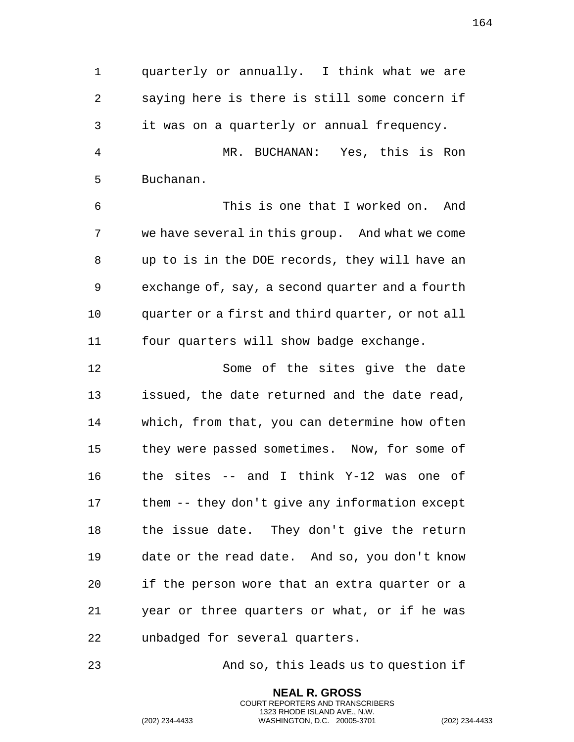quarterly or annually. I think what we are saying here is there is still some concern if it was on a quarterly or annual frequency. MR. BUCHANAN: Yes, this is Ron Buchanan. This is one that I worked on. And we have several in this group. And what we come up to is in the DOE records, they will have an exchange of, say, a second quarter and a fourth quarter or a first and third quarter, or not all four quarters will show badge exchange. Some of the sites give the date issued, the date returned and the date read, which, from that, you can determine how often they were passed sometimes. Now, for some of the sites -- and I think Y-12 was one of them -- they don't give any information except the issue date. They don't give the return date or the read date. And so, you don't know if the person wore that an extra quarter or a year or three quarters or what, or if he was unbadged for several quarters.

And so, this leads us to question if

**NEAL R. GROSS** COURT REPORTERS AND TRANSCRIBERS 1323 RHODE ISLAND AVE., N.W.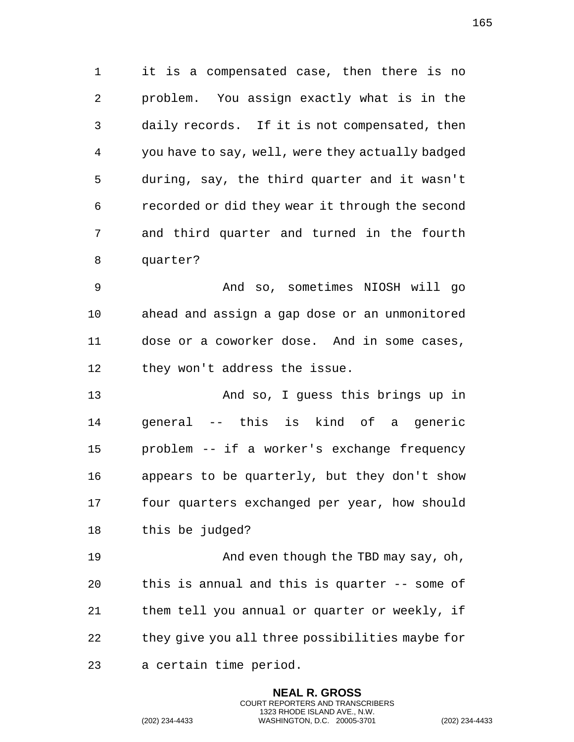it is a compensated case, then there is no problem. You assign exactly what is in the daily records. If it is not compensated, then you have to say, well, were they actually badged during, say, the third quarter and it wasn't recorded or did they wear it through the second and third quarter and turned in the fourth quarter?

 And so, sometimes NIOSH will go ahead and assign a gap dose or an unmonitored dose or a coworker dose. And in some cases, 12 they won't address the issue.

 And so, I guess this brings up in general -- this is kind of a generic problem -- if a worker's exchange frequency appears to be quarterly, but they don't show four quarters exchanged per year, how should this be judged?

**And even though the TBD may say, oh,**  this is annual and this is quarter -- some of them tell you annual or quarter or weekly, if they give you all three possibilities maybe for

> **NEAL R. GROSS** COURT REPORTERS AND TRANSCRIBERS 1323 RHODE ISLAND AVE., N.W.

a certain time period.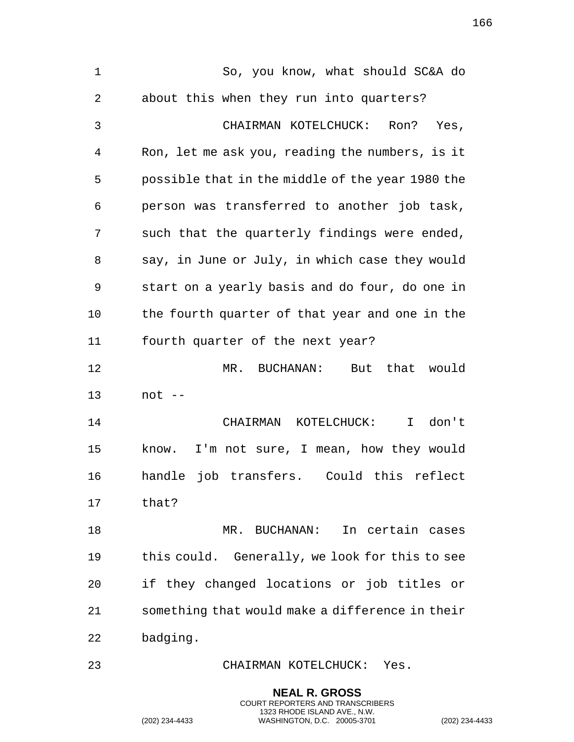So, you know, what should SC&A do about this when they run into quarters? CHAIRMAN KOTELCHUCK: Ron? Yes, Ron, let me ask you, reading the numbers, is it possible that in the middle of the year 1980 the person was transferred to another job task, such that the quarterly findings were ended, say, in June or July, in which case they would start on a yearly basis and do four, do one in the fourth quarter of that year and one in the fourth quarter of the next year? MR. BUCHANAN: But that would not -- CHAIRMAN KOTELCHUCK: I don't know. I'm not sure, I mean, how they would handle job transfers. Could this reflect that? MR. BUCHANAN: In certain cases this could. Generally, we look for this to see if they changed locations or job titles or something that would make a difference in their badging. CHAIRMAN KOTELCHUCK: Yes.

> **NEAL R. GROSS** COURT REPORTERS AND TRANSCRIBERS 1323 RHODE ISLAND AVE., N.W.

(202) 234-4433 WASHINGTON, D.C. 20005-3701 (202) 234-4433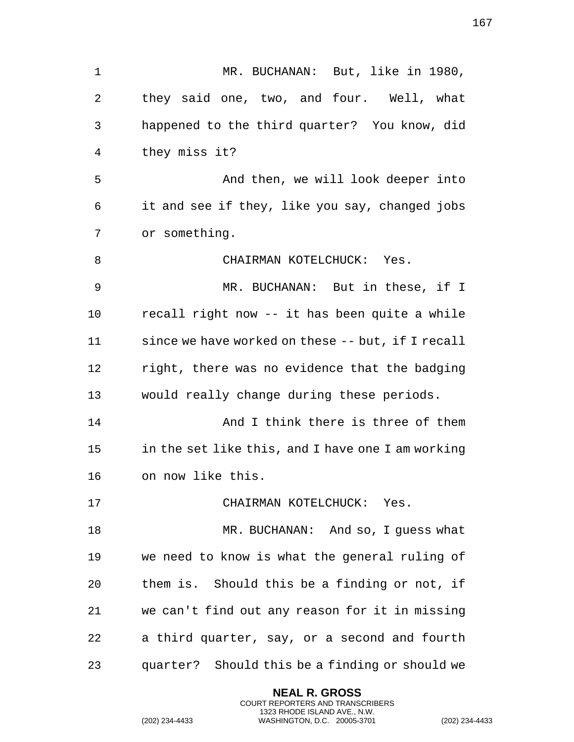MR. BUCHANAN: But, like in 1980, they said one, two, and four. Well, what happened to the third quarter? You know, did they miss it? 5 And then, we will look deeper into it and see if they, like you say, changed jobs or something. CHAIRMAN KOTELCHUCK: Yes. MR. BUCHANAN: But in these, if I recall right now -- it has been quite a while since we have worked on these -- but, if I recall right, there was no evidence that the badging would really change during these periods. And I think there is three of them in the set like this, and I have one I am working on now like this. CHAIRMAN KOTELCHUCK: Yes. 18 MR. BUCHANAN: And so, I guess what we need to know is what the general ruling of them is. Should this be a finding or not, if we can't find out any reason for it in missing a third quarter, say, or a second and fourth quarter? Should this be a finding or should we

> **NEAL R. GROSS** COURT REPORTERS AND TRANSCRIBERS 1323 RHODE ISLAND AVE., N.W.

(202) 234-4433 WASHINGTON, D.C. 20005-3701 (202) 234-4433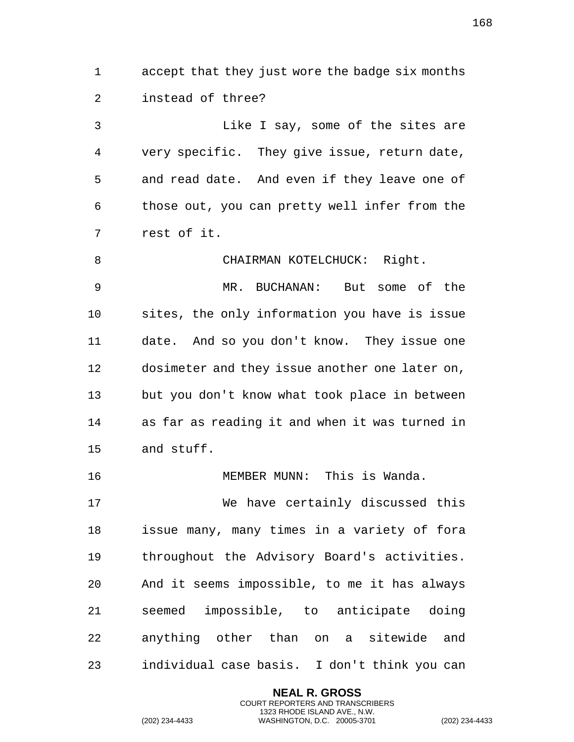accept that they just wore the badge six months instead of three?

 Like I say, some of the sites are very specific. They give issue, return date, and read date. And even if they leave one of those out, you can pretty well infer from the rest of it.

8 CHAIRMAN KOTELCHUCK: Right. MR. BUCHANAN: But some of the sites, the only information you have is issue date. And so you don't know. They issue one 12 dosimeter and they issue another one later on, but you don't know what took place in between as far as reading it and when it was turned in and stuff.

 We have certainly discussed this issue many, many times in a variety of fora throughout the Advisory Board's activities. And it seems impossible, to me it has always seemed impossible, to anticipate doing anything other than on a sitewide and individual case basis. I don't think you can

> **NEAL R. GROSS** COURT REPORTERS AND TRANSCRIBERS 1323 RHODE ISLAND AVE., N.W.

MEMBER MUNN: This is Wanda.

(202) 234-4433 WASHINGTON, D.C. 20005-3701 (202) 234-4433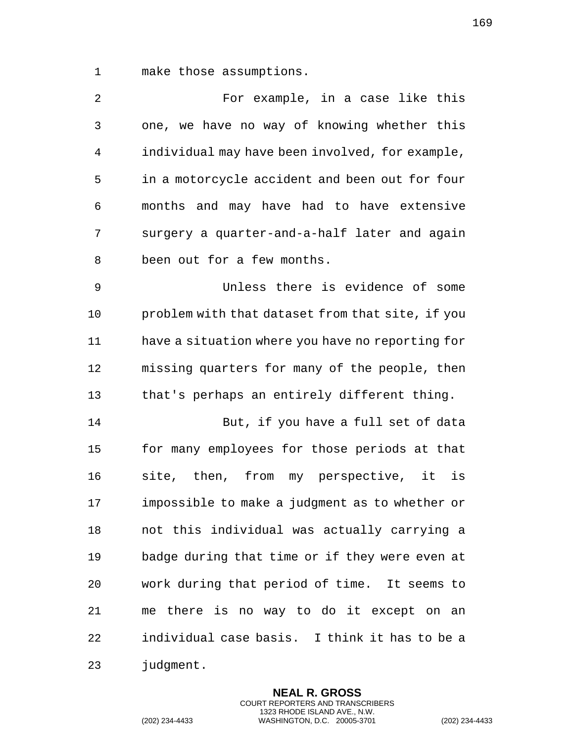make those assumptions.

| 2              | For example, in a case like this                 |
|----------------|--------------------------------------------------|
| $\mathfrak{Z}$ | one, we have no way of knowing whether this      |
| 4              | individual may have been involved, for example,  |
| 5              | in a motorcycle accident and been out for four   |
| 6              | months and may have had to have extensive        |
| 7              | surgery a quarter-and-a-half later and again     |
| 8              | been out for a few months.                       |
| 9              | Unless there is evidence of some                 |
| 10             | problem with that dataset from that site, if you |
| 11             | have a situation where you have no reporting for |
| 12             | missing quarters for many of the people, then    |
| 13             | that's perhaps an entirely different thing.      |
| 14             | But, if you have a full set of data              |
| 15             | for many employees for those periods at that     |
| 16             | site, then, from my perspective, it is           |
| 17             | impossible to make a judgment as to whether or   |
| 18             | not this individual was actually carrying a      |
| 19             | badge during that time or if they were even at   |
| 20             | work during that period of time. It seems to     |
| 21             | me there is no way to do it except on an         |
| 22             | individual case basis. I think it has to be a    |
| 23             | judgment.                                        |

**NEAL R. GROSS** COURT REPORTERS AND TRANSCRIBERS 1323 RHODE ISLAND AVE., N.W.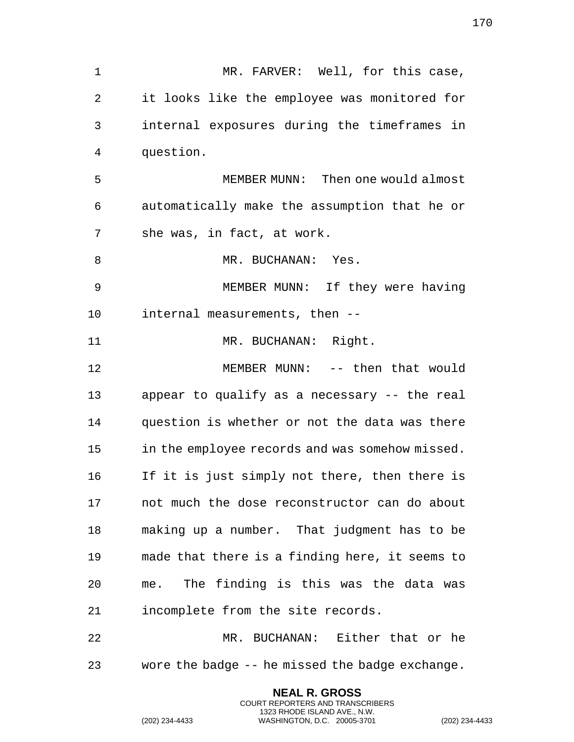MR. FARVER: Well, for this case, it looks like the employee was monitored for internal exposures during the timeframes in question. MEMBER MUNN: Then one would almost automatically make the assumption that he or she was, in fact, at work. 8 MR. BUCHANAN: Yes. MEMBER MUNN: If they were having internal measurements, then -- 11 MR. BUCHANAN: Right. MEMBER MUNN: -- then that would appear to qualify as a necessary -- the real question is whether or not the data was there in the employee records and was somehow missed. If it is just simply not there, then there is not much the dose reconstructor can do about making up a number. That judgment has to be made that there is a finding here, it seems to me. The finding is this was the data was incomplete from the site records. MR. BUCHANAN: Either that or he wore the badge -- he missed the badge exchange.

> **NEAL R. GROSS** COURT REPORTERS AND TRANSCRIBERS 1323 RHODE ISLAND AVE., N.W.

(202) 234-4433 WASHINGTON, D.C. 20005-3701 (202) 234-4433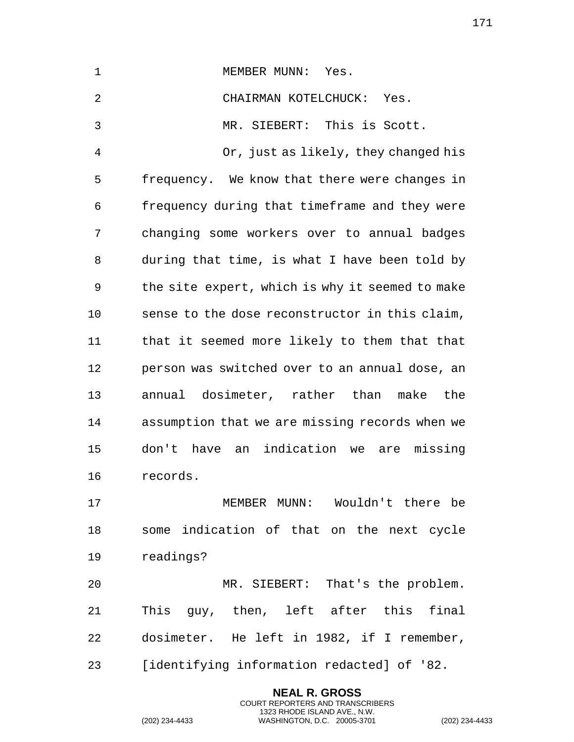| 1              | MEMBER MUNN:<br>Yes.                            |  |  |  |  |
|----------------|-------------------------------------------------|--|--|--|--|
| $\overline{2}$ | CHAIRMAN KOTELCHUCK: Yes.                       |  |  |  |  |
| 3              | MR. SIEBERT: This is Scott.                     |  |  |  |  |
| 4              | Or, just as likely, they changed his            |  |  |  |  |
| 5              | frequency. We know that there were changes in   |  |  |  |  |
| 6              | frequency during that timeframe and they were   |  |  |  |  |
| 7              | changing some workers over to annual badges     |  |  |  |  |
| 8              | during that time, is what I have been told by   |  |  |  |  |
| 9              | the site expert, which is why it seemed to make |  |  |  |  |
| 10             | sense to the dose reconstructor in this claim,  |  |  |  |  |
| 11             | that it seemed more likely to them that that    |  |  |  |  |
| 12             | person was switched over to an annual dose, an  |  |  |  |  |
| 13             | annual dosimeter, rather than make the          |  |  |  |  |
| 14             | assumption that we are missing records when we  |  |  |  |  |
| 15             | don't have an indication we are missing         |  |  |  |  |
| 16             | records.                                        |  |  |  |  |
| 17             | MEMBER MUNN: Wouldn't there be                  |  |  |  |  |
| 18             | some indication of that on the next cycle       |  |  |  |  |
| 19             | readings?                                       |  |  |  |  |
| 20             | MR. SIEBERT: That's the problem.                |  |  |  |  |
| 21             | This guy, then, left after this final           |  |  |  |  |
| 22             | dosimeter. He left in 1982, if I remember,      |  |  |  |  |
| 23             | [identifying information redacted] of '82.      |  |  |  |  |

**NEAL R. GROSS** COURT REPORTERS AND TRANSCRIBERS 1323 RHODE ISLAND AVE., N.W.

(202) 234-4433 WASHINGTON, D.C. 20005-3701 (202) 234-4433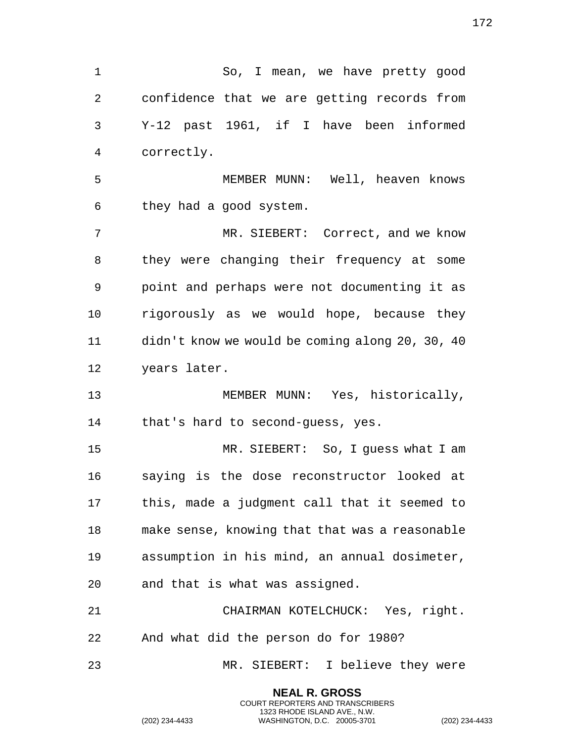So, I mean, we have pretty good confidence that we are getting records from Y-12 past 1961, if I have been informed correctly. MEMBER MUNN: Well, heaven knows they had a good system. MR. SIEBERT: Correct, and we know they were changing their frequency at some point and perhaps were not documenting it as rigorously as we would hope, because they didn't know we would be coming along 20, 30, 40 years later. MEMBER MUNN: Yes, historically, 14 that's hard to second-guess, yes. MR. SIEBERT: So, I guess what I am saying is the dose reconstructor looked at this, made a judgment call that it seemed to make sense, knowing that that was a reasonable assumption in his mind, an annual dosimeter, and that is what was assigned. CHAIRMAN KOTELCHUCK: Yes, right. And what did the person do for 1980? MR. SIEBERT: I believe they were

> **NEAL R. GROSS** COURT REPORTERS AND TRANSCRIBERS 1323 RHODE ISLAND AVE., N.W.

(202) 234-4433 WASHINGTON, D.C. 20005-3701 (202) 234-4433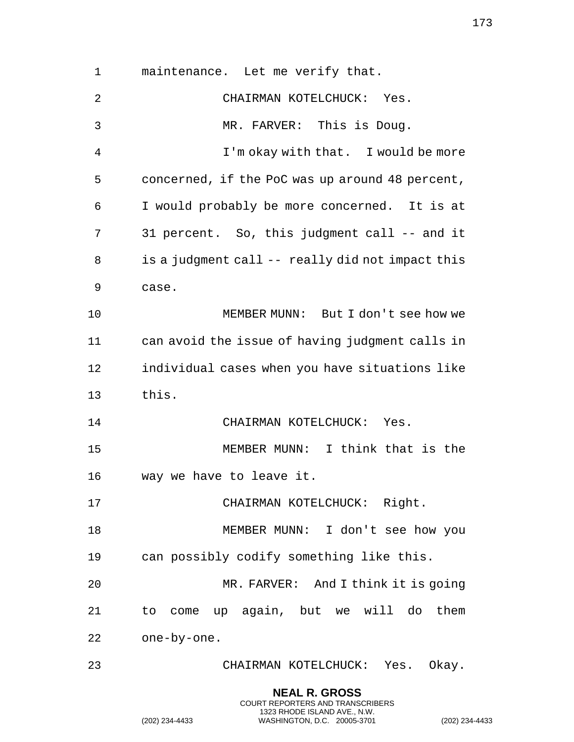maintenance. Let me verify that. CHAIRMAN KOTELCHUCK: Yes. MR. FARVER: This is Doug. I'm okay with that. I would be more concerned, if the PoC was up around 48 percent, I would probably be more concerned. It is at 7 31 percent. So, this judgment call -- and it is a judgment call -- really did not impact this case. MEMBER MUNN: But I don't see how we can avoid the issue of having judgment calls in individual cases when you have situations like this. 14 CHAIRMAN KOTELCHUCK: Yes. MEMBER MUNN: I think that is the way we have to leave it. 17 CHAIRMAN KOTELCHUCK: Right. 18 MEMBER MUNN: I don't see how you can possibly codify something like this. MR. FARVER: And I think it is going to come up again, but we will do them one-by-one. CHAIRMAN KOTELCHUCK: Yes. Okay.

> **NEAL R. GROSS** COURT REPORTERS AND TRANSCRIBERS 1323 RHODE ISLAND AVE., N.W.

(202) 234-4433 WASHINGTON, D.C. 20005-3701 (202) 234-4433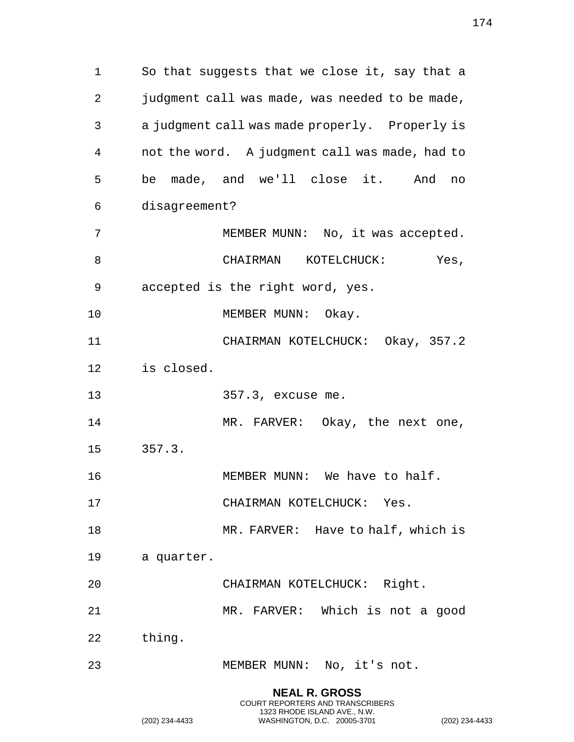So that suggests that we close it, say that a 2 judgment call was made, was needed to be made, a judgment call was made properly. Properly is not the word. A judgment call was made, had to be made, and we'll close it. And no disagreement? 7 MEMBER MUNN: No, it was accepted. 8 CHAIRMAN KOTELCHUCK: Yes, accepted is the right word, yes. 10 MEMBER MUNN: Okay. CHAIRMAN KOTELCHUCK: Okay, 357.2 is closed. 357.3, excuse me. 14 MR. FARVER: Okay, the next one, 357.3. 16 MEMBER MUNN: We have to half. CHAIRMAN KOTELCHUCK: Yes. 18 MR. FARVER: Have to half, which is a quarter. CHAIRMAN KOTELCHUCK: Right. MR. FARVER: Which is not a good thing. MEMBER MUNN: No, it's not. **NEAL R. GROSS**

COURT REPORTERS AND TRANSCRIBERS 1323 RHODE ISLAND AVE., N.W.

(202) 234-4433 WASHINGTON, D.C. 20005-3701 (202) 234-4433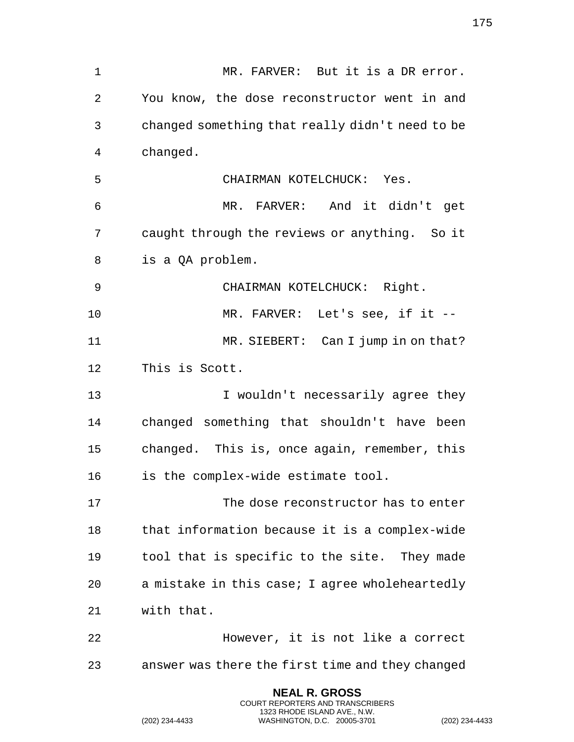MR. FARVER: But it is a DR error. You know, the dose reconstructor went in and changed something that really didn't need to be changed. CHAIRMAN KOTELCHUCK: Yes. MR. FARVER: And it didn't get caught through the reviews or anything. So it is a QA problem. CHAIRMAN KOTELCHUCK: Right. MR. FARVER: Let's see, if it -- 11 MR. SIEBERT: Can I jump in on that? This is Scott. I wouldn't necessarily agree they changed something that shouldn't have been changed. This is, once again, remember, this is the complex-wide estimate tool. The dose reconstructor has to enter that information because it is a complex-wide tool that is specific to the site. They made a mistake in this case; I agree wholeheartedly with that. However, it is not like a correct answer was there the first time and they changed

> **NEAL R. GROSS** COURT REPORTERS AND TRANSCRIBERS 1323 RHODE ISLAND AVE., N.W.

(202) 234-4433 WASHINGTON, D.C. 20005-3701 (202) 234-4433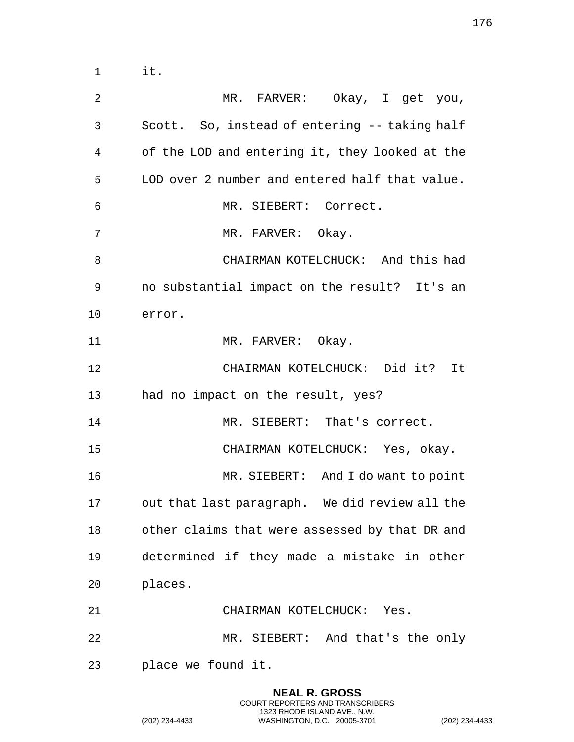MR. FARVER: Okay, I get you, Scott. So, instead of entering -- taking half of the LOD and entering it, they looked at the LOD over 2 number and entered half that value. MR. SIEBERT: Correct. 7 MR. FARVER: Okay. CHAIRMAN KOTELCHUCK: And this had no substantial impact on the result? It's an error. 11 MR. FARVER: Okay. CHAIRMAN KOTELCHUCK: Did it? It had no impact on the result, yes? 14 MR. SIEBERT: That's correct. CHAIRMAN KOTELCHUCK: Yes, okay. MR. SIEBERT: And I do want to point out that last paragraph. We did review all the other claims that were assessed by that DR and determined if they made a mistake in other places. CHAIRMAN KOTELCHUCK: Yes. MR. SIEBERT: And that's the only place we found it.

> **NEAL R. GROSS** COURT REPORTERS AND TRANSCRIBERS 1323 RHODE ISLAND AVE., N.W.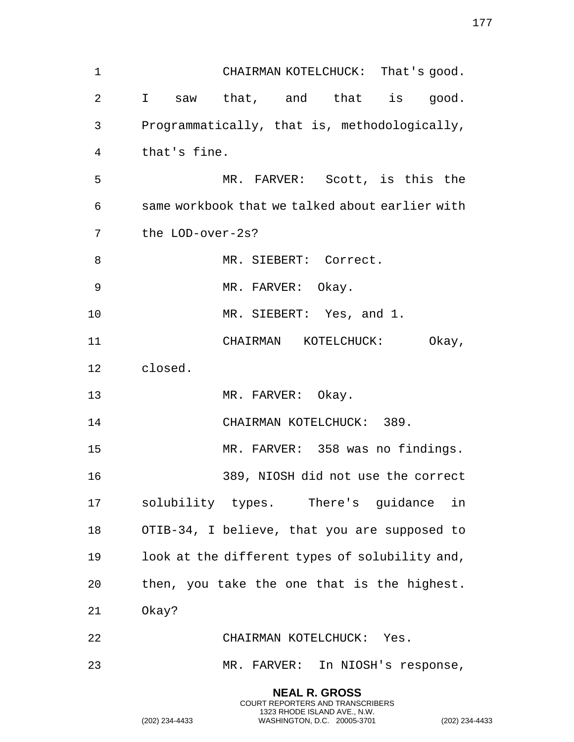| $\mathbf 1$ |                  | CHAIRMAN KOTELCHUCK: That's good.               |
|-------------|------------------|-------------------------------------------------|
| 2           |                  | I saw that, and that is good.                   |
| 3           |                  | Programmatically, that is, methodologically,    |
| 4           | that's fine.     |                                                 |
| 5           |                  | MR. FARVER: Scott, is this the                  |
| 6           |                  | same workbook that we talked about earlier with |
| 7           | the LOD-over-2s? |                                                 |
| 8           |                  | MR. SIEBERT: Correct.                           |
| 9           |                  | MR. FARVER: Okay.                               |
| 10          |                  | MR. SIEBERT: Yes, and 1.                        |
| 11          |                  | CHAIRMAN KOTELCHUCK:<br>Okay,                   |
| 12          | closed.          |                                                 |
| 13          |                  | MR. FARVER: Okay.                               |
| 14          |                  | CHAIRMAN KOTELCHUCK: 389.                       |
| 15          |                  | MR. FARVER: 358 was no findings.                |
| 16          |                  | 389, NIOSH did not use the correct              |
| 17          |                  | solubility types. There's guidance in           |
| 18          |                  | OTIB-34, I believe, that you are supposed to    |
| 19          |                  | look at the different types of solubility and,  |
| 20          |                  | then, you take the one that is the highest.     |
| 21          | Okay?            |                                                 |
| 22          |                  | CHAIRMAN KOTELCHUCK: Yes.                       |
| 23          |                  | MR. FARVER: In NIOSH's response,                |
|             |                  |                                                 |

**NEAL R. GROSS** COURT REPORTERS AND TRANSCRIBERS 1323 RHODE ISLAND AVE., N.W.

(202) 234-4433 WASHINGTON, D.C. 20005-3701 (202) 234-4433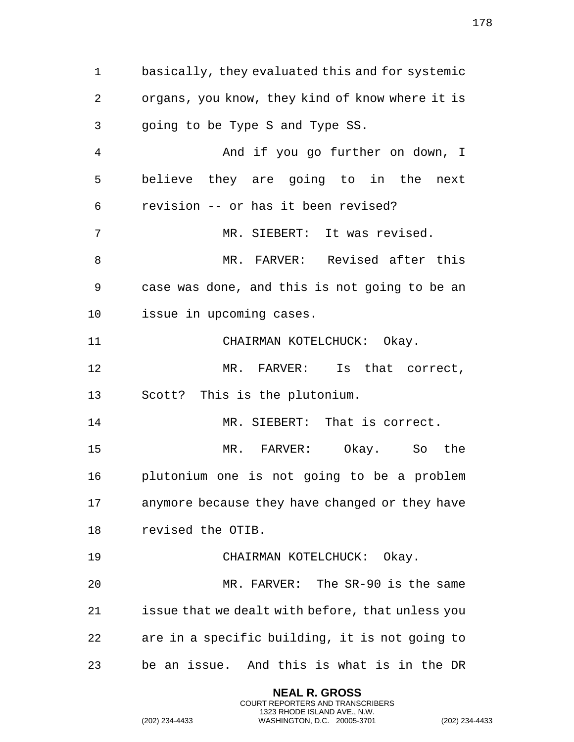basically, they evaluated this and for systemic organs, you know, they kind of know where it is going to be Type S and Type SS. And if you go further on down, I believe they are going to in the next revision -- or has it been revised? MR. SIEBERT: It was revised. 8 MR. FARVER: Revised after this case was done, and this is not going to be an issue in upcoming cases. CHAIRMAN KOTELCHUCK: Okay. MR. FARVER: Is that correct, Scott? This is the plutonium. MR. SIEBERT: That is correct. MR. FARVER: Okay. So the plutonium one is not going to be a problem anymore because they have changed or they have revised the OTIB. CHAIRMAN KOTELCHUCK: Okay. MR. FARVER: The SR-90 is the same issue that we dealt with before, that unless you are in a specific building, it is not going to be an issue. And this is what is in the DR

> **NEAL R. GROSS** COURT REPORTERS AND TRANSCRIBERS 1323 RHODE ISLAND AVE., N.W.

(202) 234-4433 WASHINGTON, D.C. 20005-3701 (202) 234-4433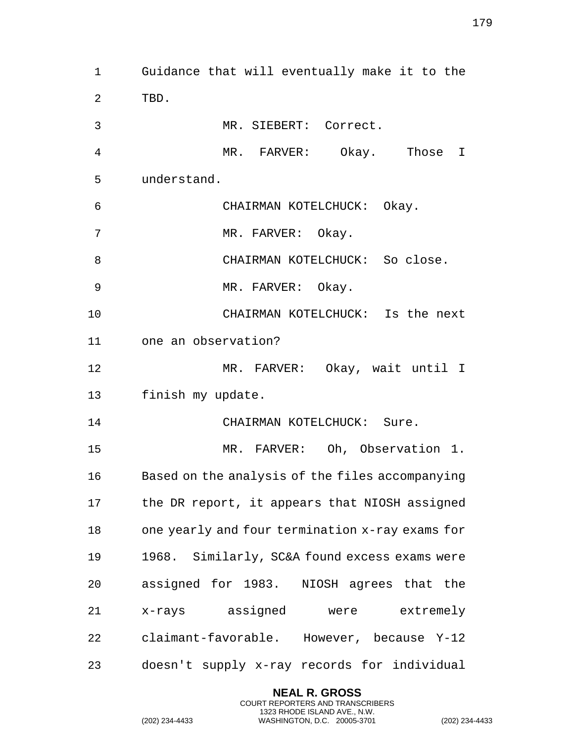Guidance that will eventually make it to the TBD. MR. SIEBERT: Correct. MR. FARVER: Okay. Those I understand. CHAIRMAN KOTELCHUCK: Okay. 7 MR. FARVER: Okay. 8 CHAIRMAN KOTELCHUCK: So close. 9 MR. FARVER: Okay. CHAIRMAN KOTELCHUCK: Is the next one an observation? MR. FARVER: Okay, wait until I finish my update. 14 CHAIRMAN KOTELCHUCK: Sure. MR. FARVER: Oh, Observation 1. Based on the analysis of the files accompanying the DR report, it appears that NIOSH assigned one yearly and four termination x-ray exams for 1968. Similarly, SC&A found excess exams were assigned for 1983. NIOSH agrees that the x-rays assigned were extremely claimant-favorable. However, because Y-12 doesn't supply x-ray records for individual

> **NEAL R. GROSS** COURT REPORTERS AND TRANSCRIBERS 1323 RHODE ISLAND AVE., N.W.

(202) 234-4433 WASHINGTON, D.C. 20005-3701 (202) 234-4433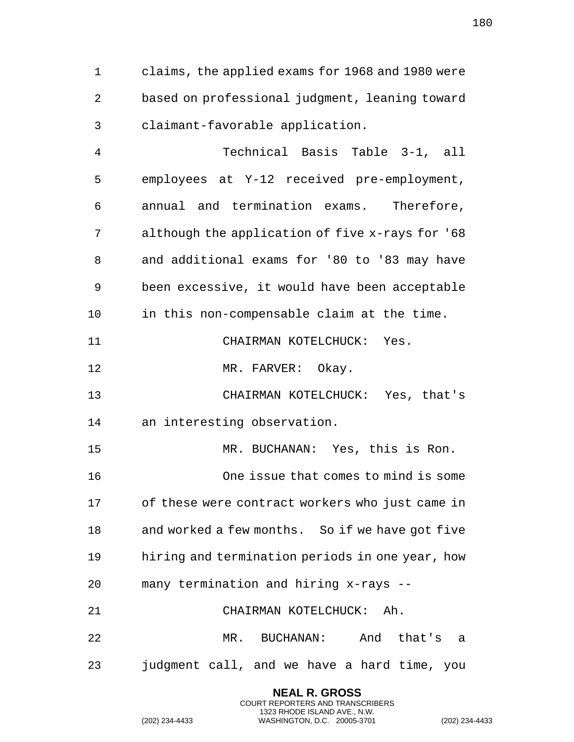claims, the applied exams for 1968 and 1980 were based on professional judgment, leaning toward claimant-favorable application.

 Technical Basis Table 3-1, all employees at Y-12 received pre-employment, annual and termination exams. Therefore, although the application of five x-rays for '68 and additional exams for '80 to '83 may have been excessive, it would have been acceptable in this non-compensable claim at the time. CHAIRMAN KOTELCHUCK: Yes. 12 MR. FARVER: Okay. CHAIRMAN KOTELCHUCK: Yes, that's an interesting observation. MR. BUCHANAN: Yes, this is Ron. One issue that comes to mind is some of these were contract workers who just came in and worked a few months. So if we have got five hiring and termination periods in one year, how many termination and hiring x-rays -- CHAIRMAN KOTELCHUCK: Ah. MR. BUCHANAN: And that's a judgment call, and we have a hard time, you

> **NEAL R. GROSS** COURT REPORTERS AND TRANSCRIBERS 1323 RHODE ISLAND AVE., N.W.

(202) 234-4433 WASHINGTON, D.C. 20005-3701 (202) 234-4433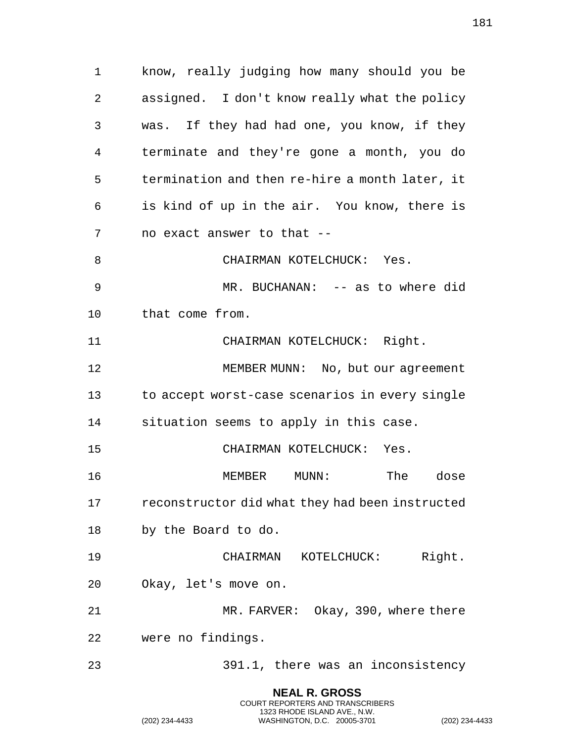know, really judging how many should you be assigned. I don't know really what the policy was. If they had had one, you know, if they terminate and they're gone a month, you do termination and then re-hire a month later, it is kind of up in the air. You know, there is no exact answer to that -- 8 CHAIRMAN KOTELCHUCK: Yes. MR. BUCHANAN: -- as to where did that come from. CHAIRMAN KOTELCHUCK: Right. MEMBER MUNN: No, but our agreement to accept worst-case scenarios in every single situation seems to apply in this case. CHAIRMAN KOTELCHUCK: Yes. MEMBER MUNN: The dose reconstructor did what they had been instructed by the Board to do. CHAIRMAN KOTELCHUCK: Right. Okay, let's move on. MR. FARVER: Okay, 390, where there were no findings. 391.1, there was an inconsistency

> **NEAL R. GROSS** COURT REPORTERS AND TRANSCRIBERS 1323 RHODE ISLAND AVE., N.W.

(202) 234-4433 WASHINGTON, D.C. 20005-3701 (202) 234-4433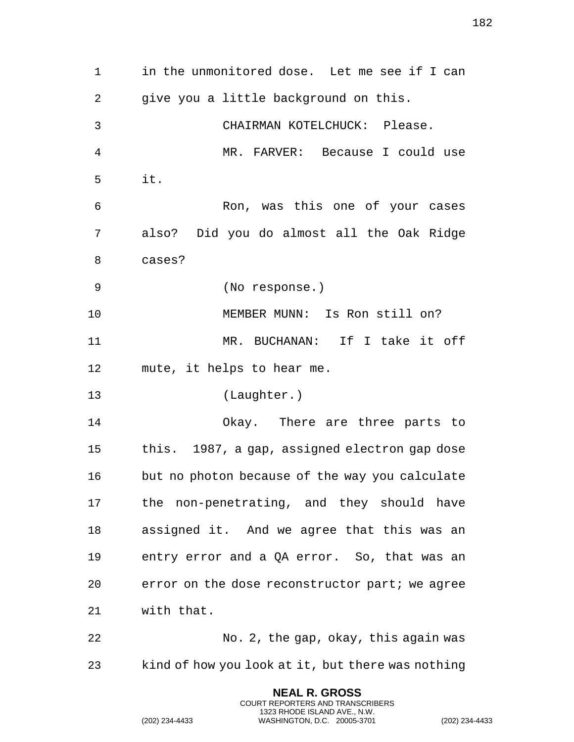in the unmonitored dose. Let me see if I can give you a little background on this. CHAIRMAN KOTELCHUCK: Please. MR. FARVER: Because I could use it. Ron, was this one of your cases also? Did you do almost all the Oak Ridge cases? (No response.) MEMBER MUNN: Is Ron still on? MR. BUCHANAN: If I take it off mute, it helps to hear me. (Laughter.) Okay. There are three parts to this. 1987, a gap, assigned electron gap dose but no photon because of the way you calculate the non-penetrating, and they should have assigned it. And we agree that this was an entry error and a QA error. So, that was an error on the dose reconstructor part; we agree with that. No. 2, the gap, okay, this again was kind of how you look at it, but there was nothing

> **NEAL R. GROSS** COURT REPORTERS AND TRANSCRIBERS 1323 RHODE ISLAND AVE., N.W.

(202) 234-4433 WASHINGTON, D.C. 20005-3701 (202) 234-4433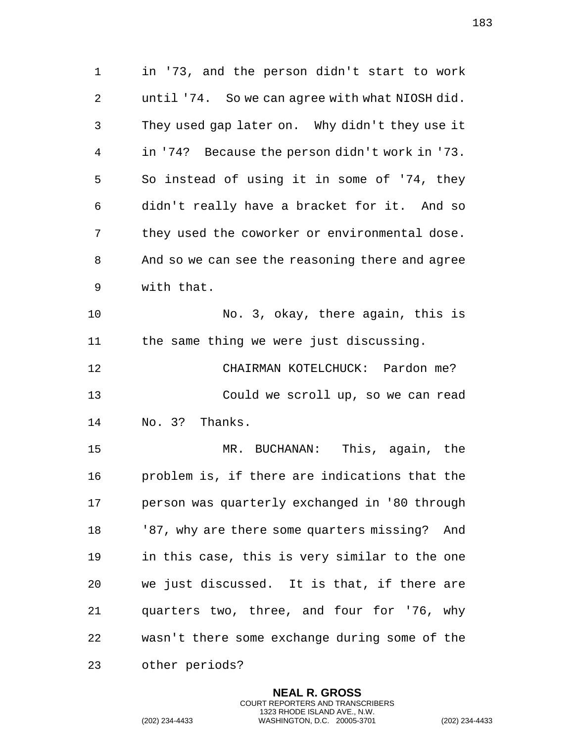in '73, and the person didn't start to work until '74. So we can agree with what NIOSH did. They used gap later on. Why didn't they use it in '74? Because the person didn't work in '73. So instead of using it in some of '74, they didn't really have a bracket for it. And so they used the coworker or environmental dose. And so we can see the reasoning there and agree with that. No. 3, okay, there again, this is the same thing we were just discussing. CHAIRMAN KOTELCHUCK: Pardon me? Could we scroll up, so we can read No. 3? Thanks. MR. BUCHANAN: This, again, the problem is, if there are indications that the person was quarterly exchanged in '80 through '87, why are there some quarters missing? And in this case, this is very similar to the one we just discussed. It is that, if there are quarters two, three, and four for '76, why wasn't there some exchange during some of the other periods?

> **NEAL R. GROSS** COURT REPORTERS AND TRANSCRIBERS 1323 RHODE ISLAND AVE., N.W.

(202) 234-4433 WASHINGTON, D.C. 20005-3701 (202) 234-4433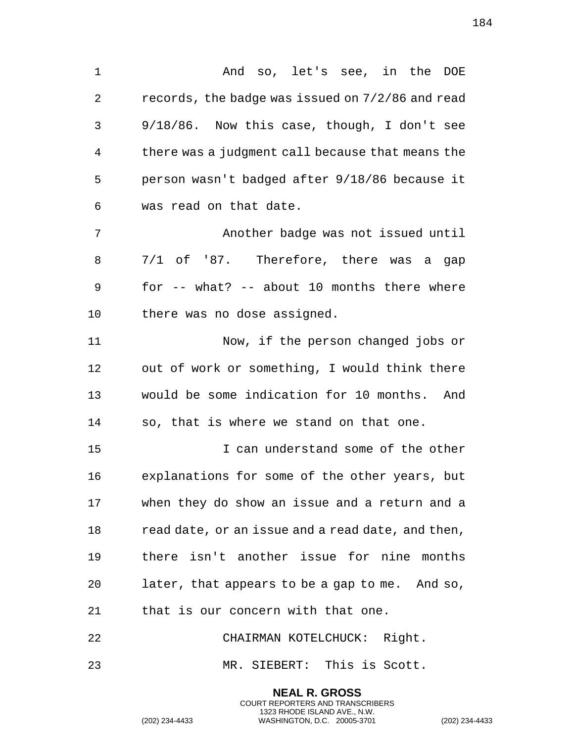And so, let's see, in the DOE records, the badge was issued on 7/2/86 and read 9/18/86. Now this case, though, I don't see there was a judgment call because that means the person wasn't badged after 9/18/86 because it was read on that date. Another badge was not issued until 7/1 of '87. Therefore, there was a gap for -- what? -- about 10 months there where there was no dose assigned. Now, if the person changed jobs or out of work or something, I would think there would be some indication for 10 months. And so, that is where we stand on that one. I can understand some of the other explanations for some of the other years, but when they do show an issue and a return and a read date, or an issue and a read date, and then,

 there isn't another issue for nine months later, that appears to be a gap to me. And so, that is our concern with that one.

CHAIRMAN KOTELCHUCK: Right.

MR. SIEBERT: This is Scott.

**NEAL R. GROSS** COURT REPORTERS AND TRANSCRIBERS 1323 RHODE ISLAND AVE., N.W.

(202) 234-4433 WASHINGTON, D.C. 20005-3701 (202) 234-4433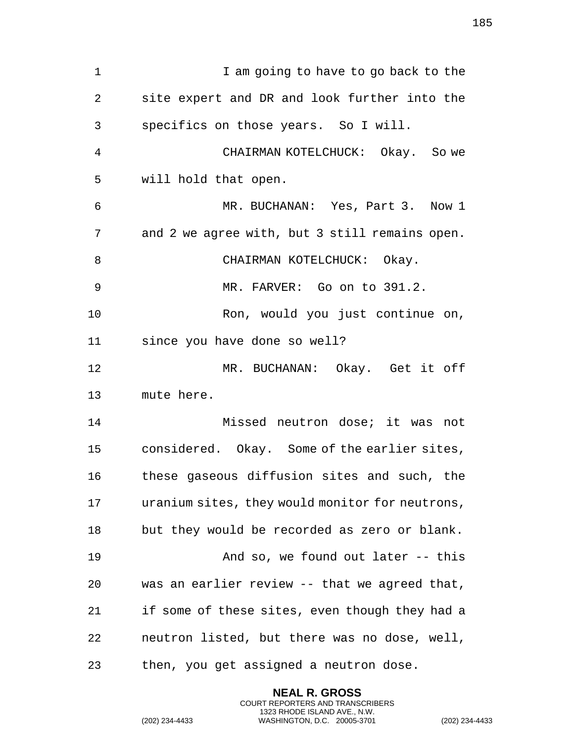1 I am going to have to go back to the site expert and DR and look further into the specifics on those years. So I will. CHAIRMAN KOTELCHUCK: Okay. So we will hold that open. MR. BUCHANAN: Yes, Part 3. Now 1 and 2 we agree with, but 3 still remains open. 8 CHAIRMAN KOTELCHUCK: Okay. MR. FARVER: Go on to 391.2. Ron, would you just continue on, since you have done so well? MR. BUCHANAN: Okay. Get it off mute here. Missed neutron dose; it was not considered. Okay. Some of the earlier sites, these gaseous diffusion sites and such, the uranium sites, they would monitor for neutrons, but they would be recorded as zero or blank. And so, we found out later -- this was an earlier review -- that we agreed that, if some of these sites, even though they had a neutron listed, but there was no dose, well, then, you get assigned a neutron dose.

> **NEAL R. GROSS** COURT REPORTERS AND TRANSCRIBERS 1323 RHODE ISLAND AVE., N.W.

(202) 234-4433 WASHINGTON, D.C. 20005-3701 (202) 234-4433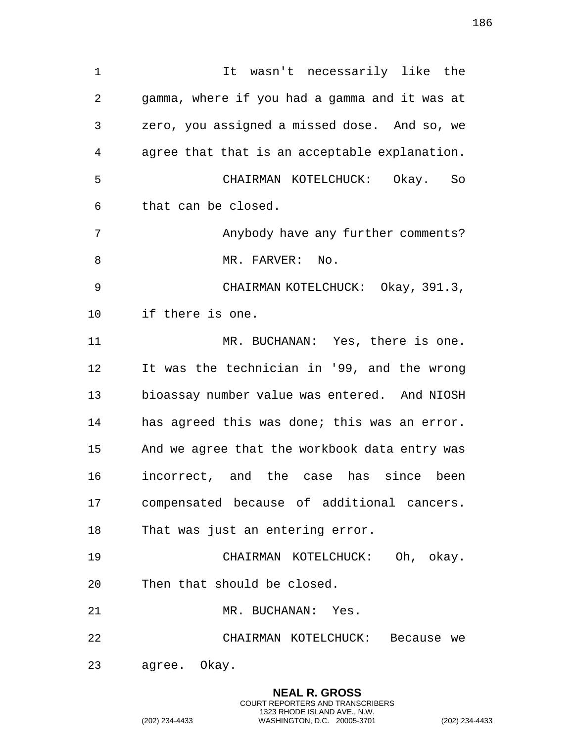1 1 It wasn't necessarily like the gamma, where if you had a gamma and it was at zero, you assigned a missed dose. And so, we agree that that is an acceptable explanation. CHAIRMAN KOTELCHUCK: Okay. So that can be closed. Anybody have any further comments? 8 MR. FARVER: No. CHAIRMAN KOTELCHUCK: Okay, 391.3, if there is one. MR. BUCHANAN: Yes, there is one. It was the technician in '99, and the wrong bioassay number value was entered. And NIOSH has agreed this was done; this was an error. And we agree that the workbook data entry was incorrect, and the case has since been compensated because of additional cancers. That was just an entering error. CHAIRMAN KOTELCHUCK: Oh, okay. Then that should be closed. MR. BUCHANAN: Yes. CHAIRMAN KOTELCHUCK: Because we agree. Okay.

> **NEAL R. GROSS** COURT REPORTERS AND TRANSCRIBERS 1323 RHODE ISLAND AVE., N.W.

(202) 234-4433 WASHINGTON, D.C. 20005-3701 (202) 234-4433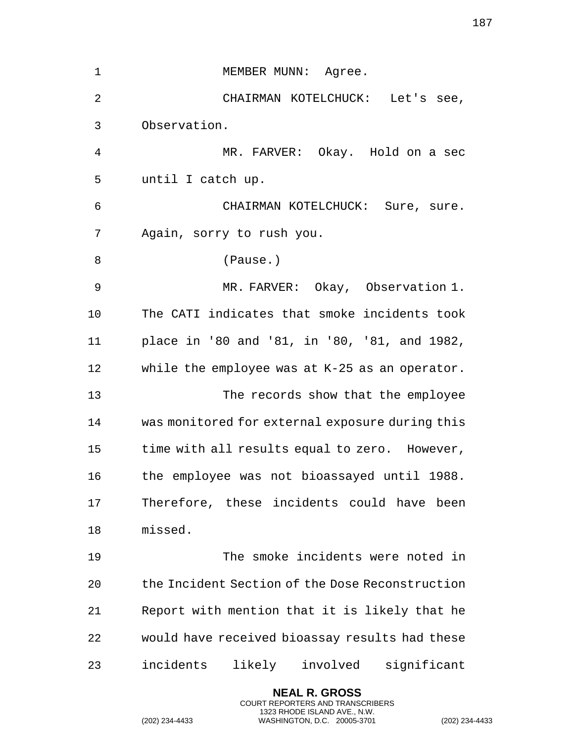| $\mathbf 1$    | MEMBER MUNN: Agree.                             |
|----------------|-------------------------------------------------|
| $\overline{2}$ | CHAIRMAN KOTELCHUCK: Let's see,                 |
| 3              | Observation.                                    |
| 4              | MR. FARVER: Okay. Hold on a sec                 |
| 5              | until I catch up.                               |
| 6              | CHAIRMAN KOTELCHUCK: Sure, sure.                |
| 7              | Again, sorry to rush you.                       |
| 8              | (Pause.)                                        |
| 9              | MR. FARVER: Okay, Observation 1.                |
| 10             | The CATI indicates that smoke incidents took    |
| 11             | place in '80 and '81, in '80, '81, and 1982,    |
| 12             | while the employee was at K-25 as an operator.  |
| 13             | The records show that the employee              |
| 14             | was monitored for external exposure during this |
| 15             | time with all results equal to zero. However,   |
| 16             | the employee was not bioassayed until 1988.     |
| 17             | Therefore, these incidents could have been      |
| 18             | missed.                                         |
| 19             | The smoke incidents were noted in               |
| 20             | the Incident Section of the Dose Reconstruction |
| 21             | Report with mention that it is likely that he   |
| 22             | would have received bioassay results had these  |
| 23             | incidents<br>likely involved<br>significant     |

**NEAL R. GROSS** COURT REPORTERS AND TRANSCRIBERS 1323 RHODE ISLAND AVE., N.W.

(202) 234-4433 WASHINGTON, D.C. 20005-3701 (202) 234-4433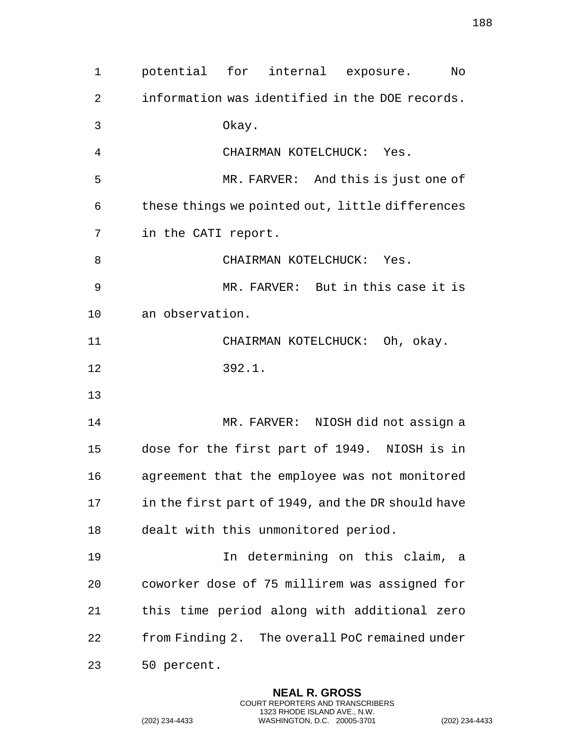potential for internal exposure. No information was identified in the DOE records. Okay. CHAIRMAN KOTELCHUCK: Yes. MR. FARVER: And this is just one of these things we pointed out, little differences in the CATI report. 8 CHAIRMAN KOTELCHUCK: Yes. MR. FARVER: But in this case it is an observation. CHAIRMAN KOTELCHUCK: Oh, okay. 392.1. MR. FARVER: NIOSH did not assign a dose for the first part of 1949. NIOSH is in agreement that the employee was not monitored in the first part of 1949, and the DR should have dealt with this unmonitored period. In determining on this claim, a coworker dose of 75 millirem was assigned for this time period along with additional zero from Finding 2. The overall PoC remained under 50 percent.

> **NEAL R. GROSS** COURT REPORTERS AND TRANSCRIBERS 1323 RHODE ISLAND AVE., N.W.

(202) 234-4433 WASHINGTON, D.C. 20005-3701 (202) 234-4433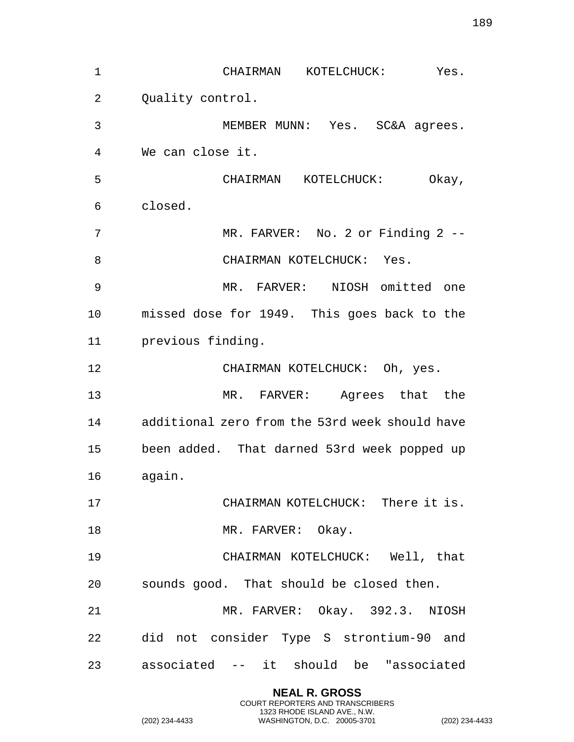CHAIRMAN KOTELCHUCK: Yes. 2 Ouality control. MEMBER MUNN: Yes. SC&A agrees. We can close it. CHAIRMAN KOTELCHUCK: Okay, closed. MR. FARVER: No. 2 or Finding 2 -- 8 CHAIRMAN KOTELCHUCK: Yes. MR. FARVER: NIOSH omitted one missed dose for 1949. This goes back to the previous finding. CHAIRMAN KOTELCHUCK: Oh, yes. MR. FARVER: Agrees that the additional zero from the 53rd week should have been added. That darned 53rd week popped up again. CHAIRMAN KOTELCHUCK: There it is. 18 MR. FARVER: Okay. CHAIRMAN KOTELCHUCK: Well, that sounds good. That should be closed then. MR. FARVER: Okay. 392.3. NIOSH did not consider Type S strontium-90 and associated -- it should be "associated

> **NEAL R. GROSS** COURT REPORTERS AND TRANSCRIBERS 1323 RHODE ISLAND AVE., N.W.

(202) 234-4433 WASHINGTON, D.C. 20005-3701 (202) 234-4433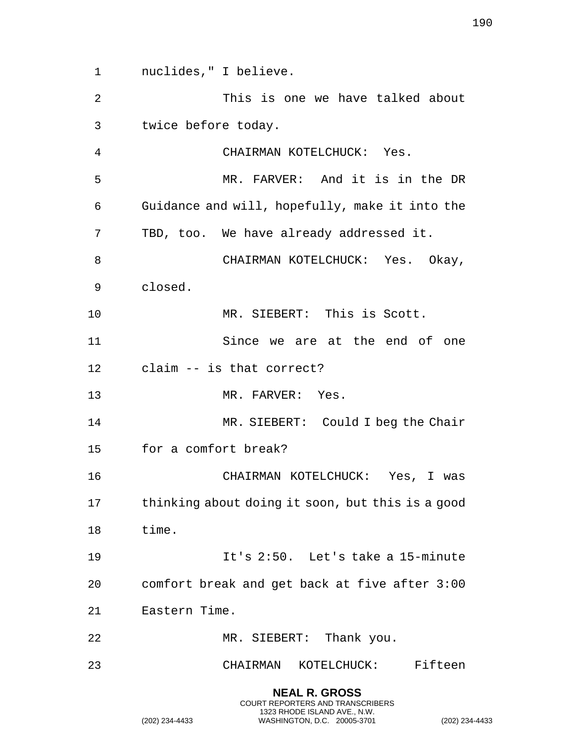nuclides," I believe. This is one we have talked about twice before today. CHAIRMAN KOTELCHUCK: Yes. MR. FARVER: And it is in the DR Guidance and will, hopefully, make it into the TBD, too. We have already addressed it. 8 CHAIRMAN KOTELCHUCK: Yes. Okay, closed. MR. SIEBERT: This is Scott. Since we are at the end of one claim -- is that correct? MR. FARVER: Yes. 14 MR. SIEBERT: Could I beg the Chair for a comfort break? CHAIRMAN KOTELCHUCK: Yes, I was thinking about doing it soon, but this is a good time. It's 2:50. Let's take a 15-minute comfort break and get back at five after 3:00 Eastern Time. 22 MR. SIEBERT: Thank you. CHAIRMAN KOTELCHUCK: Fifteen

> **NEAL R. GROSS** COURT REPORTERS AND TRANSCRIBERS 1323 RHODE ISLAND AVE., N.W.

(202) 234-4433 WASHINGTON, D.C. 20005-3701 (202) 234-4433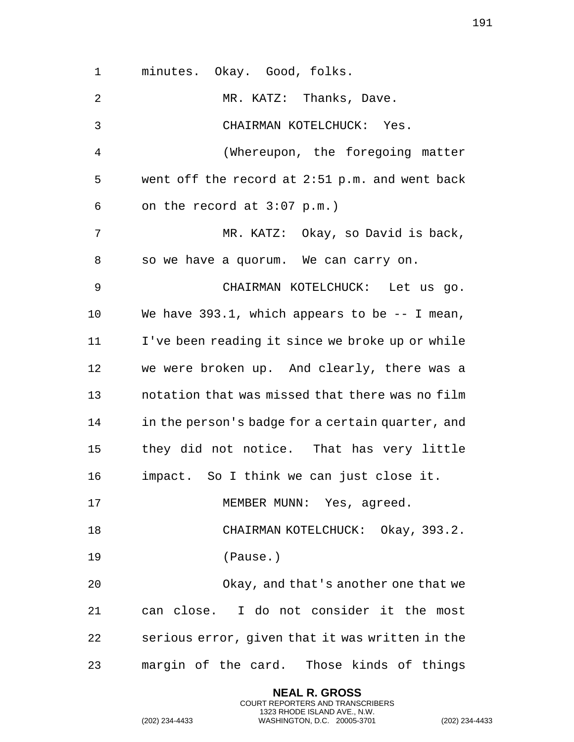minutes. Okay. Good, folks. 2 MR. KATZ: Thanks, Dave. CHAIRMAN KOTELCHUCK: Yes. (Whereupon, the foregoing matter went off the record at 2:51 p.m. and went back on the record at 3:07 p.m.) MR. KATZ: Okay, so David is back, so we have a quorum. We can carry on. CHAIRMAN KOTELCHUCK: Let us go. We have 393.1, which appears to be -- I mean, I've been reading it since we broke up or while we were broken up. And clearly, there was a notation that was missed that there was no film in the person's badge for a certain quarter, and they did not notice. That has very little impact. So I think we can just close it. 17 MEMBER MUNN: Yes, agreed. 18 CHAIRMAN KOTELCHUCK: Okay, 393.2. (Pause.) Okay, and that's another one that we can close. I do not consider it the most serious error, given that it was written in the margin of the card. Those kinds of things

> **NEAL R. GROSS** COURT REPORTERS AND TRANSCRIBERS 1323 RHODE ISLAND AVE., N.W.

(202) 234-4433 WASHINGTON, D.C. 20005-3701 (202) 234-4433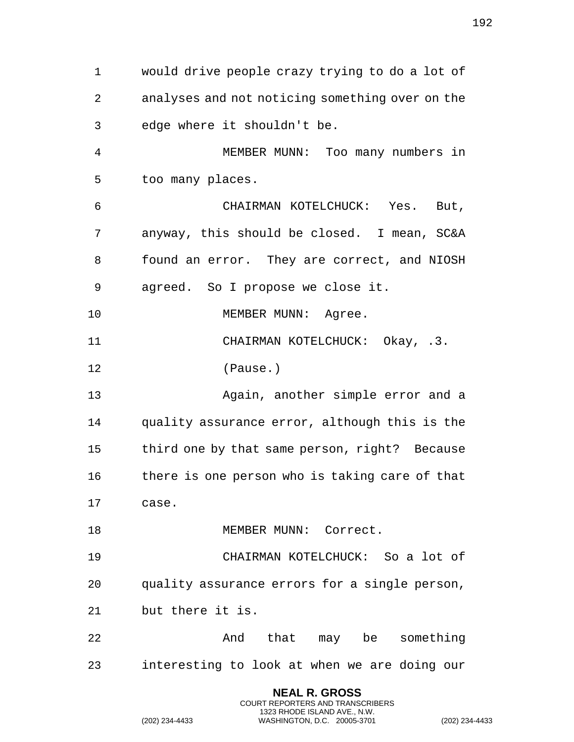would drive people crazy trying to do a lot of analyses and not noticing something over on the edge where it shouldn't be. MEMBER MUNN: Too many numbers in too many places. CHAIRMAN KOTELCHUCK: Yes. But, anyway, this should be closed. I mean, SC&A found an error. They are correct, and NIOSH agreed. So I propose we close it. 10 MEMBER MUNN: Agree. CHAIRMAN KOTELCHUCK: Okay, .3. (Pause.) Again, another simple error and a quality assurance error, although this is the third one by that same person, right? Because there is one person who is taking care of that case. 18 MEMBER MUNN: Correct. CHAIRMAN KOTELCHUCK: So a lot of quality assurance errors for a single person, but there it is. And that may be something interesting to look at when we are doing our

> **NEAL R. GROSS** COURT REPORTERS AND TRANSCRIBERS 1323 RHODE ISLAND AVE., N.W.

(202) 234-4433 WASHINGTON, D.C. 20005-3701 (202) 234-4433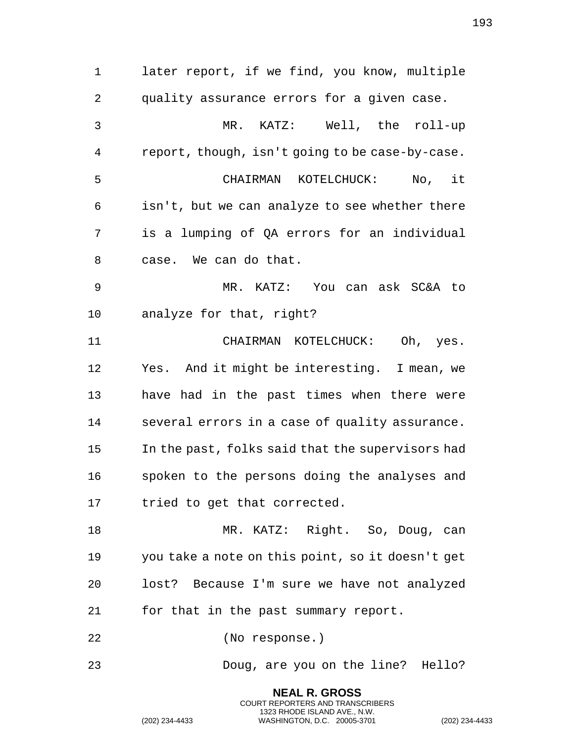later report, if we find, you know, multiple quality assurance errors for a given case. MR. KATZ: Well, the roll-up report, though, isn't going to be case-by-case. CHAIRMAN KOTELCHUCK: No, it isn't, but we can analyze to see whether there is a lumping of QA errors for an individual case. We can do that. MR. KATZ: You can ask SC&A to analyze for that, right? CHAIRMAN KOTELCHUCK: Oh, yes. Yes. And it might be interesting. I mean, we have had in the past times when there were several errors in a case of quality assurance. In the past, folks said that the supervisors had spoken to the persons doing the analyses and tried to get that corrected. MR. KATZ: Right. So, Doug, can you take a note on this point, so it doesn't get lost? Because I'm sure we have not analyzed for that in the past summary report. (No response.) Doug, are you on the line? Hello?

> **NEAL R. GROSS** COURT REPORTERS AND TRANSCRIBERS 1323 RHODE ISLAND AVE., N.W.

(202) 234-4433 WASHINGTON, D.C. 20005-3701 (202) 234-4433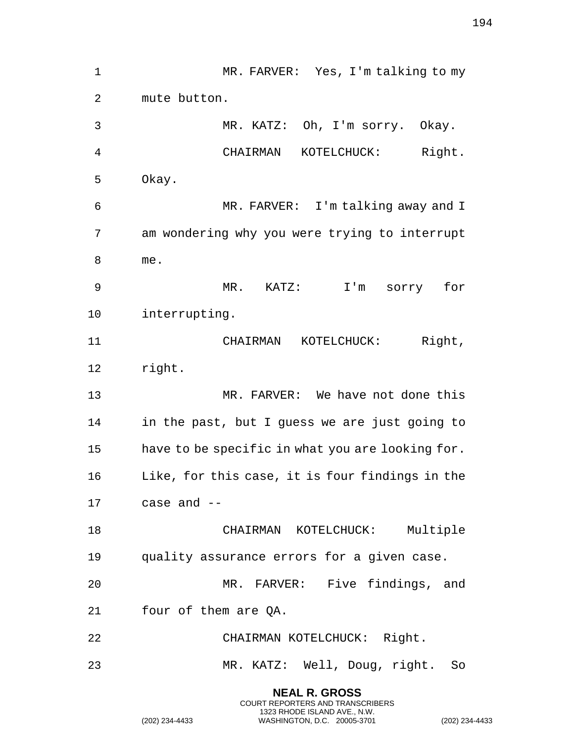MR. FARVER: Yes, I'm talking to my mute button. MR. KATZ: Oh, I'm sorry. Okay. CHAIRMAN KOTELCHUCK: Right. Okay. MR. FARVER: I'm talking away and I am wondering why you were trying to interrupt me. MR. KATZ: I'm sorry for interrupting. CHAIRMAN KOTELCHUCK: Right, right. MR. FARVER: We have not done this in the past, but I guess we are just going to have to be specific in what you are looking for. Like, for this case, it is four findings in the case and -- CHAIRMAN KOTELCHUCK: Multiple quality assurance errors for a given case. MR. FARVER: Five findings, and four of them are QA. CHAIRMAN KOTELCHUCK: Right. MR. KATZ: Well, Doug, right. So **NEAL R. GROSS**

COURT REPORTERS AND TRANSCRIBERS 1323 RHODE ISLAND AVE., N.W.

(202) 234-4433 WASHINGTON, D.C. 20005-3701 (202) 234-4433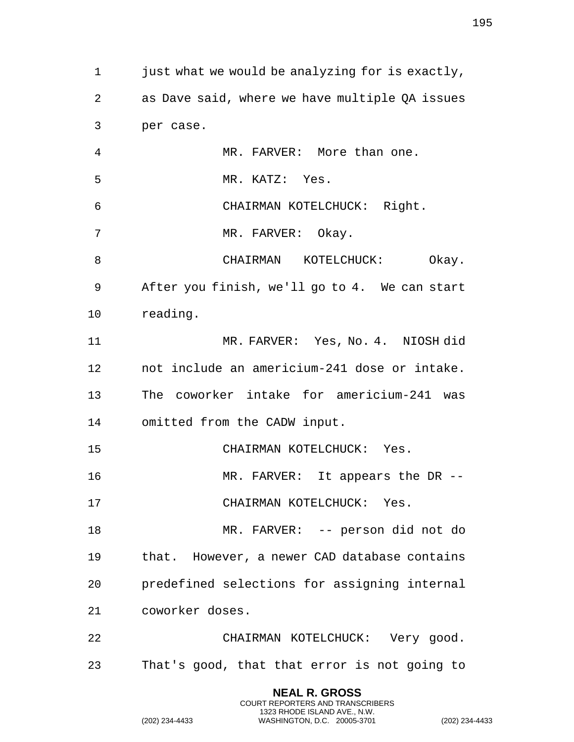just what we would be analyzing for is exactly, as Dave said, where we have multiple QA issues per case. MR. FARVER: More than one. MR. KATZ: Yes. CHAIRMAN KOTELCHUCK: Right. 7 MR. FARVER: Okay. 8 CHAIRMAN KOTELCHUCK: Okay. After you finish, we'll go to 4. We can start reading. MR. FARVER: Yes, No. 4. NIOSH did not include an americium-241 dose or intake. The coworker intake for americium-241 was omitted from the CADW input. CHAIRMAN KOTELCHUCK: Yes. MR. FARVER: It appears the DR -- CHAIRMAN KOTELCHUCK: Yes. MR. FARVER: -- person did not do that. However, a newer CAD database contains predefined selections for assigning internal coworker doses. CHAIRMAN KOTELCHUCK: Very good. That's good, that that error is not going to

> **NEAL R. GROSS** COURT REPORTERS AND TRANSCRIBERS 1323 RHODE ISLAND AVE., N.W.

(202) 234-4433 WASHINGTON, D.C. 20005-3701 (202) 234-4433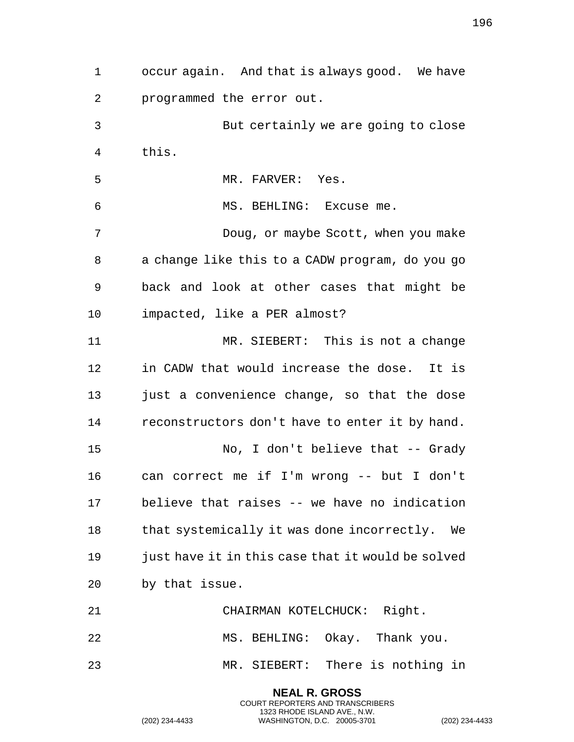occur again. And that is always good. We have programmed the error out. But certainly we are going to close this. 5 MR. FARVER: Yes. MS. BEHLING: Excuse me. Doug, or maybe Scott, when you make a change like this to a CADW program, do you go back and look at other cases that might be impacted, like a PER almost? 11 MR. SIEBERT: This is not a change in CADW that would increase the dose. It is just a convenience change, so that the dose reconstructors don't have to enter it by hand. No, I don't believe that -- Grady can correct me if I'm wrong -- but I don't believe that raises -- we have no indication 18 that systemically it was done incorrectly. We 19 just have it in this case that it would be solved by that issue. CHAIRMAN KOTELCHUCK: Right. MS. BEHLING: Okay. Thank you. MR. SIEBERT: There is nothing in

> **NEAL R. GROSS** COURT REPORTERS AND TRANSCRIBERS 1323 RHODE ISLAND AVE., N.W.

(202) 234-4433 WASHINGTON, D.C. 20005-3701 (202) 234-4433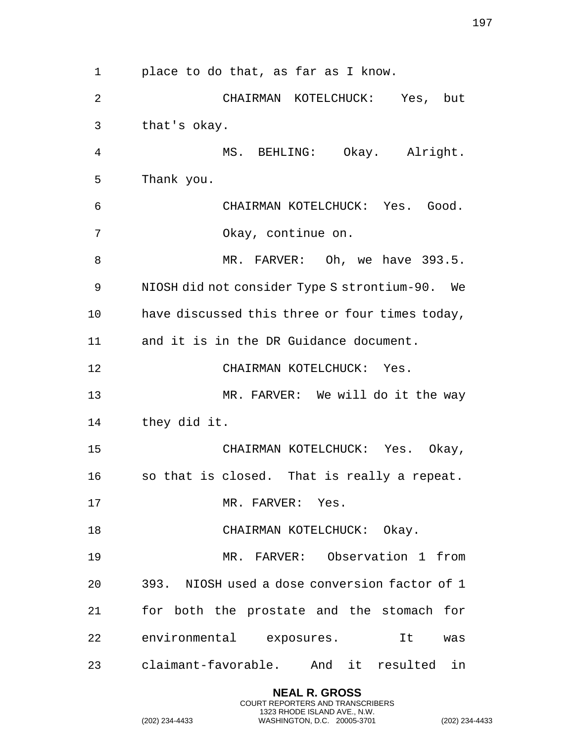place to do that, as far as I know. CHAIRMAN KOTELCHUCK: Yes, but that's okay. MS. BEHLING: Okay. Alright. Thank you. CHAIRMAN KOTELCHUCK: Yes. Good. Okay, continue on. 8 MR. FARVER: Oh, we have 393.5. NIOSH did not consider Type S strontium-90. We have discussed this three or four times today, and it is in the DR Guidance document. CHAIRMAN KOTELCHUCK: Yes. 13 MR. FARVER: We will do it the way they did it. CHAIRMAN KOTELCHUCK: Yes. Okay, so that is closed. That is really a repeat. 17 MR. FARVER: Yes. 18 CHAIRMAN KOTELCHUCK: Okay. MR. FARVER: Observation 1 from 393. NIOSH used a dose conversion factor of 1 for both the prostate and the stomach for environmental exposures. It was claimant-favorable. And it resulted in

> **NEAL R. GROSS** COURT REPORTERS AND TRANSCRIBERS 1323 RHODE ISLAND AVE., N.W.

(202) 234-4433 WASHINGTON, D.C. 20005-3701 (202) 234-4433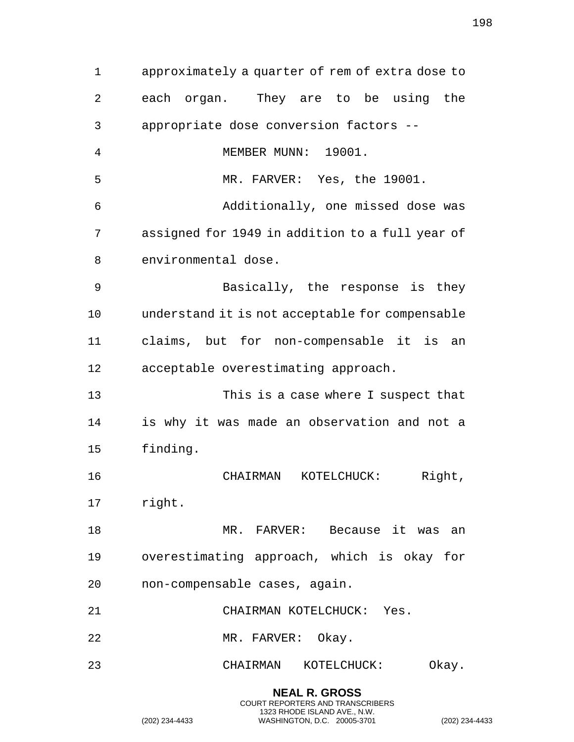approximately a quarter of rem of extra dose to each organ. They are to be using the appropriate dose conversion factors -- MEMBER MUNN: 19001. MR. FARVER: Yes, the 19001. Additionally, one missed dose was assigned for 1949 in addition to a full year of environmental dose. Basically, the response is they understand it is not acceptable for compensable claims, but for non-compensable it is an acceptable overestimating approach. This is a case where I suspect that is why it was made an observation and not a finding. CHAIRMAN KOTELCHUCK: Right, right. MR. FARVER: Because it was an overestimating approach, which is okay for non-compensable cases, again. CHAIRMAN KOTELCHUCK: Yes. MR. FARVER: Okay. CHAIRMAN KOTELCHUCK: Okay.

> **NEAL R. GROSS** COURT REPORTERS AND TRANSCRIBERS 1323 RHODE ISLAND AVE., N.W.

(202) 234-4433 WASHINGTON, D.C. 20005-3701 (202) 234-4433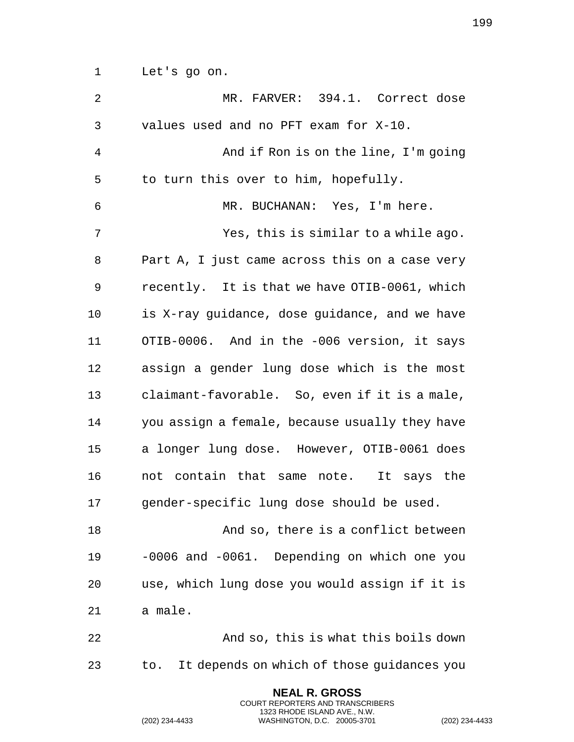Let's go on.

| $\overline{2}$ | MR. FARVER: 394.1. Correct dose                   |
|----------------|---------------------------------------------------|
| 3              | values used and no PFT exam for X-10.             |
| 4              | And if Ron is on the line, I'm going              |
| 5              | to turn this over to him, hopefully.              |
| 6              | MR. BUCHANAN: Yes, I'm here.                      |
| 7              | Yes, this is similar to a while ago.              |
| 8              | Part A, I just came across this on a case very    |
| 9              | recently. It is that we have OTIB-0061, which     |
| 10             | is X-ray guidance, dose guidance, and we have     |
| 11             | OTIB-0006. And in the -006 version, it says       |
| 12             | assign a gender lung dose which is the most       |
| 13             | claimant-favorable. So, even if it is a male,     |
| 14             | you assign a female, because usually they have    |
| 15             | a longer lung dose. However, OTIB-0061 does       |
| 16             | not contain that same note. It says the           |
| 17             | gender-specific lung dose should be used.         |
| 18             | And so, there is a conflict between               |
| 19             | -0006 and -0061. Depending on which one you       |
| 20             | use, which lung dose you would assign if it is    |
| 21             | a male.                                           |
| 22             | And so, this is what this boils down              |
| 23             | It depends on which of those guidances you<br>to. |
|                | <b>NEAL R. GROSS</b>                              |

COURT REPORTERS AND TRANSCRIBERS 1323 RHODE ISLAND AVE., N.W.

(202) 234-4433 WASHINGTON, D.C. 20005-3701 (202) 234-4433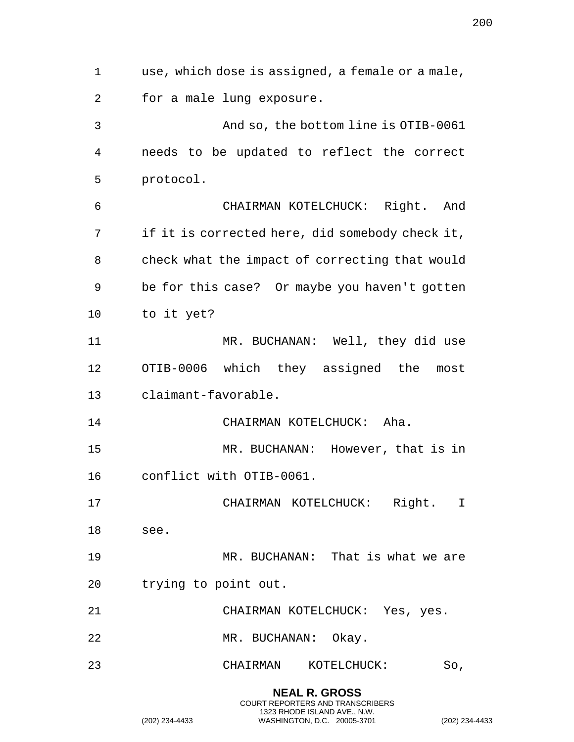use, which dose is assigned, a female or a male, for a male lung exposure. And so, the bottom line is OTIB-0061 needs to be updated to reflect the correct protocol. CHAIRMAN KOTELCHUCK: Right. And if it is corrected here, did somebody check it, check what the impact of correcting that would be for this case? Or maybe you haven't gotten to it yet? 11 MR. BUCHANAN: Well, they did use OTIB-0006 which they assigned the most claimant-favorable. CHAIRMAN KOTELCHUCK: Aha. MR. BUCHANAN: However, that is in conflict with OTIB-0061. CHAIRMAN KOTELCHUCK: Right. I see. MR. BUCHANAN: That is what we are trying to point out. CHAIRMAN KOTELCHUCK: Yes, yes. MR. BUCHANAN: Okay. CHAIRMAN KOTELCHUCK: So,

> **NEAL R. GROSS** COURT REPORTERS AND TRANSCRIBERS 1323 RHODE ISLAND AVE., N.W.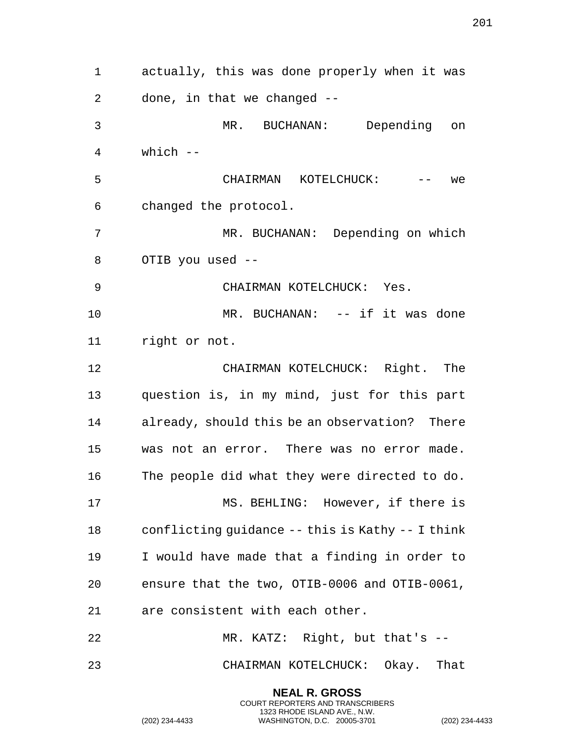actually, this was done properly when it was done, in that we changed -- MR. BUCHANAN: Depending on which -- CHAIRMAN KOTELCHUCK: -- we changed the protocol. MR. BUCHANAN: Depending on which OTIB you used -- CHAIRMAN KOTELCHUCK: Yes. MR. BUCHANAN: -- if it was done right or not. CHAIRMAN KOTELCHUCK: Right. The question is, in my mind, just for this part already, should this be an observation? There was not an error. There was no error made. The people did what they were directed to do. MS. BEHLING: However, if there is conflicting guidance -- this is Kathy -- I think I would have made that a finding in order to ensure that the two, OTIB-0006 and OTIB-0061, are consistent with each other. MR. KATZ: Right, but that's -- CHAIRMAN KOTELCHUCK: Okay. That

> **NEAL R. GROSS** COURT REPORTERS AND TRANSCRIBERS 1323 RHODE ISLAND AVE., N.W.

(202) 234-4433 WASHINGTON, D.C. 20005-3701 (202) 234-4433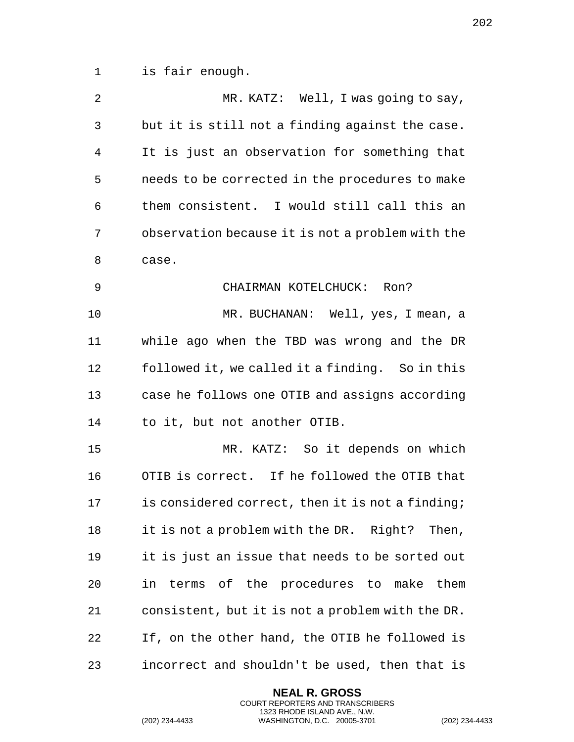is fair enough.

| $\overline{2}$ | MR. KATZ: Well, I was going to say,              |
|----------------|--------------------------------------------------|
| 3              | but it is still not a finding against the case.  |
| 4              | It is just an observation for something that     |
| 5              | needs to be corrected in the procedures to make  |
| 6              | them consistent. I would still call this an      |
| 7              | observation because it is not a problem with the |
| 8              | case.                                            |
| 9              | CHAIRMAN KOTELCHUCK: Ron?                        |
| 10             | MR. BUCHANAN: Well, yes, I mean, a               |
| 11             | while ago when the TBD was wrong and the DR      |
| 12             | followed it, we called it a finding. So in this  |
| 13             | case he follows one OTIB and assigns according   |
| 14             | to it, but not another OTIB.                     |
| 15             | MR. KATZ: So it depends on which                 |
| 16             | OTIB is correct. If he followed the OTIB that    |
| 17             | is considered correct, then it is not a finding; |
| 18             | it is not a problem with the DR. Right? Then,    |
| 19             | it is just an issue that needs to be sorted out  |
| 20             | in terms of the procedures to make them          |
| 21             | consistent, but it is not a problem with the DR. |
| 22             | If, on the other hand, the OTIB he followed is   |
| 23             | incorrect and shouldn't be used, then that is    |

**NEAL R. GROSS** COURT REPORTERS AND TRANSCRIBERS 1323 RHODE ISLAND AVE., N.W.

(202) 234-4433 WASHINGTON, D.C. 20005-3701 (202) 234-4433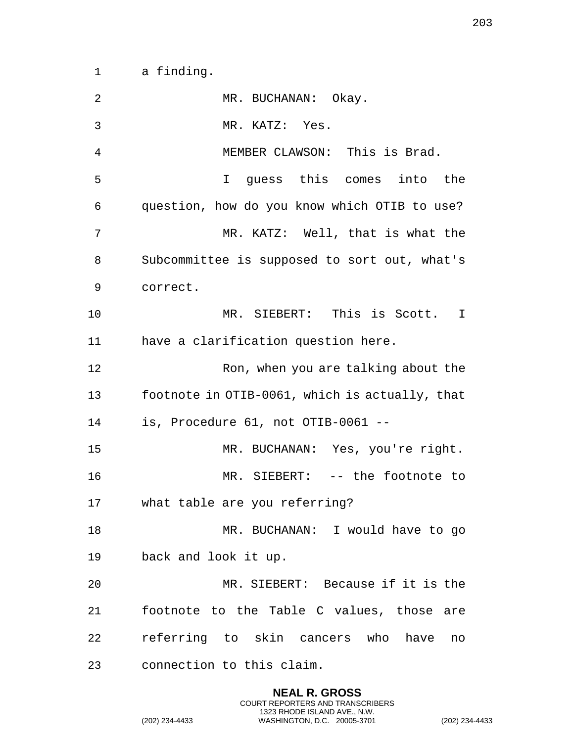a finding.

| 2  | MR. BUCHANAN: Okay.                            |
|----|------------------------------------------------|
| 3  | MR. KATZ: Yes.                                 |
| 4  | MEMBER CLAWSON: This is Brad.                  |
| 5  | I guess this comes into the                    |
| 6  | question, how do you know which OTIB to use?   |
| 7  | MR. KATZ: Well, that is what the               |
| 8  | Subcommittee is supposed to sort out, what's   |
| 9  | correct.                                       |
| 10 | MR. SIEBERT: This is Scott. I                  |
| 11 | have a clarification question here.            |
| 12 | Ron, when you are talking about the            |
| 13 | footnote in OTIB-0061, which is actually, that |
| 14 | is, Procedure 61, not OTIB-0061 --             |
| 15 | MR. BUCHANAN: Yes, you're right.               |
| 16 | MR. SIEBERT: -- the footnote to                |
| 17 | what table are you referring?                  |
| 18 | MR. BUCHANAN: I would have to go               |
| 19 | back and look it up.                           |
| 20 | MR. SIEBERT: Because if it is the              |
| 21 | footnote to the Table C values, those are      |
| 22 | referring to skin cancers who have<br>no       |
| 23 | connection to this claim.                      |

**NEAL R. GROSS** COURT REPORTERS AND TRANSCRIBERS 1323 RHODE ISLAND AVE., N.W.

(202) 234-4433 WASHINGTON, D.C. 20005-3701 (202) 234-4433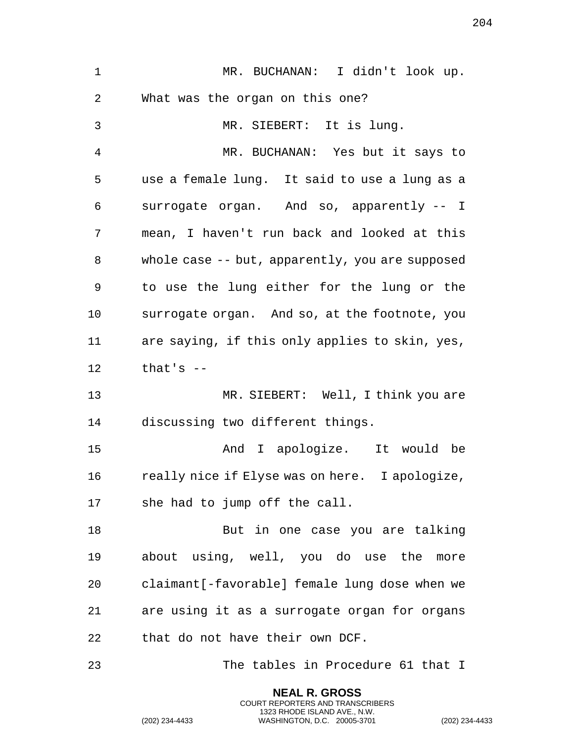| $\mathbf 1$ | MR. BUCHANAN: I didn't look up.                 |
|-------------|-------------------------------------------------|
| 2           | What was the organ on this one?                 |
| 3           | MR. SIEBERT: It is lung.                        |
| 4           | MR. BUCHANAN: Yes but it says to                |
| 5           | use a female lung. It said to use a lung as a   |
| 6           | surrogate organ. And so, apparently -- I        |
| 7           | mean, I haven't run back and looked at this     |
| 8           | whole case -- but, apparently, you are supposed |
| 9           | to use the lung either for the lung or the      |
| 10          | surrogate organ. And so, at the footnote, you   |
| 11          | are saying, if this only applies to skin, yes,  |
| 12          | that's $-$                                      |
| 13          | MR. SIEBERT: Well, I think you are              |
| 14          | discussing two different things.                |
| 15          | And I apologize. It would be                    |
| 16          | really nice if Elyse was on here. I apologize,  |
| 17          | she had to jump off the call.                   |
| 18          | But in one case you are talking                 |
| 19          | about using, well, you do use the more          |
| 20          | claimant [-favorable] female lung dose when we  |
| 21          | are using it as a surrogate organ for organs    |
| 22          | that do not have their own DCF.                 |
| 23          | The tables in Procedure 61 that I               |

**NEAL R. GROSS** COURT REPORTERS AND TRANSCRIBERS 1323 RHODE ISLAND AVE., N.W.

(202) 234-4433 WASHINGTON, D.C. 20005-3701 (202) 234-4433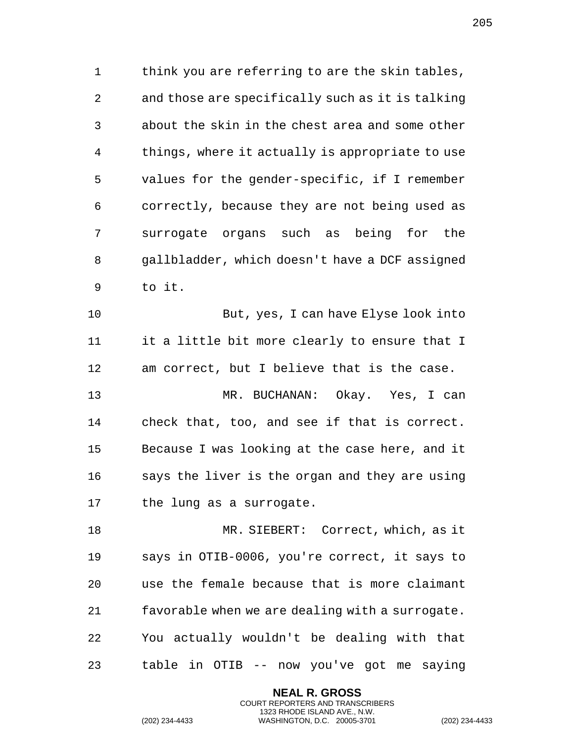think you are referring to are the skin tables, and those are specifically such as it is talking about the skin in the chest area and some other things, where it actually is appropriate to use values for the gender-specific, if I remember correctly, because they are not being used as surrogate organs such as being for the gallbladder, which doesn't have a DCF assigned to it.

 But, yes, I can have Elyse look into it a little bit more clearly to ensure that I am correct, but I believe that is the case. MR. BUCHANAN: Okay. Yes, I can check that, too, and see if that is correct. Because I was looking at the case here, and it says the liver is the organ and they are using the lung as a surrogate.

 MR. SIEBERT: Correct, which, as it says in OTIB-0006, you're correct, it says to use the female because that is more claimant favorable when we are dealing with a surrogate. You actually wouldn't be dealing with that table in OTIB -- now you've got me saying

> **NEAL R. GROSS** COURT REPORTERS AND TRANSCRIBERS 1323 RHODE ISLAND AVE., N.W.

(202) 234-4433 WASHINGTON, D.C. 20005-3701 (202) 234-4433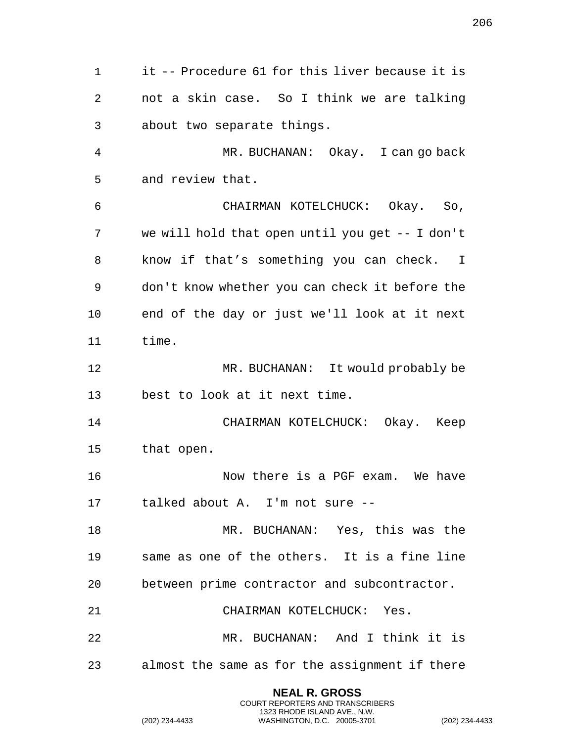it -- Procedure 61 for this liver because it is not a skin case. So I think we are talking about two separate things. MR. BUCHANAN: Okay. I can go back and review that. CHAIRMAN KOTELCHUCK: Okay. So, we will hold that open until you get -- I don't know if that's something you can check. I don't know whether you can check it before the end of the day or just we'll look at it next time. MR. BUCHANAN: It would probably be best to look at it next time. CHAIRMAN KOTELCHUCK: Okay. Keep that open. 16 Now there is a PGF exam. We have talked about A. I'm not sure -- MR. BUCHANAN: Yes, this was the same as one of the others. It is a fine line between prime contractor and subcontractor. CHAIRMAN KOTELCHUCK: Yes. MR. BUCHANAN: And I think it is almost the same as for the assignment if there

> **NEAL R. GROSS** COURT REPORTERS AND TRANSCRIBERS 1323 RHODE ISLAND AVE., N.W.

(202) 234-4433 WASHINGTON, D.C. 20005-3701 (202) 234-4433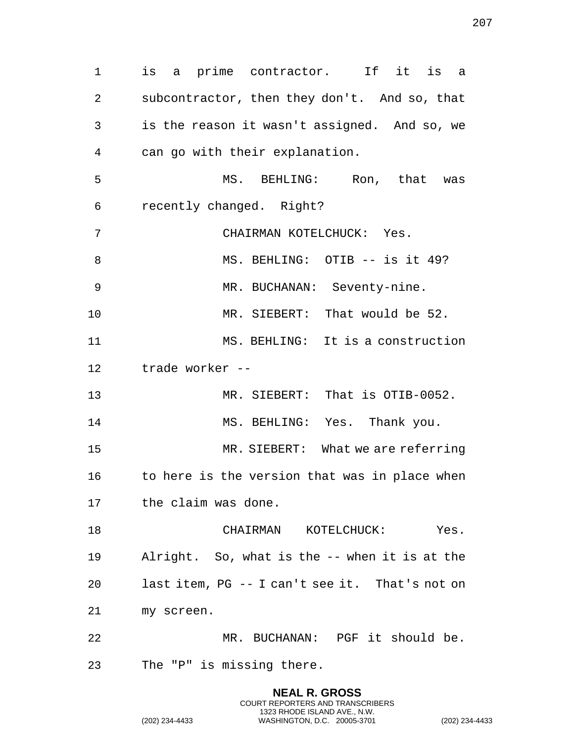is a prime contractor. If it is a subcontractor, then they don't. And so, that is the reason it wasn't assigned. And so, we can go with their explanation. MS. BEHLING: Ron, that was recently changed. Right? CHAIRMAN KOTELCHUCK: Yes. 8 MS. BEHLING: OTIB -- is it 49? MR. BUCHANAN: Seventy-nine. MR. SIEBERT: That would be 52. MS. BEHLING: It is a construction trade worker -- MR. SIEBERT: That is OTIB-0052. 14 MS. BEHLING: Yes. Thank you. MR. SIEBERT: What we are referring 16 to here is the version that was in place when the claim was done. CHAIRMAN KOTELCHUCK: Yes. Alright. So, what is the -- when it is at the last item, PG -- I can't see it. That's not on my screen. MR. BUCHANAN: PGF it should be. The "P" is missing there.

> **NEAL R. GROSS** COURT REPORTERS AND TRANSCRIBERS 1323 RHODE ISLAND AVE., N.W.

(202) 234-4433 WASHINGTON, D.C. 20005-3701 (202) 234-4433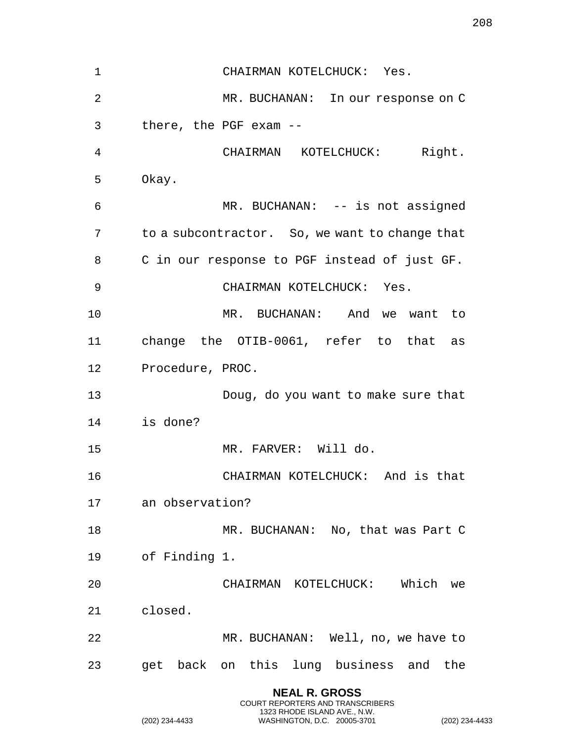CHAIRMAN KOTELCHUCK: Yes. MR. BUCHANAN: In our response on C there, the PGF exam -- CHAIRMAN KOTELCHUCK: Right. Okay. MR. BUCHANAN: -- is not assigned to a subcontractor. So, we want to change that C in our response to PGF instead of just GF. 9 CHAIRMAN KOTELCHUCK: Yes. MR. BUCHANAN: And we want to change the OTIB-0061, refer to that as Procedure, PROC. Doug, do you want to make sure that is done? MR. FARVER: Will do. CHAIRMAN KOTELCHUCK: And is that an observation? 18 MR. BUCHANAN: No, that was Part C of Finding 1. CHAIRMAN KOTELCHUCK: Which we closed. MR. BUCHANAN: Well, no, we have to get back on this lung business and the

> **NEAL R. GROSS** COURT REPORTERS AND TRANSCRIBERS 1323 RHODE ISLAND AVE., N.W.

(202) 234-4433 WASHINGTON, D.C. 20005-3701 (202) 234-4433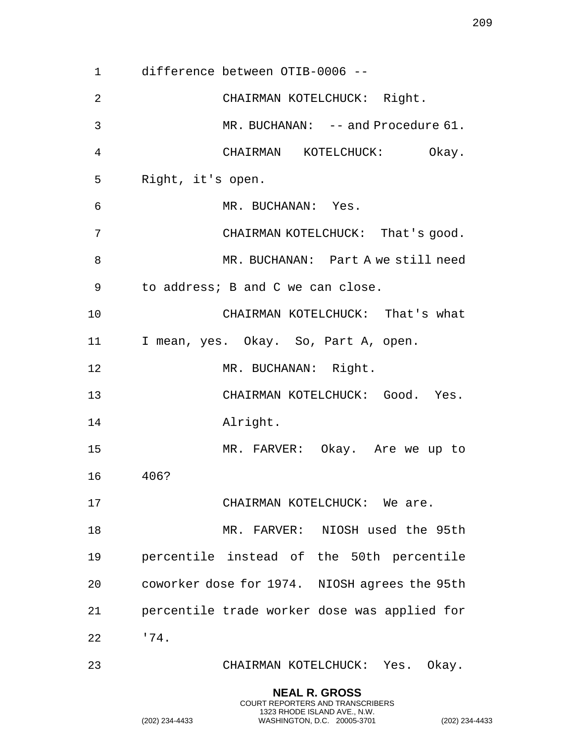difference between OTIB-0006 -- CHAIRMAN KOTELCHUCK: Right. MR. BUCHANAN: -- and Procedure 61. CHAIRMAN KOTELCHUCK: Okay. Right, it's open. MR. BUCHANAN: Yes. CHAIRMAN KOTELCHUCK: That's good. MR. BUCHANAN: Part A we still need to address; B and C we can close. CHAIRMAN KOTELCHUCK: That's what I mean, yes. Okay. So, Part A, open. MR. BUCHANAN: Right. CHAIRMAN KOTELCHUCK: Good. Yes. Alright. MR. FARVER: Okay. Are we up to 406? 17 CHAIRMAN KOTELCHUCK: We are. MR. FARVER: NIOSH used the 95th percentile instead of the 50th percentile coworker dose for 1974. NIOSH agrees the 95th percentile trade worker dose was applied for '74. CHAIRMAN KOTELCHUCK: Yes. Okay. **NEAL R. GROSS**

COURT REPORTERS AND TRANSCRIBERS 1323 RHODE ISLAND AVE., N.W.

(202) 234-4433 WASHINGTON, D.C. 20005-3701 (202) 234-4433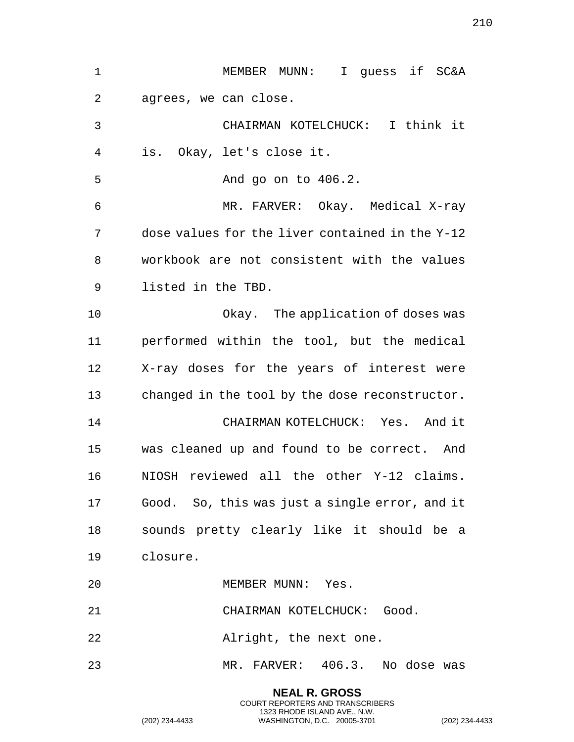| $\mathbf 1$ | I quess if SC&A<br>MEMBER MUNN:                 |
|-------------|-------------------------------------------------|
| 2           | agrees, we can close.                           |
| 3           | CHAIRMAN KOTELCHUCK: I think it                 |
| 4           | Okay, let's close it.<br>is.                    |
| 5           | And go on to 406.2.                             |
| 6           | MR. FARVER: Okay. Medical X-ray                 |
| 7           | dose values for the liver contained in the Y-12 |
| 8           | workbook are not consistent with the values     |
| 9           | listed in the TBD.                              |
| 10          | Okay. The application of doses was              |
| 11          | performed within the tool, but the medical      |
| 12          | X-ray doses for the years of interest were      |
| 13          | changed in the tool by the dose reconstructor.  |
| 14          | CHAIRMAN KOTELCHUCK: Yes. And it                |
| 15          | was cleaned up and found to be correct. And     |
| 16          | NIOSH reviewed all the other Y-12 claims.       |
| 17          | Good. So, this was just a single error, and it  |
| 18          | sounds pretty clearly like it should be a       |
| 19          | closure.                                        |
| 20          | MEMBER MUNN: Yes.                               |
| 21          | CHAIRMAN KOTELCHUCK: Good.                      |
| 22          | Alright, the next one.                          |
| 23          | MR. FARVER: 406.3. No dose was                  |

**NEAL R. GROSS** COURT REPORTERS AND TRANSCRIBERS 1323 RHODE ISLAND AVE., N.W.

(202) 234-4433 WASHINGTON, D.C. 20005-3701 (202) 234-4433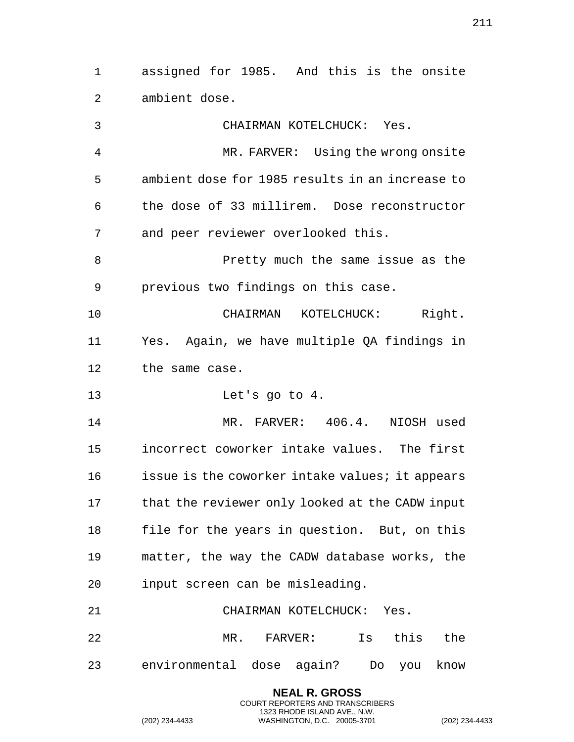assigned for 1985. And this is the onsite ambient dose.

 CHAIRMAN KOTELCHUCK: Yes. MR. FARVER: Using the wrong onsite ambient dose for 1985 results in an increase to the dose of 33 millirem. Dose reconstructor and peer reviewer overlooked this. Pretty much the same issue as the previous two findings on this case. CHAIRMAN KOTELCHUCK: Right. Yes. Again, we have multiple QA findings in the same case. Let's go to 4. MR. FARVER: 406.4. NIOSH used incorrect coworker intake values. The first issue is the coworker intake values; it appears that the reviewer only looked at the CADW input file for the years in question. But, on this matter, the way the CADW database works, the input screen can be misleading. CHAIRMAN KOTELCHUCK: Yes. MR. FARVER: Is this the environmental dose again? Do you know

> **NEAL R. GROSS** COURT REPORTERS AND TRANSCRIBERS 1323 RHODE ISLAND AVE., N.W.

(202) 234-4433 WASHINGTON, D.C. 20005-3701 (202) 234-4433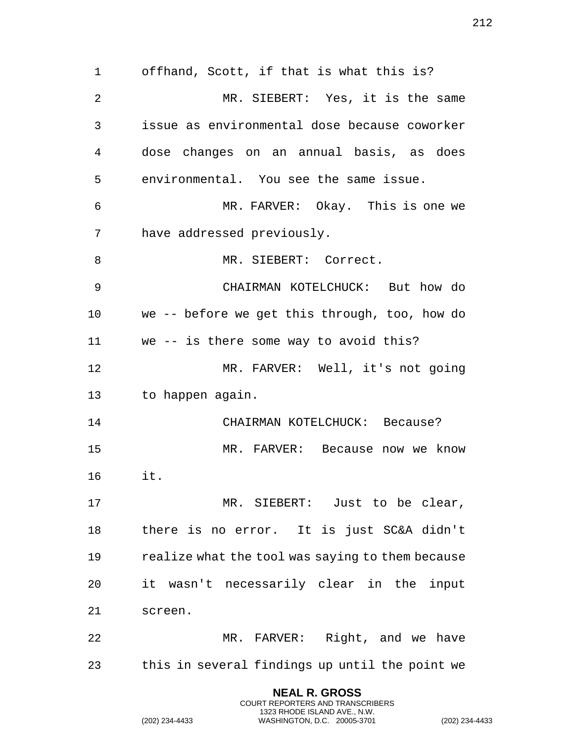offhand, Scott, if that is what this is? MR. SIEBERT: Yes, it is the same issue as environmental dose because coworker dose changes on an annual basis, as does environmental. You see the same issue. MR. FARVER: Okay. This is one we have addressed previously. 8 MR. SIEBERT: Correct. CHAIRMAN KOTELCHUCK: But how do we -- before we get this through, too, how do we -- is there some way to avoid this? MR. FARVER: Well, it's not going to happen again. CHAIRMAN KOTELCHUCK: Because? MR. FARVER: Because now we know it. MR. SIEBERT: Just to be clear, there is no error. It is just SC&A didn't realize what the tool was saying to them because it wasn't necessarily clear in the input screen. MR. FARVER: Right, and we have this in several findings up until the point we

> **NEAL R. GROSS** COURT REPORTERS AND TRANSCRIBERS 1323 RHODE ISLAND AVE., N.W.

(202) 234-4433 WASHINGTON, D.C. 20005-3701 (202) 234-4433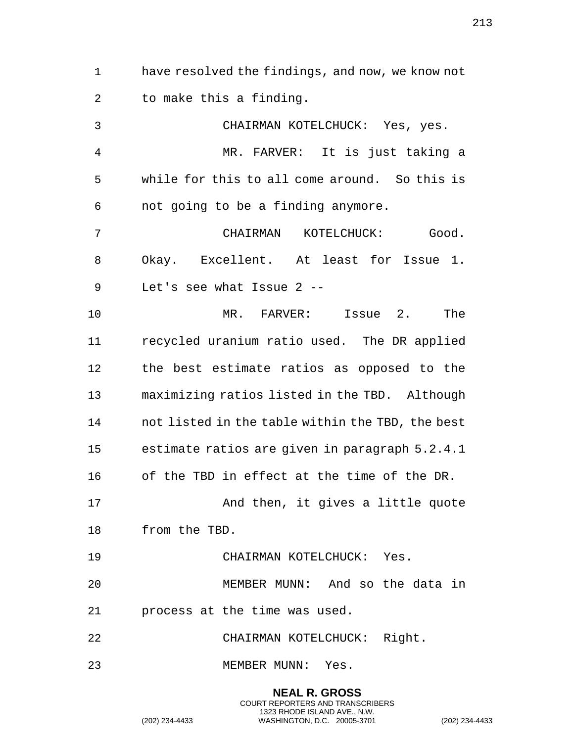have resolved the findings, and now, we know not to make this a finding. CHAIRMAN KOTELCHUCK: Yes, yes. MR. FARVER: It is just taking a while for this to all come around. So this is not going to be a finding anymore. CHAIRMAN KOTELCHUCK: Good. Okay. Excellent. At least for Issue 1. Let's see what Issue 2 -- MR. FARVER: Issue 2. The recycled uranium ratio used. The DR applied the best estimate ratios as opposed to the maximizing ratios listed in the TBD. Although not listed in the table within the TBD, the best estimate ratios are given in paragraph 5.2.4.1 of the TBD in effect at the time of the DR. 17 And then, it gives a little quote from the TBD.

CHAIRMAN KOTELCHUCK: Yes.

 MEMBER MUNN: And so the data in process at the time was used.

> **NEAL R. GROSS** COURT REPORTERS AND TRANSCRIBERS 1323 RHODE ISLAND AVE., N.W.

CHAIRMAN KOTELCHUCK: Right.

MEMBER MUNN: Yes.

(202) 234-4433 WASHINGTON, D.C. 20005-3701 (202) 234-4433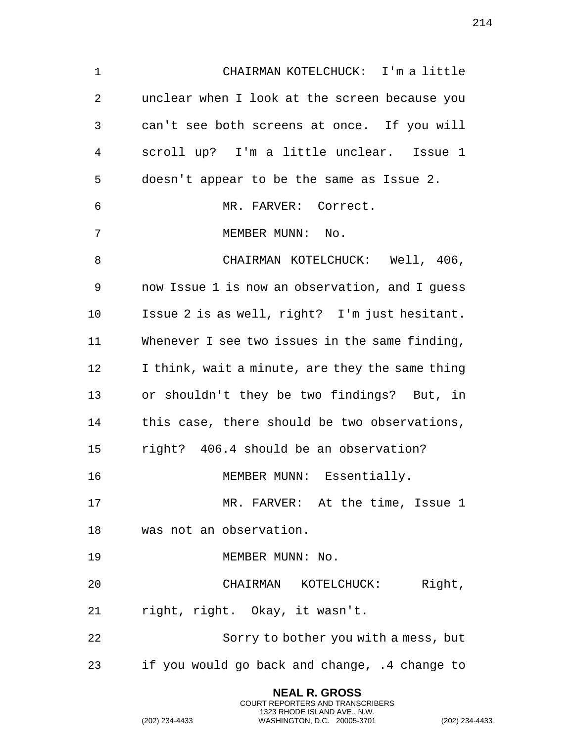CHAIRMAN KOTELCHUCK: I'm a little unclear when I look at the screen because you can't see both screens at once. If you will scroll up? I'm a little unclear. Issue 1 doesn't appear to be the same as Issue 2. MR. FARVER: Correct. 7 MEMBER MUNN: No. 8 CHAIRMAN KOTELCHUCK: Well, 406, now Issue 1 is now an observation, and I guess Issue 2 is as well, right? I'm just hesitant. Whenever I see two issues in the same finding, I think, wait a minute, are they the same thing or shouldn't they be two findings? But, in this case, there should be two observations, right? 406.4 should be an observation? 16 MEMBER MUNN: Essentially. MR. FARVER: At the time, Issue 1 was not an observation. 19 MEMBER MUNN: No. CHAIRMAN KOTELCHUCK: Right, right, right. Okay, it wasn't. Sorry to bother you with a mess, but if you would go back and change, .4 change to

> **NEAL R. GROSS** COURT REPORTERS AND TRANSCRIBERS 1323 RHODE ISLAND AVE., N.W.

(202) 234-4433 WASHINGTON, D.C. 20005-3701 (202) 234-4433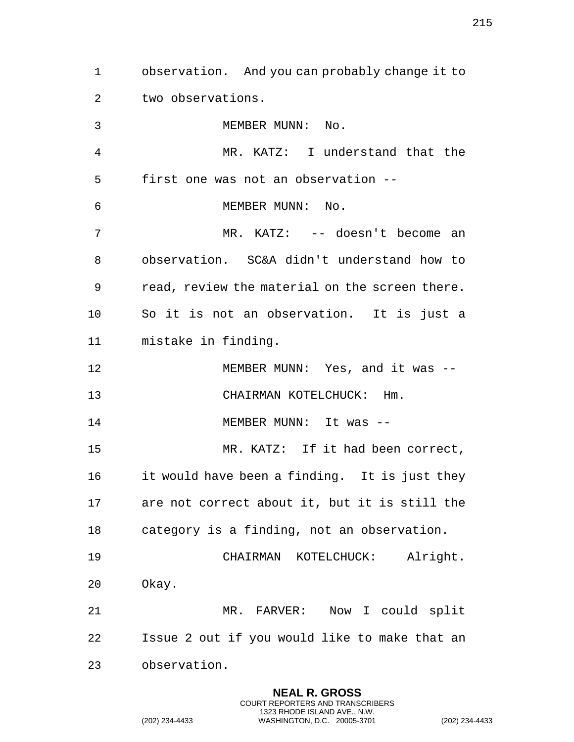observation. And you can probably change it to two observations. 3 MEMBER MUNN: No. MR. KATZ: I understand that the first one was not an observation -- 6 MEMBER MUNN: No. MR. KATZ: -- doesn't become an observation. SC&A didn't understand how to read, review the material on the screen there. So it is not an observation. It is just a mistake in finding. MEMBER MUNN: Yes, and it was -- CHAIRMAN KOTELCHUCK: Hm. 14 MEMBER MUNN: It was -- MR. KATZ: If it had been correct, it would have been a finding. It is just they are not correct about it, but it is still the category is a finding, not an observation. CHAIRMAN KOTELCHUCK: Alright. Okay. MR. FARVER: Now I could split Issue 2 out if you would like to make that an observation.

> **NEAL R. GROSS** COURT REPORTERS AND TRANSCRIBERS 1323 RHODE ISLAND AVE., N.W.

(202) 234-4433 WASHINGTON, D.C. 20005-3701 (202) 234-4433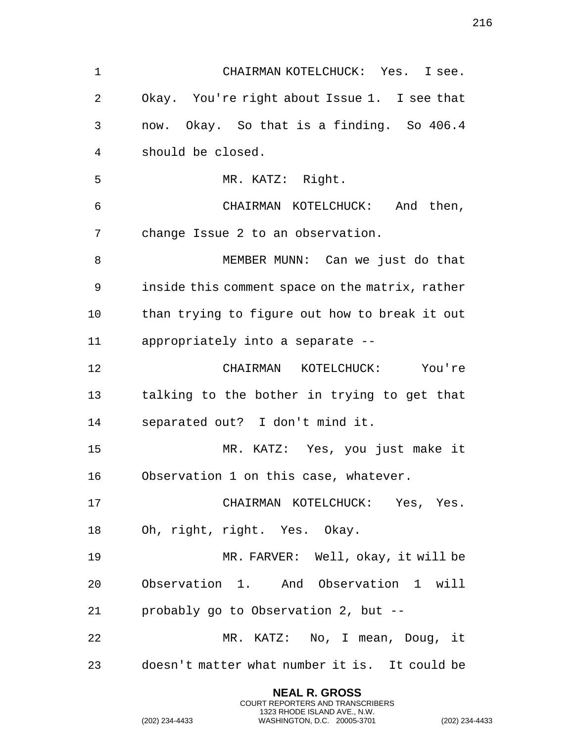| $\mathbf 1$ | CHAIRMAN KOTELCHUCK: Yes. I see.                |
|-------------|-------------------------------------------------|
| 2           | Okay. You're right about Issue 1. I see that    |
| 3           | now. Okay. So that is a finding. So 406.4       |
| 4           | should be closed.                               |
| 5           | MR. KATZ: Right.                                |
| 6           | CHAIRMAN KOTELCHUCK: And then,                  |
| 7           | change Issue 2 to an observation.               |
| 8           | MEMBER MUNN: Can we just do that                |
| 9           | inside this comment space on the matrix, rather |
| 10          | than trying to figure out how to break it out   |
| 11          | appropriately into a separate --                |
| 12          | CHAIRMAN KOTELCHUCK: You're                     |
| 13          | talking to the bother in trying to get that     |
| 14          | separated out? I don't mind it.                 |
| 15          | MR. KATZ: Yes, you just make it                 |
| 16          | Observation 1 on this case, whatever.           |
| 17          | CHAIRMAN KOTELCHUCK: Yes, Yes.                  |
| 18          | Oh, right, right. Yes. Okay.                    |
| 19          | MR. FARVER: Well, okay, it will be              |
| 20          | Observation 1. And Observation 1 will           |
| 21          | probably go to Observation 2, but --            |
| 22          | MR. KATZ: No, I mean, Doug, it                  |
| 23          | doesn't matter what number it is. It could be   |

**NEAL R. GROSS** COURT REPORTERS AND TRANSCRIBERS 1323 RHODE ISLAND AVE., N.W.

(202) 234-4433 WASHINGTON, D.C. 20005-3701 (202) 234-4433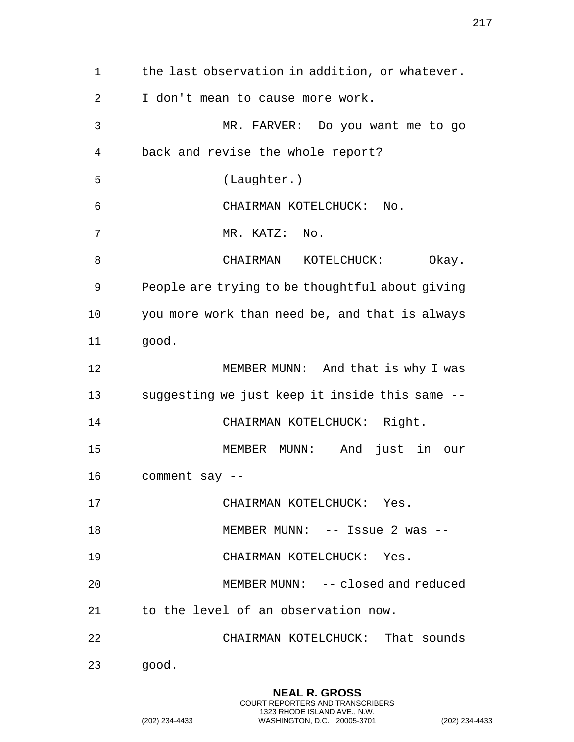the last observation in addition, or whatever. I don't mean to cause more work. MR. FARVER: Do you want me to go back and revise the whole report? (Laughter.) CHAIRMAN KOTELCHUCK: No. MR. KATZ: No. 8 CHAIRMAN KOTELCHUCK: Okay. People are trying to be thoughtful about giving you more work than need be, and that is always good. MEMBER MUNN: And that is why I was suggesting we just keep it inside this same -- 14 CHAIRMAN KOTELCHUCK: Right. MEMBER MUNN: And just in our comment say -- CHAIRMAN KOTELCHUCK: Yes. 18 MEMBER MUNN: -- Issue 2 was -- CHAIRMAN KOTELCHUCK: Yes. MEMBER MUNN: -- closed and reduced to the level of an observation now. CHAIRMAN KOTELCHUCK: That sounds good.

> **NEAL R. GROSS** COURT REPORTERS AND TRANSCRIBERS 1323 RHODE ISLAND AVE., N.W.

(202) 234-4433 WASHINGTON, D.C. 20005-3701 (202) 234-4433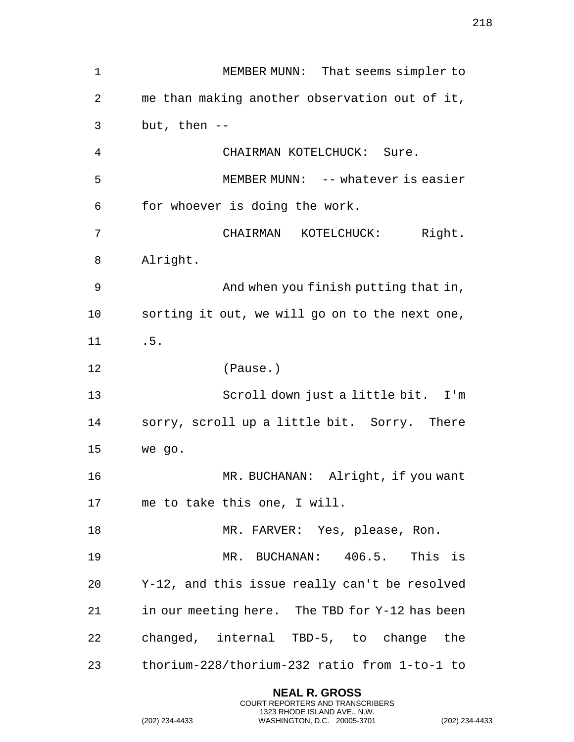MEMBER MUNN: That seems simpler to me than making another observation out of it, but, then -- CHAIRMAN KOTELCHUCK: Sure. MEMBER MUNN: -- whatever is easier for whoever is doing the work. CHAIRMAN KOTELCHUCK: Right. Alright. And when you finish putting that in, sorting it out, we will go on to the next one, .5. (Pause.) Scroll down just a little bit. I'm sorry, scroll up a little bit. Sorry. There we go. MR. BUCHANAN: Alright, if you want me to take this one, I will. 18 MR. FARVER: Yes, please, Ron. MR. BUCHANAN: 406.5. This is Y-12, and this issue really can't be resolved in our meeting here. The TBD for Y-12 has been changed, internal TBD-5, to change the thorium-228/thorium-232 ratio from 1-to-1 to

> **NEAL R. GROSS** COURT REPORTERS AND TRANSCRIBERS 1323 RHODE ISLAND AVE., N.W.

(202) 234-4433 WASHINGTON, D.C. 20005-3701 (202) 234-4433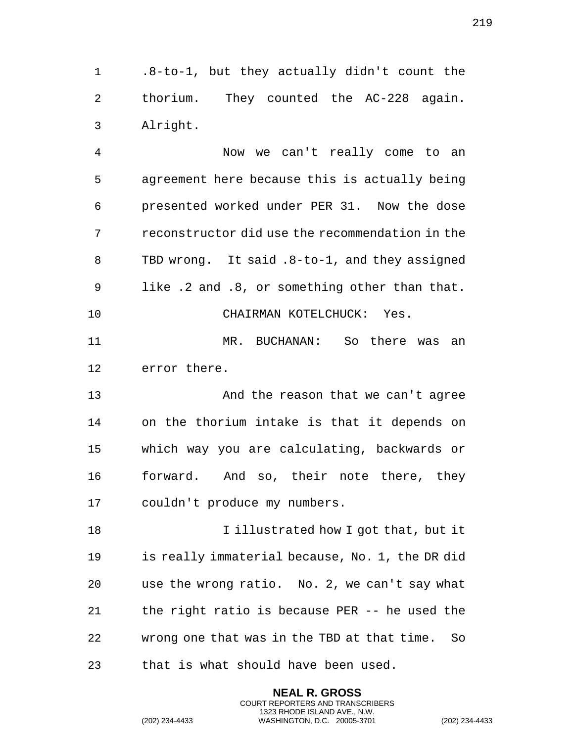.8-to-1, but they actually didn't count the thorium. They counted the AC-228 again. Alright.

 Now we can't really come to an agreement here because this is actually being presented worked under PER 31. Now the dose reconstructor did use the recommendation in the TBD wrong. It said .8-to-1, and they assigned like .2 and .8, or something other than that. CHAIRMAN KOTELCHUCK: Yes. MR. BUCHANAN: So there was an error there. And the reason that we can't agree on the thorium intake is that it depends on which way you are calculating, backwards or

 forward. And so, their note there, they couldn't produce my numbers.

18 I illustrated how I got that, but it is really immaterial because, No. 1, the DR did use the wrong ratio. No. 2, we can't say what the right ratio is because PER -- he used the wrong one that was in the TBD at that time. So that is what should have been used.

> **NEAL R. GROSS** COURT REPORTERS AND TRANSCRIBERS 1323 RHODE ISLAND AVE., N.W.

(202) 234-4433 WASHINGTON, D.C. 20005-3701 (202) 234-4433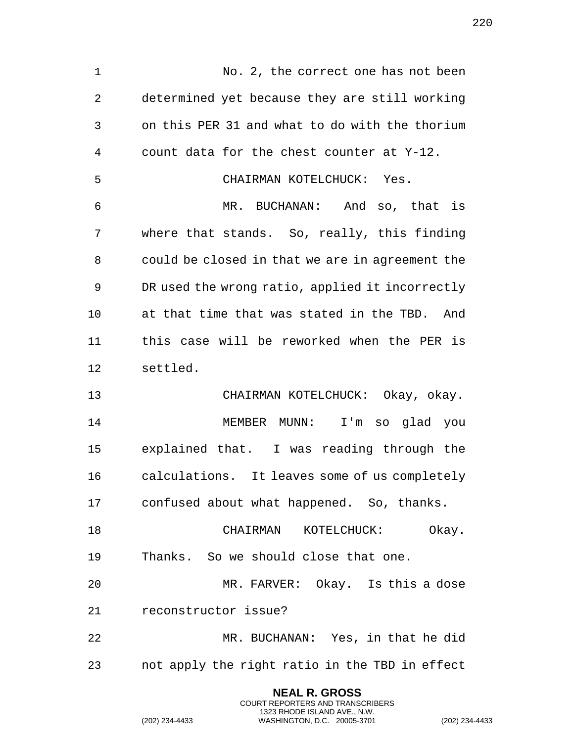1 No. 2, the correct one has not been determined yet because they are still working on this PER 31 and what to do with the thorium count data for the chest counter at Y-12. CHAIRMAN KOTELCHUCK: Yes. MR. BUCHANAN: And so, that is where that stands. So, really, this finding could be closed in that we are in agreement the DR used the wrong ratio, applied it incorrectly at that time that was stated in the TBD. And this case will be reworked when the PER is settled. CHAIRMAN KOTELCHUCK: Okay, okay. MEMBER MUNN: I'm so glad you explained that. I was reading through the calculations. It leaves some of us completely confused about what happened. So, thanks. CHAIRMAN KOTELCHUCK: Okay. Thanks. So we should close that one. MR. FARVER: Okay. Is this a dose reconstructor issue? MR. BUCHANAN: Yes, in that he did not apply the right ratio in the TBD in effect **NEAL R. GROSS**

COURT REPORTERS AND TRANSCRIBERS 1323 RHODE ISLAND AVE., N.W.

(202) 234-4433 WASHINGTON, D.C. 20005-3701 (202) 234-4433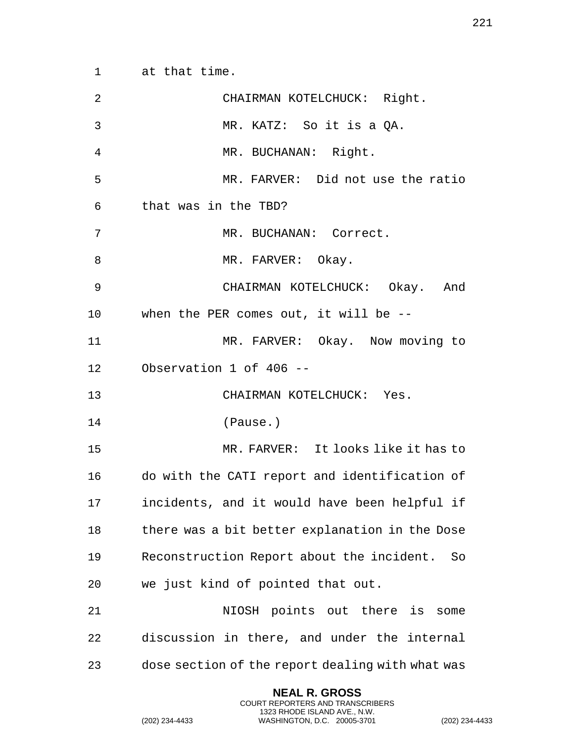at that time.

| $\overline{2}$ | CHAIRMAN KOTELCHUCK: Right.                      |
|----------------|--------------------------------------------------|
| 3              | MR. KATZ: So it is a QA.                         |
| 4              | MR. BUCHANAN: Right.                             |
| 5              | MR. FARVER: Did not use the ratio                |
| 6              | that was in the TBD?                             |
| 7              | MR. BUCHANAN: Correct.                           |
| 8              | MR. FARVER: Okay.                                |
| 9              | CHAIRMAN KOTELCHUCK: Okay. And                   |
| $10 \,$        | when the PER comes out, it will be --            |
| 11             | MR. FARVER: Okay. Now moving to                  |
| 12             | Observation 1 of 406 --                          |
| 13             | CHAIRMAN KOTELCHUCK: Yes.                        |
| 14             | (Pause.)                                         |
| 15             | MR. FARVER: It looks like it has to              |
| 16             | do with the CATI report and identification of    |
| 17             | incidents, and it would have been helpful if     |
| 18             | there was a bit better explanation in the Dose   |
| 19             | Reconstruction Report about the incident.<br>So  |
| 20             | we just kind of pointed that out.                |
| 21             | NIOSH points out there is<br>some                |
| 22             | discussion in there, and under the internal      |
| 23             | dose section of the report dealing with what was |
|                |                                                  |

**NEAL R. GROSS** COURT REPORTERS AND TRANSCRIBERS 1323 RHODE ISLAND AVE., N.W.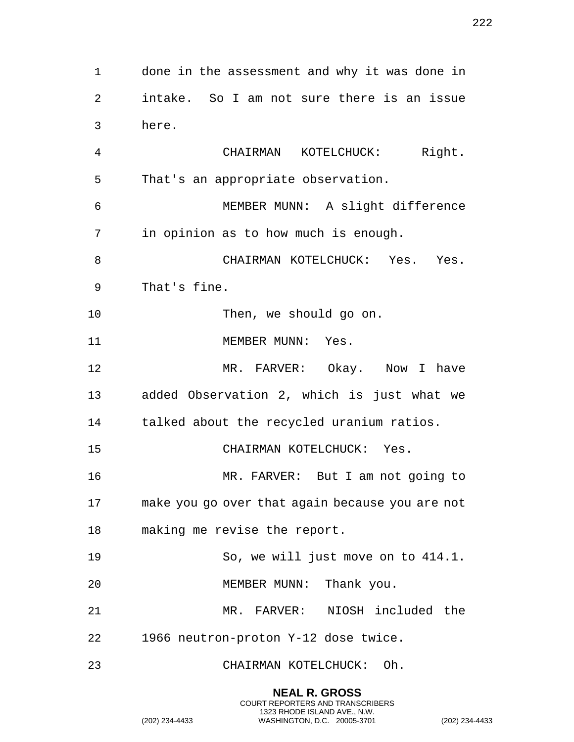done in the assessment and why it was done in intake. So I am not sure there is an issue here. CHAIRMAN KOTELCHUCK: Right. That's an appropriate observation. MEMBER MUNN: A slight difference in opinion as to how much is enough. 8 CHAIRMAN KOTELCHUCK: Yes. Yes. That's fine. Then, we should go on. 11 MEMBER MUNN: Yes. MR. FARVER: Okay. Now I have added Observation 2, which is just what we talked about the recycled uranium ratios. CHAIRMAN KOTELCHUCK: Yes. MR. FARVER: But I am not going to make you go over that again because you are not making me revise the report. So, we will just move on to 414.1. 20 MEMBER MUNN: Thank you. MR. FARVER: NIOSH included the 1966 neutron-proton Y-12 dose twice. CHAIRMAN KOTELCHUCK: Oh.

> **NEAL R. GROSS** COURT REPORTERS AND TRANSCRIBERS 1323 RHODE ISLAND AVE., N.W.

(202) 234-4433 WASHINGTON, D.C. 20005-3701 (202) 234-4433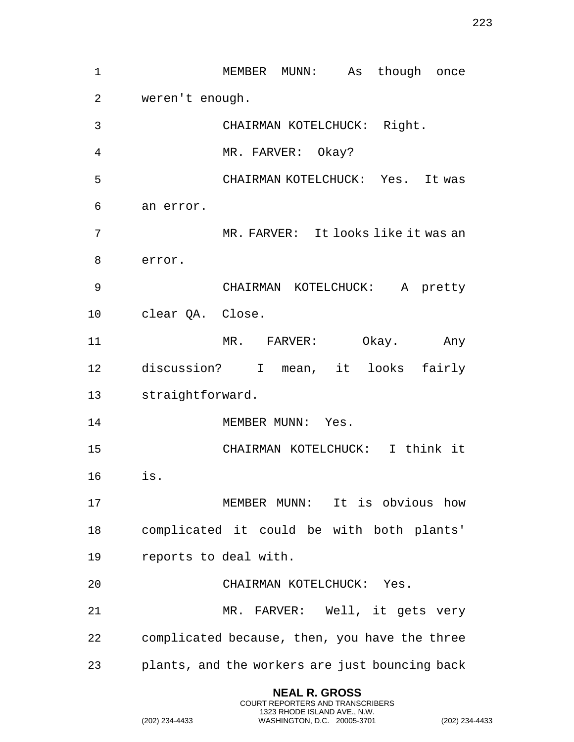| $\mathbf 1$    |                                               | MEMBER MUNN: As though once         |       |          |
|----------------|-----------------------------------------------|-------------------------------------|-------|----------|
| $\overline{2}$ | weren't enough.                               |                                     |       |          |
| 3              |                                               | CHAIRMAN KOTELCHUCK: Right.         |       |          |
| 4              |                                               | MR. FARVER: Okay?                   |       |          |
| 5              |                                               | CHAIRMAN KOTELCHUCK: Yes. It was    |       |          |
| 6              | an error.                                     |                                     |       |          |
| 7              |                                               | MR. FARVER: It looks like it was an |       |          |
| 8              | error.                                        |                                     |       |          |
| 9              |                                               | CHAIRMAN KOTELCHUCK:                |       | A pretty |
| 10             | clear QA. Close.                              |                                     |       |          |
| 11             |                                               | MR. FARVER:                         | Okay. | Any      |
| 12             | discussion? I mean, it looks                  |                                     |       | fairly   |
| 13             | straightforward.                              |                                     |       |          |
| 14             |                                               | MEMBER MUNN: Yes.                   |       |          |
| 15             |                                               | CHAIRMAN KOTELCHUCK: I think it     |       |          |
| 16             | is.                                           |                                     |       |          |
| 17             |                                               | MEMBER MUNN: It is obvious how      |       |          |
| 18             | complicated it could be with both plants'     |                                     |       |          |
| 19             | reports to deal with.                         |                                     |       |          |
| 20             |                                               | CHAIRMAN KOTELCHUCK: Yes.           |       |          |
| 21             |                                               | MR. FARVER: Well, it gets very      |       |          |
|                |                                               |                                     |       |          |
| 22             | complicated because, then, you have the three |                                     |       |          |

**NEAL R. GROSS** COURT REPORTERS AND TRANSCRIBERS 1323 RHODE ISLAND AVE., N.W.

(202) 234-4433 WASHINGTON, D.C. 20005-3701 (202) 234-4433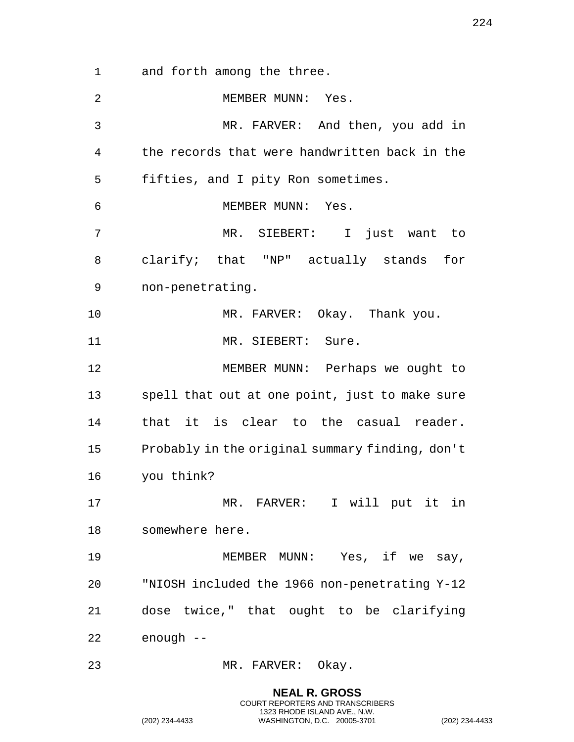and forth among the three.

2 MEMBER MUNN: Yes. MR. FARVER: And then, you add in the records that were handwritten back in the fifties, and I pity Ron sometimes. 6 MEMBER MUNN: Yes. MR. SIEBERT: I just want to clarify; that "NP" actually stands for non-penetrating. MR. FARVER: Okay. Thank you. 11 MR. SIEBERT: Sure. MEMBER MUNN: Perhaps we ought to spell that out at one point, just to make sure that it is clear to the casual reader. Probably in the original summary finding, don't you think? MR. FARVER: I will put it in somewhere here. 19 MEMBER MUNN: Yes, if we say, "NIOSH included the 1966 non-penetrating Y-12 dose twice," that ought to be clarifying enough -- MR. FARVER: Okay.

> **NEAL R. GROSS** COURT REPORTERS AND TRANSCRIBERS 1323 RHODE ISLAND AVE., N.W.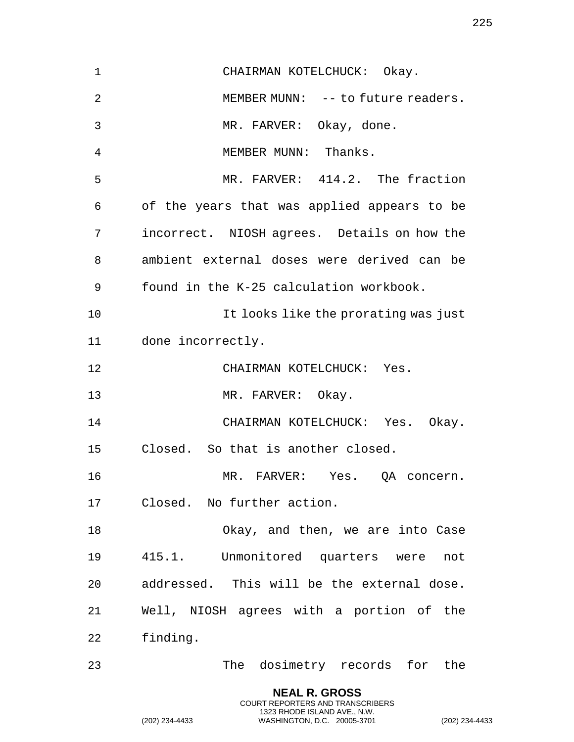CHAIRMAN KOTELCHUCK: Okay. MEMBER MUNN: -- to future readers. MR. FARVER: Okay, done. MEMBER MUNN: Thanks. MR. FARVER: 414.2. The fraction of the years that was applied appears to be incorrect. NIOSH agrees. Details on how the ambient external doses were derived can be found in the K-25 calculation workbook. It looks like the prorating was just done incorrectly. CHAIRMAN KOTELCHUCK: Yes. 13 MR. FARVER: Okay. CHAIRMAN KOTELCHUCK: Yes. Okay. Closed. So that is another closed. MR. FARVER: Yes. QA concern. Closed. No further action. Okay, and then, we are into Case 415.1. Unmonitored quarters were not addressed. This will be the external dose. Well, NIOSH agrees with a portion of the finding. The dosimetry records for the

> **NEAL R. GROSS** COURT REPORTERS AND TRANSCRIBERS 1323 RHODE ISLAND AVE., N.W.

(202) 234-4433 WASHINGTON, D.C. 20005-3701 (202) 234-4433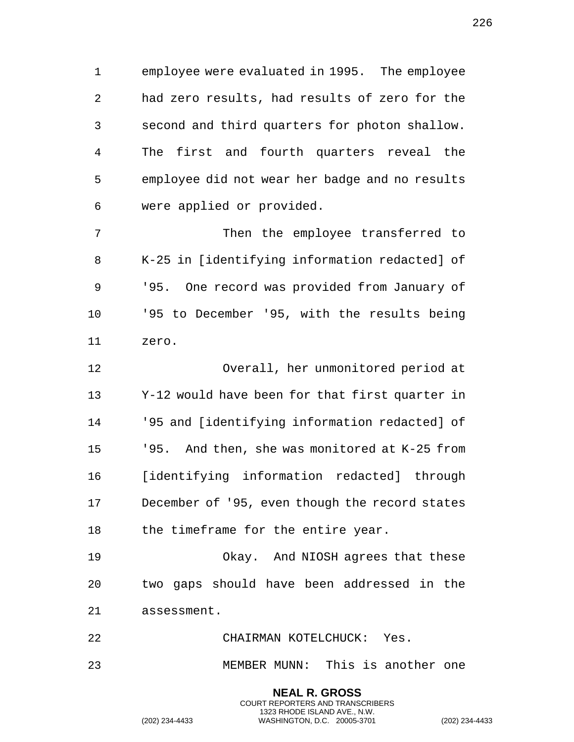employee were evaluated in 1995. The employee had zero results, had results of zero for the second and third quarters for photon shallow. The first and fourth quarters reveal the employee did not wear her badge and no results were applied or provided.

 Then the employee transferred to K-25 in [identifying information redacted] of '95. One record was provided from January of '95 to December '95, with the results being zero.

 Overall, her unmonitored period at Y-12 would have been for that first quarter in '95 and [identifying information redacted] of '95. And then, she was monitored at K-25 from [identifying information redacted] through December of '95, even though the record states 18 the timeframe for the entire year.

 Okay. And NIOSH agrees that these two gaps should have been addressed in the assessment.

CHAIRMAN KOTELCHUCK: Yes.

MEMBER MUNN: This is another one

**NEAL R. GROSS** COURT REPORTERS AND TRANSCRIBERS 1323 RHODE ISLAND AVE., N.W.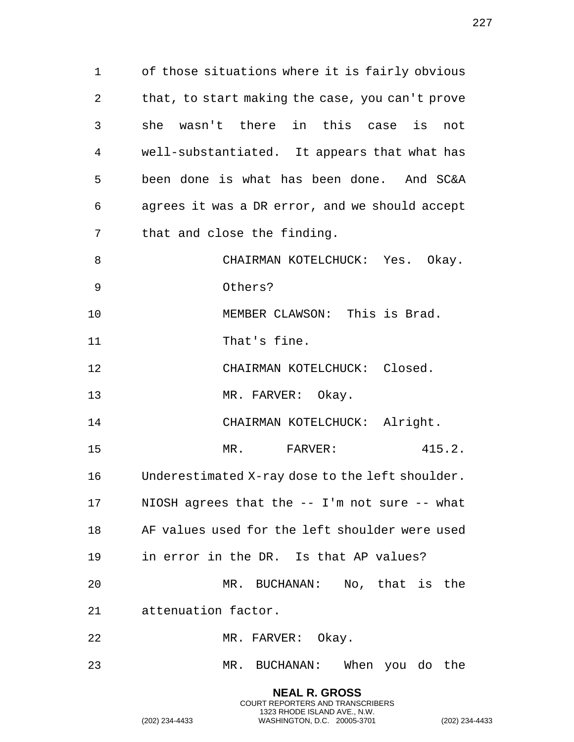of those situations where it is fairly obvious that, to start making the case, you can't prove she wasn't there in this case is not well-substantiated. It appears that what has been done is what has been done. And SC&A agrees it was a DR error, and we should accept that and close the finding. 8 CHAIRMAN KOTELCHUCK: Yes. Okay. Others? MEMBER CLAWSON: This is Brad. 11 That's fine. CHAIRMAN KOTELCHUCK: Closed. 13 MR. FARVER: Okay. 14 CHAIRMAN KOTELCHUCK: Alright. 15 MR. FARVER: 415.2. Underestimated X-ray dose to the left shoulder. NIOSH agrees that the -- I'm not sure -- what AF values used for the left shoulder were used in error in the DR. Is that AP values? MR. BUCHANAN: No, that is the attenuation factor. MR. FARVER: Okay. MR. BUCHANAN: When you do the

> **NEAL R. GROSS** COURT REPORTERS AND TRANSCRIBERS 1323 RHODE ISLAND AVE., N.W.

(202) 234-4433 WASHINGTON, D.C. 20005-3701 (202) 234-4433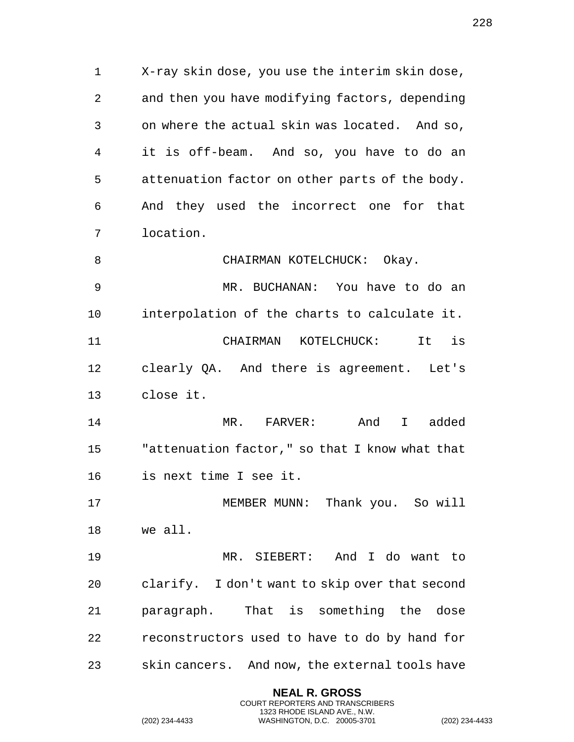X-ray skin dose, you use the interim skin dose, and then you have modifying factors, depending on where the actual skin was located. And so, it is off-beam. And so, you have to do an attenuation factor on other parts of the body. And they used the incorrect one for that location.

 MR. BUCHANAN: You have to do an interpolation of the charts to calculate it. CHAIRMAN KOTELCHUCK: It is clearly QA. And there is agreement. Let's close it.

8 CHAIRMAN KOTELCHUCK: Okay.

 MR. FARVER: And I added "attenuation factor," so that I know what that is next time I see it.

 MEMBER MUNN: Thank you. So will we all.

 MR. SIEBERT: And I do want to clarify. I don't want to skip over that second paragraph. That is something the dose reconstructors used to have to do by hand for skin cancers. And now, the external tools have

> **NEAL R. GROSS** COURT REPORTERS AND TRANSCRIBERS 1323 RHODE ISLAND AVE., N.W.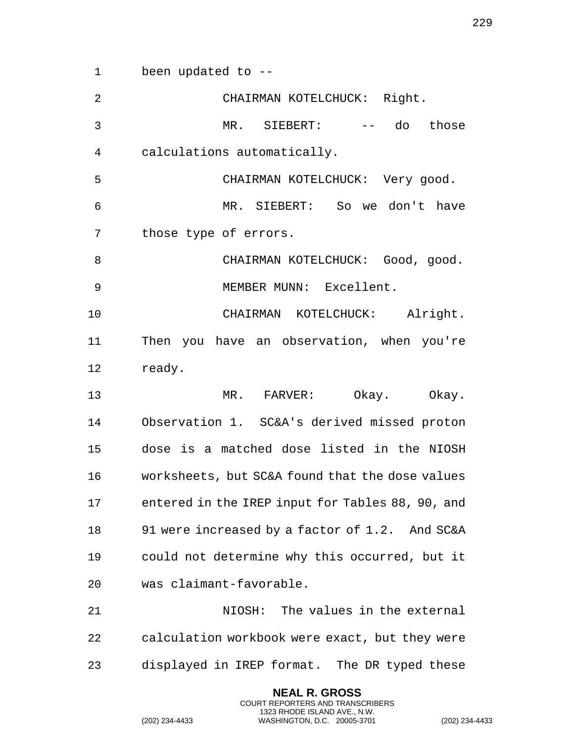been updated to --

| $\overline{2}$ | CHAIRMAN KOTELCHUCK: Right.                      |
|----------------|--------------------------------------------------|
| 3              | MR. SIEBERT: -- do those                         |
| 4              | calculations automatically.                      |
| 5              | CHAIRMAN KOTELCHUCK: Very good.                  |
| 6              | MR. SIEBERT: So we don't have                    |
| 7              | those type of errors.                            |
| 8              | CHAIRMAN KOTELCHUCK: Good, good.                 |
| 9              | MEMBER MUNN: Excellent.                          |
| 10             | CHAIRMAN KOTELCHUCK: Alright.                    |
| 11             | Then you have an observation, when you're        |
| 12             | ready.                                           |
| 13             | MR. FARVER: Okay. Okay.                          |
|                |                                                  |
| 14             | Observation 1. SC&A's derived missed proton      |
| 15             | dose is a matched dose listed in the NIOSH       |
| 16             | worksheets, but SC&A found that the dose values  |
| 17             | entered in the IREP input for Tables 88, 90, and |
| 18             | 91 were increased by a factor of 1.2. And SC&A   |
| 19             | could not determine why this occurred, but it    |
| 20             | was claimant-favorable.                          |
| 21             | NIOSH: The values in the external                |
| 22             | calculation workbook were exact, but they were   |

**NEAL R. GROSS** COURT REPORTERS AND TRANSCRIBERS 1323 RHODE ISLAND AVE., N.W.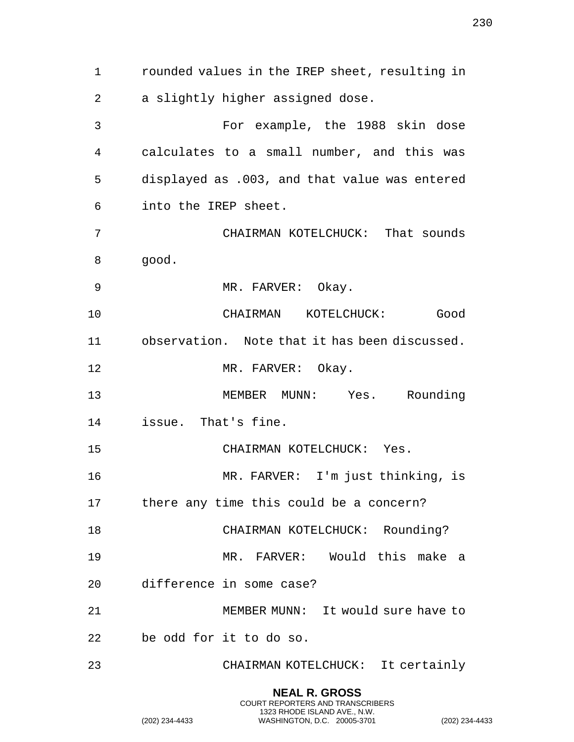rounded values in the IREP sheet, resulting in a slightly higher assigned dose. For example, the 1988 skin dose calculates to a small number, and this was displayed as .003, and that value was entered into the IREP sheet. CHAIRMAN KOTELCHUCK: That sounds good. 9 MR. FARVER: Okay. CHAIRMAN KOTELCHUCK: Good observation. Note that it has been discussed. 12 MR. FARVER: Okay. MEMBER MUNN: Yes. Rounding issue. That's fine. CHAIRMAN KOTELCHUCK: Yes. MR. FARVER: I'm just thinking, is there any time this could be a concern? 18 CHAIRMAN KOTELCHUCK: Rounding? MR. FARVER: Would this make a difference in some case? MEMBER MUNN: It would sure have to be odd for it to do so. CHAIRMAN KOTELCHUCK: It certainly

> **NEAL R. GROSS** COURT REPORTERS AND TRANSCRIBERS 1323 RHODE ISLAND AVE., N.W.

(202) 234-4433 WASHINGTON, D.C. 20005-3701 (202) 234-4433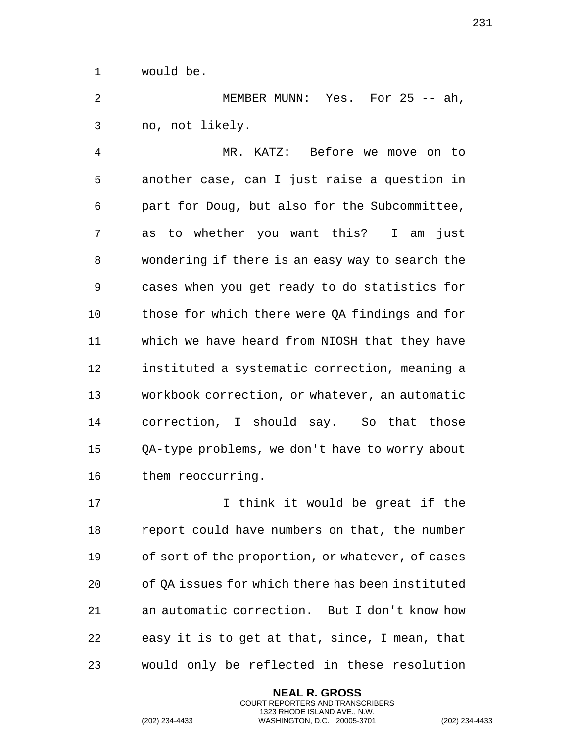would be.

 MEMBER MUNN: Yes. For 25 -- ah, no, not likely.

 MR. KATZ: Before we move on to another case, can I just raise a question in part for Doug, but also for the Subcommittee, as to whether you want this? I am just wondering if there is an easy way to search the cases when you get ready to do statistics for those for which there were QA findings and for which we have heard from NIOSH that they have instituted a systematic correction, meaning a workbook correction, or whatever, an automatic correction, I should say. So that those QA-type problems, we don't have to worry about them reoccurring.

17 17 I think it would be great if the report could have numbers on that, the number of sort of the proportion, or whatever, of cases of QA issues for which there has been instituted an automatic correction. But I don't know how easy it is to get at that, since, I mean, that would only be reflected in these resolution

> **NEAL R. GROSS** COURT REPORTERS AND TRANSCRIBERS 1323 RHODE ISLAND AVE., N.W.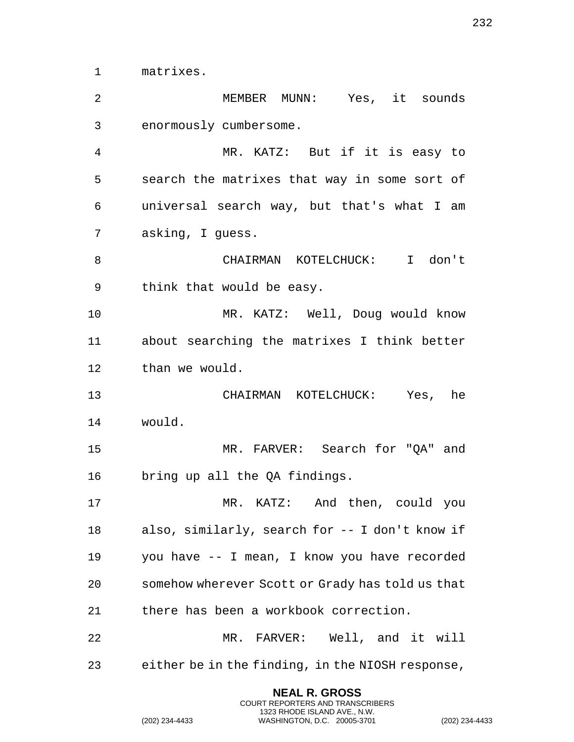matrixes.

 MEMBER MUNN: Yes, it sounds enormously cumbersome. MR. KATZ: But if it is easy to search the matrixes that way in some sort of universal search way, but that's what I am asking, I guess. CHAIRMAN KOTELCHUCK: I don't think that would be easy. MR. KATZ: Well, Doug would know about searching the matrixes I think better than we would. CHAIRMAN KOTELCHUCK: Yes, he would. MR. FARVER: Search for "QA" and bring up all the QA findings. MR. KATZ: And then, could you also, similarly, search for -- I don't know if you have -- I mean, I know you have recorded somehow wherever Scott or Grady has told us that there has been a workbook correction. MR. FARVER: Well, and it will either be in the finding, in the NIOSH response,

> **NEAL R. GROSS** COURT REPORTERS AND TRANSCRIBERS 1323 RHODE ISLAND AVE., N.W.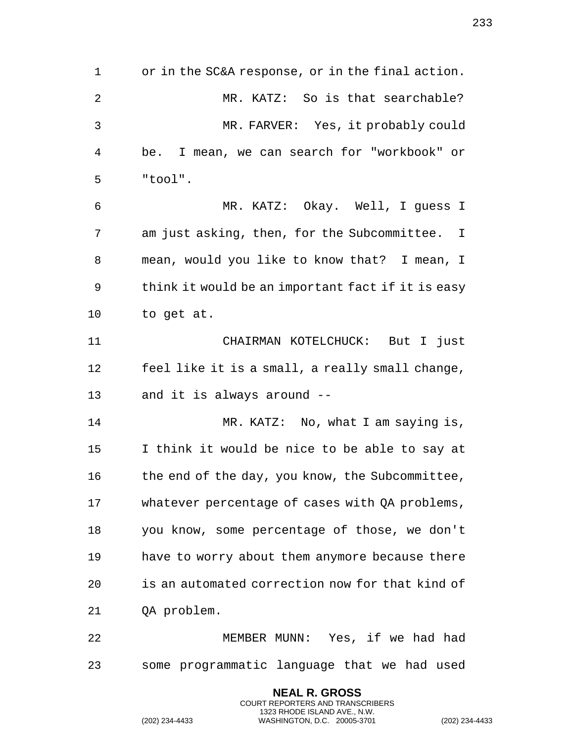or in the SC&A response, or in the final action. 2 MR. KATZ: So is that searchable? MR. FARVER: Yes, it probably could be. I mean, we can search for "workbook" or "tool". MR. KATZ: Okay. Well, I guess I am just asking, then, for the Subcommittee. I mean, would you like to know that? I mean, I think it would be an important fact if it is easy to get at. CHAIRMAN KOTELCHUCK: But I just feel like it is a small, a really small change, and it is always around -- 14 MR. KATZ: No, what I am saying is, I think it would be nice to be able to say at 16 the end of the day, you know, the Subcommittee, whatever percentage of cases with QA problems, you know, some percentage of those, we don't have to worry about them anymore because there is an automated correction now for that kind of QA problem. MEMBER MUNN: Yes, if we had had some programmatic language that we had used

> **NEAL R. GROSS** COURT REPORTERS AND TRANSCRIBERS 1323 RHODE ISLAND AVE., N.W.

(202) 234-4433 WASHINGTON, D.C. 20005-3701 (202) 234-4433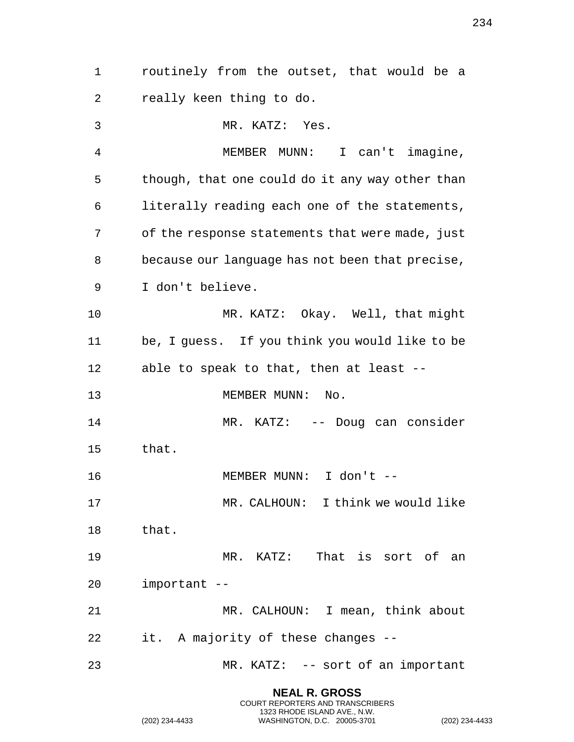routinely from the outset, that would be a really keen thing to do. MR. KATZ: Yes. MEMBER MUNN: I can't imagine, though, that one could do it any way other than literally reading each one of the statements, of the response statements that were made, just because our language has not been that precise, I don't believe. MR. KATZ: Okay. Well, that might be, I guess. If you think you would like to be able to speak to that, then at least -- 13 MEMBER MUNN: No. 14 MR. KATZ: -- Doug can consider that. MEMBER MUNN: I don't -- MR. CALHOUN: I think we would like that. MR. KATZ: That is sort of an important -- MR. CALHOUN: I mean, think about it. A majority of these changes -- MR. KATZ: -- sort of an important

> **NEAL R. GROSS** COURT REPORTERS AND TRANSCRIBERS 1323 RHODE ISLAND AVE., N.W.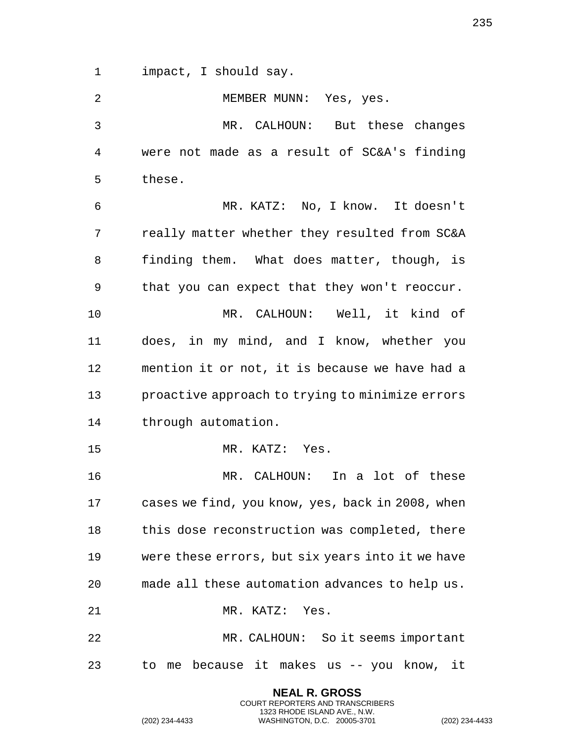impact, I should say.

| 2            | MEMBER MUNN: Yes, yes.                           |
|--------------|--------------------------------------------------|
| $\mathbf{3}$ | MR. CALHOUN: But these changes                   |
| 4            | were not made as a result of SC&A's finding      |
| 5            | these.                                           |
| 6            | MR. KATZ: No, I know. It doesn't                 |
| 7            | really matter whether they resulted from SC&A    |
| 8            | finding them. What does matter, though, is       |
| 9            | that you can expect that they won't reoccur.     |
| 10           | MR. CALHOUN: Well, it kind of                    |
| 11           | does, in my mind, and I know, whether you        |
| 12           | mention it or not, it is because we have had a   |
| 13           | proactive approach to trying to minimize errors  |
| 14           | through automation.                              |
| 15           | MR. KATZ: Yes.                                   |
| 16           | MR. CALHOUN: In a lot of these                   |
| 17           | cases we find, you know, yes, back in 2008, when |
| 18           | this dose reconstruction was completed, there    |
| 19           | were these errors, but six years into it we have |
| 20           | made all these automation advances to help us.   |
| 21           | MR. KATZ: Yes.                                   |
| 22           | MR. CALHOUN: So it seems important               |
| 23           | to me because it makes us -- you know, it        |

**NEAL R. GROSS** COURT REPORTERS AND TRANSCRIBERS 1323 RHODE ISLAND AVE., N.W.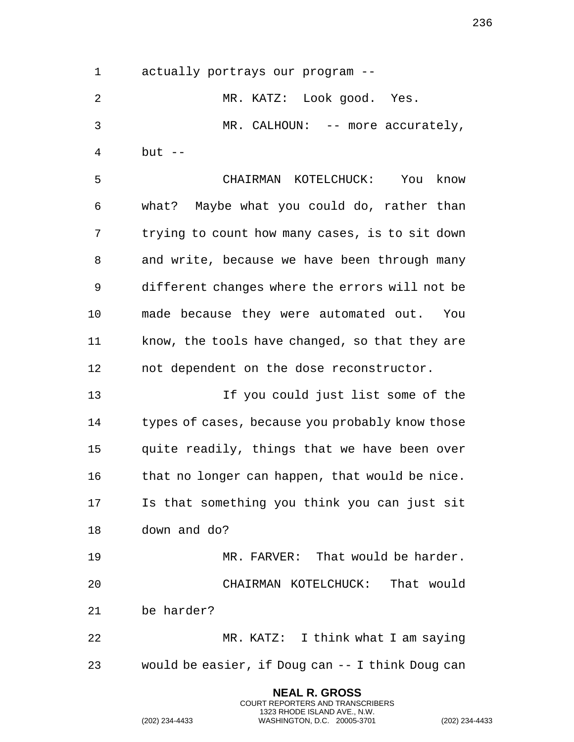actually portrays our program --

 MR. KATZ: Look good. Yes. MR. CALHOUN: -- more accurately, but --

 CHAIRMAN KOTELCHUCK: You know what? Maybe what you could do, rather than trying to count how many cases, is to sit down and write, because we have been through many different changes where the errors will not be made because they were automated out. You know, the tools have changed, so that they are not dependent on the dose reconstructor.

 If you could just list some of the types of cases, because you probably know those quite readily, things that we have been over that no longer can happen, that would be nice. Is that something you think you can just sit down and do?

 MR. FARVER: That would be harder. CHAIRMAN KOTELCHUCK: That would be harder?

 MR. KATZ: I think what I am saying would be easier, if Doug can -- I think Doug can

> **NEAL R. GROSS** COURT REPORTERS AND TRANSCRIBERS 1323 RHODE ISLAND AVE., N.W.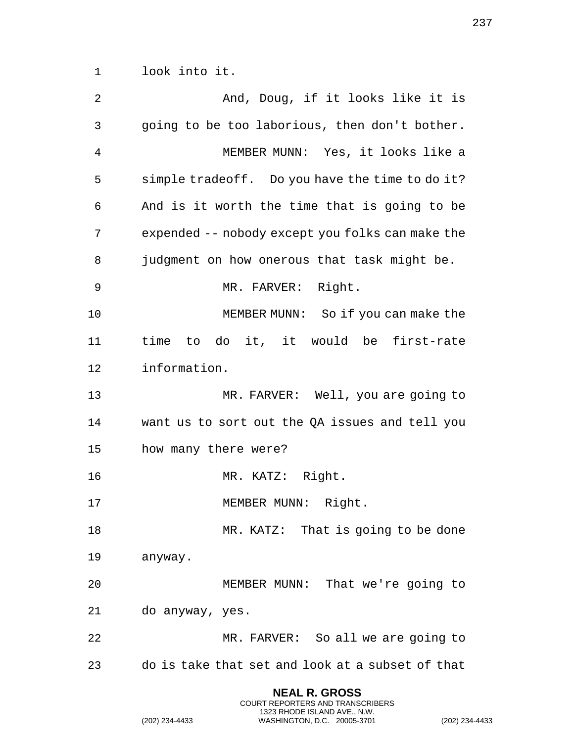look into it.

| 2  | And, Doug, if it looks like it is                |
|----|--------------------------------------------------|
| 3  | going to be too laborious, then don't bother.    |
| 4  | MEMBER MUNN: Yes, it looks like a                |
| 5  | simple tradeoff. Do you have the time to do it?  |
| 6  | And is it worth the time that is going to be     |
| 7  | expended -- nobody except you folks can make the |
| 8  | judgment on how onerous that task might be.      |
| 9  | MR. FARVER: Right.                               |
| 10 | MEMBER MUNN: So if you can make the              |
| 11 | time to do it, it would be first-rate            |
| 12 | information.                                     |
| 13 | MR. FARVER: Well, you are going to               |
| 14 | want us to sort out the QA issues and tell you   |
| 15 | how many there were?                             |
| 16 | MR. KATZ: Right.                                 |
| 17 | MEMBER MUNN: Right.                              |
| 18 | MR. KATZ: That is going to be done               |
| 19 | anyway.                                          |
| 20 | MEMBER MUNN: That we're going to                 |
| 21 | do anyway, yes.                                  |
| 22 | MR. FARVER: So all we are going to               |
| 23 | do is take that set and look at a subset of that |
|    |                                                  |

**NEAL R. GROSS** COURT REPORTERS AND TRANSCRIBERS 1323 RHODE ISLAND AVE., N.W.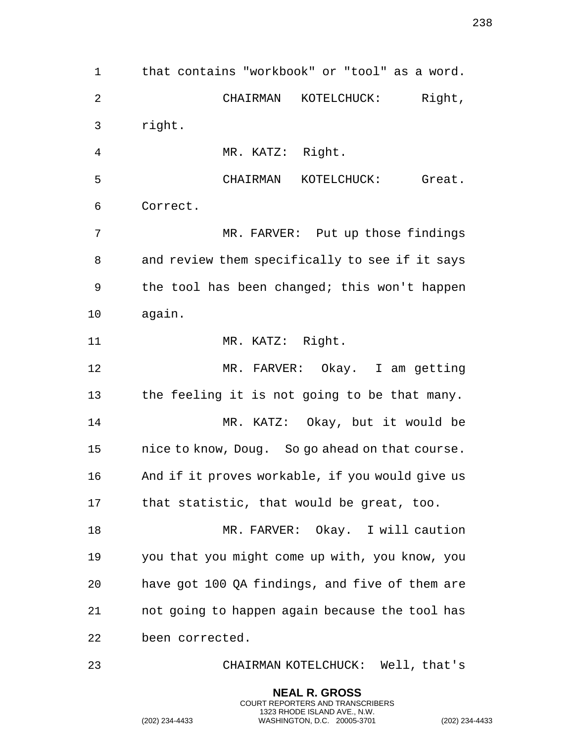that contains "workbook" or "tool" as a word. CHAIRMAN KOTELCHUCK: Right, right. MR. KATZ: Right. CHAIRMAN KOTELCHUCK: Great. Correct. MR. FARVER: Put up those findings and review them specifically to see if it says the tool has been changed; this won't happen again. 11 MR. KATZ: Right. MR. FARVER: Okay. I am getting the feeling it is not going to be that many. MR. KATZ: Okay, but it would be nice to know, Doug. So go ahead on that course. And if it proves workable, if you would give us that statistic, that would be great, too. MR. FARVER: Okay. I will caution you that you might come up with, you know, you have got 100 QA findings, and five of them are not going to happen again because the tool has been corrected. CHAIRMAN KOTELCHUCK: Well, that's

> **NEAL R. GROSS** COURT REPORTERS AND TRANSCRIBERS 1323 RHODE ISLAND AVE., N.W.

(202) 234-4433 WASHINGTON, D.C. 20005-3701 (202) 234-4433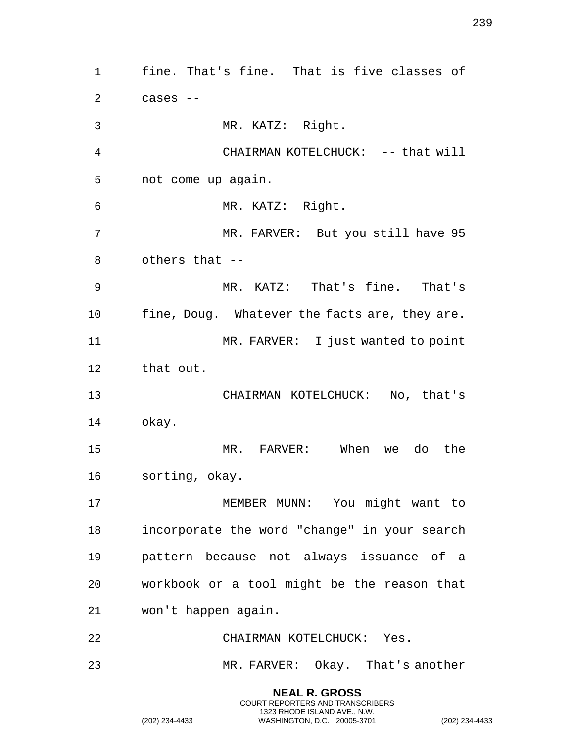fine. That's fine. That is five classes of cases -- MR. KATZ: Right. CHAIRMAN KOTELCHUCK: -- that will not come up again. MR. KATZ: Right. MR. FARVER: But you still have 95 others that -- MR. KATZ: That's fine. That's fine, Doug. Whatever the facts are, they are. 11 MR. FARVER: I just wanted to point that out. CHAIRMAN KOTELCHUCK: No, that's okay. MR. FARVER: When we do the sorting, okay. MEMBER MUNN: You might want to incorporate the word "change" in your search pattern because not always issuance of a workbook or a tool might be the reason that won't happen again. CHAIRMAN KOTELCHUCK: Yes. MR. FARVER: Okay. That's another **NEAL R. GROSS**

COURT REPORTERS AND TRANSCRIBERS 1323 RHODE ISLAND AVE., N.W.

(202) 234-4433 WASHINGTON, D.C. 20005-3701 (202) 234-4433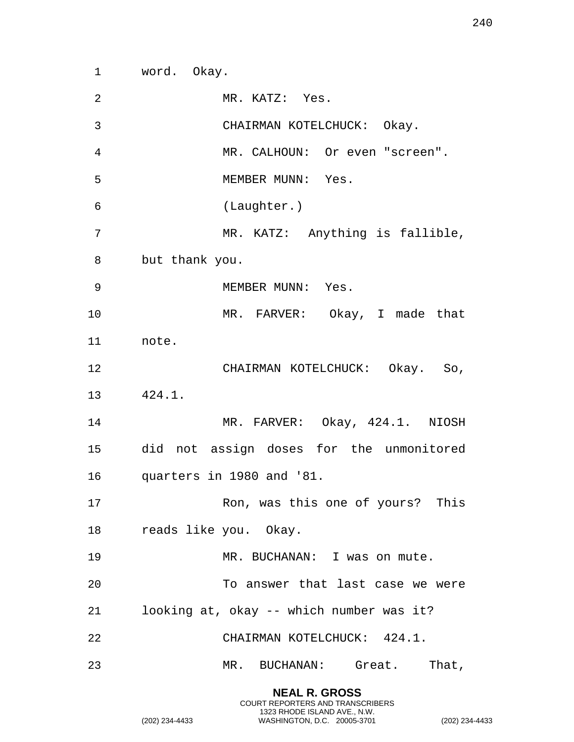word. Okay.

| $\overline{2}$ | MR. KATZ: Yes.                           |
|----------------|------------------------------------------|
| $\mathfrak{Z}$ | CHAIRMAN KOTELCHUCK: Okay.               |
| 4              | MR. CALHOUN: Or even "screen".           |
| 5              | MEMBER MUNN: Yes.                        |
| 6              | (Laughter.)                              |
| 7              | MR. KATZ: Anything is fallible,          |
| 8              | but thank you.                           |
| 9              | MEMBER MUNN: Yes.                        |
| 10             | MR. FARVER: Okay, I made that            |
| 11             | note.                                    |
| 12             | CHAIRMAN KOTELCHUCK: Okay. So,           |
| 13             | 424.1.                                   |
| 14             | MR. FARVER: Okay, 424.1. NIOSH           |
| 15             | did not assign doses for the unmonitored |
| 16             | quarters in 1980 and '81.                |
| 17             | Ron, was this one of yours? This         |
|                | 18 reads like you. Okay.                 |
| 19             | MR. BUCHANAN: I was on mute.             |
| 20             | To answer that last case we were         |
| 21             | looking at, okay -- which number was it? |
| 22             | CHAIRMAN KOTELCHUCK: 424.1.              |
| 23             | MR. BUCHANAN: Great. That,               |
|                |                                          |

**NEAL R. GROSS** COURT REPORTERS AND TRANSCRIBERS 1323 RHODE ISLAND AVE., N.W.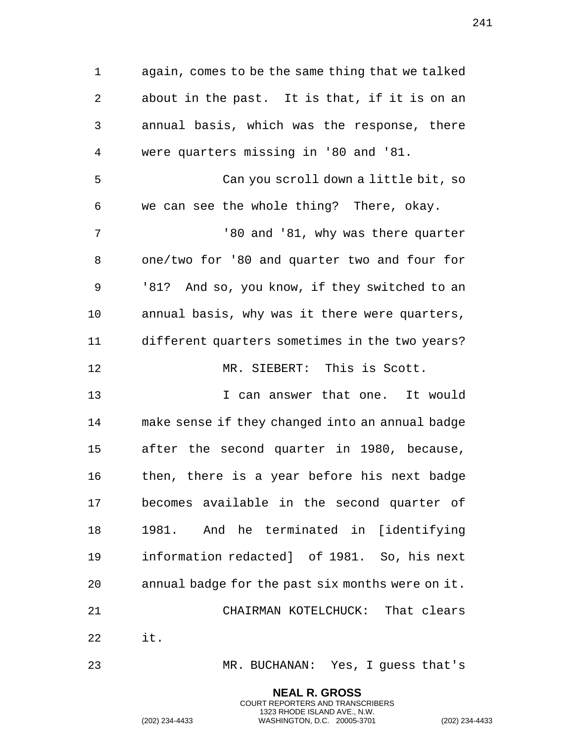again, comes to be the same thing that we talked about in the past. It is that, if it is on an annual basis, which was the response, there were quarters missing in '80 and '81. Can you scroll down a little bit, so we can see the whole thing? There, okay. and '81, why was there quarter one/two for '80 and quarter two and four for '81? And so, you know, if they switched to an annual basis, why was it there were quarters, different quarters sometimes in the two years? MR. SIEBERT: This is Scott. I can answer that one. It would make sense if they changed into an annual badge after the second quarter in 1980, because, then, there is a year before his next badge becomes available in the second quarter of 1981. And he terminated in [identifying information redacted] of 1981. So, his next annual badge for the past six months were on it. CHAIRMAN KOTELCHUCK: That clears it. MR. BUCHANAN: Yes, I guess that's

**NEAL R. GROSS**

COURT REPORTERS AND TRANSCRIBERS 1323 RHODE ISLAND AVE., N.W. (202) 234-4433 WASHINGTON, D.C. 20005-3701 (202) 234-4433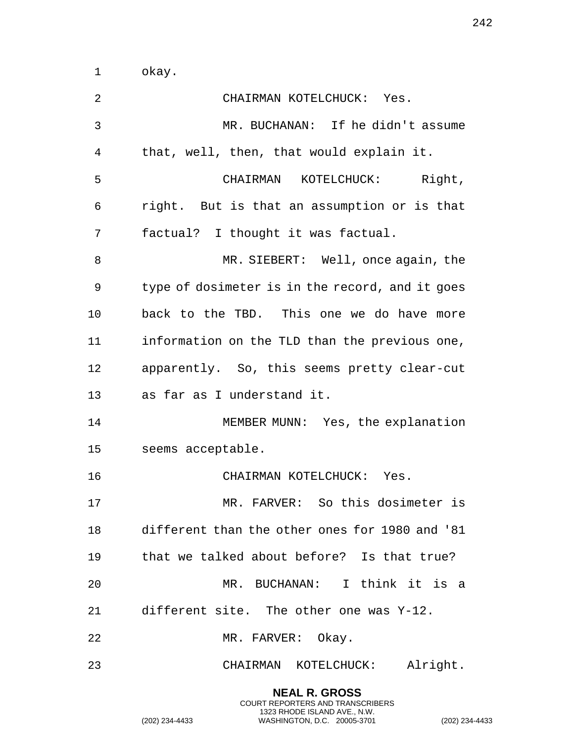okay.

| 2  | CHAIRMAN KOTELCHUCK: Yes.                       |
|----|-------------------------------------------------|
| 3  | MR. BUCHANAN: If he didn't assume               |
| 4  | that, well, then, that would explain it.        |
| 5  | CHAIRMAN KOTELCHUCK: Right,                     |
| 6  | right. But is that an assumption or is that     |
| 7  | factual? I thought it was factual.              |
| 8  | MR. SIEBERT: Well, once again, the              |
| 9  | type of dosimeter is in the record, and it goes |
| 10 | back to the TBD. This one we do have more       |
| 11 | information on the TLD than the previous one,   |
| 12 | apparently. So, this seems pretty clear-cut     |
| 13 | as far as I understand it.                      |
| 14 | MEMBER MUNN: Yes, the explanation               |
| 15 | seems acceptable.                               |
| 16 | CHAIRMAN KOTELCHUCK: Yes.                       |
| 17 | MR. FARVER: So this dosimeter is                |
|    | different than the other ones for 1980 and '81  |
| 19 | that we talked about before? Is that true?      |
| 20 | MR. BUCHANAN: I think it is a                   |
| 21 | different site. The other one was Y-12.         |
| 22 | MR. FARVER: Okay.                               |
| 23 | Alright.<br>CHAIRMAN KOTELCHUCK:                |

**NEAL R. GROSS** COURT REPORTERS AND TRANSCRIBERS 1323 RHODE ISLAND AVE., N.W.

(202) 234-4433 WASHINGTON, D.C. 20005-3701 (202) 234-4433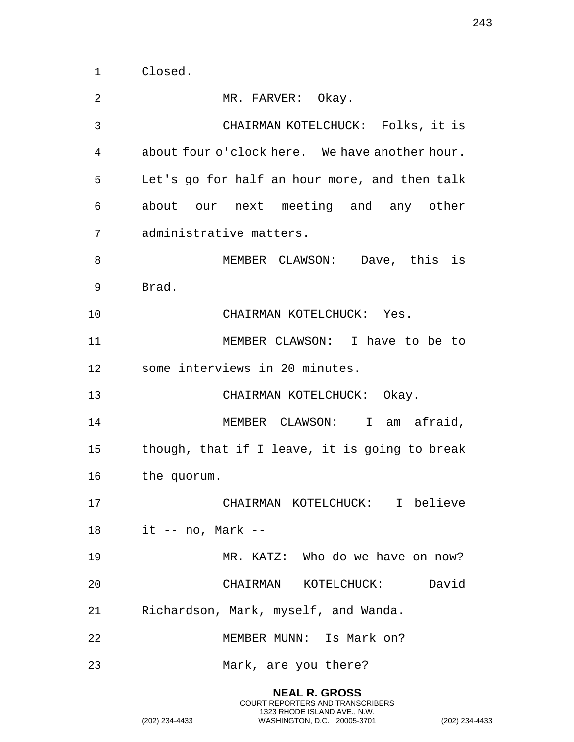Closed.

| 2     | MR. FARVER: Okay.                              |
|-------|------------------------------------------------|
| 3     | CHAIRMAN KOTELCHUCK: Folks, it is              |
| 4     | about four o'clock here. We have another hour. |
| 5     | Let's go for half an hour more, and then talk  |
| 6     | about our next meeting and any other           |
| 7     | administrative matters.                        |
| 8     | MEMBER CLAWSON: Dave, this is                  |
| 9     | Brad.                                          |
| 10    | CHAIRMAN KOTELCHUCK: Yes.                      |
| 11    | MEMBER CLAWSON: I have to be to                |
| 12    | some interviews in 20 minutes.                 |
| 13    | CHAIRMAN KOTELCHUCK: Okay.                     |
| 14    | MEMBER CLAWSON: I am afraid,                   |
| 15    | though, that if I leave, it is going to break  |
| 16    | the quorum.                                    |
| 17    | CHAIRMAN KOTELCHUCK: I believe                 |
| 18 18 | $it$ -- no, Mark --                            |
| 19    | MR. KATZ: Who do we have on now?               |
| 20    | David<br>CHAIRMAN KOTELCHUCK:                  |
| 21    | Richardson, Mark, myself, and Wanda.           |
| 22    | MEMBER MUNN: Is Mark on?                       |
| 23    | Mark, are you there?                           |
|       |                                                |

**NEAL R. GROSS** COURT REPORTERS AND TRANSCRIBERS 1323 RHODE ISLAND AVE., N.W.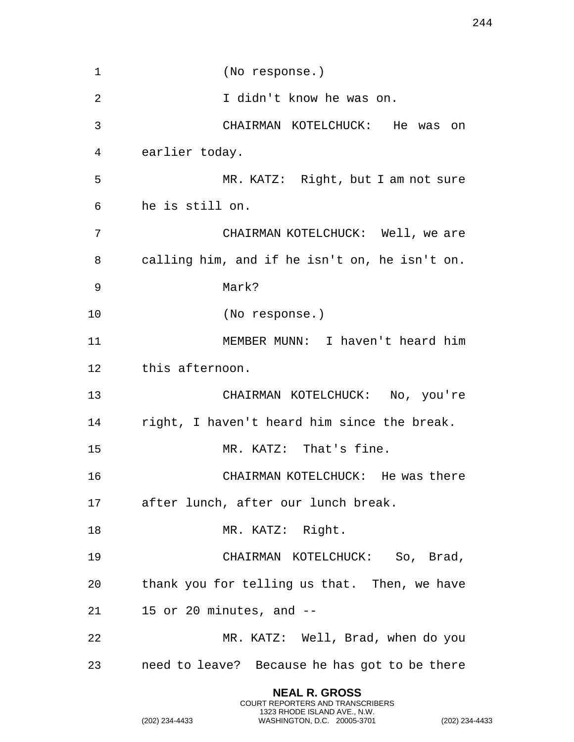| 1  | (No response.)                                |
|----|-----------------------------------------------|
| 2  | I didn't know he was on.                      |
| 3  | CHAIRMAN KOTELCHUCK: He was on                |
| 4  | earlier today.                                |
| 5  | MR. KATZ: Right, but I am not sure            |
| 6  | he is still on.                               |
| 7  | CHAIRMAN KOTELCHUCK: Well, we are             |
| 8  | calling him, and if he isn't on, he isn't on. |
| 9  | Mark?                                         |
| 10 | (No response.)                                |
| 11 | MEMBER MUNN: I haven't heard him              |
| 12 | this afternoon.                               |
| 13 | CHAIRMAN KOTELCHUCK: No, you're               |
| 14 | right, I haven't heard him since the break.   |
| 15 | MR. KATZ: That's fine.                        |
| 16 | CHAIRMAN KOTELCHUCK: He was there             |
| 17 | after lunch, after our lunch break.           |
| 18 | MR. KATZ: Right.                              |
| 19 | CHAIRMAN KOTELCHUCK: So, Brad,                |
| 20 | thank you for telling us that. Then, we have  |
| 21 | 15 or 20 minutes, and --                      |
| 22 | MR. KATZ: Well, Brad, when do you             |
| 23 | need to leave? Because he has got to be there |

**NEAL R. GROSS** COURT REPORTERS AND TRANSCRIBERS 1323 RHODE ISLAND AVE., N.W.

(202) 234-4433 WASHINGTON, D.C. 20005-3701 (202) 234-4433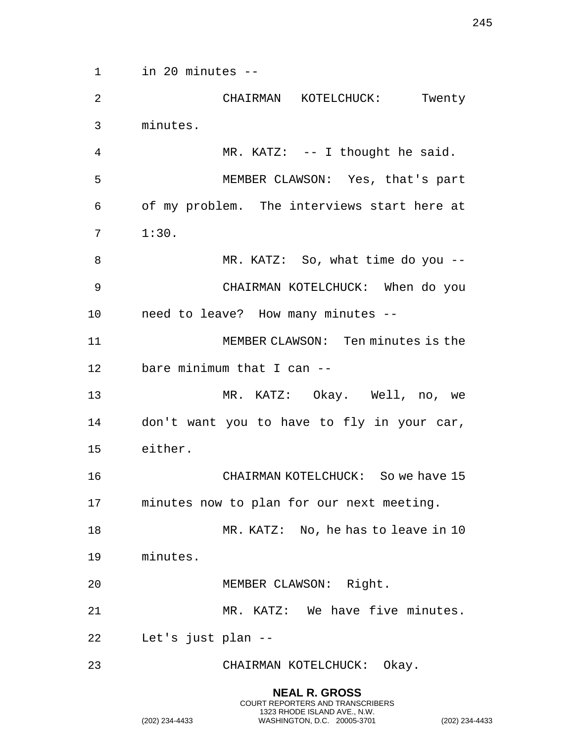in 20 minutes --

 CHAIRMAN KOTELCHUCK: Twenty minutes. MR. KATZ: -- I thought he said. MEMBER CLAWSON: Yes, that's part of my problem. The interviews start here at 1:30. 8 MR. KATZ: So, what time do you -- CHAIRMAN KOTELCHUCK: When do you need to leave? How many minutes -- MEMBER CLAWSON: Ten minutes is the bare minimum that I can -- MR. KATZ: Okay. Well, no, we don't want you to have to fly in your car, either. CHAIRMAN KOTELCHUCK: So we have 15 minutes now to plan for our next meeting. 18 MR. KATZ: No, he has to leave in 10 minutes.

MEMBER CLAWSON: Right.

MR. KATZ: We have five minutes.

**NEAL R. GROSS** COURT REPORTERS AND TRANSCRIBERS 1323 RHODE ISLAND AVE., N.W.

Let's just plan --

CHAIRMAN KOTELCHUCK: Okay.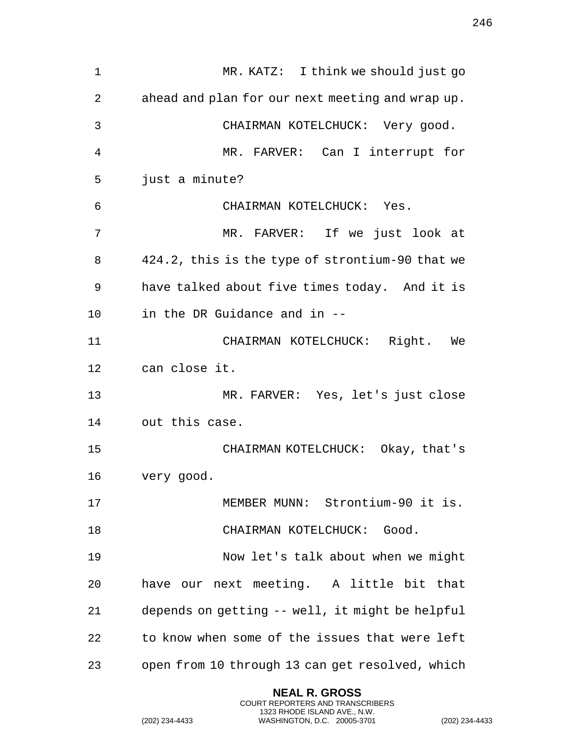| 1  | MR. KATZ: I think we should just go              |
|----|--------------------------------------------------|
| 2  | ahead and plan for our next meeting and wrap up. |
| 3  | CHAIRMAN KOTELCHUCK: Very good.                  |
| 4  | MR. FARVER: Can I interrupt for                  |
| 5  | just a minute?                                   |
| 6  | CHAIRMAN KOTELCHUCK: Yes.                        |
| 7  | MR. FARVER: If we just look at                   |
| 8  | 424.2, this is the type of strontium-90 that we  |
| 9  | have talked about five times today. And it is    |
| 10 | in the DR Guidance and in --                     |
| 11 | CHAIRMAN KOTELCHUCK: Right. We                   |
| 12 | can close it.                                    |
| 13 | MR. FARVER: Yes, let's just close                |
| 14 | out this case.                                   |
| 15 | CHAIRMAN KOTELCHUCK: Okay, that's                |
| 16 | very good.                                       |
| 17 | MEMBER MUNN: Strontium-90 it is.                 |
| 18 | CHAIRMAN KOTELCHUCK: Good.                       |
| 19 | Now let's talk about when we might               |
| 20 | have our next meeting. A little bit that         |
| 21 | depends on getting -- well, it might be helpful  |
| 22 | to know when some of the issues that were left   |
| 23 | open from 10 through 13 can get resolved, which  |

**NEAL R. GROSS** COURT REPORTERS AND TRANSCRIBERS 1323 RHODE ISLAND AVE., N.W.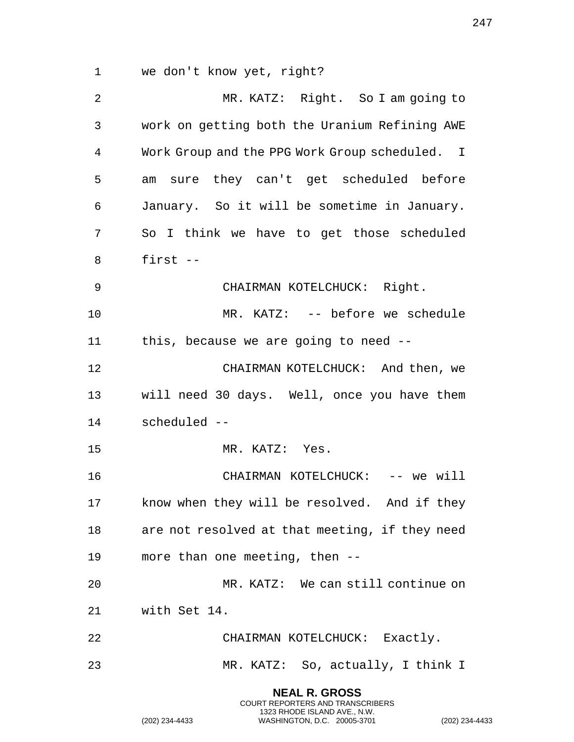we don't know yet, right?

 MR. KATZ: Right. So I am going to work on getting both the Uranium Refining AWE Work Group and the PPG Work Group scheduled. I am sure they can't get scheduled before January. So it will be sometime in January. So I think we have to get those scheduled first -- CHAIRMAN KOTELCHUCK: Right. MR. KATZ: -- before we schedule this, because we are going to need -- CHAIRMAN KOTELCHUCK: And then, we will need 30 days. Well, once you have them scheduled -- MR. KATZ: Yes. CHAIRMAN KOTELCHUCK: -- we will know when they will be resolved. And if they are not resolved at that meeting, if they need more than one meeting, then -- MR. KATZ: We can still continue on with Set 14. CHAIRMAN KOTELCHUCK: Exactly. MR. KATZ: So, actually, I think I

> **NEAL R. GROSS** COURT REPORTERS AND TRANSCRIBERS 1323 RHODE ISLAND AVE., N.W.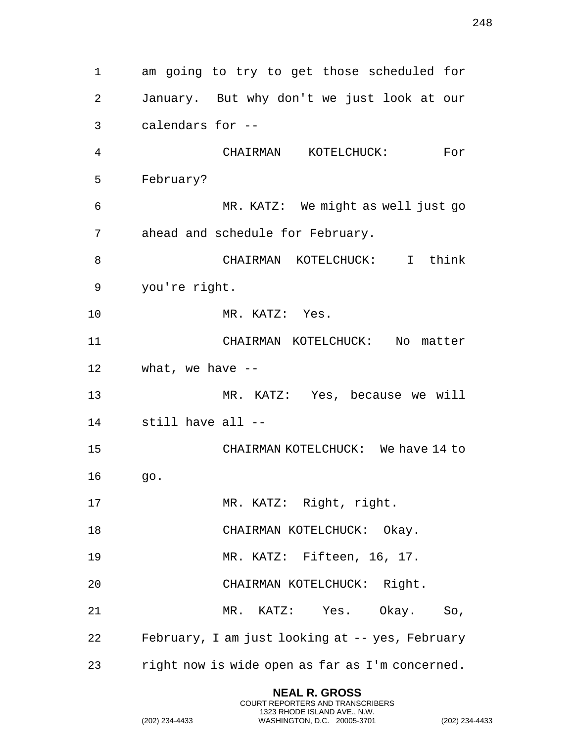am going to try to get those scheduled for January. But why don't we just look at our calendars for -- CHAIRMAN KOTELCHUCK: For February? MR. KATZ: We might as well just go ahead and schedule for February. CHAIRMAN KOTELCHUCK: I think you're right. 10 MR. KATZ: Yes. CHAIRMAN KOTELCHUCK: No matter what, we have -- MR. KATZ: Yes, because we will still have all -- CHAIRMAN KOTELCHUCK: We have 14 to go. 17 MR. KATZ: Right, right. 18 CHAIRMAN KOTELCHUCK: Okay. MR. KATZ: Fifteen, 16, 17. CHAIRMAN KOTELCHUCK: Right. MR. KATZ: Yes. Okay. So, February, I am just looking at -- yes, February right now is wide open as far as I'm concerned.

> **NEAL R. GROSS** COURT REPORTERS AND TRANSCRIBERS 1323 RHODE ISLAND AVE., N.W.

(202) 234-4433 WASHINGTON, D.C. 20005-3701 (202) 234-4433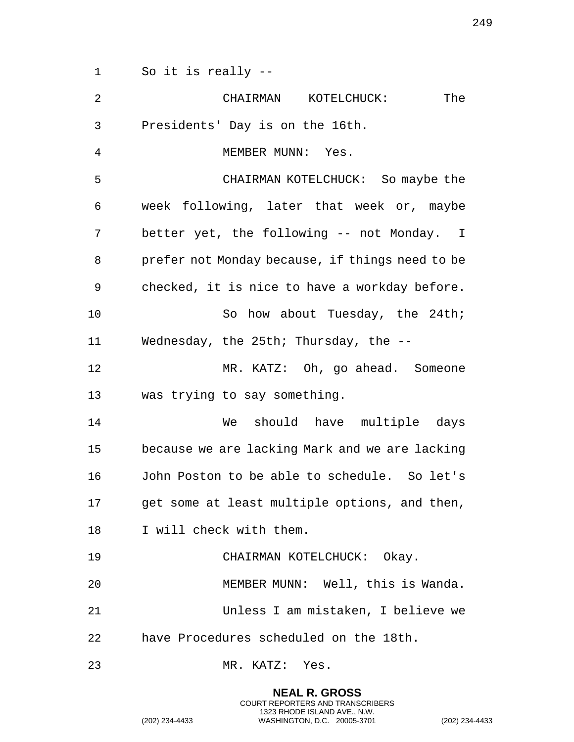So it is really --

| 2  | The<br>CHAIRMAN KOTELCHUCK:                     |
|----|-------------------------------------------------|
| 3  | Presidents' Day is on the 16th.                 |
| 4  | MEMBER MUNN: Yes.                               |
| 5  | CHAIRMAN KOTELCHUCK: So maybe the               |
| 6  | week following, later that week or, maybe       |
| 7  | better yet, the following -- not Monday. I      |
| 8  | prefer not Monday because, if things need to be |
| 9  | checked, it is nice to have a workday before.   |
| 10 | So how about Tuesday, the 24th;                 |
| 11 | Wednesday, the 25th; Thursday, the --           |
| 12 | MR. KATZ: Oh, go ahead. Someone                 |
| 13 | was trying to say something.                    |
| 14 | We should have multiple days                    |
| 15 | because we are lacking Mark and we are lacking  |
| 16 | John Poston to be able to schedule. So let's    |
| 17 | get some at least multiple options, and then,   |
| 18 | I will check with them.                         |
| 19 | CHAIRMAN KOTELCHUCK: Okay.                      |
| 20 | MEMBER MUNN: Well, this is Wanda.               |
| 21 | Unless I am mistaken, I believe we              |
| 22 | have Procedures scheduled on the 18th.          |
| 23 | MR. KATZ: Yes.                                  |

**NEAL R. GROSS** COURT REPORTERS AND TRANSCRIBERS 1323 RHODE ISLAND AVE., N.W.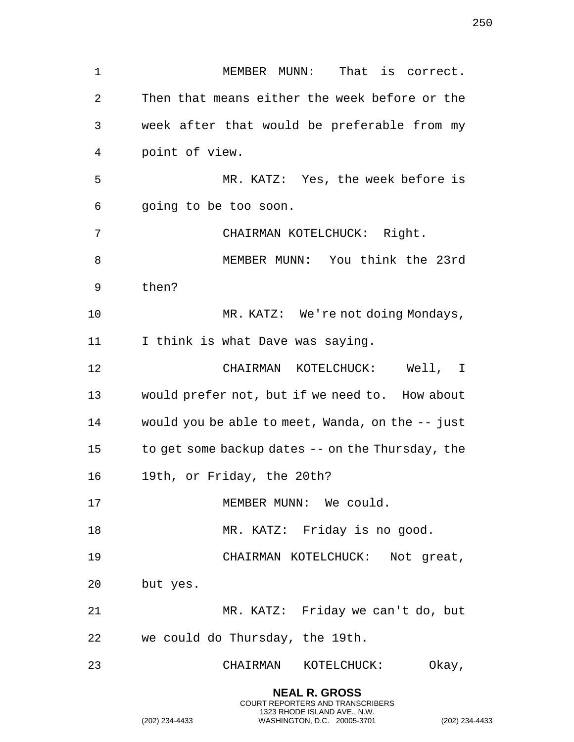MEMBER MUNN: That is correct. Then that means either the week before or the week after that would be preferable from my point of view. MR. KATZ: Yes, the week before is going to be too soon. CHAIRMAN KOTELCHUCK: Right. MEMBER MUNN: You think the 23rd then? 10 MR. KATZ: We're not doing Mondays, 11 I think is what Dave was saying. CHAIRMAN KOTELCHUCK: Well, I would prefer not, but if we need to. How about would you be able to meet, Wanda, on the -- just to get some backup dates -- on the Thursday, the 19th, or Friday, the 20th? 17 MEMBER MUNN: We could. 18 MR. KATZ: Friday is no good. CHAIRMAN KOTELCHUCK: Not great, but yes. MR. KATZ: Friday we can't do, but we could do Thursday, the 19th. CHAIRMAN KOTELCHUCK: Okay,

> **NEAL R. GROSS** COURT REPORTERS AND TRANSCRIBERS 1323 RHODE ISLAND AVE., N.W.

(202) 234-4433 WASHINGTON, D.C. 20005-3701 (202) 234-4433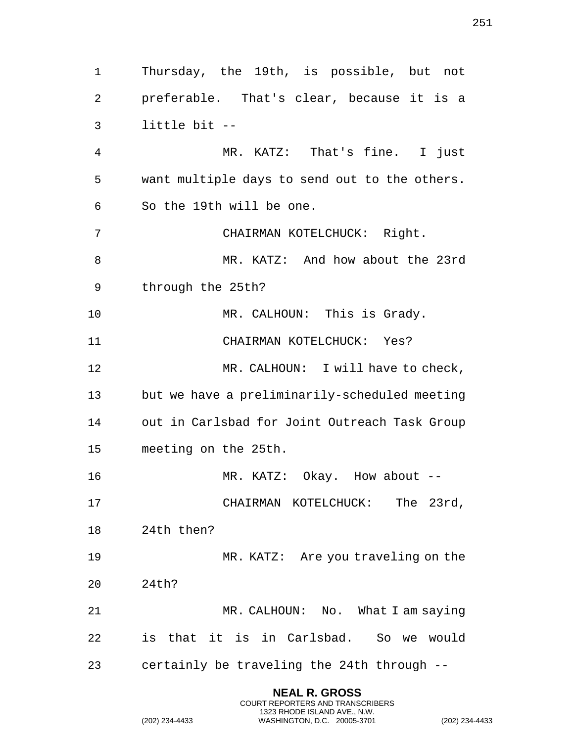Thursday, the 19th, is possible, but not preferable. That's clear, because it is a little bit -- MR. KATZ: That's fine. I just want multiple days to send out to the others. So the 19th will be one. CHAIRMAN KOTELCHUCK: Right. MR. KATZ: And how about the 23rd through the 25th? 10 MR. CALHOUN: This is Grady. CHAIRMAN KOTELCHUCK: Yes? 12 MR. CALHOUN: I will have to check, but we have a preliminarily-scheduled meeting out in Carlsbad for Joint Outreach Task Group meeting on the 25th. MR. KATZ: Okay. How about -- CHAIRMAN KOTELCHUCK: The 23rd, 24th then? 19 MR. KATZ: Are you traveling on the 24th? 21 MR. CALHOUN: No. What I am saying is that it is in Carlsbad. So we would certainly be traveling the 24th through --

> **NEAL R. GROSS** COURT REPORTERS AND TRANSCRIBERS 1323 RHODE ISLAND AVE., N.W.

(202) 234-4433 WASHINGTON, D.C. 20005-3701 (202) 234-4433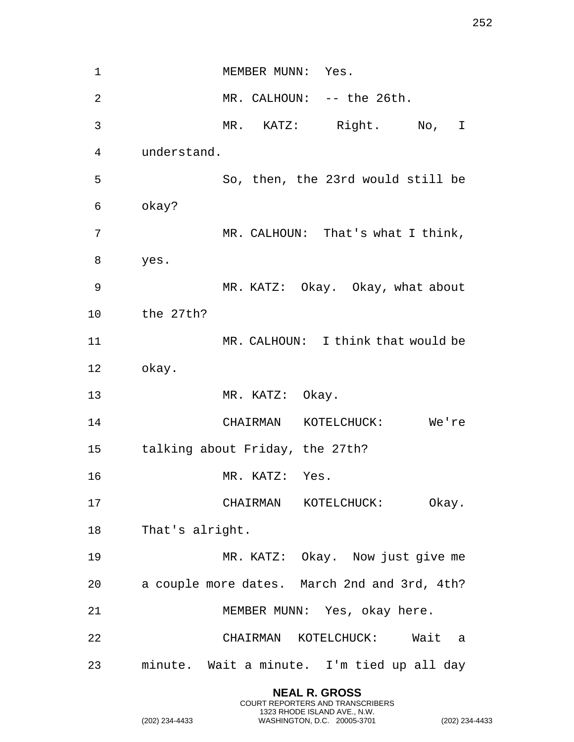1 MEMBER MUNN: Yes. MR. CALHOUN: -- the 26th. MR. KATZ: Right. No, I understand. So, then, the 23rd would still be okay? MR. CALHOUN: That's what I think, yes. MR. KATZ: Okay. Okay, what about the 27th? MR. CALHOUN: I think that would be okay. 13 MR. KATZ: Okay. CHAIRMAN KOTELCHUCK: We're talking about Friday, the 27th? MR. KATZ: Yes. CHAIRMAN KOTELCHUCK: Okay. That's alright. MR. KATZ: Okay. Now just give me a couple more dates. March 2nd and 3rd, 4th? MEMBER MUNN: Yes, okay here. CHAIRMAN KOTELCHUCK: Wait a minute. Wait a minute. I'm tied up all day

> **NEAL R. GROSS** COURT REPORTERS AND TRANSCRIBERS 1323 RHODE ISLAND AVE., N.W.

(202) 234-4433 WASHINGTON, D.C. 20005-3701 (202) 234-4433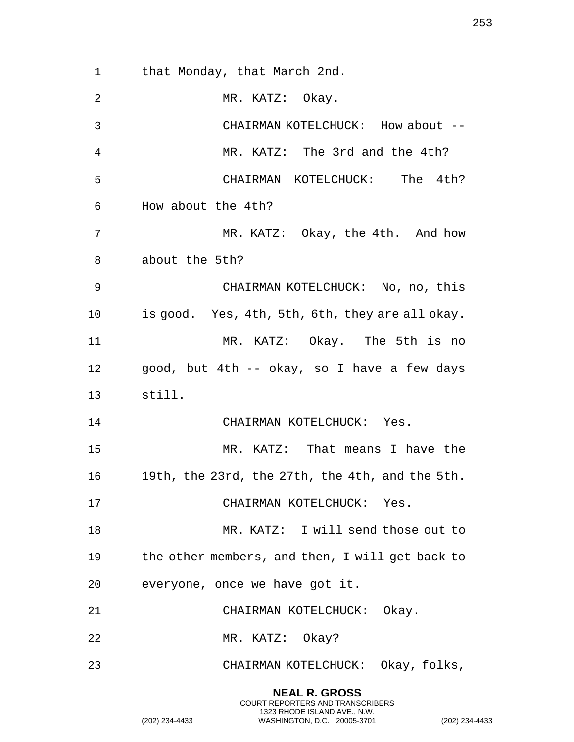that Monday, that March 2nd. 2 MR. KATZ: Okay. CHAIRMAN KOTELCHUCK: How about -- MR. KATZ: The 3rd and the 4th? CHAIRMAN KOTELCHUCK: The 4th? How about the 4th? MR. KATZ: Okay, the 4th. And how about the 5th? CHAIRMAN KOTELCHUCK: No, no, this is good. Yes, 4th, 5th, 6th, they are all okay. MR. KATZ: Okay. The 5th is no good, but 4th -- okay, so I have a few days still. 14 CHAIRMAN KOTELCHUCK: Yes. MR. KATZ: That means I have the 19th, the 23rd, the 27th, the 4th, and the 5th. CHAIRMAN KOTELCHUCK: Yes. 18 MR. KATZ: I will send those out to the other members, and then, I will get back to everyone, once we have got it. CHAIRMAN KOTELCHUCK: Okay. 22 MR. KATZ: Okay? CHAIRMAN KOTELCHUCK: Okay, folks,

> **NEAL R. GROSS** COURT REPORTERS AND TRANSCRIBERS 1323 RHODE ISLAND AVE., N.W.

(202) 234-4433 WASHINGTON, D.C. 20005-3701 (202) 234-4433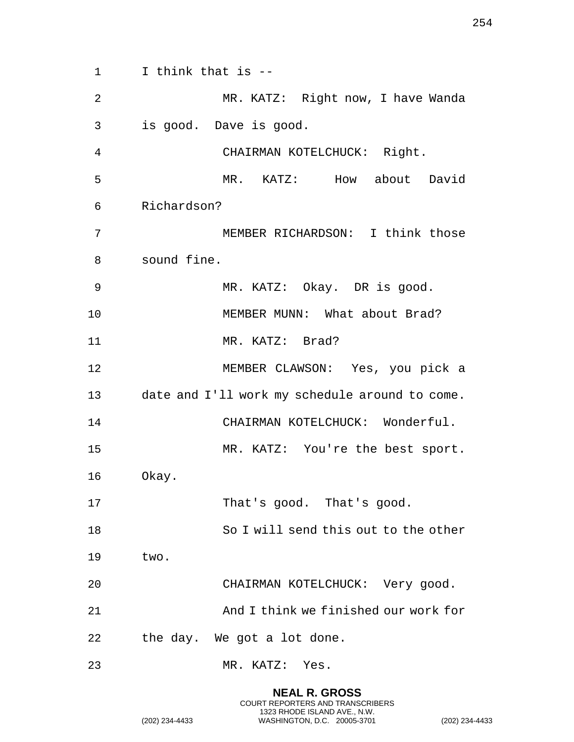I think that is -- MR. KATZ: Right now, I have Wanda is good. Dave is good. CHAIRMAN KOTELCHUCK: Right. MR. KATZ: How about David Richardson? MEMBER RICHARDSON: I think those sound fine. MR. KATZ: Okay. DR is good. 10 MEMBER MUNN: What about Brad? 11 MR. KATZ: Brad? MEMBER CLAWSON: Yes, you pick a date and I'll work my schedule around to come. CHAIRMAN KOTELCHUCK: Wonderful. MR. KATZ: You're the best sport. Okay. 17 That's good. That's good. So I will send this out to the other two. CHAIRMAN KOTELCHUCK: Very good. And I think we finished our work for the day. We got a lot done. MR. KATZ: Yes.

> **NEAL R. GROSS** COURT REPORTERS AND TRANSCRIBERS 1323 RHODE ISLAND AVE., N.W.

(202) 234-4433 WASHINGTON, D.C. 20005-3701 (202) 234-4433